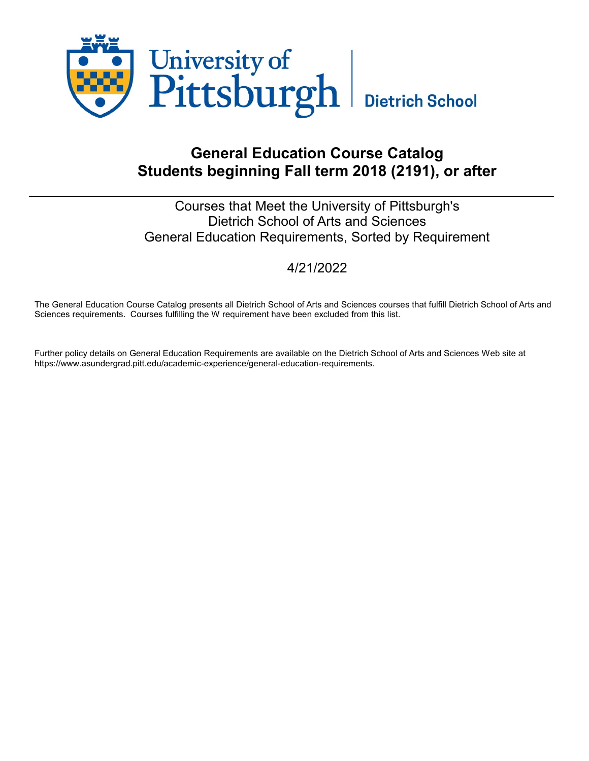

# General Education Course Catalog Students beginning Fall term 2018 (2191), or after

# Courses that Meet the University of Pittsburgh's Dietrich School of Arts and Sciences General Education Requirements, Sorted by Requirement

# 4/21/2022

The General Education Course Catalog presents all Dietrich School of Arts and Sciences courses that fulfill Dietrich School of Arts and Sciences requirements. Courses fulfilling the W requirement have been excluded from this list.

Further policy details on General Education Requirements are available on the Dietrich School of Arts and Sciences Web site at https://www.asundergrad.pitt.edu/academic-experience/general-education-requirements.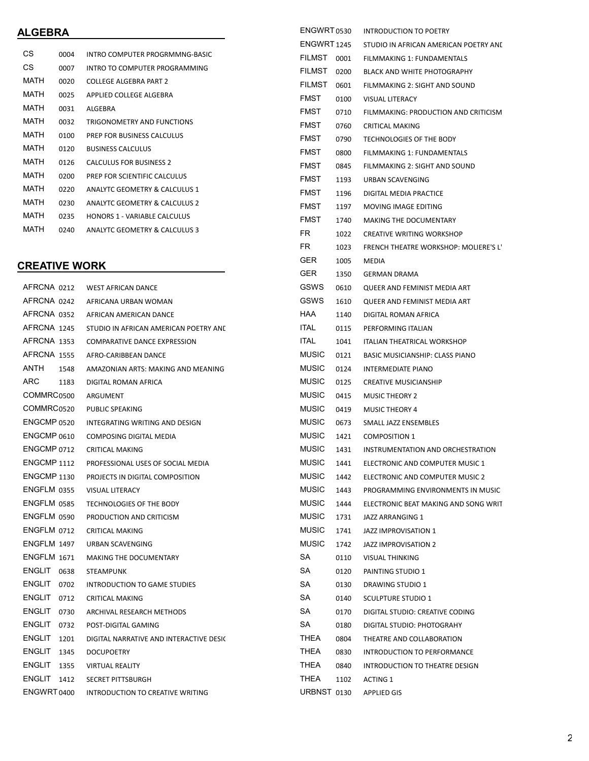#### ALGEBRA

| СS          | 0004 | INTRO COMPUTER PROGRMMNG-BASIC           |
|-------------|------|------------------------------------------|
| CS          | 0007 | INTRO TO COMPUTER PROGRAMMING            |
| MATH        | 0020 | COLLEGE ALGEBRA PART 2                   |
| MATH        | 0025 | APPLIED COLLEGE ALGEBRA                  |
| MATH        | 0031 | ALGEBRA                                  |
| MATH        | 0032 | <b>TRIGONOMETRY AND FUNCTIONS</b>        |
| MATH        | 0100 | PREP FOR BUSINESS CALCULUS               |
| <b>MATH</b> | 0120 | <b>BUSINESS CALCULUS</b>                 |
| <b>MATH</b> | 0126 | CALCULUS FOR BUSINESS 2                  |
| <b>MATH</b> | 0200 | PREP FOR SCIENTIFIC CALCULUS             |
| <b>MATH</b> | 0220 | ANAIYTC GEOMETRY & CALCULUS 1            |
| <b>MATH</b> | 0230 | ANAIYTC GEOMETRY & CALCULUS 2            |
| MATH        | 0235 | <b>HONORS 1 - VARIABLE CALCULUS</b>      |
| <b>MATH</b> | 0240 | <b>ANALYTC GEOMETRY &amp; CALCULUS 3</b> |

## CREATIVE WORK

| AFRCNA 0212            | <b>WEST AFRICAN DANCE</b>               |
|------------------------|-----------------------------------------|
|                        | AFRCNA 0242 AFRICANA URBAN WOMAN        |
| AFRCNA 0352            | AFRICAN AMERICAN DANCE                  |
| AFRCNA 1245            | STUDIO IN AFRICAN AMERICAN POETRY AND   |
| AFRCNA 1353            | COMPARATIVE DANCE EXPRESSION            |
| AFRCNA 1555            | AFRO-CARIBBEAN DANCE                    |
| ANTH 1548              | AMAZONIAN ARTS: MAKING AND MEANING      |
| ARC<br>1183            | DIGITAL ROMAN AFRICA                    |
| COMMRC <sub>0500</sub> | ARGUMENT                                |
| COMMRC0520             | <b>PUBLIC SPEAKING</b>                  |
| ENGCMP 0520            | INTEGRATING WRITING AND DESIGN          |
| ENGCMP 0610            | COMPOSING DIGITAL MEDIA                 |
| ENGCMP 0712            | <b>CRITICAL MAKING</b>                  |
| <b>ENGCMP 1112</b>     | PROFESSIONAL USES OF SOCIAL MEDIA       |
| ENGCMP 1130            | PROJECTS IN DIGITAL COMPOSITION         |
| ENGFLM 0355            | <b>VISUAL LITERACY</b>                  |
| ENGFLM 0585            | TECHNOLOGIES OF THE BODY                |
| ENGFLM 0590            | PRODUCTION AND CRITICISM                |
| ENGFLM 0712            | <b>CRITICAL MAKING</b>                  |
| ENGFLM 1497            | URBAN SCAVENGING                        |
| <b>ENGFLM 1671</b>     | <b>MAKING THE DOCUMENTARY</b>           |
| ENGLIT<br>0638         | <b>STEAMPUNK</b>                        |
| ENGLIT<br>0702         | <b>INTRODUCTION TO GAME STUDIES</b>     |
| ENGLIT<br>0712         | <b>CRITICAL MAKING</b>                  |
| <b>ENGLIT</b><br>0730  | ARCHIVAL RESEARCH METHODS               |
| ENGLIT<br>0732         | POST-DIGITAL GAMING                     |
| ENGLIT<br>1201         | DIGITAL NARRATIVE AND INTERACTIVE DESIC |
| ENGLIT<br>1345         | <b>DOCUPOETRY</b>                       |
| ENGLIT<br>1355         | <b>VIRTUAL REALITY</b>                  |
| ENGLIT 1412            | <b>SECRET PITTSBURGH</b>                |
| ENGWRT 0400            | INTRODUCTION TO CREATIVE WRITING        |

| ENGWRT 0530        |               |      | <b>INTRODUCTION TO POETRY</b>                |  |  |  |  |  |  |
|--------------------|---------------|------|----------------------------------------------|--|--|--|--|--|--|
| <b>ENGWRT 1245</b> |               |      | STUDIO IN AFRICAN AMERICAN POETRY AND        |  |  |  |  |  |  |
|                    | <b>FILMST</b> | 0001 | FILMMAKING 1: FUNDAMENTALS                   |  |  |  |  |  |  |
|                    | FILMST        | 0200 | <b>BLACK AND WHITE PHOTOGRAPHY</b>           |  |  |  |  |  |  |
|                    | <b>FILMST</b> | 0601 | FILMMAKING 2: SIGHT AND SOUND                |  |  |  |  |  |  |
|                    | FMST          | 0100 | <b>VISUAL LITERACY</b>                       |  |  |  |  |  |  |
|                    | <b>FMST</b>   | 0710 | FILMMAKING: PRODUCTION AND CRITICISM         |  |  |  |  |  |  |
|                    | FMST          | 0760 | <b>CRITICAL MAKING</b>                       |  |  |  |  |  |  |
|                    | <b>FMST</b>   | 0790 | TECHNOLOGIES OF THE BODY                     |  |  |  |  |  |  |
|                    | <b>FMST</b>   | 0800 | FILMMAKING 1: FUNDAMENTALS                   |  |  |  |  |  |  |
|                    | <b>FMST</b>   | 0845 | FILMMAKING 2: SIGHT AND SOUND                |  |  |  |  |  |  |
|                    | <b>FMST</b>   | 1193 | URBAN SCAVENGING                             |  |  |  |  |  |  |
|                    | <b>FMST</b>   | 1196 | DIGITAL MEDIA PRACTICE                       |  |  |  |  |  |  |
|                    | <b>FMST</b>   | 1197 | <b>MOVING IMAGE EDITING</b>                  |  |  |  |  |  |  |
|                    | <b>FMST</b>   | 1740 | <b>MAKING THE DOCUMENTARY</b>                |  |  |  |  |  |  |
|                    | FR.           | 1022 | <b>CREATIVE WRITING WORKSHOP</b>             |  |  |  |  |  |  |
|                    | FR.           | 1023 | <b>FRENCH THEATRE WORKSHOP: MOLIERE'S L'</b> |  |  |  |  |  |  |
|                    | GER           | 1005 | <b>MEDIA</b>                                 |  |  |  |  |  |  |
|                    | <b>GER</b>    | 1350 | <b>GERMAN DRAMA</b>                          |  |  |  |  |  |  |
|                    | GSWS          | 0610 | QUEER AND FEMINIST MEDIA ART                 |  |  |  |  |  |  |
|                    | GSWS          | 1610 | QUEER AND FEMINIST MEDIA ART                 |  |  |  |  |  |  |
|                    | HAA           | 1140 | DIGITAL ROMAN AFRICA                         |  |  |  |  |  |  |
|                    | <b>ITAL</b>   | 0115 | PERFORMING ITALIAN                           |  |  |  |  |  |  |
|                    | <b>ITAL</b>   | 1041 | <b>ITALIAN THEATRICAL WORKSHOP</b>           |  |  |  |  |  |  |
|                    | <b>MUSIC</b>  | 0121 | <b>BASIC MUSICIANSHIP: CLASS PIANO</b>       |  |  |  |  |  |  |
|                    | <b>MUSIC</b>  | 0124 | <b>INTERMEDIATE PIANO</b>                    |  |  |  |  |  |  |
|                    | MUSIC.        | 0125 | <b>CREATIVE MUSICIANSHIP</b>                 |  |  |  |  |  |  |
|                    | <b>MUSIC</b>  | 0415 | <b>MUSIC THEORY 2</b>                        |  |  |  |  |  |  |
|                    | <b>MUSIC</b>  | 0419 | <b>MUSIC THEORY 4</b>                        |  |  |  |  |  |  |
|                    | <b>MUSIC</b>  | 0673 | SMALL JAZZ ENSEMBLES                         |  |  |  |  |  |  |
|                    | <b>MUSIC</b>  | 1421 | <b>COMPOSITION 1</b>                         |  |  |  |  |  |  |
|                    | <b>MUSIC</b>  | 1431 | INSTRUMENTATION AND ORCHESTRATION            |  |  |  |  |  |  |
|                    | MUSIC         | 1441 | ELECTRONIC AND COMPUTER MUSIC 1              |  |  |  |  |  |  |
|                    | <b>MUSIC</b>  | 1442 | ELECTRONIC AND COMPUTER MUSIC 2              |  |  |  |  |  |  |
|                    | MUSIC         | 1443 | PROGRAMMING ENVIRONMENTS IN MUSIC            |  |  |  |  |  |  |
|                    | MUSIC         | 1444 | ELECTRONIC BEAT MAKING AND SONG WRIT         |  |  |  |  |  |  |
|                    | MUSIC         | 1731 | JAZZ ARRANGING 1                             |  |  |  |  |  |  |
|                    | MUSIC         | 1741 | JAZZ IMPROVISATION 1                         |  |  |  |  |  |  |
|                    | <b>MUSIC</b>  | 1742 | JAZZ IMPROVISATION 2                         |  |  |  |  |  |  |
|                    | SA            | 0110 | <b>VISUAL THINKING</b>                       |  |  |  |  |  |  |
|                    | SA            | 0120 | PAINTING STUDIO 1                            |  |  |  |  |  |  |
|                    | SA            | 0130 | DRAWING STUDIO 1                             |  |  |  |  |  |  |
|                    | SA            | 0140 | <b>SCULPTURE STUDIO 1</b>                    |  |  |  |  |  |  |
|                    | SA            | 0170 | DIGITAL STUDIO: CREATIVE CODING              |  |  |  |  |  |  |
|                    | SA            | 0180 | DIGITAL STUDIO: PHOTOGRAHY                   |  |  |  |  |  |  |
|                    | THEA          | 0804 | THEATRE AND COLLABORATION                    |  |  |  |  |  |  |
|                    | THEA          | 0830 | <b>INTRODUCTION TO PERFORMANCE</b>           |  |  |  |  |  |  |
|                    | THEA          | 0840 | INTRODUCTION TO THEATRE DESIGN               |  |  |  |  |  |  |
|                    | THEA          | 1102 | <b>ACTING 1</b>                              |  |  |  |  |  |  |
|                    | URBNST 0130   |      | <b>APPLIED GIS</b>                           |  |  |  |  |  |  |
|                    |               |      |                                              |  |  |  |  |  |  |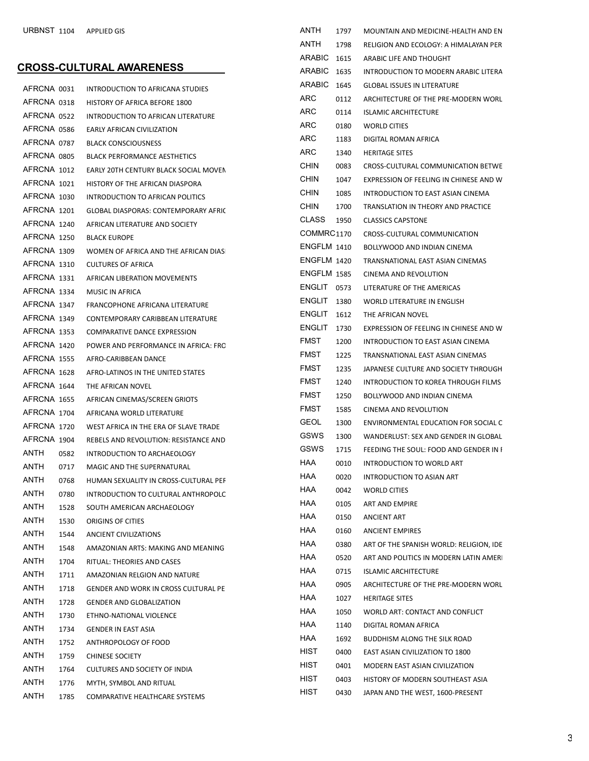#### CROSS-CULTURAL AWARENESS

|             |      |                                             | ARABIC        |
|-------------|------|---------------------------------------------|---------------|
| AFRCNA 0031 |      | INTRODUCTION TO AFRICANA STUDIES            | <b>ARC</b>    |
| AFRCNA 0318 |      | <b>HISTORY OF AFRICA BEFORE 1800</b>        | <b>ARC</b>    |
| AFRCNA 0522 |      | INTRODUCTION TO AFRICAN LITERATURE          | ARC           |
| AFRCNA 0586 |      | <b>EARLY AFRICAN CIVILIZATION</b>           | <b>ARC</b>    |
| AFRCNA 0787 |      | <b>BLACK CONSCIOUSNESS</b>                  | <b>ARC</b>    |
| AFRCNA 0805 |      | <b>BLACK PERFORMANCE AESTHETICS</b>         |               |
| AFRCNA 1012 |      | EARLY 20TH CENTURY BLACK SOCIAL MOVEN       | <b>CHIN</b>   |
| AFRCNA 1021 |      | HISTORY OF THE AFRICAN DIASPORA             | <b>CHIN</b>   |
| AFRCNA 1030 |      | INTRODUCTION TO AFRICAN POLITICS            | <b>CHIN</b>   |
| AFRCNA 1201 |      | <b>GLOBAL DIASPORAS: CONTEMPORARY AFRIC</b> | <b>CHIN</b>   |
| AFRCNA 1240 |      | AFRICAN LITERATURE AND SOCIETY              | CLASS         |
| AFRCNA 1250 |      | <b>BLACK EUROPE</b>                         | <b>COMMR</b>  |
| AFRCNA 1309 |      | WOMEN OF AFRICA AND THE AFRICAN DIAS        | <b>ENGFLM</b> |
| AFRCNA 1310 |      | <b>CULTURES OF AFRICA</b>                   | <b>ENGFLM</b> |
| AFRCNA 1331 |      | AFRICAN LIBERATION MOVEMENTS                | <b>ENGFLM</b> |
| AFRCNA 1334 |      | MUSIC IN AFRICA                             | <b>ENGLIT</b> |
| AFRCNA 1347 |      | FRANCOPHONE AFRICANA LITERATURE             | ENGLIT        |
| AFRCNA 1349 |      | CONTEMPORARY CARIBBEAN LITERATURE           | <b>ENGLIT</b> |
| AFRCNA 1353 |      | <b>COMPARATIVE DANCE EXPRESSION</b>         | <b>ENGLIT</b> |
| AFRCNA 1420 |      | POWER AND PERFORMANCE IN AFRICA: FRC        | <b>FMST</b>   |
| AFRCNA 1555 |      | AFRO-CARIBBEAN DANCE                        | <b>FMST</b>   |
| AFRCNA 1628 |      | AFRO-LATINOS IN THE UNITED STATES           | <b>FMST</b>   |
| AFRCNA 1644 |      | THE AFRICAN NOVEL                           | <b>FMST</b>   |
| AFRCNA 1655 |      | AFRICAN CINEMAS/SCREEN GRIOTS               | <b>FMST</b>   |
| AFRCNA 1704 |      | AFRICANA WORLD LITERATURE                   | <b>FMST</b>   |
| AFRCNA 1720 |      | WEST AFRICA IN THE ERA OF SLAVE TRADE       | <b>GEOL</b>   |
| AFRCNA 1904 |      | REBELS AND REVOLUTION: RESISTANCE AND       | GSWS          |
| ANTH        | 0582 | INTRODUCTION TO ARCHAEOLOGY                 | GSWS          |
| ANTH        | 0717 | MAGIC AND THE SUPERNATURAL                  | <b>HAA</b>    |
| ANTH        | 0768 | HUMAN SEXUALITY IN CROSS-CULTURAL PEF       | HAA           |
| ANTH        | 0780 | INTRODUCTION TO CULTURAL ANTHROPOLC         | <b>HAA</b>    |
| ANTH        | 1528 | SOUTH AMERICAN ARCHAEOLOGY                  | <b>HAA</b>    |
| ANTH        | 1530 | ORIGINS OF CITIES                           | HAA           |
| ANTH        | 1544 | ANCIENT CIVILIZATIONS                       | HAA           |
| ANTH        | 1548 | AMAZONIAN ARTS: MAKING AND MEANING          | HAA           |
| ANTH        | 1704 | RITUAL: THEORIES AND CASES                  | HAA           |
| ANTH        | 1711 | AMAZONIAN RELGION AND NATURE                | HAA           |
| ANTH        | 1718 | <b>GENDER AND WORK IN CROSS CULTURAL PE</b> | HAA           |
| ANTH        | 1728 | <b>GENDER AND GLOBALIZATION</b>             | HAA.          |
| ANTH        | 1730 | ETHNO-NATIONAL VIOLENCE                     | HAA           |
| ANTH        | 1734 | <b>GENDER IN EAST ASIA</b>                  | HAA           |
| ANTH        | 1752 | ANTHROPOLOGY OF FOOD                        | HAA           |
| ANTH        | 1759 | <b>CHINESE SOCIETY</b>                      | HIST          |
| ANTH        | 1764 | CULTURES AND SOCIETY OF INDIA               | HIST          |
| ANTH        | 1776 | MYTH, SYMBOL AND RITUAL                     | HIST          |
| ANTH        | 1785 | COMPARATIVE HEALTHCARE SYSTEMS              | HIST          |

| ANTH               | 1797 | MOUNTAIN AND MEDICINE-HEALTH AND EN     |
|--------------------|------|-----------------------------------------|
| ANTH               | 1798 | RELIGION AND ECOLOGY: A HIMALAYAN PER   |
| ARABIC             | 1615 | ARABIC LIFE AND THOUGHT                 |
| <b>ARABIC</b>      | 1635 | INTRODUCTION TO MODERN ARABIC LITERA    |
| ARABIC             | 1645 | <b>GLOBAL ISSUES IN LITERATURE</b>      |
| ARC                | 0112 | ARCHITECTURE OF THE PRE-MODERN WORL     |
| ARC                | 0114 | <b>ISLAMIC ARCHITECTURE</b>             |
| ARC                | 0180 | <b>WORLD CITIES</b>                     |
| ARC                | 1183 | DIGITAL ROMAN AFRICA                    |
| ARC                | 1340 | <b>HERITAGE SITES</b>                   |
| <b>CHIN</b>        | 0083 | CROSS-CULTURAL COMMUNICATION BETWE      |
| CHIN               | 1047 | EXPRESSION OF FEELING IN CHINESE AND W  |
| CHIN               | 1085 | INTRODUCTION TO EAST ASIAN CINEMA       |
| CHIN               | 1700 | TRANSLATION IN THEORY AND PRACTICE      |
| <b>CLASS</b>       | 1950 | <b>CLASSICS CAPSTONE</b>                |
| COMMRC1170         |      | CROSS-CULTURAL COMMUNICATION            |
| ENGFLM 1410        |      | BOLLYWOOD AND INDIAN CINEMA             |
| ENGFLM 1420        |      | TRANSNATIONAL EAST ASIAN CINEMAS        |
| <b>ENGFLM 1585</b> |      | CINEMA AND REVOLUTION                   |
| ENGLIT 0573        |      | LITERATURE OF THE AMERICAS              |
| ENGLIT             | 1380 | WORLD LITERATURE IN ENGLISH             |
| ENGLIT             | 1612 | THE AFRICAN NOVEL                       |
| <b>ENGLIT</b>      | 1730 | EXPRESSION OF FEELING IN CHINESE AND W  |
| <b>FMST</b>        | 1200 | INTRODUCTION TO EAST ASIAN CINEMA       |
| <b>FMST</b>        | 1225 | TRANSNATIONAL EAST ASIAN CINEMAS        |
| <b>FMST</b>        | 1235 | JAPANESE CULTURE AND SOCIETY THROUGH    |
| <b>FMST</b>        | 1240 | INTRODUCTION TO KOREA THROUGH FILMS     |
| <b>FMST</b>        | 1250 | BOLLYWOOD AND INDIAN CINEMA             |
| <b>FMST</b>        | 1585 | CINEMA AND REVOLUTION                   |
| <b>GEOL</b>        | 1300 | ENVIRONMENTAL EDUCATION FOR SOCIAL C    |
| <b>GSWS</b>        | 1300 | WANDERLUST: SEX AND GENDER IN GLOBAL    |
| GSWS               | 1715 | FEEDING THE SOUL: FOOD AND GENDER IN I  |
| HAA                | 0010 | INTRODUCTION TO WORLD ART               |
| HAA                | 0020 | INTRODUCTION TO ASIAN ART               |
| HAA                | 0042 | <b>WORLD CITIES</b>                     |
| HAA                | 0105 | <b>ART AND EMPIRE</b>                   |
| HAA                | 0150 | <b>ANCIENT ART</b>                      |
| HAA                | 0160 | <b>ANCIENT EMPIRES</b>                  |
| HAA                | 0380 | ART OF THE SPANISH WORLD: RELIGION, IDE |
| HAA                | 0520 | ART AND POLITICS IN MODERN LATIN AMERI  |
| HAA                | 0715 | <b>ISLAMIC ARCHITECTURE</b>             |
| HAA                | 0905 | ARCHITECTURE OF THE PRE-MODERN WORL     |
| HAA                | 1027 | <b>HERITAGE SITES</b>                   |
| HAA                | 1050 | WORLD ART: CONTACT AND CONFLICT         |
| HAA                | 1140 | DIGITAL ROMAN AFRICA                    |
| HAA                | 1692 | BUDDHISM ALONG THE SILK ROAD            |
| HIST               | 0400 | EAST ASIAN CIVILIZATION TO 1800         |
| HIST               | 0401 | MODERN EAST ASIAN CIVILIZATION          |
| HIST               | 0403 | HISTORY OF MODERN SOUTHEAST ASIA        |
| HIST               | 0430 | JAPAN AND THE WEST, 1600-PRESENT        |
|                    |      |                                         |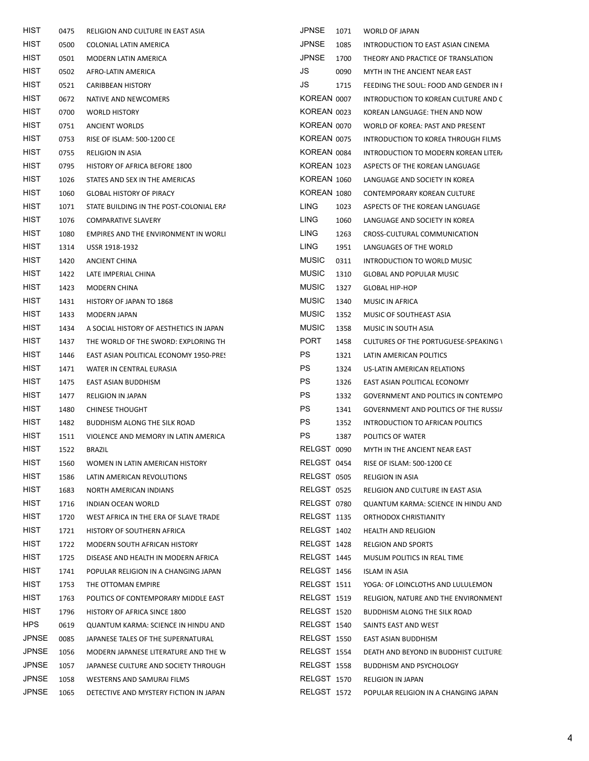| HIST         | 0475 | RELIGION AND CULTURE IN EAST ASIA       | <b>JPNSE</b>       | 1071 | WORLD OF JAPAN                               |
|--------------|------|-----------------------------------------|--------------------|------|----------------------------------------------|
| <b>HIST</b>  | 0500 | COLONIAL LATIN AMERICA                  | <b>JPNSE</b>       | 1085 | INTRODUCTION TO EAST ASIAN CINEMA            |
| <b>HIST</b>  | 0501 | MODERN LATIN AMERICA                    | <b>JPNSE</b>       | 1700 | THEORY AND PRACTICE OF TRANSLATION           |
| <b>HIST</b>  | 0502 | AFRO-LATIN AMERICA                      | JS                 | 0090 | MYTH IN THE ANCIENT NEAR EAST                |
| <b>HIST</b>  | 0521 | <b>CARIBBEAN HISTORY</b>                | JS                 | 1715 | FEEDING THE SOUL: FOOD AND GENDER IN F       |
| <b>HIST</b>  | 0672 | NATIVE AND NEWCOMERS                    | KOREAN 0007        |      | INTRODUCTION TO KOREAN CULTURE AND C         |
| <b>HIST</b>  | 0700 | <b>WORLD HISTORY</b>                    | KOREAN 0023        |      | KOREAN LANGUAGE: THEN AND NOW                |
| <b>HIST</b>  | 0751 | <b>ANCIENT WORLDS</b>                   | KOREAN 0070        |      | WORLD OF KOREA: PAST AND PRESENT             |
| <b>HIST</b>  | 0753 | <b>RISE OF ISLAM: 500-1200 CE</b>       | KOREAN 0075        |      | INTRODUCTION TO KOREA THROUGH FILMS          |
| <b>HIST</b>  | 0755 | RELIGION IN ASIA                        | KOREAN 0084        |      | INTRODUCTION TO MODERN KOREAN LITER.         |
| <b>HIST</b>  | 0795 | HISTORY OF AFRICA BEFORE 1800           | KOREAN 1023        |      | ASPECTS OF THE KOREAN LANGUAGE               |
| <b>HIST</b>  | 1026 | STATES AND SEX IN THE AMERICAS          | KOREAN 1060        |      | LANGUAGE AND SOCIETY IN KOREA                |
| <b>HIST</b>  | 1060 | <b>GLOBAL HISTORY OF PIRACY</b>         | KOREAN 1080        |      | <b>CONTEMPORARY KOREAN CULTURE</b>           |
| <b>HIST</b>  | 1071 | STATE BUILDING IN THE POST-COLONIAL ERA | LING               | 1023 | ASPECTS OF THE KOREAN LANGUAGE               |
| HIST         | 1076 | COMPARATIVE SLAVERY                     | LING               | 1060 | LANGUAGE AND SOCIETY IN KOREA                |
| <b>HIST</b>  | 1080 | EMPIRES AND THE ENVIRONMENT IN WORLI    | LING               | 1263 | CROSS-CULTURAL COMMUNICATION                 |
| <b>HIST</b>  | 1314 | USSR 1918-1932                          | LING               | 1951 | LANGUAGES OF THE WORLD                       |
| <b>HIST</b>  | 1420 | ANCIENT CHINA                           | <b>MUSIC</b>       | 0311 | INTRODUCTION TO WORLD MUSIC                  |
| <b>HIST</b>  | 1422 | LATE IMPERIAL CHINA                     | <b>MUSIC</b>       | 1310 | <b>GLOBAL AND POPULAR MUSIC</b>              |
| <b>HIST</b>  | 1423 | MODERN CHINA                            | <b>MUSIC</b>       | 1327 | <b>GLOBAL HIP-HOP</b>                        |
| HIST         | 1431 | HISTORY OF JAPAN TO 1868                | <b>MUSIC</b>       | 1340 | MUSIC IN AFRICA                              |
| <b>HIST</b>  | 1433 | MODERN JAPAN                            | <b>MUSIC</b>       | 1352 | MUSIC OF SOUTHEAST ASIA                      |
| <b>HIST</b>  | 1434 | A SOCIAL HISTORY OF AESTHETICS IN JAPAN | <b>MUSIC</b>       | 1358 | MUSIC IN SOUTH ASIA                          |
| <b>HIST</b>  | 1437 | THE WORLD OF THE SWORD: EXPLORING TH    | <b>PORT</b>        | 1458 | <b>CULTURES OF THE PORTUGUESE-SPEAKING \</b> |
| <b>HIST</b>  | 1446 | EAST ASIAN POLITICAL ECONOMY 1950-PRES  | PS                 | 1321 | LATIN AMERICAN POLITICS                      |
| <b>HIST</b>  | 1471 | WATER IN CENTRAL EURASIA                | PS                 | 1324 | US-LATIN AMERICAN RELATIONS                  |
| <b>HIST</b>  | 1475 | EAST ASIAN BUDDHISM                     | PS                 | 1326 | EAST ASIAN POLITICAL ECONOMY                 |
| <b>HIST</b>  | 1477 | <b>RELIGION IN JAPAN</b>                | PS                 | 1332 | GOVERNMENT AND POLITICS IN CONTEMPO          |
| HIST         | 1480 | <b>CHINESE THOUGHT</b>                  | PS                 | 1341 | <b>GOVERNMENT AND POLITICS OF THE RUSSIA</b> |
| <b>HIST</b>  | 1482 | BUDDHISM ALONG THE SILK ROAD            | PS                 | 1352 | INTRODUCTION TO AFRICAN POLITICS             |
| <b>HIST</b>  | 1511 | VIOLENCE AND MEMORY IN LATIN AMERICA    | PS                 | 1387 | POLITICS OF WATER                            |
| <b>HIST</b>  | 1522 | <b>BRAZIL</b>                           | RELGST 0090        |      | MYTH IN THE ANCIENT NEAR EAST                |
| HIST         | 1560 | WOMEN IN LATIN AMERICAN HISTORY         | RELGST 0454        |      | RISE OF ISLAM: 500-1200 CE                   |
| <b>HIST</b>  | 1586 | LATIN AMERICAN REVOLUTIONS              | RELGST 0505        |      | RELIGION IN ASIA                             |
| <b>HIST</b>  | 1683 | NORTH AMERICAN INDIANS                  | RELGST 0525        |      | RELIGION AND CULTURE IN EAST ASIA            |
| <b>HIST</b>  | 1716 | INDIAN OCEAN WORLD                      | RELGST 0780        |      | QUANTUM KARMA: SCIENCE IN HINDU AND          |
| <b>HIST</b>  | 1720 | WEST AFRICA IN THE ERA OF SLAVE TRADE   | RELGST 1135        |      | ORTHODOX CHRISTIANITY                        |
| <b>HIST</b>  | 1721 | HISTORY OF SOUTHERN AFRICA              | RELGST 1402        |      | <b>HEALTH AND RELIGION</b>                   |
| <b>HIST</b>  | 1722 | MODERN SOUTH AFRICAN HISTORY            | RELGST 1428        |      | <b>RELGION AND SPORTS</b>                    |
| <b>HIST</b>  | 1725 | DISEASE AND HEALTH IN MODERN AFRICA     | RELGST 1445        |      | MUSLIM POLITICS IN REAL TIME                 |
| HIST         | 1741 | POPULAR RELIGION IN A CHANGING JAPAN    | RELGST 1456        |      | ISLAM IN ASIA                                |
| <b>HIST</b>  | 1753 | THE OTTOMAN EMPIRE                      | RELGST 1511        |      | YOGA: OF LOINCLOTHS AND LULULEMON            |
| <b>HIST</b>  | 1763 | POLITICS OF CONTEMPORARY MIDDLE EAST    | <b>RELGST 1519</b> |      | RELIGION, NATURE AND THE ENVIRONMENT         |
| <b>HIST</b>  | 1796 | HISTORY OF AFRICA SINCE 1800            | RELGST 1520        |      | BUDDHISM ALONG THE SILK ROAD                 |
| <b>HPS</b>   | 0619 | QUANTUM KARMA: SCIENCE IN HINDU AND     | RELGST 1540        |      | SAINTS EAST AND WEST                         |
| <b>JPNSE</b> | 0085 | JAPANESE TALES OF THE SUPERNATURAL      | RELGST 1550        |      | EAST ASIAN BUDDHISM                          |
| JPNSE        | 1056 | MODERN JAPANESE LITERATURE AND THE W    | RELGST 1554        |      | DEATH AND BEYOND IN BUDDHIST CULTURE         |
| <b>JPNSE</b> | 1057 | JAPANESE CULTURE AND SOCIETY THROUGH    | RELGST 1558        |      | <b>BUDDHISM AND PSYCHOLOGY</b>               |
| <b>JPNSE</b> | 1058 | WESTERNS AND SAMURAI FILMS              | RELGST 1570        |      | <b>RELIGION IN JAPAN</b>                     |
| <b>JPNSE</b> | 1065 | DETECTIVE AND MYSTERY FICTION IN JAPAN  | RELGST 1572        |      | POPULAR RELIGION IN A CHANGING JAPAN         |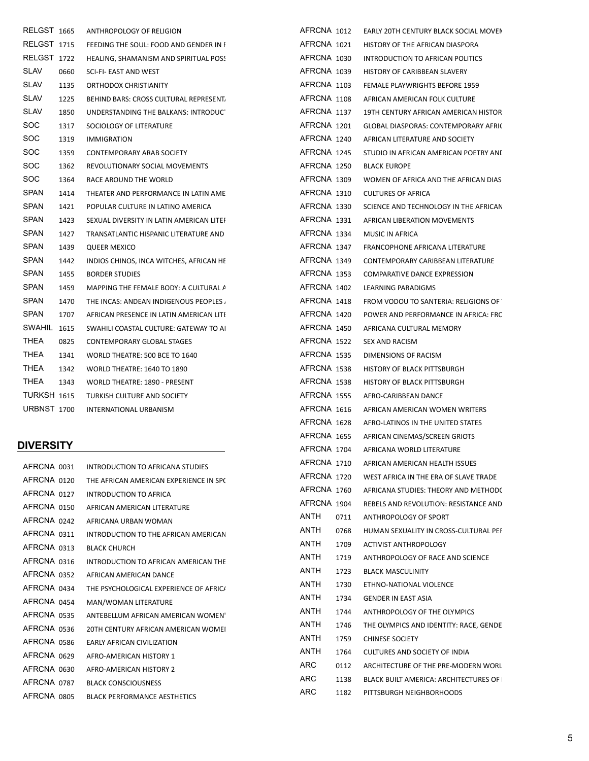| RELGST 1665        |      | ANTHROPOLOGY OF RELIGION                 | AFRCNA 1012 |  |
|--------------------|------|------------------------------------------|-------------|--|
| <b>RELGST 1715</b> |      | FEEDING THE SOUL: FOOD AND GENDER IN I   | AFRCNA 1021 |  |
| RELGST 1722        |      | HEALING, SHAMANISM AND SPIRITUAL POSS    | AFRCNA 1030 |  |
| <b>SLAV</b>        | 0660 | SCI-FI- EAST AND WEST                    | AFRCNA 1039 |  |
| <b>SLAV</b>        | 1135 | ORTHODOX CHRISTIANITY                    | AFRCNA 1103 |  |
| <b>SLAV</b>        | 1225 | BEHIND BARS: CROSS CULTURAL REPRESENT.   | AFRCNA 1108 |  |
| <b>SLAV</b>        | 1850 | UNDERSTANDING THE BALKANS: INTRODUCT     | AFRCNA 1137 |  |
| SOC.               | 1317 | SOCIOLOGY OF LITERATURE                  | AFRCNA 1201 |  |
| <b>SOC</b>         | 1319 | <b>IMMIGRATION</b>                       | AFRCNA 1240 |  |
| SOC.               | 1359 | <b>CONTEMPORARY ARAB SOCIETY</b>         | AFRCNA 1245 |  |
| <b>SOC</b>         | 1362 | REVOLUTIONARY SOCIAL MOVEMENTS           | AFRCNA 1250 |  |
| SOC.               | 1364 | RACE AROUND THE WORLD                    | AFRCNA 1309 |  |
| <b>SPAN</b>        | 1414 | THEATER AND PERFORMANCE IN LATIN AME     | AFRCNA 1310 |  |
| <b>SPAN</b>        | 1421 | POPULAR CULTURE IN LATINO AMERICA        | AFRCNA 1330 |  |
| <b>SPAN</b>        | 1423 | SEXUAL DIVERSITY IN LATIN AMERICAN LITEI | AFRCNA 1331 |  |
| <b>SPAN</b>        | 1427 | TRANSATLANTIC HISPANIC LITERATURE AND    | AFRCNA 1334 |  |
| <b>SPAN</b>        | 1439 | QUEER MEXICO                             | AFRCNA 1347 |  |
| <b>SPAN</b>        | 1442 | INDIOS CHINOS, INCA WITCHES, AFRICAN HE  | AFRCNA 1349 |  |
| <b>SPAN</b>        | 1455 | <b>BORDER STUDIES</b>                    | AFRCNA 1353 |  |
| <b>SPAN</b>        | 1459 | MAPPING THE FEMALE BODY: A CULTURAL A    | AFRCNA 1402 |  |
| SPAN               | 1470 | THE INCAS: ANDEAN INDIGENOUS PEOPLES     | AFRCNA 1418 |  |
| <b>SPAN</b>        | 1707 | AFRICAN PRESENCE IN LATIN AMERICAN LITI  | AFRCNA 1420 |  |
| SWAHIL 1615        |      | SWAHILI COASTAL CULTURE: GATEWAY TO AL   | AFRCNA 1450 |  |
| THEA               | 0825 | CONTEMPORARY GLOBAL STAGES               | AFRCNA 1522 |  |
| THEA               | 1341 | WORLD THEATRE: 500 BCE TO 1640           | AFRCNA 1535 |  |
| THEA               | 1342 | <b>WORLD THEATRE: 1640 TO 1890</b>       | AFRCNA 1538 |  |
| THEA               | 1343 | WORLD THEATRE: 1890 - PRESENT            | AFRCNA 1538 |  |
| TURKSH 1615        |      | TURKISH CULTURE AND SOCIETY              | AFRCNA 1555 |  |
| <b>URBNST 1700</b> |      | <b>INTERNATIONAL URBANISM</b>            | AFRCNA 1616 |  |
|                    |      |                                          | AFRCNA 1628 |  |

#### **DIVERSITY**

| AFRCNA 0031 | INTRODUCTION TO AFRICANA STUDIES       |  |
|-------------|----------------------------------------|--|
| AFRCNA 0120 | THE AFRICAN AMERICAN EXPERIENCE IN SP( |  |
| AFRCNA 0127 | INTRODUCTION TO AFRICA                 |  |
| AFRCNA 0150 | AFRICAN AMERICAN LITERATURE            |  |
| AFRCNA 0242 | AFRICANA URBAN WOMAN                   |  |
| AFRCNA 0311 | INTRODUCTION TO THE AFRICAN AMERICAN   |  |
| AFRCNA 0313 | <b>BLACK CHURCH</b>                    |  |
| AFRCNA 0316 | INTRODUCTION TO AFRICAN AMERICAN THE   |  |
| AFRCNA 0352 | AFRICAN AMERICAN DANCE                 |  |
| AFRCNA 0434 | THE PSYCHOLOGICAL EXPERIENCE OF AFRIC/ |  |
| AFRCNA 0454 | MAN/WOMAN LITERATURE                   |  |
| AFRCNA 0535 | ANTEBELLUM AFRICAN AMERICAN WOMEN'     |  |
| AFRCNA 0536 | 20TH CENTURY AFRICAN AMERICAN WOMEI    |  |
| AFRCNA 0586 | <b>EARLY AFRICAN CIVILIZATION</b>      |  |
| AFRCNA 0629 | AFRO-AMERICAN HISTORY 1                |  |
| AFRCNA 0630 | AFRO-AMERICAN HISTORY 2                |  |
| AFRCNA 0787 | <b>BLACK CONSCIOUSNESS</b>             |  |
| AFRCNA 0805 | <b>BLACK PERFORMANCE AESTHETICS</b>    |  |

| AFRCNA 1012 |      | EARLY 20TH CENTURY BLACK SOCIAL MOVEN       |
|-------------|------|---------------------------------------------|
| AFRCNA 1021 |      | HISTORY OF THE AFRICAN DIASPORA             |
| AFRCNA 1030 |      | INTRODUCTION TO AFRICAN POLITICS            |
| AFRCNA 1039 |      | HISTORY OF CARIBBEAN SLAVERY                |
| AFRCNA 1103 |      | FEMALE PLAYWRIGHTS BEFORE 1959              |
| AFRCNA 1108 |      | AFRICAN AMERICAN FOLK CULTURE               |
| AFRCNA 1137 |      | 19TH CENTURY AFRICAN AMERICAN HISTOR        |
| AFRCNA 1201 |      | <b>GLOBAL DIASPORAS: CONTEMPORARY AFRIC</b> |
| AFRCNA 1240 |      | AFRICAN LITERATURE AND SOCIETY              |
| AFRCNA 1245 |      | STUDIO IN AFRICAN AMERICAN POETRY AND       |
| AFRCNA 1250 |      | BLACK EUROPE                                |
| AFRCNA 1309 |      | WOMEN OF AFRICA AND THE AFRICAN DIAS        |
| AFRCNA 1310 |      | CULTURES OF AFRICA                          |
| AFRCNA 1330 |      | SCIENCE AND TECHNOLOGY IN THE AFRICAN       |
|             |      | AFRCNA 1331 AFRICAN LIBERATION MOVEMENTS    |
| AFRCNA 1334 |      | MUSIC IN AFRICA                             |
| AFRCNA 1347 |      | FRANCOPHONE AFRICANA LITERATURE             |
| AFRCNA 1349 |      | CONTEMPORARY CARIBBEAN LITERATURE           |
| AFRCNA 1353 |      | COMPARATIVE DANCE EXPRESSION                |
| AFRCNA 1402 |      | LEARNING PARADIGMS                          |
| AFRCNA 1418 |      | FROM VODOU TO SANTERIA: RELIGIONS OF        |
| AFRCNA 1420 |      | POWER AND PERFORMANCE IN AFRICA: FRC        |
| AFRCNA 1450 |      | AFRICANA CULTURAL MEMORY                    |
| AFRCNA 1522 |      | SEX AND RACISM                              |
| AFRCNA 1535 |      | DIMENSIONS OF RACISM                        |
| AFRCNA 1538 |      | HISTORY OF BLACK PITTSBURGH                 |
| AFRCNA 1538 |      | HISTORY OF BLACK PITTSBURGH                 |
| AFRCNA 1555 |      | AFRO-CARIBBEAN DANCE                        |
| AFRCNA 1616 |      | AFRICAN AMERICAN WOMEN WRITERS              |
| AFRCNA 1628 |      | AFRO-LATINOS IN THE UNITED STATES           |
| AFRCNA 1655 |      | AFRICAN CINEMAS/SCREEN GRIOTS               |
| AFRCNA 1704 |      | AFRICANA WORLD LITERATURE                   |
| AFRCNA 1710 |      | AFRICAN AMERICAN HEALTH ISSUES              |
| AFRCNA 1720 |      | WEST AFRICA IN THE ERA OF SLAVE TRADE       |
| AFRCNA 1760 |      | AFRICANA STUDIES: THEORY AND METHOD(        |
| AFRCNA 1904 |      | REBELS AND REVOLUTION: RESISTANCE AND       |
| ANTH        | 0711 | ANTHROPOLOGY OF SPORT                       |
| ANTH        | 0768 | HUMAN SEXUALITY IN CROSS-CULTURAL PEF       |
| ANTH        | 1709 | <b>ACTIVIST ANTHROPOLOGY</b>                |
| ANTH        | 1719 | ANTHROPOLOGY OF RACE AND SCIENCE            |
| ANTH        | 1723 | <b>BLACK MASCULINITY</b>                    |
| ANTH        | 1730 | ETHNO-NATIONAL VIOLENCE                     |
| ANTH        | 1734 | <b>GENDER IN EAST ASIA</b>                  |
| ANTH        | 1744 | ANTHROPOLOGY OF THE OLYMPICS                |
| ANTH        | 1746 | THE OLYMPICS AND IDENTITY: RACE, GENDE      |
| ANTH        |      |                                             |
| ANTH        | 1759 | <b>CHINESE SOCIETY</b>                      |
|             | 1764 | CULTURES AND SOCIETY OF INDIA               |
| ARC         | 0112 | ARCHITECTURE OF THE PRE-MODERN WORL         |
| ARC         | 1138 | BLACK BUILT AMERICA: ARCHITECTURES OF       |
| ARC.        | 1182 | PITTSBURGH NEIGHBORHOODS                    |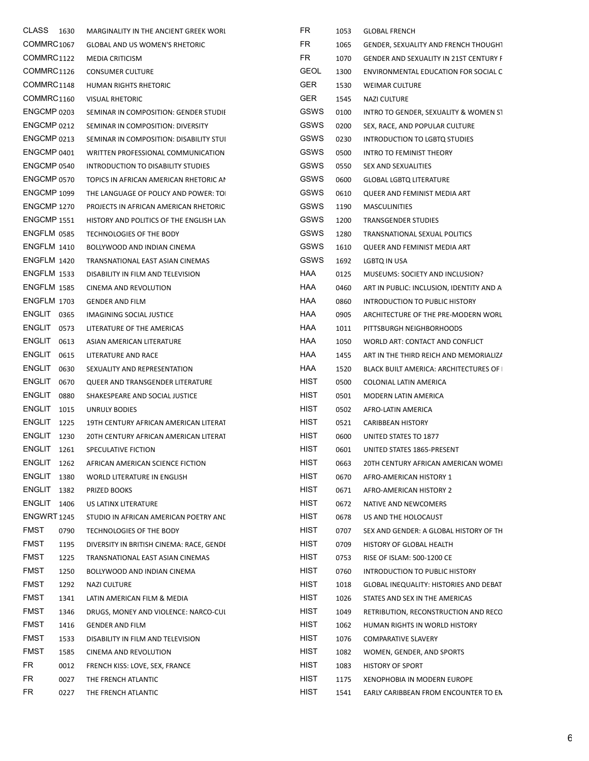| CLASS 1630             |      | MARGINALITY IN THE ANCIENT GREEK WORL    | FR          | 1053 | <b>GLOBAL FRENCH</b>                        |
|------------------------|------|------------------------------------------|-------------|------|---------------------------------------------|
| COMMRC1067             |      | <b>GLOBAL AND US WOMEN'S RHETORIC</b>    | <b>FR</b>   | 1065 | <b>GENDER, SEXUALITY AND FRENCH THOUGHT</b> |
| COMMRC1122             |      | MEDIA CRITICISM                          | FR.         | 1070 | GENDER AND SEXUALITY IN 21ST CENTURY F      |
| COMMRC1126             |      | <b>CONSUMER CULTURE</b>                  | <b>GEOL</b> | 1300 | ENVIRONMENTAL EDUCATION FOR SOCIAL C        |
| COMMRC1148             |      | HUMAN RIGHTS RHETORIC                    | <b>GER</b>  | 1530 | <b>WEIMAR CULTURE</b>                       |
| COMMRC <sub>1160</sub> |      | <b>VISUAL RHETORIC</b>                   | <b>GER</b>  | 1545 | <b>NAZI CULTURE</b>                         |
| ENGCMP 0203            |      | SEMINAR IN COMPOSITION: GENDER STUDII    | GSWS        | 0100 | INTRO TO GENDER, SEXUALITY & WOMEN ST       |
| ENGCMP 0212            |      | SEMINAR IN COMPOSITION: DIVERSITY        | GSWS        | 0200 | SEX, RACE, AND POPULAR CULTURE              |
| ENGCMP 0213            |      | SEMINAR IN COMPOSITION: DISABILITY STUI  | <b>GSWS</b> | 0230 | INTRODUCTION TO LGBTQ STUDIES               |
| ENGCMP 0401            |      | WRITTEN PROFESSIONAL COMMUNICATION       | <b>GSWS</b> | 0500 | INTRO TO FEMINIST THEORY                    |
| ENGCMP 0540            |      | INTRODUCTION TO DISABILITY STUDIES       | GSWS        | 0550 | SEX AND SEXUALITIES                         |
| ENGCMP 0570            |      | TOPICS IN AFRICAN AMERICAN RHETORIC AI   | <b>GSWS</b> | 0600 | <b>GLOBAL LGBTQ LITERATURE</b>              |
| ENGCMP 1099            |      | THE LANGUAGE OF POLICY AND POWER: TO     | <b>GSWS</b> | 0610 | QUEER AND FEMINIST MEDIA ART                |
| ENGCMP 1270            |      | PROJECTS IN AFRICAN AMERICAN RHETORIC    | GSWS        | 1190 | <b>MASCULINITIES</b>                        |
| <b>ENGCMP 1551</b>     |      | HISTORY AND POLITICS OF THE ENGLISH LAN  | GSWS        | 1200 | TRANSGENDER STUDIES                         |
| ENGFLM 0585            |      | TECHNOLOGIES OF THE BODY                 | GSWS        | 1280 | TRANSNATIONAL SEXUAL POLITICS               |
| ENGFLM 1410            |      | BOLLYWOOD AND INDIAN CINEMA              | GSWS        | 1610 | QUEER AND FEMINIST MEDIA ART                |
| ENGFLM 1420            |      | TRANSNATIONAL EAST ASIAN CINEMAS         | GSWS        | 1692 | LGBTQ IN USA                                |
| <b>ENGFLM 1533</b>     |      | DISABILITY IN FILM AND TELEVISION        | HAA         | 0125 | MUSEUMS: SOCIETY AND INCLUSION?             |
| <b>ENGFLM 1585</b>     |      | CINEMA AND REVOLUTION                    | HAA         | 0460 | ART IN PUBLIC: INCLUSION, IDENTITY AND A    |
| <b>ENGFLM 1703</b>     |      | <b>GENDER AND FILM</b>                   | HAA         | 0860 | INTRODUCTION TO PUBLIC HISTORY              |
| <b>ENGLIT 0365</b>     |      | IMAGINING SOCIAL JUSTICE                 | HAA         | 0905 | ARCHITECTURE OF THE PRE-MODERN WORL         |
| ENGLIT 0573            |      | LITERATURE OF THE AMERICAS               | HAA         | 1011 | PITTSBURGH NEIGHBORHOODS                    |
| <b>ENGLIT</b>          | 0613 | ASIAN AMERICAN LITERATURE                | HAA         | 1050 | WORLD ART: CONTACT AND CONFLICT             |
| ENGLIT 0615            |      | LITERATURE AND RACE                      | HAA         | 1455 | ART IN THE THIRD REICH AND MEMORIALIZA      |
| ENGLIT 0630            |      | SEXUALITY AND REPRESENTATION             | HAA         | 1520 | BLACK BUILT AMERICA: ARCHITECTURES OF I     |
| <b>ENGLIT</b>          | 0670 | QUEER AND TRANSGENDER LITERATURE         | <b>HIST</b> | 0500 | COLONIAL LATIN AMERICA                      |
| <b>ENGLIT</b>          | 0880 | SHAKESPEARE AND SOCIAL JUSTICE           | HIST        | 0501 | MODERN LATIN AMERICA                        |
| <b>ENGLIT</b> 1015     |      | UNRULY BODIES                            | HIST        | 0502 | AFRO-LATIN AMERICA                          |
| <b>ENGLIT</b> 1225     |      | 19TH CENTURY AFRICAN AMERICAN LITERAT    | HIST        | 0521 | <b>CARIBBEAN HISTORY</b>                    |
| <b>ENGLIT</b> 1230     |      | 20TH CENTURY AFRICAN AMERICAN LITERAT    | HIST        | 0600 | UNITED STATES TO 1877                       |
| <b>ENGLIT</b> 1261     |      | SPECULATIVE FICTION                      | <b>HIST</b> | 0601 | UNITED STATES 1865-PRESENT                  |
| ENGLIT 1262            |      | AFRICAN AMERICAN SCIENCE FICTION         | <b>HIST</b> | 0663 | 20TH CENTURY AFRICAN AMERICAN WOMEI         |
| ENGLIT                 | 1380 | WORLD LITERATURE IN ENGLISH              | HIST        | 0670 | AFRO-AMERICAN HISTORY 1                     |
| <b>ENGLIT 1382</b>     |      | PRIZED BOOKS                             | <b>HIST</b> | 0671 | AFRO-AMERICAN HISTORY 2                     |
| <b>ENGLIT 1406</b>     |      | US LATINX LITERATURE                     | <b>HIST</b> | 0672 | NATIVE AND NEWCOMERS                        |
| <b>ENGWRT 1245</b>     |      | STUDIO IN AFRICAN AMERICAN POETRY AND    | HIST        | 0678 | US AND THE HOLOCAUST                        |
| <b>FMST</b>            | 0790 | TECHNOLOGIES OF THE BODY                 | HIST        | 0707 | SEX AND GENDER: A GLOBAL HISTORY OF TH      |
| <b>FMST</b>            | 1195 | DIVERSITY IN BRITISH CINEMA: RACE, GENDI | HIST        | 0709 | HISTORY OF GLOBAL HEALTH                    |
| <b>FMST</b>            | 1225 | TRANSNATIONAL EAST ASIAN CINEMAS         | HIST        | 0753 | RISE OF ISLAM: 500-1200 CE                  |
| <b>FMST</b>            | 1250 | BOLLYWOOD AND INDIAN CINEMA              | HIST        | 0760 | INTRODUCTION TO PUBLIC HISTORY              |
| <b>FMST</b>            | 1292 | NAZI CULTURE                             | HIST        | 1018 | GLOBAL INEQUALITY: HISTORIES AND DEBAT      |
| <b>FMST</b>            | 1341 | LATIN AMERICAN FILM & MEDIA              | <b>HIST</b> | 1026 | STATES AND SEX IN THE AMERICAS              |
| <b>FMST</b>            | 1346 | DRUGS, MONEY AND VIOLENCE: NARCO-CUI     | HIST        | 1049 | RETRIBUTION, RECONSTRUCTION AND RECO        |
| <b>FMST</b>            | 1416 | <b>GENDER AND FILM</b>                   | HIST        | 1062 | HUMAN RIGHTS IN WORLD HISTORY               |
| <b>FMST</b>            | 1533 | DISABILITY IN FILM AND TELEVISION        | <b>HIST</b> | 1076 | COMPARATIVE SLAVERY                         |
| FMST                   | 1585 | CINEMA AND REVOLUTION                    | HIST        | 1082 | WOMEN, GENDER, AND SPORTS                   |
| FR                     | 0012 | FRENCH KISS: LOVE, SEX, FRANCE           | HIST        | 1083 | <b>HISTORY OF SPORT</b>                     |
| FR                     | 0027 | THE FRENCH ATLANTIC                      | <b>HIST</b> | 1175 | XENOPHOBIA IN MODERN EUROPE                 |
| FR                     | 0227 | THE FRENCH ATLANTIC                      | HIST        | 1541 | EARLY CARIBBEAN FROM ENCOUNTER TO EN        |
|                        |      |                                          |             |      |                                             |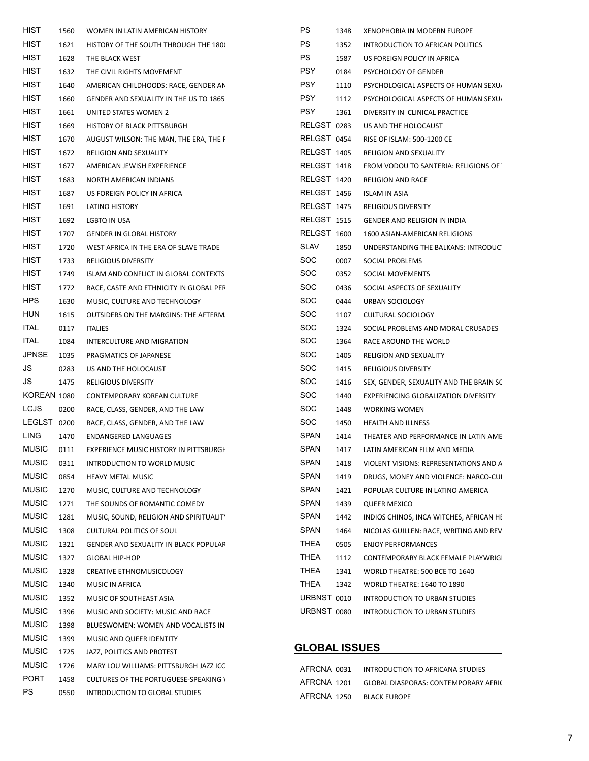| HIST         | 1560 | WOMEN IN LATIN AMERICAN HISTORY              | PS                   | 1348 | XENOPHOBIA IN MODERN EUROPE             |
|--------------|------|----------------------------------------------|----------------------|------|-----------------------------------------|
| <b>HIST</b>  | 1621 | HISTORY OF THE SOUTH THROUGH THE 1800        | <b>PS</b>            | 1352 | INTRODUCTION TO AFRICAN POLITICS        |
| <b>HIST</b>  | 1628 | THE BLACK WEST                               | <b>PS</b>            | 1587 | US FOREIGN POLICY IN AFRICA             |
| <b>HIST</b>  | 1632 | THE CIVIL RIGHTS MOVEMENT                    | <b>PSY</b>           | 0184 | PSYCHOLOGY OF GENDER                    |
| <b>HIST</b>  | 1640 | AMERICAN CHILDHOODS: RACE, GENDER AN         | <b>PSY</b>           | 1110 | PSYCHOLOGICAL ASPECTS OF HUMAN SEXU/    |
| <b>HIST</b>  | 1660 | GENDER AND SEXUALITY IN THE US TO 1865       | <b>PSY</b>           | 1112 | PSYCHOLOGICAL ASPECTS OF HUMAN SEXU/    |
| <b>HIST</b>  | 1661 | UNITED STATES WOMEN 2                        | <b>PSY</b>           | 1361 | DIVERSITY IN CLINICAL PRACTICE          |
| <b>HIST</b>  | 1669 | HISTORY OF BLACK PITTSBURGH                  | RELGST 0283          |      | US AND THE HOLOCAUST                    |
| <b>HIST</b>  | 1670 | AUGUST WILSON: THE MAN, THE ERA, THE F       | RELGST 0454          |      | RISE OF ISLAM: 500-1200 CE              |
| <b>HIST</b>  | 1672 | <b>RELIGION AND SEXUALITY</b>                | <b>RELGST 1405</b>   |      | <b>RELIGION AND SEXUALITY</b>           |
| <b>HIST</b>  | 1677 | AMERICAN JEWISH EXPERIENCE                   | RELGST 1418          |      | FROM VODOU TO SANTERIA: RELIGIONS OF    |
| <b>HIST</b>  | 1683 | NORTH AMERICAN INDIANS                       | RELGST 1420          |      | <b>RELIGION AND RACE</b>                |
| <b>HIST</b>  | 1687 | US FOREIGN POLICY IN AFRICA                  | RELGST 1456          |      | <b>ISLAM IN ASIA</b>                    |
| <b>HIST</b>  | 1691 | LATINO HISTORY                               | RELGST 1475          |      | <b>RELIGIOUS DIVERSITY</b>              |
| HIST         | 1692 | LGBTQ IN USA                                 | RELGST 1515          |      | GENDER AND RELIGION IN INDIA            |
| <b>HIST</b>  | 1707 | <b>GENDER IN GLOBAL HISTORY</b>              | <b>RELGST 1600</b>   |      | 1600 ASIAN-AMERICAN RELIGIONS           |
| <b>HIST</b>  | 1720 | WEST AFRICA IN THE ERA OF SLAVE TRADE        | SLAV                 | 1850 | UNDERSTANDING THE BALKANS: INTRODUCT    |
| <b>HIST</b>  | 1733 | <b>RELIGIOUS DIVERSITY</b>                   | SOC.                 | 0007 | SOCIAL PROBLEMS                         |
| <b>HIST</b>  | 1749 | ISLAM AND CONFLICT IN GLOBAL CONTEXTS        | <b>SOC</b>           | 0352 | SOCIAL MOVEMENTS                        |
| <b>HIST</b>  | 1772 | RACE, CASTE AND ETHNICITY IN GLOBAL PER      | SOC.                 | 0436 | SOCIAL ASPECTS OF SEXUALITY             |
| <b>HPS</b>   | 1630 | MUSIC, CULTURE AND TECHNOLOGY                | SOC.                 | 0444 | URBAN SOCIOLOGY                         |
| <b>HUN</b>   | 1615 | OUTSIDERS ON THE MARGINS: THE AFTERM.        | <b>SOC</b>           | 1107 | CULTURAL SOCIOLOGY                      |
| <b>ITAL</b>  | 0117 | <b>ITALIES</b>                               | SOC                  | 1324 | SOCIAL PROBLEMS AND MORAL CRUSADES      |
| <b>ITAL</b>  | 1084 | INTERCULTURE AND MIGRATION                   | SOC                  | 1364 | RACE AROUND THE WORLD                   |
| <b>JPNSE</b> | 1035 | PRAGMATICS OF JAPANESE                       | <b>SOC</b>           | 1405 | <b>RELIGION AND SEXUALITY</b>           |
| JS           | 0283 | US AND THE HOLOCAUST                         | SOC.                 | 1415 | <b>RELIGIOUS DIVERSITY</b>              |
| JS           | 1475 | <b>RELIGIOUS DIVERSITY</b>                   | SOC                  | 1416 | SEX, GENDER, SEXUALITY AND THE BRAIN SC |
| KOREAN 1080  |      | CONTEMPORARY KOREAN CULTURE                  | SOC                  | 1440 | EXPERIENCING GLOBALIZATION DIVERSITY    |
| <b>LCJS</b>  | 0200 | RACE, CLASS, GENDER, AND THE LAW             | SOC.                 | 1448 | <b>WORKING WOMEN</b>                    |
| LEGLST 0200  |      | RACE, CLASS, GENDER, AND THE LAW             | SOC.                 | 1450 | <b>HEALTH AND ILLNESS</b>               |
| LING         | 1470 | ENDANGERED LANGUAGES                         | <b>SPAN</b>          | 1414 | THEATER AND PERFORMANCE IN LATIN AME    |
| <b>MUSIC</b> | 0111 | EXPERIENCE MUSIC HISTORY IN PITTSBURGH       | <b>SPAN</b>          | 1417 | LATIN AMERICAN FILM AND MEDIA           |
| <b>MUSIC</b> | 0311 | INTRODUCTION TO WORLD MUSIC                  | <b>SPAN</b>          | 1418 | VIOLENT VISIONS: REPRESENTATIONS AND A  |
| <b>MUSIC</b> | 0854 | <b>HEAVY METAL MUSIC</b>                     | <b>SPAN</b>          | 1419 | DRUGS, MONEY AND VIOLENCE: NARCO-CUI    |
| <b>MUSIC</b> | 1270 | MUSIC, CULTURE AND TECHNOLOGY                | <b>SPAN</b>          | 1421 | POPULAR CULTURE IN LATINO AMERICA       |
| <b>MUSIC</b> | 1271 | THE SOUNDS OF ROMANTIC COMEDY                | <b>SPAN</b>          | 1439 | <b>QUEER MEXICO</b>                     |
| <b>MUSIC</b> | 1281 | MUSIC, SOUND, RELIGION AND SPIRITUALITY      | <b>SPAN</b>          | 1442 | INDIOS CHINOS, INCA WITCHES, AFRICAN HE |
| <b>MUSIC</b> | 1308 | CULTURAL POLITICS OF SOUL                    | <b>SPAN</b>          | 1464 | NICOLAS GUILLEN: RACE, WRITING AND REV  |
| <b>MUSIC</b> | 1321 | GENDER AND SEXUALITY IN BLACK POPULAR        | THEA                 | 0505 | <b>ENJOY PERFORMANCES</b>               |
| <b>MUSIC</b> | 1327 | <b>GLOBAL HIP-HOP</b>                        | THEA                 | 1112 | CONTEMPORARY BLACK FEMALE PLAYWRIGI     |
| <b>MUSIC</b> | 1328 | CREATIVE ETHNOMUSICOLOGY                     | <b>THEA</b>          | 1341 | WORLD THEATRE: 500 BCE TO 1640          |
| <b>MUSIC</b> | 1340 | MUSIC IN AFRICA                              | <b>THEA</b>          | 1342 | WORLD THEATRE: 1640 TO 1890             |
| <b>MUSIC</b> | 1352 | MUSIC OF SOUTHEAST ASIA                      | URBNST 0010          |      | INTRODUCTION TO URBAN STUDIES           |
| <b>MUSIC</b> | 1396 | MUSIC AND SOCIETY: MUSIC AND RACE            | URBNST 0080          |      | INTRODUCTION TO URBAN STUDIES           |
| <b>MUSIC</b> | 1398 | BLUESWOMEN: WOMEN AND VOCALISTS IN           |                      |      |                                         |
| <b>MUSIC</b> | 1399 | MUSIC AND QUEER IDENTITY                     |                      |      |                                         |
| <b>MUSIC</b> | 1725 | JAZZ, POLITICS AND PROTEST                   | <b>GLOBAL ISSUES</b> |      |                                         |
| <b>MUSIC</b> | 1726 | MARY LOU WILLIAMS: PITTSBURGH JAZZ ICC       | AFRCNA 0031          |      | INTRODUCTION TO AFRICANA STUDIES        |
| <b>PORT</b>  | 1458 | <b>CULTURES OF THE PORTUGUESE-SPEAKING \</b> | AFRCNA 1201          |      | GLOBAL DIASPORAS: CONTEMPORARY AFRIC    |
| PS           | 0550 | INTRODUCTION TO GLOBAL STUDIES               | AFRCNA 1250          |      | <b>BLACK EUROPE</b>                     |
|              |      |                                              |                      |      |                                         |

#### 7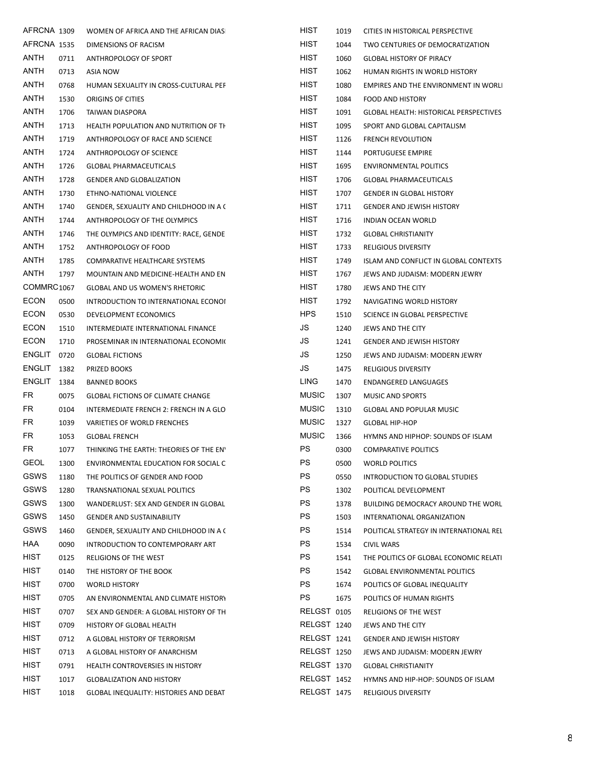| AFRCNA 1309        |      | WOMEN OF AFRICA AND THE AFRICAN DIAS     | HIST         | 1019 | CITIES IN HISTORICAL PERSPECTIVE              |
|--------------------|------|------------------------------------------|--------------|------|-----------------------------------------------|
| AFRCNA 1535        |      | DIMENSIONS OF RACISM                     | HIST         | 1044 | TWO CENTURIES OF DEMOCRATIZATION              |
| ANTH               | 0711 | ANTHROPOLOGY OF SPORT                    | HIST         | 1060 | <b>GLOBAL HISTORY OF PIRACY</b>               |
| <b>ANTH</b>        | 0713 | ASIA NOW                                 | HIST         | 1062 | HUMAN RIGHTS IN WORLD HISTORY                 |
| ANTH               | 0768 | HUMAN SEXUALITY IN CROSS-CULTURAL PEF    | HIST         | 1080 | EMPIRES AND THE ENVIRONMENT IN WORLI          |
| ANTH               | 1530 | ORIGINS OF CITIES                        | HIST         | 1084 | FOOD AND HISTORY                              |
| <b>ANTH</b>        | 1706 | TAIWAN DIASPORA                          | HIST         | 1091 | <b>GLOBAL HEALTH: HISTORICAL PERSPECTIVES</b> |
| <b>ANTH</b>        | 1713 | HEALTH POPULATION AND NUTRITION OF TH    | HIST         | 1095 | SPORT AND GLOBAL CAPITALISM                   |
| ANTH               | 1719 | ANTHROPOLOGY OF RACE AND SCIENCE         | HIST         | 1126 | <b>FRENCH REVOLUTION</b>                      |
| ANTH               | 1724 | ANTHROPOLOGY OF SCIENCE                  | HIST         | 1144 | PORTUGUESE EMPIRE                             |
| ANTH               | 1726 | <b>GLOBAL PHARMACEUTICALS</b>            | HIST         | 1695 | <b>ENVIRONMENTAL POLITICS</b>                 |
| <b>ANTH</b>        | 1728 | <b>GENDER AND GLOBALIZATION</b>          | HIST         | 1706 | <b>GLOBAL PHARMACEUTICALS</b>                 |
| <b>ANTH</b>        | 1730 | ETHNO-NATIONAL VIOLENCE                  | HIST         | 1707 | <b>GENDER IN GLOBAL HISTORY</b>               |
| <b>ANTH</b>        | 1740 | GENDER, SEXUALITY AND CHILDHOOD IN A (   | HIST         | 1711 | <b>GENDER AND JEWISH HISTORY</b>              |
| ANTH               | 1744 | ANTHROPOLOGY OF THE OLYMPICS             | HIST         | 1716 | INDIAN OCEAN WORLD                            |
| ANTH               | 1746 | THE OLYMPICS AND IDENTITY: RACE, GENDE   | HIST         | 1732 | <b>GLOBAL CHRISTIANITY</b>                    |
| ANTH               | 1752 | ANTHROPOLOGY OF FOOD                     | HIST         | 1733 | <b>RELIGIOUS DIVERSITY</b>                    |
| <b>ANTH</b>        | 1785 | COMPARATIVE HEALTHCARE SYSTEMS           | HIST         | 1749 | ISLAM AND CONFLICT IN GLOBAL CONTEXTS         |
| <b>ANTH</b>        | 1797 | MOUNTAIN AND MEDICINE-HEALTH AND EN      | HIST         | 1767 | JEWS AND JUDAISM: MODERN JEWRY                |
| COMMRC1067         |      | <b>GLOBAL AND US WOMEN'S RHETORIC</b>    | HIST         | 1780 | JEWS AND THE CITY                             |
| <b>ECON</b>        | 0500 | INTRODUCTION TO INTERNATIONAL ECONOI     | HIST         | 1792 | NAVIGATING WORLD HISTORY                      |
| <b>ECON</b>        | 0530 | DEVELOPMENT ECONOMICS                    | <b>HPS</b>   | 1510 | SCIENCE IN GLOBAL PERSPECTIVE                 |
| <b>ECON</b>        | 1510 | INTERMEDIATE INTERNATIONAL FINANCE       | JS           | 1240 | JEWS AND THE CITY                             |
| <b>ECON</b>        | 1710 | PROSEMINAR IN INTERNATIONAL ECONOMIC     | JS           | 1241 | <b>GENDER AND JEWISH HISTORY</b>              |
| ENGLIT 0720        |      | <b>GLOBAL FICTIONS</b>                   | JS           | 1250 | JEWS AND JUDAISM: MODERN JEWRY                |
| <b>ENGLIT 1382</b> |      | PRIZED BOOKS                             | JS           | 1475 | RELIGIOUS DIVERSITY                           |
| <b>ENGLIT</b>      | 1384 | <b>BANNED BOOKS</b>                      | <b>LING</b>  | 1470 | <b>ENDANGERED LANGUAGES</b>                   |
| FR                 | 0075 | <b>GLOBAL FICTIONS OF CLIMATE CHANGE</b> | <b>MUSIC</b> | 1307 | MUSIC AND SPORTS                              |
| FR                 | 0104 | INTERMEDIATE FRENCH 2: FRENCH IN A GLO   | <b>MUSIC</b> | 1310 | <b>GLOBAL AND POPULAR MUSIC</b>               |
| FR                 | 1039 | VARIETIES OF WORLD FRENCHES              | <b>MUSIC</b> | 1327 | <b>GLOBAL HIP-HOP</b>                         |
| FR                 | 1053 | <b>GLOBAL FRENCH</b>                     | <b>MUSIC</b> | 1366 | HYMNS AND HIPHOP: SOUNDS OF ISLAM             |
| FR                 | 1077 | THINKING THE EARTH: THEORIES OF THE EN'  | <b>PS</b>    | 0300 | <b>COMPARATIVE POLITICS</b>                   |
| <b>GEOL</b>        | 1300 | ENVIRONMENTAL EDUCATION FOR SOCIAL C     | PS           | 0500 | <b>WORLD POLITICS</b>                         |
| GSWS               | 1180 | THE POLITICS OF GENDER AND FOOD          | PS           | 0550 | INTRODUCTION TO GLOBAL STUDIES                |
| GSWS               | 1280 | TRANSNATIONAL SEXUAL POLITICS            | <b>PS</b>    | 1302 | POLITICAL DEVELOPMENT                         |
| GSWS               | 1300 | WANDERLUST: SEX AND GENDER IN GLOBAL     | <b>PS</b>    | 1378 | BUILDING DEMOCRACY AROUND THE WORL            |
| GSWS               | 1450 | <b>GENDER AND SUSTAINABILITY</b>         | <b>PS</b>    | 1503 | INTERNATIONAL ORGANIZATION                    |
| GSWS               | 1460 | GENDER, SEXUALITY AND CHILDHOOD IN A C   | <b>PS</b>    | 1514 | POLITICAL STRATEGY IN INTERNATIONAL REL       |
| HAA                | 0090 | INTRODUCTION TO CONTEMPORARY ART         | PS           | 1534 | <b>CIVIL WARS</b>                             |
| HIST               | 0125 | RELIGIONS OF THE WEST                    | <b>PS</b>    | 1541 | THE POLITICS OF GLOBAL ECONOMIC RELATI        |
| HIST               | 0140 | THE HISTORY OF THE BOOK                  | PS           | 1542 | <b>GLOBAL ENVIRONMENTAL POLITICS</b>          |
| HIST               | 0700 | <b>WORLD HISTORY</b>                     | PS           | 1674 | POLITICS OF GLOBAL INEQUALITY                 |
| HIST               | 0705 | AN ENVIRONMENTAL AND CLIMATE HISTORY     | <b>PS</b>    | 1675 | POLITICS OF HUMAN RIGHTS                      |
| HIST               | 0707 | SEX AND GENDER: A GLOBAL HISTORY OF TH   | RELGST 0105  |      | RELIGIONS OF THE WEST                         |
| HIST               | 0709 | HISTORY OF GLOBAL HEALTH                 | RELGST 1240  |      | JEWS AND THE CITY                             |
| HIST               | 0712 | A GLOBAL HISTORY OF TERRORISM            | RELGST 1241  |      | <b>GENDER AND JEWISH HISTORY</b>              |
| HIST               | 0713 | A GLOBAL HISTORY OF ANARCHISM            | RELGST 1250  |      | JEWS AND JUDAISM: MODERN JEWRY                |
| HIST               | 0791 | HEALTH CONTROVERSIES IN HISTORY          | RELGST 1370  |      | <b>GLOBAL CHRISTIANITY</b>                    |
| HIST               | 1017 | <b>GLOBALIZATION AND HISTORY</b>         | RELGST 1452  |      | HYMNS AND HIP-HOP: SOUNDS OF ISLAM            |
| HIST               | 1018 | GLOBAL INEQUALITY: HISTORIES AND DEBAT   | RELGST 1475  |      | RELIGIOUS DIVERSITY                           |
|                    |      |                                          |              |      |                                               |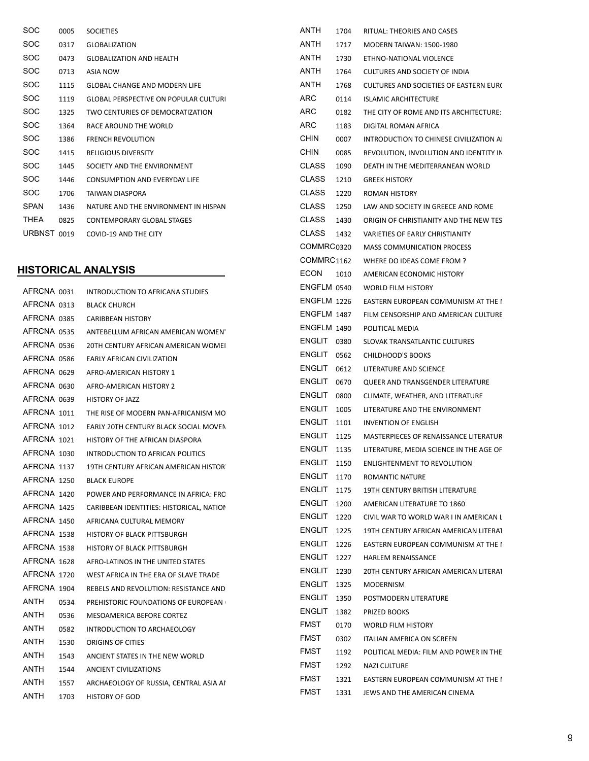| SOC         | 0005 | <b>SOCIETIES</b>                             | ANTH        |
|-------------|------|----------------------------------------------|-------------|
| SOC         | 0317 | <b>GLOBALIZATION</b>                         | ANTH        |
| <b>SOC</b>  | 0473 | <b>GLOBALIZATION AND HEALTH</b>              | ANTH        |
| SOC         | 0713 | <b>ASIA NOW</b>                              | <b>ANTH</b> |
| <b>SOC</b>  | 1115 | <b>GLOBAL CHANGE AND MODERN LIFE</b>         | ANTH        |
| <b>SOC</b>  | 1119 | <b>GLOBAL PERSPECTIVE ON POPULAR CULTURI</b> | ARC.        |
| SOC         | 1325 | TWO CENTURIES OF DEMOCRATIZATION             | <b>ARC</b>  |
| SOC         | 1364 | RACE AROUND THE WORLD                        | ARC.        |
| SOC         | 1386 | <b>FRENCH REVOLUTION</b>                     | CHIN        |
| SOC         | 1415 | <b>RELIGIOUS DIVERSITY</b>                   | CHIN        |
| SOC         | 1445 | SOCIETY AND THE ENVIRONMENT                  | CLAS        |
| SOC         | 1446 | <b>CONSUMPTION AND EVERYDAY LIFE</b>         | CLAS        |
| SOC         | 1706 | TAIWAN DIASPORA                              | <b>CLAS</b> |
| <b>SPAN</b> | 1436 | NATURE AND THE ENVIRONMENT IN HISPAN         | CLAS        |
| THEA        | 0825 | CONTEMPORARY GLOBAL STAGES                   | CLAS        |
| URBNST 0019 |      | COVID-19 AND THE CITY                        | CLAS        |

#### HISTORICAL ANALYSIS

| AFRCNA 0031 |      | INTRODUCTION TO AFRICANA STUDIES           | ENGFLM (      |  |
|-------------|------|--------------------------------------------|---------------|--|
| AFRCNA 0313 |      | <b>BLACK CHURCH</b>                        | ENGFLM:       |  |
| AFRCNA 0385 |      | <b>CARIBBEAN HISTORY</b>                   | ENGFLM:       |  |
| AFRCNA 0535 |      | ANTEBELLUM AFRICAN AMERICAN WOMEN'         | ENGFLM:       |  |
| AFRCNA 0536 |      | 20TH CENTURY AFRICAN AMERICAN WOMEI        | ENGLIT (      |  |
| AFRCNA 0586 |      | <b>EARLY AFRICAN CIVILIZATION</b>          | ENGLIT        |  |
| AFRCNA 0629 |      | AFRO-AMERICAN HISTORY 1                    | ENGLIT        |  |
| AFRCNA 0630 |      | AFRO-AMERICAN HISTORY 2                    | ENGLIT        |  |
| AFRCNA 0639 |      | <b>HISTORY OF JAZZ</b>                     | <b>ENGLIT</b> |  |
| AFRCNA 1011 |      | THE RISE OF MODERN PAN-AFRICANISM MO       | <b>ENGLIT</b> |  |
| AFRCNA 1012 |      | EARLY 20TH CENTURY BLACK SOCIAL MOVEN      | <b>ENGLIT</b> |  |
| AFRCNA 1021 |      | HISTORY OF THE AFRICAN DIASPORA            | <b>ENGLIT</b> |  |
| AFRCNA 1030 |      | INTRODUCTION TO AFRICAN POLITICS           | ENGLIT        |  |
| AFRCNA 1137 |      | 19TH CENTURY AFRICAN AMERICAN HISTOR       | <b>ENGLIT</b> |  |
| AFRCNA 1250 |      | <b>BLACK EUROPE</b>                        | <b>ENGLIT</b> |  |
| AFRCNA 1420 |      | POWER AND PERFORMANCE IN AFRICA: FRC       | ENGLIT        |  |
| AFRCNA 1425 |      | CARIBBEAN IDENTITIES: HISTORICAL, NATION   | <b>ENGLIT</b> |  |
| AFRCNA 1450 |      | AFRICANA CULTURAL MEMORY                   | ENGLIT        |  |
| AFRCNA 1538 |      | <b>HISTORY OF BLACK PITTSBURGH</b>         | ENGLIT        |  |
| AFRCNA 1538 |      | <b>HISTORY OF BLACK PITTSBURGH</b>         | <b>ENGLIT</b> |  |
| AFRCNA 1628 |      | AFRO-LATINOS IN THE UNITED STATES          | <b>ENGLIT</b> |  |
| AFRCNA 1720 |      | WEST AFRICA IN THE ERA OF SLAVE TRADE      | ENGLIT        |  |
| AFRCNA 1904 |      | REBELS AND REVOLUTION: RESISTANCE AND      | <b>ENGLIT</b> |  |
| ANTH        | 0534 | <b>PREHISTORIC FOUNDATIONS OF EUROPEAN</b> | <b>ENGLIT</b> |  |
| <b>ANTH</b> | 0536 | MESOAMERICA BEFORE CORTEZ                  | <b>ENGLIT</b> |  |
| ANTH        | 0582 | INTRODUCTION TO ARCHAEOLOGY                | FMST          |  |
| ANTH        | 1530 | ORIGINS OF CITIES                          | <b>FMST</b>   |  |
| ANTH        | 1543 | ANCIENT STATES IN THE NEW WORLD            | FMST          |  |
| <b>ANTH</b> | 1544 | ANCIENT CIVILIZATIONS                      | FMST          |  |
| ANTH        | 1557 | ARCHAEOLOGY OF RUSSIA, CENTRAL ASIA AI     | FMST          |  |
| ANTH        | 1703 | <b>HISTORY OF GOD</b>                      | <b>FMST</b>   |  |

| ANTH               | 1704 | RITUAL: THEORIES AND CASES                    |
|--------------------|------|-----------------------------------------------|
| ANTH               | 1717 | <b>MODERN TAIWAN: 1500-1980</b>               |
| ANTH               | 1730 | ETHNO-NATIONAL VIOLENCE                       |
| ANTH               | 1764 | <b>CULTURES AND SOCIETY OF INDIA</b>          |
| ANTH               | 1768 | <b>CULTURES AND SOCIETIES OF EASTERN EURO</b> |
| ARC.               | 0114 | <b>ISLAMIC ARCHITECTURE</b>                   |
| <b>ARC</b>         | 0182 | THE CITY OF ROME AND ITS ARCHITECTURE:        |
| <b>ARC</b>         | 1183 | DIGITAL ROMAN AFRICA                          |
| <b>CHIN</b>        | 0007 | INTRODUCTION TO CHINESE CIVILIZATION AI       |
| <b>CHIN</b>        | 0085 | REVOLUTION, INVOLUTION AND IDENTITY IN        |
| <b>CLASS</b>       | 1090 | DEATH IN THE MEDITERRANEAN WORLD              |
| CLASS              | 1210 | <b>GREEK HISTORY</b>                          |
| CLASS              | 1220 | <b>ROMAN HISTORY</b>                          |
| CLASS              | 1250 | LAW AND SOCIETY IN GREECE AND ROME            |
| <b>CLASS</b>       | 1430 | ORIGIN OF CHRISTIANITY AND THE NEW TES        |
| CLASS              | 1432 | VARIETIES OF EARLY CHRISTIANITY               |
| COMMRC0320         |      | <b>MASS COMMUNICATION PROCESS</b>             |
| COMMRC1162         |      | WHERE DO IDEAS COME FROM ?                    |
| <b>ECON</b>        | 1010 | AMERICAN ECONOMIC HISTORY                     |
| ENGFLM 0540        |      | <b>WORLD FILM HISTORY</b>                     |
| <b>ENGFLM 1226</b> |      | EASTERN EUROPEAN COMMUNISM AT THE I           |
| ENGFLM 1487        |      | FILM CENSORSHIP AND AMERICAN CULTURE          |
| ENGFLM 1490        |      | POLITICAL MEDIA                               |
| ENGLIT 0380        |      |                                               |
| <b>ENGLIT 0562</b> |      | SLOVAK TRANSATLANTIC CULTURES                 |
|                    |      | CHILDHOOD'S BOOKS                             |
| ENGLIT 0612        |      | LITERATURE AND SCIENCE                        |
| ENGLIT             | 0670 | QUEER AND TRANSGENDER LITERATURE              |
| ENGLIT             | 0800 | CLIMATE, WEATHER, AND LITERATURE              |
| ENGLIT             | 1005 | LITERATURE AND THE ENVIRONMENT                |
| ENGLIT             | 1101 | <b>INVENTION OF ENGLISH</b>                   |
| ENGLIT             | 1125 | MASTERPIECES OF RENAISSANCE LITERATUR         |
| ENGLIT             | 1135 | LITERATURE, MEDIA SCIENCE IN THE AGE OF       |
| ENGLIT             | 1150 | <b>ENLIGHTENMENT TO REVOLUTION</b>            |
| ENGLIT             | 1170 | <b>ROMANTIC NATURE</b>                        |
| ENGLIT             | 1175 | 19TH CENTURY BRITISH LITERATURE               |
| <b>ENGLIT</b>      | 1200 | AMERICAN LITERATURE TO 1860                   |
| <b>ENGLIT</b>      | 1220 | CIVIL WAR TO WORLD WAR I IN AMERICAN L        |
| ENGLIT             | 1225 | 19TH CENTURY AFRICAN AMERICAN LITERAT         |
| ENGLIT             | 1226 | EASTERN EUROPEAN COMMUNISM AT THE I           |
| ENGLIT             | 1227 | <b>HARLEM RENAISSANCE</b>                     |
| ENGLIT             | 1230 | 20TH CENTURY AFRICAN AMERICAN LITERAT         |
| <b>ENGLIT</b>      | 1325 | MODERNISM                                     |
| <b>ENGLIT</b>      | 1350 | POSTMODERN LITERATURE                         |
| <b>ENGLIT</b>      | 1382 | PRIZED BOOKS                                  |
| FMST               | 0170 | <b>WORLD FILM HISTORY</b>                     |
| FMST               | 0302 | ITALIAN AMERICA ON SCREEN                     |
| FMST               | 1192 | POLITICAL MEDIA: FILM AND POWER IN THE        |
| FMST               | 1292 | NAZI CULTURE                                  |
| FMST               | 1321 | EASTERN EUROPEAN COMMUNISM AT THE I           |
| FMST               | 1331 | JEWS AND THE AMERICAN CINEMA                  |
|                    |      |                                               |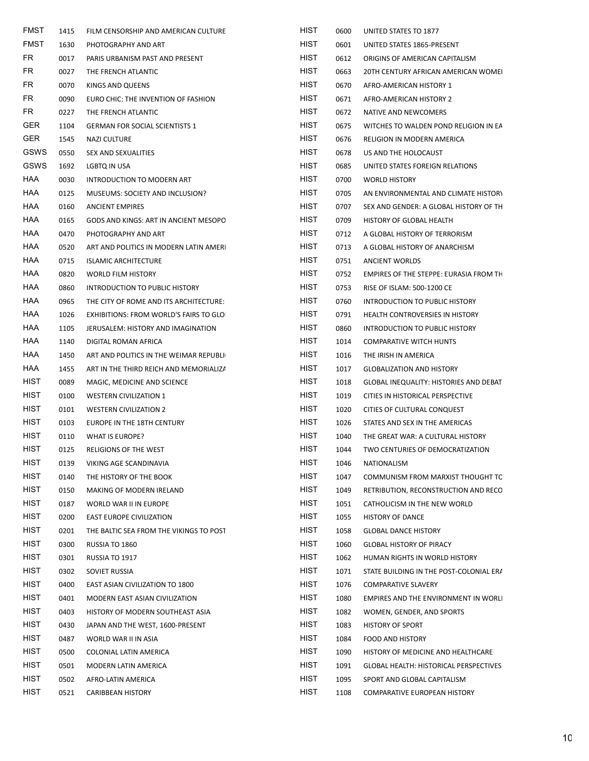| FMST        | 1415 | FILM CENSORSHIP AND AMERICAN CULTURE    | HIST        | 0600 | UNITED STATES TO 1877                   |
|-------------|------|-----------------------------------------|-------------|------|-----------------------------------------|
| <b>FMST</b> | 1630 | PHOTOGRAPHY AND ART                     | HIST        | 0601 | UNITED STATES 1865-PRESENT              |
| FR          | 0017 | PARIS URBANISM PAST AND PRESENT         | HIST        | 0612 | ORIGINS OF AMERICAN CAPITALISM          |
| FR          | 0027 | THE FRENCH ATLANTIC                     | HIST        | 0663 | 20TH CENTURY AFRICAN AMERICAN WOMEI     |
| <b>FR</b>   | 0070 | KINGS AND QUEENS                        | <b>HIST</b> | 0670 | AFRO-AMERICAN HISTORY 1                 |
| FR          | 0090 | EURO CHIC: THE INVENTION OF FASHION     | <b>HIST</b> | 0671 | AFRO-AMERICAN HISTORY 2                 |
| FR          | 0227 | THE FRENCH ATLANTIC                     | HIST        | 0672 | NATIVE AND NEWCOMERS                    |
| <b>GER</b>  | 1104 | <b>GERMAN FOR SOCIAL SCIENTISTS 1</b>   | HIST        | 0675 | WITCHES TO WALDEN POND RELIGION IN EA   |
| GER.        | 1545 | NAZI CULTURE                            | HIST        | 0676 | RELIGION IN MODERN AMERICA              |
| GSWS        | 0550 | SEX AND SEXUALITIES                     | HIST        | 0678 | US AND THE HOLOCAUST                    |
| GSWS        | 1692 | LGBTQ IN USA                            | <b>HIST</b> | 0685 | UNITED STATES FOREIGN RELATIONS         |
| HAA         | 0030 | INTRODUCTION TO MODERN ART              | HIST        | 0700 | <b>WORLD HISTORY</b>                    |
| HAA         | 0125 | MUSEUMS: SOCIETY AND INCLUSION?         | HIST        | 0705 | AN ENVIRONMENTAL AND CLIMATE HISTORY    |
| HAA         | 0160 | <b>ANCIENT EMPIRES</b>                  | HIST        | 0707 | SEX AND GENDER: A GLOBAL HISTORY OF TH  |
| HAA         | 0165 | GODS AND KINGS: ART IN ANCIENT MESOPO   | HIST        | 0709 | HISTORY OF GLOBAL HEALTH                |
| HAA         | 0470 | PHOTOGRAPHY AND ART                     | HIST        | 0712 | A GLOBAL HISTORY OF TERRORISM           |
| HAA         | 0520 | ART AND POLITICS IN MODERN LATIN AMERI  | <b>HIST</b> | 0713 | A GLOBAL HISTORY OF ANARCHISM           |
| HAA         | 0715 | <b>ISLAMIC ARCHITECTURE</b>             | HIST        | 0751 | ANCIENT WORLDS                          |
| HAA         | 0820 | <b>WORLD FILM HISTORY</b>               | HIST        | 0752 | EMPIRES OF THE STEPPE: EURASIA FROM TH  |
| HAA         | 0860 | INTRODUCTION TO PUBLIC HISTORY          | HIST        | 0753 | RISE OF ISLAM: 500-1200 CE              |
| HAA         | 0965 | THE CITY OF ROME AND ITS ARCHITECTURE:  | HIST        | 0760 | INTRODUCTION TO PUBLIC HISTORY          |
| HAA         | 1026 | EXHIBITIONS: FROM WORLD'S FAIRS TO GLO  | HIST        | 0791 | HEALTH CONTROVERSIES IN HISTORY         |
| HAA         | 1105 | JERUSALEM: HISTORY AND IMAGINATION      | HIST        | 0860 | INTRODUCTION TO PUBLIC HISTORY          |
| HAA         | 1140 | DIGITAL ROMAN AFRICA                    | HIST        | 1014 | <b>COMPARATIVE WITCH HUNTS</b>          |
| HAA         | 1450 | ART AND POLITICS IN THE WEIMAR REPUBLI  | HIST        | 1016 | THE IRISH IN AMERICA                    |
| HAA         | 1455 | ART IN THE THIRD REICH AND MEMORIALIZA  | HIST        | 1017 | <b>GLOBALIZATION AND HISTORY</b>        |
| <b>HIST</b> | 0089 | MAGIC, MEDICINE AND SCIENCE             | HIST        | 1018 | GLOBAL INEQUALITY: HISTORIES AND DEBAT  |
| HIST        | 0100 | WESTERN CIVILIZATION 1                  | HIST        | 1019 | CITIES IN HISTORICAL PERSPECTIVE        |
| <b>HIST</b> | 0101 | WESTERN CIVILIZATION 2                  | HIST        | 1020 | CITIES OF CULTURAL CONQUEST             |
| <b>HIST</b> | 0103 | EUROPE IN THE 18TH CENTURY              | HIST        | 1026 | STATES AND SEX IN THE AMERICAS          |
| <b>HIST</b> | 0110 | WHAT IS EUROPE?                         | HIST        | 1040 | THE GREAT WAR: A CULTURAL HISTORY       |
| <b>HIST</b> | 0125 | RELIGIONS OF THE WEST                   | <b>HIST</b> | 1044 | TWO CENTURIES OF DEMOCRATIZATION        |
| HIST        | 0139 | VIKING AGE SCANDINAVIA                  | <b>HIST</b> | 1046 | NATIONALISM                             |
| <b>HIST</b> | 0140 | THE HISTORY OF THE BOOK                 | HIST        | 1047 | COMMUNISM FROM MARXIST THOUGHT TC       |
| <b>HIST</b> | 0150 | MAKING OF MODERN IRELAND                | <b>HIST</b> | 1049 | RETRIBUTION, RECONSTRUCTION AND RECO    |
| <b>HIST</b> | 0187 | WORLD WAR II IN EUROPE                  | <b>HIST</b> | 1051 | CATHOLICISM IN THE NEW WORLD            |
| <b>HIST</b> | 0200 | <b>EAST EUROPE CIVILIZATION</b>         | <b>HIST</b> | 1055 | <b>HISTORY OF DANCE</b>                 |
| HIST        | 0201 | THE BALTIC SEA FROM THE VIKINGS TO POST | <b>HIST</b> | 1058 | <b>GLOBAL DANCE HISTORY</b>             |
| <b>HIST</b> | 0300 | RUSSIA TO 1860                          | HIST        | 1060 | <b>GLOBAL HISTORY OF PIRACY</b>         |
| <b>HIST</b> | 0301 | RUSSIA TO 1917                          | HIST        | 1062 | HUMAN RIGHTS IN WORLD HISTORY           |
| <b>HIST</b> | 0302 | SOVIET RUSSIA                           | <b>HIST</b> | 1071 | STATE BUILDING IN THE POST-COLONIAL ERA |
| <b>HIST</b> | 0400 | EAST ASIAN CIVILIZATION TO 1800         | HIST        | 1076 | <b>COMPARATIVE SLAVERY</b>              |
| <b>HIST</b> | 0401 | MODERN EAST ASIAN CIVILIZATION          | <b>HIST</b> | 1080 | EMPIRES AND THE ENVIRONMENT IN WORLI    |
| <b>HIST</b> | 0403 | HISTORY OF MODERN SOUTHEAST ASIA        | <b>HIST</b> | 1082 | WOMEN, GENDER, AND SPORTS               |
| <b>HIST</b> | 0430 | JAPAN AND THE WEST, 1600-PRESENT        | HIST        | 1083 | <b>HISTORY OF SPORT</b>                 |
| <b>HIST</b> | 0487 | WORLD WAR II IN ASIA                    | <b>HIST</b> | 1084 | FOOD AND HISTORY                        |
| <b>HIST</b> | 0500 | COLONIAL LATIN AMERICA                  | <b>HIST</b> | 1090 | HISTORY OF MEDICINE AND HEALTHCARE      |
| <b>HIST</b> | 0501 | MODERN LATIN AMERICA                    | HIST        | 1091 | GLOBAL HEALTH: HISTORICAL PERSPECTIVES  |
| <b>HIST</b> | 0502 | AFRO-LATIN AMERICA                      | <b>HIST</b> | 1095 | SPORT AND GLOBAL CAPITALISM             |
| <b>HIST</b> | 0521 | <b>CARIBBEAN HISTORY</b>                | <b>HIST</b> | 1108 | COMPARATIVE EUROPEAN HISTORY            |
|             |      |                                         |             |      |                                         |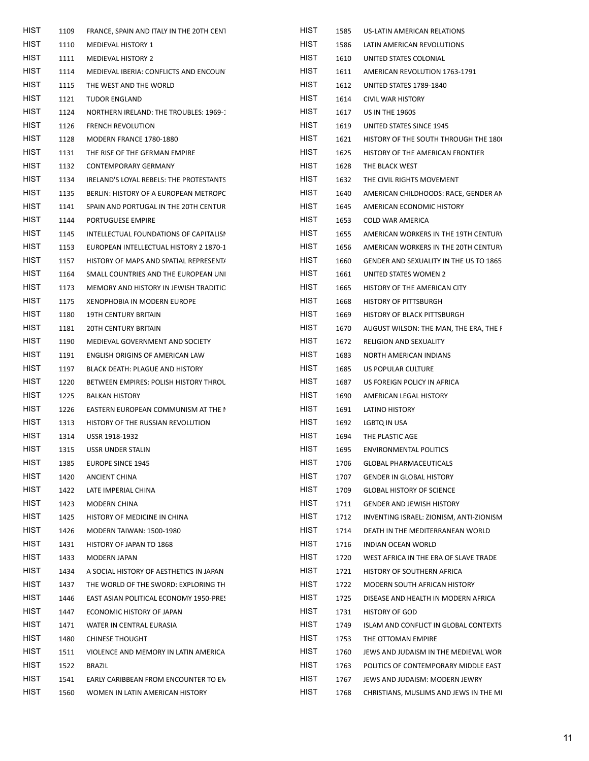| HIST        | 1109 | FRANCE, SPAIN AND ITALY IN THE 20TH CENT | <b>HIST</b> | 1585 | US-LATIN AMERICAN RELATIONS             |
|-------------|------|------------------------------------------|-------------|------|-----------------------------------------|
| <b>HIST</b> | 1110 | MEDIEVAL HISTORY 1                       | <b>HIST</b> | 1586 | LATIN AMERICAN REVOLUTIONS              |
| <b>HIST</b> | 1111 | MEDIEVAL HISTORY 2                       | <b>HIST</b> | 1610 | UNITED STATES COLONIAL                  |
| HIST        | 1114 | MEDIEVAL IBERIA: CONFLICTS AND ENCOUN    | HIST        | 1611 | AMERICAN REVOLUTION 1763-1791           |
| <b>HIST</b> | 1115 | THE WEST AND THE WORLD                   | <b>HIST</b> | 1612 | UNITED STATES 1789-1840                 |
| <b>HIST</b> | 1121 | <b>TUDOR ENGLAND</b>                     | <b>HIST</b> | 1614 | <b>CIVIL WAR HISTORY</b>                |
| HIST        | 1124 | NORTHERN IRELAND: THE TROUBLES: 1969-1   | HIST        | 1617 | <b>US IN THE 1960S</b>                  |
| <b>HIST</b> | 1126 | <b>FRENCH REVOLUTION</b>                 | <b>HIST</b> | 1619 | UNITED STATES SINCE 1945                |
| <b>HIST</b> | 1128 | MODERN FRANCE 1780-1880                  | HIST        | 1621 | HISTORY OF THE SOUTH THROUGH THE 1800   |
| HIST        | 1131 | THE RISE OF THE GERMAN EMPIRE            | <b>HIST</b> | 1625 | HISTORY OF THE AMERICAN FRONTIER        |
| <b>HIST</b> | 1132 | CONTEMPORARY GERMANY                     | <b>HIST</b> | 1628 | THE BLACK WEST                          |
| <b>HIST</b> | 1134 | IRELAND'S LOYAL REBELS: THE PROTESTANTS  | HIST        | 1632 | THE CIVIL RIGHTS MOVEMENT               |
| HIST        | 1135 | BERLIN: HISTORY OF A EUROPEAN METROPC    | <b>HIST</b> | 1640 | AMERICAN CHILDHOODS: RACE, GENDER AN    |
| <b>HIST</b> | 1141 | SPAIN AND PORTUGAL IN THE 20TH CENTUR    | <b>HIST</b> | 1645 | AMERICAN ECONOMIC HISTORY               |
| HIST        | 1144 | PORTUGUESE EMPIRE                        | HIST        | 1653 | COLD WAR AMERICA                        |
| <b>HIST</b> | 1145 | INTELLECTUAL FOUNDATIONS OF CAPITALISI   | <b>HIST</b> | 1655 | AMERICAN WORKERS IN THE 19TH CENTURY    |
| <b>HIST</b> | 1153 | EUROPEAN INTELLECTUAL HISTORY 2 1870-1   | <b>HIST</b> | 1656 | AMERICAN WORKERS IN THE 20TH CENTURY    |
| <b>HIST</b> | 1157 | HISTORY OF MAPS AND SPATIAL REPRESENT/   | HIST        | 1660 | GENDER AND SEXUALITY IN THE US TO 1865  |
| <b>HIST</b> | 1164 | SMALL COUNTRIES AND THE EUROPEAN UNI     | <b>HIST</b> | 1661 | UNITED STATES WOMEN 2                   |
| <b>HIST</b> | 1173 | MEMORY AND HISTORY IN JEWISH TRADITIC    | HIST        | 1665 | HISTORY OF THE AMERICAN CITY            |
| HIST        | 1175 | XENOPHOBIA IN MODERN EUROPE              | HIST        | 1668 | HISTORY OF PITTSBURGH                   |
| <b>HIST</b> | 1180 | 19TH CENTURY BRITAIN                     | <b>HIST</b> | 1669 | HISTORY OF BLACK PITTSBURGH             |
| <b>HIST</b> | 1181 | 20TH CENTURY BRITAIN                     | <b>HIST</b> | 1670 | AUGUST WILSON: THE MAN, THE ERA, THE F  |
| <b>HIST</b> | 1190 | MEDIEVAL GOVERNMENT AND SOCIETY          | HIST        | 1672 | <b>RELIGION AND SEXUALITY</b>           |
| <b>HIST</b> | 1191 | ENGLISH ORIGINS OF AMERICAN LAW          | <b>HIST</b> | 1683 | NORTH AMERICAN INDIANS                  |
| <b>HIST</b> | 1197 | BLACK DEATH: PLAGUE AND HISTORY          | HIST        | 1685 | US POPULAR CULTURE                      |
| <b>HIST</b> | 1220 | BETWEEN EMPIRES: POLISH HISTORY THROL    | HIST        | 1687 | US FOREIGN POLICY IN AFRICA             |
| <b>HIST</b> | 1225 | <b>BALKAN HISTORY</b>                    | <b>HIST</b> | 1690 | AMERICAN LEGAL HISTORY                  |
| <b>HIST</b> | 1226 | EASTERN EUROPEAN COMMUNISM AT THE I      | <b>HIST</b> | 1691 | LATINO HISTORY                          |
| <b>HIST</b> | 1313 | HISTORY OF THE RUSSIAN REVOLUTION        | HIST        | 1692 | LGBTQ IN USA                            |
| <b>HIST</b> | 1314 | USSR 1918-1932                           | <b>HIST</b> | 1694 | THE PLASTIC AGE                         |
| <b>HIST</b> | 1315 | USSR UNDER STALIN                        | <b>HIST</b> | 1695 | <b>ENVIRONMENTAL POLITICS</b>           |
| <b>HIST</b> | 1385 | <b>EUROPE SINCE 1945</b>                 | <b>HIST</b> | 1706 | <b>GLOBAL PHARMACEUTICALS</b>           |
| <b>HIST</b> | 1420 | ANCIENT CHINA                            | <b>HIST</b> | 1707 | <b>GENDER IN GLOBAL HISTORY</b>         |
| <b>HIST</b> | 1422 | LATE IMPERIAL CHINA                      | <b>HIST</b> | 1709 | <b>GLOBAL HISTORY OF SCIENCE</b>        |
| HIST        | 1423 | MODERN CHINA                             | <b>HIST</b> | 1711 | <b>GENDER AND JEWISH HISTORY</b>        |
| HIST        | 1425 | HISTORY OF MEDICINE IN CHINA             | <b>HIST</b> | 1712 | INVENTING ISRAEL: ZIONISM, ANTI-ZIONISM |
| <b>HIST</b> | 1426 | MODERN TAIWAN: 1500-1980                 | <b>HIST</b> | 1714 | DEATH IN THE MEDITERRANEAN WORLD        |
| HIST        | 1431 | HISTORY OF JAPAN TO 1868                 | HIST        | 1716 | INDIAN OCEAN WORLD                      |
| <b>HIST</b> | 1433 | MODERN JAPAN                             | <b>HIST</b> | 1720 | WEST AFRICA IN THE ERA OF SLAVE TRADE   |
| <b>HIST</b> | 1434 | A SOCIAL HISTORY OF AESTHETICS IN JAPAN  | <b>HIST</b> | 1721 | HISTORY OF SOUTHERN AFRICA              |
| HIST        | 1437 | THE WORLD OF THE SWORD: EXPLORING TH     | <b>HIST</b> | 1722 | MODERN SOUTH AFRICAN HISTORY            |
| <b>HIST</b> | 1446 | EAST ASIAN POLITICAL ECONOMY 1950-PRES   | <b>HIST</b> | 1725 | DISEASE AND HEALTH IN MODERN AFRICA     |
| <b>HIST</b> | 1447 | ECONOMIC HISTORY OF JAPAN                | <b>HIST</b> | 1731 | <b>HISTORY OF GOD</b>                   |
| HIST        | 1471 | WATER IN CENTRAL EURASIA                 | <b>HIST</b> | 1749 | ISLAM AND CONFLICT IN GLOBAL CONTEXTS   |
| <b>HIST</b> | 1480 | <b>CHINESE THOUGHT</b>                   | <b>HIST</b> | 1753 | THE OTTOMAN EMPIRE                      |
| <b>HIST</b> | 1511 | VIOLENCE AND MEMORY IN LATIN AMERICA     | <b>HIST</b> | 1760 | JEWS AND JUDAISM IN THE MEDIEVAL WOR    |
| HIST        | 1522 | <b>BRAZIL</b>                            | <b>HIST</b> | 1763 | POLITICS OF CONTEMPORARY MIDDLE EAST    |
| <b>HIST</b> | 1541 | EARLY CARIBBEAN FROM ENCOUNTER TO EN     | <b>HIST</b> | 1767 | JEWS AND JUDAISM: MODERN JEWRY          |
| HIST        | 1560 | WOMEN IN LATIN AMERICAN HISTORY          | <b>HIST</b> | 1768 | CHRISTIANS, MUSLIMS AND JEWS IN THE MI  |
|             |      |                                          |             |      |                                         |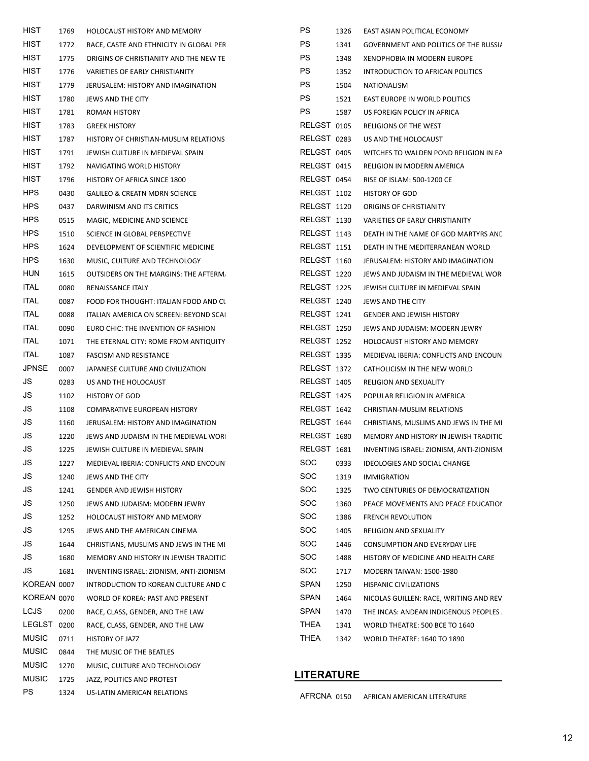| HIST         | 1769 | HOLOCAUST HISTORY AND MEMORY             | <b>PS</b>         | 1326 | EAST ASIAN POLITICAL ECONOMY            |
|--------------|------|------------------------------------------|-------------------|------|-----------------------------------------|
| <b>HIST</b>  | 1772 | RACE, CASTE AND ETHNICITY IN GLOBAL PER  | <b>PS</b>         | 1341 | GOVERNMENT AND POLITICS OF THE RUSSIA   |
| <b>HIST</b>  | 1775 | ORIGINS OF CHRISTIANITY AND THE NEW TE   | <b>PS</b>         | 1348 | XENOPHOBIA IN MODERN EUROPE             |
| HIST         | 1776 | VARIETIES OF EARLY CHRISTIANITY          | <b>PS</b>         | 1352 | INTRODUCTION TO AFRICAN POLITICS        |
| <b>HIST</b>  | 1779 | JERUSALEM: HISTORY AND IMAGINATION       | PS                | 1504 | NATIONALISM                             |
| <b>HIST</b>  | 1780 | JEWS AND THE CITY                        | <b>PS</b>         | 1521 | EAST EUROPE IN WORLD POLITICS           |
| <b>HIST</b>  | 1781 | ROMAN HISTORY                            | <b>PS</b>         | 1587 | US FOREIGN POLICY IN AFRICA             |
| <b>HIST</b>  | 1783 | <b>GREEK HISTORY</b>                     | RELGST 0105       |      | RELIGIONS OF THE WEST                   |
| HIST         | 1787 | HISTORY OF CHRISTIAN-MUSLIM RELATIONS    | RELGST 0283       |      | US AND THE HOLOCAUST                    |
| <b>HIST</b>  | 1791 | JEWISH CULTURE IN MEDIEVAL SPAIN         | RELGST 0405       |      | WITCHES TO WALDEN POND RELIGION IN EA   |
| <b>HIST</b>  | 1792 | NAVIGATING WORLD HISTORY                 | RELGST 0415       |      | RELIGION IN MODERN AMERICA              |
| <b>HIST</b>  | 1796 | HISTORY OF AFRICA SINCE 1800             | RELGST 0454       |      | RISE OF ISLAM: 500-1200 CE              |
| <b>HPS</b>   | 0430 | <b>GALILEO &amp; CREATN MDRN SCIENCE</b> | RELGST 1102       |      | <b>HISTORY OF GOD</b>                   |
| <b>HPS</b>   | 0437 | DARWINISM AND ITS CRITICS                | RELGST 1120       |      | ORIGINS OF CHRISTIANITY                 |
| <b>HPS</b>   | 0515 | MAGIC, MEDICINE AND SCIENCE              | RELGST 1130       |      | VARIETIES OF EARLY CHRISTIANITY         |
| <b>HPS</b>   | 1510 | SCIENCE IN GLOBAL PERSPECTIVE            | RELGST 1143       |      | DEATH IN THE NAME OF GOD MARTYRS AND    |
| <b>HPS</b>   | 1624 | DEVELOPMENT OF SCIENTIFIC MEDICINE       | RELGST 1151       |      | DEATH IN THE MEDITERRANEAN WORLD        |
| <b>HPS</b>   | 1630 | MUSIC, CULTURE AND TECHNOLOGY            | RELGST 1160       |      | JERUSALEM: HISTORY AND IMAGINATION      |
| <b>HUN</b>   | 1615 | OUTSIDERS ON THE MARGINS: THE AFTERM.    | RELGST 1220       |      | JEWS AND JUDAISM IN THE MEDIEVAL WOR    |
| <b>ITAL</b>  | 0080 | RENAISSANCE ITALY                        | RELGST 1225       |      | JEWISH CULTURE IN MEDIEVAL SPAIN        |
| <b>ITAL</b>  | 0087 | FOOD FOR THOUGHT: ITALIAN FOOD AND CL    | RELGST 1240       |      | JEWS AND THE CITY                       |
| <b>ITAL</b>  | 0088 | ITALIAN AMERICA ON SCREEN: BEYOND SCAI   | RELGST 1241       |      | <b>GENDER AND JEWISH HISTORY</b>        |
| <b>ITAL</b>  | 0090 | EURO CHIC: THE INVENTION OF FASHION      | RELGST 1250       |      | JEWS AND JUDAISM: MODERN JEWRY          |
| <b>ITAL</b>  | 1071 | THE ETERNAL CITY: ROME FROM ANTIQUITY    | RELGST 1252       |      | HOLOCAUST HISTORY AND MEMORY            |
| <b>ITAL</b>  | 1087 | FASCISM AND RESISTANCE                   | RELGST 1335       |      | MEDIEVAL IBERIA: CONFLICTS AND ENCOUN   |
| <b>JPNSE</b> | 0007 | JAPANESE CULTURE AND CIVILIZATION        | RELGST 1372       |      | CATHOLICISM IN THE NEW WORLD            |
| JS           | 0283 | US AND THE HOLOCAUST                     | RELGST 1405       |      | <b>RELIGION AND SEXUALITY</b>           |
| JS           | 1102 | <b>HISTORY OF GOD</b>                    | RELGST 1425       |      | POPULAR RELIGION IN AMERICA             |
| JS           | 1108 | COMPARATIVE EUROPEAN HISTORY             | RELGST 1642       |      | CHRISTIAN-MUSLIM RELATIONS              |
| JS           | 1160 | JERUSALEM: HISTORY AND IMAGINATION       | RELGST 1644       |      | CHRISTIANS, MUSLIMS AND JEWS IN THE MI  |
| JS           | 1220 | JEWS AND JUDAISM IN THE MEDIEVAL WOR     | RELGST 1680       |      | MEMORY AND HISTORY IN JEWISH TRADITIC   |
| JS           | 1225 | JEWISH CULTURE IN MEDIEVAL SPAIN         | RELGST 1681       |      | INVENTING ISRAEL: ZIONISM, ANTI-ZIONISM |
| JS           | 1227 |                                          | SOC               | 0333 |                                         |
| JS           |      | MEDIEVAL IBERIA: CONFLICTS AND ENCOUN    | <b>SOC</b>        |      | IDEOLOGIES AND SOCIAL CHANGE            |
| JS           | 1240 | JEWS AND THE CITY                        | SOC               | 1319 | <b>IMMIGRATION</b>                      |
| JS           | 1241 | <b>GENDER AND JEWISH HISTORY</b>         | SOC               | 1325 | TWO CENTURIES OF DEMOCRATIZATION        |
|              | 1250 | JEWS AND JUDAISM: MODERN JEWRY           | <b>SOC</b>        | 1360 | PEACE MOVEMENTS AND PEACE EDUCATION     |
| JS           | 1252 | HOLOCAUST HISTORY AND MEMORY             |                   | 1386 | <b>FRENCH REVOLUTION</b>                |
| JS           | 1295 | JEWS AND THE AMERICAN CINEMA             | <b>SOC</b>        | 1405 | <b>RELIGION AND SEXUALITY</b>           |
| JS           | 1644 | CHRISTIANS, MUSLIMS AND JEWS IN THE MI   | <b>SOC</b>        | 1446 | CONSUMPTION AND EVERYDAY LIFE           |
| JS           | 1680 | MEMORY AND HISTORY IN JEWISH TRADITIC    | <b>SOC</b>        | 1488 | HISTORY OF MEDICINE AND HEALTH CARE     |
| JS           | 1681 | INVENTING ISRAEL: ZIONISM, ANTI-ZIONISM  | <b>SOC</b>        | 1717 | <b>MODERN TAIWAN: 1500-1980</b>         |
| KOREAN 0007  |      | INTRODUCTION TO KOREAN CULTURE AND C     | <b>SPAN</b>       | 1250 | HISPANIC CIVILIZATIONS                  |
| KOREAN 0070  |      | WORLD OF KOREA: PAST AND PRESENT         | <b>SPAN</b>       | 1464 | NICOLAS GUILLEN: RACE, WRITING AND REV  |
| <b>LCJS</b>  | 0200 | RACE, CLASS, GENDER, AND THE LAW         | <b>SPAN</b>       | 1470 | THE INCAS: ANDEAN INDIGENOUS PEOPLES.   |
| LEGLST 0200  |      | RACE, CLASS, GENDER, AND THE LAW         | THEA              | 1341 | WORLD THEATRE: 500 BCE TO 1640          |
| <b>MUSIC</b> | 0711 | HISTORY OF JAZZ                          | THEA              | 1342 | <b>WORLD THEATRE: 1640 TO 1890</b>      |
| <b>MUSIC</b> | 0844 | THE MUSIC OF THE BEATLES                 |                   |      |                                         |
| <b>MUSIC</b> | 1270 | MUSIC, CULTURE AND TECHNOLOGY            |                   |      |                                         |
| <b>MUSIC</b> | 1725 | JAZZ, POLITICS AND PROTEST               | <b>LITERATURE</b> |      |                                         |
| <b>PS</b>    | 1324 | US-LATIN AMERICAN RELATIONS              | AFRCNA 0150       |      | AFRICAN AMERICAN LITERATURE             |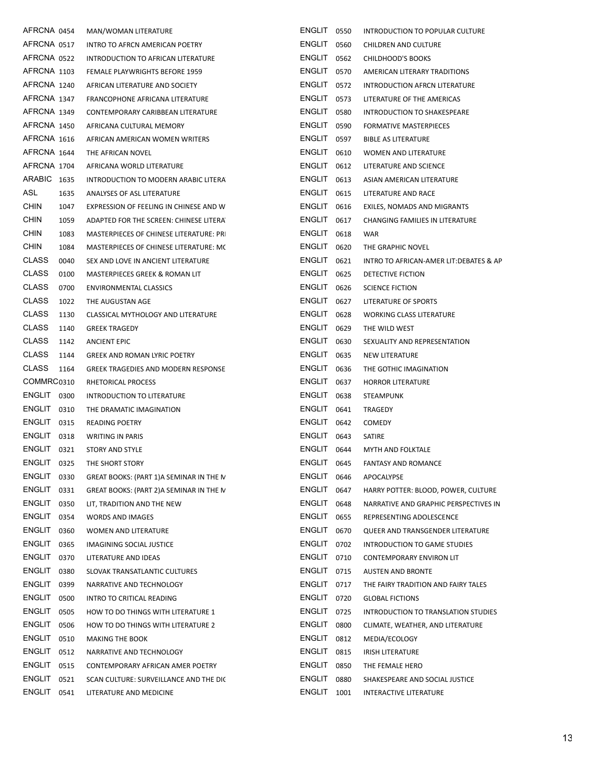| AFRCNA 0454             |              | MAN/WOMAN LITERATURE                                              | ENGLIT 0550             |              | INTRODUCTION TO POPULAR CULTURE                          |
|-------------------------|--------------|-------------------------------------------------------------------|-------------------------|--------------|----------------------------------------------------------|
| AFRCNA 0517             |              | INTRO TO AFRCN AMERICAN POETRY                                    | ENGLIT 0560             |              | CHILDREN AND CULTURE                                     |
| AFRCNA 0522             |              | INTRODUCTION TO AFRICAN LITERATURE                                | ENGLIT 0562             |              | CHILDHOOD'S BOOKS                                        |
| AFRCNA 1103             |              | FEMALE PLAYWRIGHTS BEFORE 1959                                    | ENGLIT 0570             |              | AMERICAN LITERARY TRADITIONS                             |
| AFRCNA 1240             |              | AFRICAN LITERATURE AND SOCIETY                                    | ENGLIT 0572             |              | INTRODUCTION AFRCN LITERATURE                            |
| AFRCNA 1347             |              | FRANCOPHONE AFRICANA LITERATURE                                   | $ENGLIT$ 0573           |              | LITERATURE OF THE AMERICAS                               |
| AFRCNA 1349             |              | CONTEMPORARY CARIBBEAN LITERATURE                                 | <b>ENGLIT 0580</b>      |              | INTRODUCTION TO SHAKESPEARE                              |
| AFRCNA 1450             |              | AFRICANA CULTURAL MEMORY                                          | ENGLIT 0590             |              | <b>FORMATIVE MASTERPIECES</b>                            |
| AFRCNA 1616             |              | AFRICAN AMERICAN WOMEN WRITERS                                    | ENGLIT 0597             |              | <b>BIBLE AS LITERATURE</b>                               |
| AFRCNA 1644             |              | THE AFRICAN NOVEL                                                 | <b>ENGLIT 0610</b>      |              | WOMEN AND LITERATURE                                     |
| AFRCNA 1704             |              | AFRICANA WORLD LITERATURE                                         | ENGLIT 0612             |              | LITERATURE AND SCIENCE                                   |
| ARABIC 1635             |              | INTRODUCTION TO MODERN ARABIC LITERA                              | ENGLIT 0613             |              | ASIAN AMERICAN LITERATURE                                |
| ASL                     | 1635         | ANALYSES OF ASL LITERATURE                                        | ENGLIT 0615             |              | LITERATURE AND RACE                                      |
| <b>CHIN</b>             | 1047         | EXPRESSION OF FEELING IN CHINESE AND W                            | ENGLIT 0616             |              | EXILES, NOMADS AND MIGRANTS                              |
| <b>CHIN</b>             | 1059         | ADAPTED FOR THE SCREEN: CHINESE LITERA                            | ENGLIT 0617             |              | CHANGING FAMILIES IN LITERATURE                          |
| <b>CHIN</b>             | 1083         | MASTERPIECES OF CHINESE LITERATURE: PR                            | ENGLIT 0618             |              | WAR                                                      |
| <b>CHIN</b>             | 1084         | MASTERPIECES OF CHINESE LITERATURE: MC                            | ENGLIT 0620             |              | THE GRAPHIC NOVEL                                        |
| <b>CLASS</b>            | 0040         | SEX AND LOVE IN ANCIENT LITERATURE                                | ENGLIT 0621             |              | INTRO TO AFRICAN-AMER LIT: DEBATES & AP                  |
| <b>CLASS</b>            | 0100         | MASTERPIECES GREEK & ROMAN LIT                                    | ENGLIT 0625             |              | DETECTIVE FICTION                                        |
| <b>CLASS</b>            | 0700         | <b>ENVIRONMENTAL CLASSICS</b>                                     | <b>ENGLIT 0626</b>      |              | <b>SCIENCE FICTION</b>                                   |
| <b>CLASS</b>            | 1022         | THE AUGUSTAN AGE                                                  | ENGLIT 0627             |              | LITERATURE OF SPORTS                                     |
| <b>CLASS</b>            | 1130         | CLASSICAL MYTHOLOGY AND LITERATURE                                | ENGLIT 0628             |              | WORKING CLASS LITERATURE                                 |
| <b>CLASS</b>            | 1140         | <b>GREEK TRAGEDY</b>                                              | ENGLIT 0629             |              | THE WILD WEST                                            |
| <b>CLASS</b>            | 1142         | <b>ANCIENT EPIC</b>                                               | ENGLIT 0630             |              | SEXUALITY AND REPRESENTATION                             |
| <b>CLASS</b>            | 1144         | <b>GREEK AND ROMAN LYRIC POETRY</b>                               | ENGLIT 0635             |              | NEW LITERATURE                                           |
| <b>CLASS</b>            | 1164         | <b>GREEK TRAGEDIES AND MODERN RESPONSE</b>                        | <b>ENGLIT 0636</b>      |              | THE GOTHIC IMAGINATION                                   |
| COMMRC0310              |              | RHETORICAL PROCESS                                                | ENGLIT 0637             |              | <b>HORROR LITERATURE</b>                                 |
| ENGLIT 0300             |              | INTRODUCTION TO LITERATURE                                        | ENGLIT 0638             |              | STEAMPUNK                                                |
| ENGLIT 0310             |              | THE DRAMATIC IMAGINATION                                          | ENGLIT 0641             |              | TRAGEDY                                                  |
| ENGLIT 0315             |              | <b>READING POETRY</b>                                             | ENGLIT 0642             |              | <b>COMEDY</b>                                            |
| ENGLIT 0318             |              | <b>WRITING IN PARIS</b>                                           | ENGLIT 0643             |              | SATIRE                                                   |
| ENGLIT 0321             |              | STORY AND STYLE                                                   | ENGLIT 0644             |              | MYTH AND FOLKTALE                                        |
| ENGLIT 0325             |              | THE SHORT STORY                                                   | ENGLIT                  | 0645         | <b>FANTASY AND ROMANCE</b>                               |
| ENGLIT                  | 0330         | GREAT BOOKS: (PART 1) A SEMINAR IN THE N                          | <b>ENGLIT</b>           | 0646         | APOCALYPSE                                               |
| ENGLIT 0331             |              | GREAT BOOKS: (PART 2) A SEMINAR IN THE N                          | ENGLIT 0647             |              | HARRY POTTER: BLOOD, POWER, CULTURE                      |
| ENGLIT                  | 0350         | LIT, TRADITION AND THE NEW                                        | ENGLIT                  | 0648         | NARRATIVE AND GRAPHIC PERSPECTIVES IN                    |
| ENGLIT                  | 0354         | WORDS AND IMAGES                                                  | <b>ENGLIT</b>           | 0655         | REPRESENTING ADOLESCENCE                                 |
| <b>ENGLIT</b>           | 0360         | WOMEN AND LITERATURE                                              | <b>ENGLIT</b>           | 0670         | QUEER AND TRANSGENDER LITERATURE                         |
| ENGLIT                  | 0365         | IMAGINING SOCIAL JUSTICE                                          | ENGLIT                  | 0702         | INTRODUCTION TO GAME STUDIES                             |
| ENGLIT                  |              |                                                                   |                         |              |                                                          |
| ENGLIT                  |              |                                                                   |                         |              |                                                          |
|                         | 0370         | LITERATURE AND IDEAS                                              | <b>ENGLIT</b>           | 0710         | CONTEMPORARY ENVIRON LIT                                 |
|                         | 0380         | SLOVAK TRANSATLANTIC CULTURES                                     | ENGLIT 0715             |              | <b>AUSTEN AND BRONTE</b>                                 |
| ENGLIT                  | 0399         | NARRATIVE AND TECHNOLOGY                                          | ENGLIT                  | 0717         | THE FAIRY TRADITION AND FAIRY TALES                      |
| ENGLIT                  | 0500         | INTRO TO CRITICAL READING                                         | ENGLIT 0720             |              | <b>GLOBAL FICTIONS</b>                                   |
| ENGLIT                  | 0505         | HOW TO DO THINGS WITH LITERATURE 1                                | ENGLIT                  | 0725         | INTRODUCTION TO TRANSLATION STUDIES                      |
| ENGLIT                  | 0506         | HOW TO DO THINGS WITH LITERATURE 2                                | <b>ENGLIT</b>           | 0800         | CLIMATE, WEATHER, AND LITERATURE                         |
| ENGLIT                  | 0510         | <b>MAKING THE BOOK</b>                                            | ENGLIT                  | 0812         | MEDIA/ECOLOGY                                            |
| <b>ENGLIT</b>           | 0512         | NARRATIVE AND TECHNOLOGY                                          | <b>ENGLIT</b>           | 0815         | <b>IRISH LITERATURE</b>                                  |
| <b>ENGLIT</b>           | 0515         | CONTEMPORARY AFRICAN AMER POETRY                                  | <b>ENGLIT</b>           | 0850         | THE FEMALE HERO                                          |
| <b>ENGLIT</b><br>ENGLIT | 0521<br>0541 | SCAN CULTURE: SURVEILLANCE AND THE DIC<br>LITERATURE AND MEDICINE | <b>ENGLIT</b><br>ENGLIT | 0880<br>1001 | SHAKESPEARE AND SOCIAL JUSTICE<br>INTERACTIVE LITERATURE |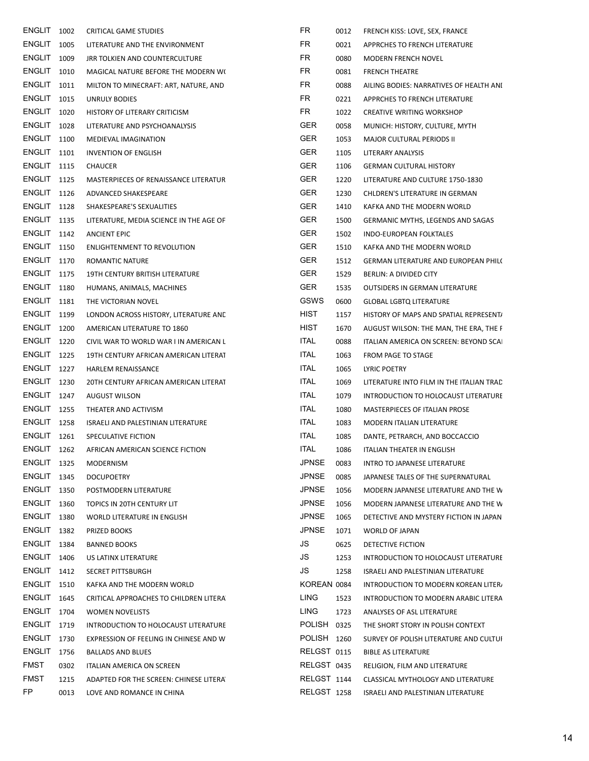| ENGLIT 1002        |      | <b>CRITICAL GAME STUDIES</b>            | FR           | 0012 | FRENCH KISS: LOVE, SEX, FRANCE           |
|--------------------|------|-----------------------------------------|--------------|------|------------------------------------------|
| <b>ENGLIT 1005</b> |      | LITERATURE AND THE ENVIRONMENT          | FR           | 0021 | APPRCHES TO FRENCH LITERATURE            |
| <b>ENGLIT</b> 1009 |      | JRR TOLKIEN AND COUNTERCULTURE          | FR           | 0080 | MODERN FRENCH NOVEL                      |
| ENGLIT 1010        |      | MAGICAL NATURE BEFORE THE MODERN WO     | FR           | 0081 | <b>FRENCH THEATRE</b>                    |
| ENGLIT 1011        |      | MILTON TO MINECRAFT: ART, NATURE, AND   | <b>FR</b>    | 0088 | AILING BODIES: NARRATIVES OF HEALTH ANI  |
| <b>ENGLIT</b>      | 1015 | UNRULY BODIES                           | FR           | 0221 | APPRCHES TO FRENCH LITERATURE            |
| ENGLIT 1020        |      | HISTORY OF LITERARY CRITICISM           | FR           | 1022 | <b>CREATIVE WRITING WORKSHOP</b>         |
| ENGLIT 1028        |      | LITERATURE AND PSYCHOANALYSIS           | <b>GER</b>   | 0058 | MUNICH: HISTORY, CULTURE, MYTH           |
| <b>ENGLIT</b> 1100 |      | MEDIEVAL IMAGINATION                    | <b>GER</b>   | 1053 | MAJOR CULTURAL PERIODS II                |
| <b>ENGLIT</b> 1101 |      | <b>INVENTION OF ENGLISH</b>             | <b>GER</b>   | 1105 | LITERARY ANALYSIS                        |
| <b>ENGLIT 1115</b> |      | <b>CHAUCER</b>                          | <b>GER</b>   | 1106 | <b>GERMAN CULTURAL HISTORY</b>           |
| <b>ENGLIT 1125</b> |      | MASTERPIECES OF RENAISSANCE LITERATUR   | <b>GER</b>   | 1220 | LITERATURE AND CULTURE 1750-1830         |
| ENGLIT 1126        |      | ADVANCED SHAKESPEARE                    | <b>GER</b>   | 1230 | CHLDREN'S LITERATURE IN GERMAN           |
| ENGLIT 1128        |      | SHAKESPEARE'S SEXUALITIES               | <b>GER</b>   | 1410 | KAFKA AND THE MODERN WORLD               |
| <b>ENGLIT</b> 1135 |      | LITERATURE, MEDIA SCIENCE IN THE AGE OF | <b>GER</b>   | 1500 | GERMANIC MYTHS, LEGENDS AND SAGAS        |
| ENGLIT 1142        |      | <b>ANCIENT EPIC</b>                     | <b>GER</b>   | 1502 | INDO-EUROPEAN FOLKTALES                  |
| ENGLIT 1150        |      | ENLIGHTENMENT TO REVOLUTION             | <b>GER</b>   | 1510 | KAFKA AND THE MODERN WORLD               |
| ENGLIT 1170        |      | ROMANTIC NATURE                         | <b>GER</b>   | 1512 | GERMAN LITERATURE AND EUROPEAN PHIL(     |
| <b>ENGLIT</b> 1175 |      | 19TH CENTURY BRITISH LITERATURE         | <b>GER</b>   | 1529 | BERLIN: A DIVIDED CITY                   |
| <b>ENGLIT 1180</b> |      | HUMANS, ANIMALS, MACHINES               | <b>GER</b>   | 1535 | <b>OUTSIDERS IN GERMAN LITERATURE</b>    |
| <b>ENGLIT</b> 1181 |      | THE VICTORIAN NOVEL                     | GSWS         | 0600 | <b>GLOBAL LGBTQ LITERATURE</b>           |
| <b>ENGLIT</b> 1199 |      | LONDON ACROSS HISTORY, LITERATURE AND   | <b>HIST</b>  | 1157 | HISTORY OF MAPS AND SPATIAL REPRESENT/   |
| <b>ENGLIT</b> 1200 |      | AMERICAN LITERATURE TO 1860             | HIST         | 1670 | AUGUST WILSON: THE MAN, THE ERA, THE F   |
| ENGLIT 1220        |      | CIVIL WAR TO WORLD WAR I IN AMERICAN L  | <b>ITAL</b>  | 0088 | ITALIAN AMERICA ON SCREEN: BEYOND SCAI   |
| <b>ENGLIT</b> 1225 |      | 19TH CENTURY AFRICAN AMERICAN LITERAT   | <b>ITAL</b>  | 1063 | FROM PAGE TO STAGE                       |
| ENGLIT 1227        |      | HARLEM RENAISSANCE                      | <b>ITAL</b>  | 1065 | LYRIC POETRY                             |
| ENGLIT 1230        |      | 20TH CENTURY AFRICAN AMERICAN LITERAT   | ITAL         | 1069 | LITERATURE INTO FILM IN THE ITALIAN TRAC |
| ENGLIT 1247        |      | <b>AUGUST WILSON</b>                    | ITAL         | 1079 | INTRODUCTION TO HOLOCAUST LITERATURE     |
| <b>ENGLIT</b> 1255 |      | THEATER AND ACTIVISM                    | <b>ITAL</b>  | 1080 | MASTERPIECES OF ITALIAN PROSE            |
| <b>ENGLIT</b> 1258 |      | ISRAELI AND PALESTINIAN LITERATURE      | <b>ITAL</b>  | 1083 | <b>MODERN ITALIAN LITERATURE</b>         |
| ENGLIT 1261        |      | SPECULATIVE FICTION                     | <b>ITAL</b>  | 1085 | DANTE, PETRARCH, AND BOCCACCIO           |
| <b>ENGLIT</b> 1262 |      | AFRICAN AMERICAN SCIENCE FICTION        | <b>ITAL</b>  | 1086 | ITALIAN THEATER IN ENGLISH               |
| <b>ENGLIT 1325</b> |      | MODERNISM                               | <b>JPNSE</b> | 0083 | INTRO TO JAPANESE LITERATURE             |
| <b>ENGLIT</b> 1345 |      | <b>DOCUPOETRY</b>                       | <b>JPNSE</b> | 0085 | JAPANESE TALES OF THE SUPERNATURAL       |
| <b>ENGLIT 1350</b> |      | POSTMODERN LITERATURE                   | <b>JPNSE</b> | 1056 | MODERN JAPANESE LITERATURE AND THE W     |
| <b>ENGLIT</b> 1360 |      | TOPICS IN 20TH CENTURY LIT              | <b>JPNSE</b> | 1056 | MODERN JAPANESE LITERATURE AND THE W     |
| ENGLIT 1380        |      | WORLD LITERATURE IN ENGLISH             | <b>JPNSE</b> | 1065 | DETECTIVE AND MYSTERY FICTION IN JAPAN   |
| <b>ENGLIT</b>      | 1382 | PRIZED BOOKS                            | <b>JPNSE</b> | 1071 | WORLD OF JAPAN                           |
| ENGLIT 1384        |      | <b>BANNED BOOKS</b>                     | JS           | 0625 | DETECTIVE FICTION                        |
| <b>ENGLIT</b> 1406 |      | US LATINX LITERATURE                    | JS           | 1253 | INTRODUCTION TO HOLOCAUST LITERATURE     |
| ENGLIT 1412        |      | SECRET PITTSBURGH                       | JS           | 1258 | ISRAELI AND PALESTINIAN LITERATURE       |
| <b>ENGLIT</b> 1510 |      | KAFKA AND THE MODERN WORLD              | KOREAN 0084  |      | INTRODUCTION TO MODERN KOREAN LITER.     |
| <b>ENGLIT</b> 1645 |      | CRITICAL APPROACHES TO CHILDREN LITERA  | LING         | 1523 | INTRODUCTION TO MODERN ARABIC LITERA     |
| ENGLIT 1704        |      | <b>WOMEN NOVELISTS</b>                  | <b>LING</b>  | 1723 | ANALYSES OF ASL LITERATURE               |
| <b>ENGLIT</b> 1719 |      | INTRODUCTION TO HOLOCAUST LITERATURE    | POLISH 0325  |      | THE SHORT STORY IN POLISH CONTEXT        |
| ENGLIT 1730        |      | EXPRESSION OF FEELING IN CHINESE AND W  | POLISH 1260  |      | SURVEY OF POLISH LITERATURE AND CULTUI   |
| <b>ENGLIT</b>      | 1756 | <b>BALLADS AND BLUES</b>                | RELGST 0115  |      | <b>BIBLE AS LITERATURE</b>               |
| <b>FMST</b>        | 0302 | ITALIAN AMERICA ON SCREEN               | RELGST 0435  |      | RELIGION, FILM AND LITERATURE            |
| <b>FMST</b>        | 1215 | ADAPTED FOR THE SCREEN: CHINESE LITERA  | RELGST 1144  |      | CLASSICAL MYTHOLOGY AND LITERATURE       |
| FP.                | 0013 | LOVE AND ROMANCE IN CHINA               | RELGST 1258  |      | ISRAELI AND PALESTINIAN LITERATURE       |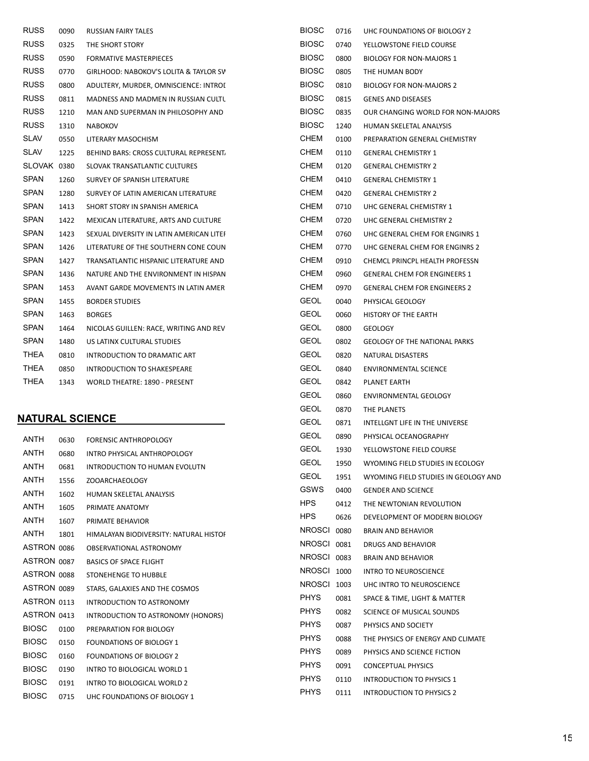| <b>RUSS</b> | 0090 | RUSSIAN FAIRY TALES                      | <b>BIOSC</b> | 0716 | UHC FOUNDATIONS OF BIOLOGY 2         |
|-------------|------|------------------------------------------|--------------|------|--------------------------------------|
| <b>RUSS</b> | 0325 | THE SHORT STORY                          | <b>BIOSC</b> | 0740 | YELLOWSTONE FIELD COURSE             |
| <b>RUSS</b> | 0590 | <b>FORMATIVE MASTERPIECES</b>            | <b>BIOSC</b> | 0800 | <b>BIOLOGY FOR NON-MAJORS 1</b>      |
| <b>RUSS</b> | 0770 | GIRLHOOD: NABOKOV'S LOLITA & TAYLOR SV   | <b>BIOSC</b> | 0805 | THE HUMAN BODY                       |
| <b>RUSS</b> | 0800 | ADULTERY, MURDER, OMNISCIENCE: INTROI    | <b>BIOSC</b> | 0810 | <b>BIOLOGY FOR NON-MAJORS 2</b>      |
| <b>RUSS</b> | 0811 | MADNESS AND MADMEN IN RUSSIAN CULTU      | <b>BIOSC</b> | 0815 | <b>GENES AND DISEASES</b>            |
| <b>RUSS</b> | 1210 | MAN AND SUPERMAN IN PHILOSOPHY AND       | <b>BIOSC</b> | 0835 | OUR CHANGING WORLD FOR NON-MAJORS    |
| <b>RUSS</b> | 1310 | <b>NABOKOV</b>                           | <b>BIOSC</b> | 1240 | HUMAN SKELETAL ANALYSIS              |
| <b>SLAV</b> | 0550 | LITERARY MASOCHISM                       | <b>CHEM</b>  | 0100 | PREPARATION GENERAL CHEMISTRY        |
| <b>SLAV</b> | 1225 | BEHIND BARS: CROSS CULTURAL REPRESENT.   | CHEM         | 0110 | <b>GENERAL CHEMISTRY 1</b>           |
| SLOVAK 0380 |      | SLOVAK TRANSATLANTIC CULTURES            | CHEM         | 0120 | <b>GENERAL CHEMISTRY 2</b>           |
| <b>SPAN</b> | 1260 | SURVEY OF SPANISH LITERATURE             | <b>CHEM</b>  | 0410 | <b>GENERAL CHEMISTRY 1</b>           |
| <b>SPAN</b> | 1280 | SURVEY OF LATIN AMERICAN LITERATURE      | <b>CHEM</b>  | 0420 | <b>GENERAL CHEMISTRY 2</b>           |
| <b>SPAN</b> | 1413 | SHORT STORY IN SPANISH AMERICA           | CHEM         | 0710 | UHC GENERAL CHEMISTRY 1              |
| <b>SPAN</b> | 1422 | MEXICAN LITERATURE, ARTS AND CULTURE     | CHEM         | 0720 | UHC GENERAL CHEMISTRY 2              |
| <b>SPAN</b> | 1423 | SEXUAL DIVERSITY IN LATIN AMERICAN LITEI | CHEM         | 0760 | UHC GENERAL CHEM FOR ENGINRS 1       |
| SPAN        | 1426 | LITERATURE OF THE SOUTHERN CONE COUN     | <b>CHEM</b>  | 0770 | UHC GENERAL CHEM FOR ENGINRS 2       |
| <b>SPAN</b> | 1427 | TRANSATLANTIC HISPANIC LITERATURE AND    | <b>CHEM</b>  | 0910 | CHEMCL PRINCPL HEALTH PROFESSN       |
| <b>SPAN</b> | 1436 | NATURE AND THE ENVIRONMENT IN HISPAN     | CHEM         | 0960 | <b>GENERAL CHEM FOR ENGINEERS 1</b>  |
| SPAN        | 1453 | AVANT GARDE MOVEMENTS IN LATIN AMER      | CHEM         | 0970 | <b>GENERAL CHEM FOR ENGINEERS 2</b>  |
| <b>SPAN</b> | 1455 | <b>BORDER STUDIES</b>                    | <b>GEOL</b>  | 0040 | PHYSICAL GEOLOGY                     |
| <b>SPAN</b> | 1463 | <b>BORGES</b>                            | <b>GEOL</b>  | 0060 | HISTORY OF THE EARTH                 |
| <b>SPAN</b> | 1464 | NICOLAS GUILLEN: RACE, WRITING AND REV   | <b>GEOL</b>  | 0800 | <b>GEOLOGY</b>                       |
| <b>SPAN</b> | 1480 | US LATINX CULTURAL STUDIES               | <b>GEOL</b>  | 0802 | <b>GEOLOGY OF THE NATIONAL PARKS</b> |
| THEA        | 0810 | INTRODUCTION TO DRAMATIC ART             | <b>GEOL</b>  | 0820 | NATURAL DISASTERS                    |
| THEA        | 0850 | INTRODUCTION TO SHAKESPEARE              | <b>GEOL</b>  | 0840 | <b>ENVIRONMENTAL SCIENCE</b>         |
| <b>THEA</b> | 1343 | WORLD THEATRE: 1890 - PRESENT            | <b>GEOL</b>  | 0842 | PLANET EARTH                         |
|             |      |                                          | <b>GEOL</b>  | 0860 | ENVIRONMENTAL GEOLOGY                |
|             |      |                                          | <b>GEOL</b>  | 0870 | THE PLANETS                          |
|             |      | <b>NATURAL SCIENCE</b>                   | <b>GEOL</b>  | 0871 | INTELLGNT LIFE IN THE UNIVERSE       |
| ANTH        | 0630 | FORENSIC ANTHROPOLOGY                    | <b>GEOL</b>  | 0890 | PHYSICAL OCEANOGRAPHY                |
|             |      |                                          |              |      |                                      |

|              |      | סטטוס ושהווימות טונווען                |           |
|--------------|------|----------------------------------------|-----------|
| ANTH         | 0680 | INTRO PHYSICAL ANTHROPOLOGY            | GE        |
| <b>ANTH</b>  | 0681 | <b>INTRODUCTION TO HUMAN EVOLUTN</b>   | GE        |
| <b>ANTH</b>  | 1556 | ZOOARCHAEOLOGY                         | GE        |
| <b>ANTH</b>  | 1602 | HUMAN SKELETAL ANALYSIS                | GS        |
| <b>ANTH</b>  | 1605 | PRIMATE ANATOMY                        | <b>HP</b> |
| ANTH         | 1607 | PRIMATE BEHAVIOR                       | <b>HP</b> |
| ANTH         | 1801 | HIMALAYAN BIODIVERSITY: NATURAL HISTOI | <b>NR</b> |
| ASTRON 0086  |      | OBSERVATIONAL ASTRONOMY                | <b>NR</b> |
| ASTRON 0087  |      | <b>BASICS OF SPACE FLIGHT</b>          | <b>NR</b> |
| ASTRON 0088  |      | STONEHENGE TO HUBBLE                   | <b>NR</b> |
| ASTRON 0089  |      | STARS, GALAXIES AND THE COSMOS         | <b>NR</b> |
| ASTRON 0113  |      | <b>INTRODUCTION TO ASTRONOMY</b>       | PH        |
| ASTRON 0413  |      | INTRODUCTION TO ASTRONOMY (HONORS)     | PH        |
| <b>BIOSC</b> | 0100 | PREPARATION FOR BIOLOGY                | PH        |
| <b>BIOSC</b> | 0150 | <b>FOUNDATIONS OF BIOLOGY 1</b>        | PH        |
| <b>BIOSC</b> | 0160 | <b>FOUNDATIONS OF BIOLOGY 2</b>        | PH        |
| <b>BIOSC</b> | 0190 | INTRO TO BIOLOGICAL WORLD 1            | PH        |
| <b>BIOSC</b> | 0191 | <b>INTRO TO BIOLOGICAL WORLD 2</b>     | PH        |
| <b>BIOSC</b> | 0715 | UHC FOUNDATIONS OF BIOLOGY 1           | PH        |
|              |      |                                        |           |

| CHEM          | 0120 | <b>GENERAL CHEMISTRY 2</b>            |
|---------------|------|---------------------------------------|
| CHEM          | 0410 | <b>GENERAL CHEMISTRY 1</b>            |
| CHEM          | 0420 | <b>GENERAL CHEMISTRY 2</b>            |
| CHEM          | 0710 | UHC GENERAL CHEMISTRY 1               |
| CHEM          | 0720 | UHC GENERAL CHEMISTRY 2               |
| CHEM          | 0760 | UHC GENERAL CHEM FOR ENGINRS 1        |
| CHEM          | 0770 | UHC GENERAL CHEM FOR ENGINRS 2        |
| CHEM          | 0910 | <b>CHEMCL PRINCPL HEALTH PROFESSN</b> |
| <b>CHEM</b>   | 0960 | <b>GENERAL CHEM FOR ENGINEERS 1</b>   |
| CHEM          | 0970 | <b>GENERAL CHEM FOR ENGINEERS 2</b>   |
| <b>GEOL</b>   | 0040 | PHYSICAL GEOLOGY                      |
| <b>GEOL</b>   | 0060 | <b>HISTORY OF THE EARTH</b>           |
| GEOL          | 0800 | <b>GEOLOGY</b>                        |
| GEOL          | 0802 | <b>GEOLOGY OF THE NATIONAL PARKS</b>  |
| <b>GEOL</b>   | 0820 | NATURAL DISASTERS                     |
| GEOL          | 0840 | <b>ENVIRONMENTAL SCIENCE</b>          |
| <b>GEOL</b>   | 0842 | <b>PLANET EARTH</b>                   |
| GEOL          | 0860 | <b>ENVIRONMENTAL GEOLOGY</b>          |
| GEOL          | 0870 | THE PLANETS                           |
| <b>GEOL</b>   | 0871 | INTELLGNT LIFE IN THE UNIVERSE        |
| <b>GEOL</b>   | 0890 | PHYSICAL OCEANOGRAPHY                 |
| GEOL          | 1930 | YELLOWSTONE FIELD COURSE              |
| GEOL          | 1950 | WYOMING FIELD STUDIES IN ECOLOGY      |
| GEOL          | 1951 | WYOMING FIELD STUDIES IN GEOLOGY AND  |
| GSWS          | 0400 | <b>GENDER AND SCIENCE</b>             |
| HPS.          | 0412 | THE NEWTONIAN REVOLUTION              |
| HPS           | 0626 | DEVELOPMENT OF MODERN BIOLOGY         |
| <b>NROSCI</b> | 0080 | <b>BRAIN AND BEHAVIOR</b>             |
| <b>NROSCI</b> | 0081 | DRUGS AND BEHAVIOR                    |
| <b>NROSCI</b> | 0083 | <b>BRAIN AND BEHAVIOR</b>             |
| <b>NROSCI</b> | 1000 | <b>INTRO TO NEUROSCIENCE</b>          |
| <b>NROSCI</b> | 1003 | UHC INTRO TO NEUROSCIENCE             |
| <b>PHYS</b>   | 0081 | SPACE & TIME, LIGHT & MATTER          |
| <b>PHYS</b>   | 0082 | <b>SCIENCE OF MUSICAL SOUNDS</b>      |
| <b>PHYS</b>   | 0087 | PHYSICS AND SOCIETY                   |
| <b>PHYS</b>   | 0088 | THE PHYSICS OF ENERGY AND CLIMATE     |
| PHYS          | 0089 | PHYSICS AND SCIENCE FICTION           |
| <b>PHYS</b>   | 0091 | <b>CONCEPTUAL PHYSICS</b>             |
| PHYS          | 0110 | <b>INTRODUCTION TO PHYSICS 1</b>      |
| PHYS          | 0111 | <b>INTRODUCTION TO PHYSICS 2</b>      |
|               |      |                                       |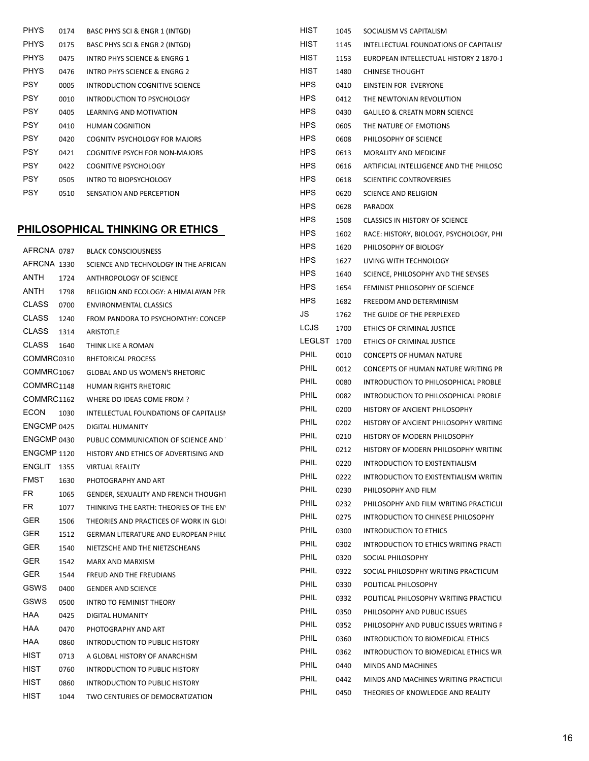| <b>PHYS</b> | 0174 | BASC PHYS SCI & ENGR 1 (INTGD) |
|-------------|------|--------------------------------|
| <b>PHYS</b> | 0175 | BASC PHYS SCI & ENGR 2 (INTGD) |
| <b>PHYS</b> | 0475 | INTRO PHYS SCIENCE & ENGRG 1   |
| <b>PHYS</b> | 0476 | INTRO PHYS SCIENCE & ENGRG 2   |
| PSY         | 0005 | INTRODUCTION COGNITIVE SCIENCE |
| <b>PSY</b>  | 0010 | INTRODUCTION TO PSYCHOLOGY     |
| <b>PSY</b>  | 0405 | LEARNING AND MOTIVATION        |
| PSY         | 0410 | <b>HUMAN COGNITION</b>         |
| PSY         | 0420 | COGNITV PSYCHOLOGY FOR MAJORS  |
| PSY         | 0421 | COGNITIVE PSYCH FOR NON-MAJORS |
| PSY         | 0422 | COGNITIVE PSYCHOLOGY           |
| PSY         | 0505 | <b>INTRO TO BIOPSYCHOLOGY</b>  |
| PSY         | 0510 | SENSATION AND PERCEPTION       |

# PHILOSOPHICAL THINKING OR ETHICS

| AFRCNA 0787            |      | <b>BLACK CONSCIOUSNESS</b>                  | <b>HPS</b>    | 162 |
|------------------------|------|---------------------------------------------|---------------|-----|
| AFRCNA 1330            |      | SCIENCE AND TECHNOLOGY IN THE AFRICAN       | <b>HPS</b>    | 162 |
| ANTH                   | 1724 | ANTHROPOLOGY OF SCIENCE                     | <b>HPS</b>    | 164 |
| ANTH                   | 1798 | RELIGION AND ECOLOGY: A HIMALAYAN PER       | <b>HPS</b>    | 165 |
| <b>CLASS</b>           | 0700 | <b>ENVIRONMENTAL CLASSICS</b>               | <b>HPS</b>    | 168 |
| <b>CLASS</b>           | 1240 | FROM PANDORA TO PSYCHOPATHY: CONCEP         | JS            | 176 |
| <b>CLASS</b>           | 1314 | <b>ARISTOTLE</b>                            | <b>LCJS</b>   | 170 |
| <b>CLASS</b>           | 1640 | THINK LIKE A ROMAN                          | <b>LEGLST</b> | 170 |
| COMMRC0310             |      | RHETORICAL PROCESS                          | <b>PHIL</b>   | 001 |
| COMMRC <sub>1067</sub> |      | GLOBAL AND US WOMEN'S RHETORIC              | <b>PHIL</b>   | 001 |
| COMMRC1148             |      | <b>HUMAN RIGHTS RHETORIC</b>                | <b>PHIL</b>   | 008 |
| COMMRC1162             |      | WHERE DO IDEAS COME FROM ?                  | <b>PHIL</b>   | 008 |
| <b>ECON</b>            | 1030 | INTELLECTUAL FOUNDATIONS OF CAPITALISI      | <b>PHIL</b>   | 020 |
| ENGCMP 0425            |      | DIGITAL HUMANITY                            | <b>PHIL</b>   | 020 |
| ENGCMP 0430            |      | PUBLIC COMMUNICATION OF SCIENCE AND         | <b>PHIL</b>   | 021 |
| <b>ENGCMP 1120</b>     |      | HISTORY AND ETHICS OF ADVERTISING AND       | <b>PHIL</b>   | 021 |
| <b>ENGLIT</b>          | 1355 | <b>VIRTUAL REALITY</b>                      | <b>PHIL</b>   | 022 |
| <b>FMST</b>            | 1630 | PHOTOGRAPHY AND ART                         | <b>PHIL</b>   | 022 |
| <b>FR</b>              | 1065 | <b>GENDER, SEXUALITY AND FRENCH THOUGHT</b> | <b>PHIL</b>   | 023 |
| FR                     | 1077 | THINKING THE EARTH: THEORIES OF THE EN'     | <b>PHIL</b>   | 023 |
| GER                    | 1506 | THEORIES AND PRACTICES OF WORK IN GLO       | <b>PHIL</b>   | 027 |
| <b>GER</b>             | 1512 | <b>GERMAN LITERATURE AND EUROPEAN PHIL(</b> | <b>PHIL</b>   | 030 |
| <b>GER</b>             | 1540 | NIETZSCHE AND THE NIETZSCHEANS              | PHIL          | 030 |
| <b>GER</b>             | 1542 | <b>MARX AND MARXISM</b>                     | <b>PHIL</b>   | 032 |
| GER                    | 1544 | FREUD AND THE FREUDIANS                     | <b>PHIL</b>   | 032 |
| GSWS                   | 0400 | <b>GENDER AND SCIENCE</b>                   | <b>PHIL</b>   | 033 |
| GSWS                   | 0500 | <b>INTRO TO FEMINIST THEORY</b>             | <b>PHIL</b>   | 033 |
| <b>HAA</b>             | 0425 | <b>DIGITAL HUMANITY</b>                     | <b>PHIL</b>   | 035 |
| HAA                    | 0470 | PHOTOGRAPHY AND ART                         | <b>PHIL</b>   | 035 |
| <b>HAA</b>             | 0860 | <b>INTRODUCTION TO PUBLIC HISTORY</b>       | <b>PHIL</b>   | 036 |
| HIST                   | 0713 | A GLOBAL HISTORY OF ANARCHISM               | <b>PHIL</b>   | 036 |
| HIST                   | 0760 | INTRODUCTION TO PUBLIC HISTORY              | <b>PHIL</b>   | 044 |
| HIST                   | 0860 | INTRODUCTION TO PUBLIC HISTORY              | <b>PHIL</b>   | 044 |
| <b>HIST</b>            | 1044 | TWO CENTURIES OF DEMOCRATIZATION            | <b>PHIL</b>   | 045 |
|                        |      |                                             |               |     |

| HIST          | 1045 | SOCIALISM VS CAPITALISM                  |
|---------------|------|------------------------------------------|
| HIST          | 1145 | INTELLECTUAL FOUNDATIONS OF CAPITALISI   |
| HIST          | 1153 | EUROPEAN INTELLECTUAL HISTORY 2 1870-1   |
| HIST          | 1480 | <b>CHINESE THOUGHT</b>                   |
| HPS.          | 0410 | EINSTEIN FOR EVERYONE                    |
| HPS.          | 0412 | THE NEWTONIAN REVOLUTION                 |
| HPS.          | 0430 | <b>GALILEO &amp; CREATN MDRN SCIENCE</b> |
| HPS.          | 0605 | THE NATURE OF EMOTIONS                   |
| HPS.          | 0608 | PHILOSOPHY OF SCIENCE                    |
| HPS.          | 0613 | <b>MORALITY AND MEDICINE</b>             |
| HPS.          | 0616 | ARTIFICIAL INTELLIGENCE AND THE PHILOSO  |
| HPS.          | 0618 | SCIENTIFIC CONTROVERSIES                 |
| HPS.          | 0620 | SCIENCE AND RELIGION                     |
| <b>HPS</b>    | 0628 | <b>PARADOX</b>                           |
| HPS.          | 1508 | <b>CLASSICS IN HISTORY OF SCIENCE</b>    |
| HPS.          | 1602 | RACE: HISTORY, BIOLOGY, PSYCHOLOGY, PHI  |
| HPS.          | 1620 | PHILOSOPHY OF BIOLOGY                    |
| HPS.          | 1627 | LIVING WITH TECHNOLOGY                   |
| HPS.          | 1640 | SCIENCE, PHILOSOPHY AND THE SENSES       |
| HPS.          | 1654 | FEMINIST PHILOSOPHY OF SCIENCE           |
| HPS.          | 1682 | FREEDOM AND DETERMINISM                  |
| JS            | 1762 | THE GUIDE OF THE PERPLEXED               |
| LCJS          | 1700 | ETHICS OF CRIMINAL JUSTICE               |
| <b>LEGLST</b> | 1700 | ETHICS OF CRIMINAL JUSTICE               |
| <b>PHIL</b>   | 0010 | <b>CONCEPTS OF HUMAN NATURE</b>          |
| <b>PHIL</b>   | 0012 | CONCEPTS OF HUMAN NATURE WRITING PR      |
| <b>PHIL</b>   | 0080 | INTRODUCTION TO PHILOSOPHICAL PROBLE     |
| <b>PHIL</b>   | 0082 | INTRODUCTION TO PHILOSOPHICAL PROBLE     |
| <b>PHIL</b>   | 0200 | HISTORY OF ANCIENT PHILOSOPHY            |
| <b>PHIL</b>   | 0202 | HISTORY OF ANCIENT PHILOSOPHY WRITING    |
| <b>PHIL</b>   | 0210 | HISTORY OF MODERN PHILOSOPHY             |
| PHIL          | 0212 | HISTORY OF MODERN PHILOSOPHY WRITING     |
| <b>PHIL</b>   | 0220 | INTRODUCTION TO EXISTENTIALISM           |
| <b>PHIL</b>   | 0222 | INTRODUCTION TO EXISTENTIALISM WRITIN    |
| PHIL          | 0230 | PHILOSOPHY AND FILM                      |
| <b>PHIL</b>   | 0232 | PHILOSOPHY AND FILM WRITING PRACTICUI    |
| <b>PHIL</b>   | 0275 | INTRODUCTION TO CHINESE PHILOSOPHY       |
| <b>PHIL</b>   | 0300 | <b>INTRODUCTION TO ETHICS</b>            |
| <b>PHIL</b>   | 0302 | INTRODUCTION TO ETHICS WRITING PRACTI    |
| PHIL.         | 0320 | SOCIAL PHILOSOPHY                        |
| PHIL          | 0322 | SOCIAL PHILOSOPHY WRITING PRACTICUM      |
| <b>PHIL</b>   | 0330 | POLITICAL PHILOSOPHY                     |
| <b>PHIL</b>   | 0332 | POLITICAL PHILOSOPHY WRITING PRACTICU    |
| PHIL          | 0350 | PHILOSOPHY AND PUBLIC ISSUES             |
| PHIL          | 0352 | PHILOSOPHY AND PUBLIC ISSUES WRITING P   |
| PHIL          | 0360 | INTRODUCTION TO BIOMEDICAL ETHICS        |
| PHIL          | 0362 | INTRODUCTION TO BIOMEDICAL ETHICS WR     |
| <b>PHIL</b>   | 0440 | MINDS AND MACHINES                       |
| <b>PHIL</b>   | 0442 | MINDS AND MACHINES WRITING PRACTICUI     |
| PHIL          | 0450 | THEORIES OF KNOWLEDGE AND REALITY        |
|               |      |                                          |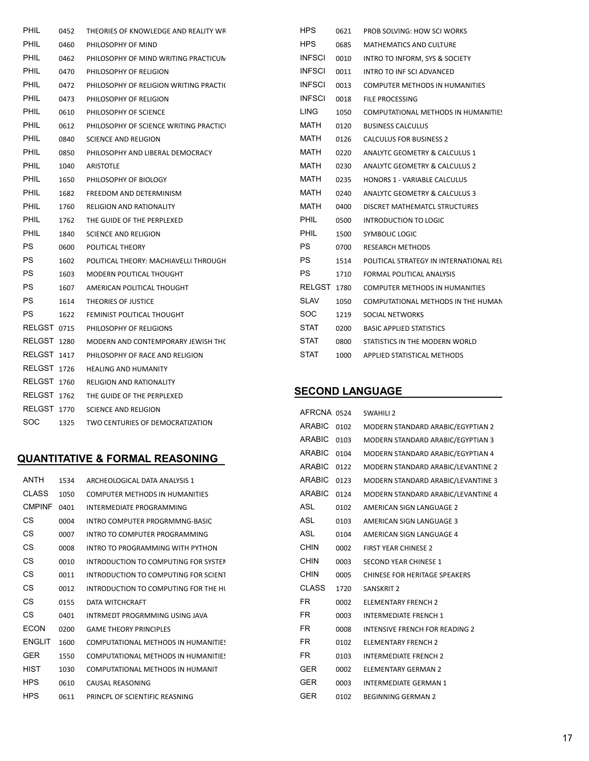| PHIL               | 0452 | THEORIES OF KNOWLEDGE AND REALITY WF   | HPS           |
|--------------------|------|----------------------------------------|---------------|
| PHIL               | 0460 | PHILOSOPHY OF MIND                     | <b>HPS</b>    |
| <b>PHIL</b>        | 0462 | PHILOSOPHY OF MIND WRITING PRACTICUM   | <b>INFSCI</b> |
| <b>PHIL</b>        | 0470 | PHILOSOPHY OF RELIGION                 | <b>INFSCI</b> |
| PHIL               | 0472 | PHILOSOPHY OF RELIGION WRITING PRACTIC | <b>INFSCI</b> |
| <b>PHIL</b>        | 0473 | PHILOSOPHY OF RELIGION                 | <b>INFSCI</b> |
| <b>PHIL</b>        | 0610 | PHILOSOPHY OF SCIENCE                  | <b>LING</b>   |
| <b>PHIL</b>        | 0612 | PHILOSOPHY OF SCIENCE WRITING PRACTIC  | MATH          |
| <b>PHIL</b>        | 0840 | <b>SCIENCE AND RELIGION</b>            | <b>MATH</b>   |
| PHIL               | 0850 | PHILOSOPHY AND LIBERAL DEMOCRACY       | MATH          |
| <b>PHIL</b>        | 1040 | <b>ARISTOTLE</b>                       | MATH          |
| <b>PHIL</b>        | 1650 | PHILOSOPHY OF BIOLOGY                  | <b>MATH</b>   |
| <b>PHIL</b>        | 1682 | FREEDOM AND DETERMINISM                | <b>MATH</b>   |
| <b>PHIL</b>        | 1760 | <b>RELIGION AND RATIONALITY</b>        | MATH          |
| <b>PHIL</b>        | 1762 | THE GUIDE OF THE PERPLEXED             | PHIL          |
| <b>PHIL</b>        | 1840 | <b>SCIENCE AND RELIGION</b>            | PHIL          |
| PS                 | 0600 | POLITICAL THEORY                       | PS            |
| <b>PS</b>          | 1602 | POLITICAL THEORY: MACHIAVELLI THROUGH  | <b>PS</b>     |
| <b>PS</b>          | 1603 | MODERN POLITICAL THOUGHT               | PS.           |
| PS                 | 1607 | AMERICAN POLITICAL THOUGHT             | <b>RELGS</b>  |
| PS                 | 1614 | THEORIES OF JUSTICE                    | <b>SLAV</b>   |
| PS                 | 1622 | FEMINIST POLITICAL THOUGHT             | SOC           |
| RELGST 0715        |      | PHILOSOPHY OF RELIGIONS                | <b>STAT</b>   |
| RELGST 1280        |      | MODERN AND CONTEMPORARY JEWISH THO     | <b>STAT</b>   |
| RELGST 1417        |      | PHILOSOPHY OF RACE AND RELIGION        | STAT          |
| RELGST 1726        |      | <b>HEALING AND HUMANITY</b>            |               |
| RELGST 1760        |      | <b>RELIGION AND RATIONALITY</b>        |               |
| RELGST 1762        |      | THE GUIDE OF THE PERPLEXED             | <b>SECO</b>   |
| <b>RELGST 1770</b> |      | <b>SCIENCE AND RELIGION</b>            | AFRCN         |
| SOC                | 1325 | TWO CENTURIES OF DEMOCRATIZATION       | <b>ARABIO</b> |
|                    |      |                                        |               |

## QUANTITATIVE & FORMAL REASONING

| 1534 | ARCHEOLOGICAL DATA ANALYSIS 1         |
|------|---------------------------------------|
| 1050 | <b>COMPUTER METHODS IN HUMANITIES</b> |
| 0401 | INTERMEDIATE PROGRAMMING              |
| 0004 | INTRO COMPUTER PROGRMMNG-BASIC        |
| 0007 | INTRO TO COMPUTER PROGRAMMING         |
| 0008 | INTRO TO PROGRAMMING WITH PYTHON      |
| 0010 | INTRODUCTION TO COMPUTING FOR SYSTEM  |
| 0011 | INTRODUCTION TO COMPUTING FOR SCIENT  |
| 0012 | INTRODUCTION TO COMPUTING FOR THE HI  |
| 0155 | DATA WITCHCRAFT                       |
| 0401 | INTRMEDT PROGRMMING USING JAVA        |
| 0200 | <b>GAME THEORY PRINCIPLES</b>         |
| 1600 | COMPUTATIONAL METHODS IN HUMANITIE!   |
| 1550 | COMPUTATIONAL METHODS IN HUMANITIES   |
| 1030 | COMPUTATIONAL METHODS IN HUMANIT      |
| 0610 | CAUSAL REASONING                      |
| 0611 | PRINCPL OF SCIENTIFIC REASNING        |
|      |                                       |

| <b>HPS</b>    | 0621 | PROB SOLVING: HOW SCI WORKS              |
|---------------|------|------------------------------------------|
| <b>HPS</b>    | 0685 | MATHEMATICS AND CULTURE                  |
| <b>INFSCI</b> | 0010 | INTRO TO INFORM. SYS & SOCIETY           |
| <b>INFSCI</b> | 0011 | INTRO TO INFISCI ADVANCED                |
| <b>INFSCI</b> | 0013 | <b>COMPUTER METHODS IN HUMANITIES</b>    |
| <b>INFSCI</b> | 0018 | FILE PROCESSING                          |
| <b>LING</b>   | 1050 | COMPUTATIONAL METHODS IN HUMANITIES      |
| <b>MATH</b>   | 0120 | <b>BUSINESS CALCULUS</b>                 |
| <b>MATH</b>   | 0126 | <b>CALCULUS FOR BUSINESS 2</b>           |
| <b>MATH</b>   | 0220 | <b>ANALYTC GEOMETRY &amp; CALCULUS 1</b> |
| <b>MATH</b>   | 0230 | <b>ANALYTC GEOMETRY &amp; CALCULUS 2</b> |
| <b>MATH</b>   | 0235 | <b>HONORS 1 - VARIABLE CALCULUS</b>      |
| <b>MATH</b>   | 0240 | ANALYTC GEOMETRY & CALCULUS 3            |
| <b>MATH</b>   | 0400 | DISCRET MATHEMATCL STRUCTURES            |
| <b>PHIL</b>   | 0500 | INTRODUCTION TO LOGIC                    |
| <b>PHIL</b>   | 1500 | SYMBOLIC LOGIC                           |
| <b>PS</b>     | 0700 | <b>RESEARCH METHODS</b>                  |
| <b>PS</b>     | 1514 | POLITICAL STRATEGY IN INTERNATIONAL REL  |
| <b>PS</b>     | 1710 | FORMAL POLITICAL ANALYSIS                |
| <b>RELGST</b> | 1780 | <b>COMPUTER METHODS IN HUMANITIES</b>    |
| <b>SLAV</b>   | 1050 | COMPUTATIONAL METHODS IN THE HUMAN       |
| SOC           | 1219 | SOCIAL NETWORKS                          |
| <b>STAT</b>   | 0200 | <b>BASIC APPLIED STATISTICS</b>          |
| <b>STAT</b>   | 0800 | STATISTICS IN THE MODERN WORLD           |
| <b>STAT</b>   | 1000 | APPLIED STATISTICAL METHODS              |

#### **ND LANGUAGE**

| AFRCNA 0524   |      | <b>SWAHILI 2</b>                      |
|---------------|------|---------------------------------------|
| <b>ARABIC</b> | 0102 | MODERN STANDARD ARABIC/EGYPTIAN 2     |
| <b>ARABIC</b> | 0103 | MODERN STANDARD ARABIC/EGYPTIAN 3     |
| <b>ARABIC</b> | 0104 | MODERN STANDARD ARABIC/EGYPTIAN 4     |
| <b>ARABIC</b> | 0122 | MODERN STANDARD ARABIC/LEVANTINE 2    |
| <b>ARABIC</b> | 0123 | MODERN STANDARD ARABIC/LEVANTINE 3    |
| <b>ARABIC</b> | 0124 | MODERN STANDARD ARABIC/LEVANTINE 4    |
| <b>ASL</b>    | 0102 | AMERICAN SIGN LANGUAGE 2              |
| ASL           | 0103 | AMERICAN SIGN LANGUAGE 3              |
| ASL           | 0104 | AMERICAN SIGN LANGUAGE 4              |
| <b>CHIN</b>   | 0002 | <b>FIRST YEAR CHINESE 2</b>           |
| <b>CHIN</b>   | 0003 | SECOND YEAR CHINESE 1                 |
| CHIN          | 0005 | CHINESE FOR HERITAGE SPEAKERS         |
| <b>CLASS</b>  | 1720 | <b>SANSKRIT 2</b>                     |
| FR.           | 0002 | <b>ELEMENTARY FRENCH 2</b>            |
| FR.           | 0003 | <b>INTERMEDIATE FRENCH 1</b>          |
| FR.           | 0008 | <b>INTENSIVE FRENCH FOR READING 2</b> |
| FR            | 0102 | <b>ELEMENTARY FRENCH 2</b>            |
| FR.           | 0103 | <b>INTERMEDIATE FRENCH 2</b>          |
| GER           | 0002 | <b>ELEMENTARY GERMAN 2</b>            |
| GER           | 0003 | INTERMEDIATE GERMAN 1                 |
| GER           | 0102 | <b>BEGINNING GERMAN 2</b>             |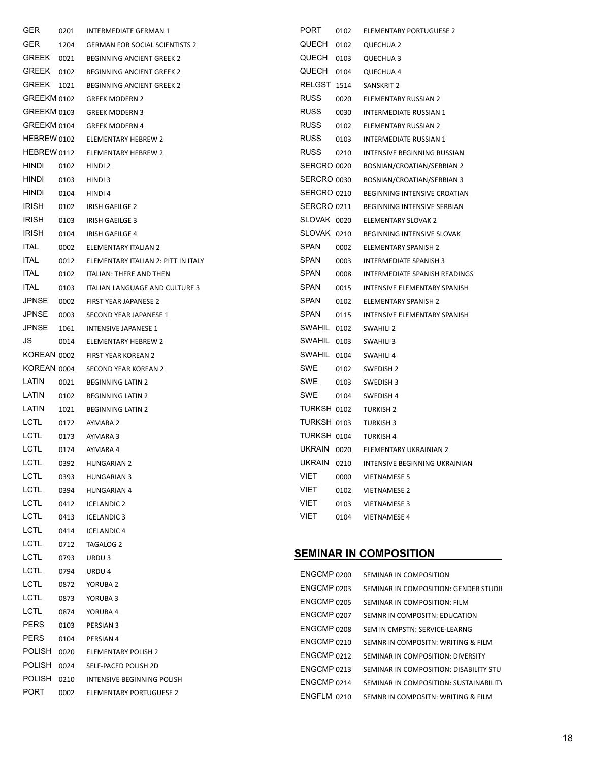| GER           | 0201 | <b>INTERMEDIATE GERMAN 1</b>          | PORT<br>0102          | ELEMENTARY PORTUGUESE 2                 |
|---------------|------|---------------------------------------|-----------------------|-----------------------------------------|
| <b>GER</b>    | 1204 | <b>GERMAN FOR SOCIAL SCIENTISTS 2</b> | <b>QUECH</b><br>0102  | <b>QUECHUA 2</b>                        |
| GREEK         | 0021 | <b>BEGINNING ANCIENT GREEK 2</b>      | QUECH<br>0103         | QUECHUA 3                               |
| GREEK         | 0102 | <b>BEGINNING ANCIENT GREEK 2</b>      | QUECH<br>0104         | QUECHUA 4                               |
| GREEK         | 1021 | <b>BEGINNING ANCIENT GREEK 2</b>      | RELGST 1514           | SANSKRIT 2                              |
| GREEKM 0102   |      | <b>GREEK MODERN 2</b>                 | <b>RUSS</b><br>0020   | ELEMENTARY RUSSIAN 2                    |
| GREEKM 0103   |      | <b>GREEK MODERN 3</b>                 | <b>RUSS</b><br>0030   | INTERMEDIATE RUSSIAN 1                  |
| GREEKM 0104   |      | <b>GREEK MODERN 4</b>                 | <b>RUSS</b><br>0102   | ELEMENTARY RUSSIAN 2                    |
| HEBREW 0102   |      | <b>ELEMENTARY HEBREW 2</b>            | <b>RUSS</b><br>0103   | INTERMEDIATE RUSSIAN 1                  |
| HEBREW 0112   |      | ELEMENTARY HEBREW 2                   | <b>RUSS</b><br>0210   | INTENSIVE BEGINNING RUSSIAN             |
| HINDI         | 0102 | HINDI 2                               | SERCRO 0020           | BOSNIAN/CROATIAN/SERBIAN 2              |
| HINDI         | 0103 | HINDI 3                               | SERCRO 0030           | BOSNIAN/CROATIAN/SERBIAN 3              |
| hindi         | 0104 | HINDI 4                               | SERCRO 0210           | BEGINNING INTENSIVE CROATIAN            |
| <b>IRISH</b>  | 0102 | IRISH GAEILGE 2                       | SERCRO 0211           | BEGINNING INTENSIVE SERBIAN             |
| <b>IRISH</b>  | 0103 | IRISH GAEILGE 3                       | SLOVAK 0020           | ELEMENTARY SLOVAK 2                     |
| <b>IRISH</b>  | 0104 | IRISH GAEILGE 4                       | SLOVAK 0210           | BEGINNING INTENSIVE SLOVAK              |
| <b>ITAL</b>   | 0002 | <b>ELEMENTARY ITALIAN 2</b>           | <b>SPAN</b><br>0002   | ELEMENTARY SPANISH 2                    |
| <b>ITAL</b>   | 0012 | ELEMENTARY ITALIAN 2: PITT IN ITALY   | SPAN<br>0003          | <b>INTERMEDIATE SPANISH 3</b>           |
| <b>ITAL</b>   | 0102 | <b>ITALIAN: THERE AND THEN</b>        | SPAN<br>0008          | INTERMEDIATE SPANISH READINGS           |
| <b>ITAL</b>   | 0103 | <b>ITALIAN LANGUAGE AND CULTURE 3</b> | <b>SPAN</b><br>0015   | INTENSIVE ELEMENTARY SPANISH            |
| <b>JPNSE</b>  | 0002 | FIRST YEAR JAPANESE 2                 | SPAN<br>0102          | ELEMENTARY SPANISH 2                    |
| <b>JPNSE</b>  | 0003 | SECOND YEAR JAPANESE 1                | <b>SPAN</b><br>0115   | INTENSIVE ELEMENTARY SPANISH            |
| <b>JPNSE</b>  | 1061 | INTENSIVE JAPANESE 1                  | SWAHIL 0102           | SWAHILI 2                               |
| JS            | 0014 | ELEMENTARY HEBREW 2                   | SWAHIL 0103           | SWAHILI 3                               |
| KOREAN 0002   |      | FIRST YEAR KOREAN 2                   | SWAHIL 0104           | <b>SWAHILI4</b>                         |
| KOREAN 0004   |      | SECOND YEAR KOREAN 2                  | SWE<br>0102           | SWEDISH 2                               |
| LATIN         | 0021 | <b>BEGINNING LATIN 2</b>              | SWE<br>0103           | SWEDISH 3                               |
| LATIN         | 0102 | <b>BEGINNING LATIN 2</b>              | SWE<br>0104           | SWEDISH 4                               |
| LATIN         | 1021 | <b>BEGINNING LATIN 2</b>              | TURKSH 0102           | <b>TURKISH 2</b>                        |
| <b>LCTL</b>   | 0172 | AYMARA 2                              | TURKSH 0103           | <b>TURKISH 3</b>                        |
| <b>LCTL</b>   | 0173 | AYMARA 3                              | TURKSH 0104           | <b>TURKISH 4</b>                        |
| <b>LCTL</b>   | 0174 | AYMARA 4                              | UKRAIN 0020           | ELEMENTARY UKRAINIAN 2                  |
| <b>LCTL</b>   | 0392 | <b>HUNGARIAN 2</b>                    | <b>UKRAIN</b><br>0210 | INTENSIVE BEGINNING UKRAINIAN           |
| <b>LCTL</b>   | 0393 | <b>HUNGARIAN 3</b>                    | VIET<br>0000          | <b>VIETNAMESE 5</b>                     |
| <b>LCTL</b>   | 0394 | <b>HUNGARIAN 4</b>                    | VIET<br>0102          | <b>VIETNAMESE 2</b>                     |
| <b>LCTL</b>   | 0412 | <b>ICELANDIC 2</b>                    | VIET<br>0103          | <b>VIETNAMESE 3</b>                     |
| <b>LCTL</b>   | 0413 | <b>ICELANDIC 3</b>                    | VIET<br>0104          | <b>VIETNAMESE 4</b>                     |
| <b>LCTL</b>   | 0414 | <b>ICELANDIC 4</b>                    |                       |                                         |
| <b>LCTL</b>   | 0712 | TAGALOG 2                             |                       |                                         |
| <b>LCTL</b>   | 0793 | URDU <sub>3</sub>                     |                       | <b>SEMINAR IN COMPOSITION</b>           |
| <b>LCTL</b>   | 0794 | URDU 4                                | ENGCMP 0200           | SEMINAR IN COMPOSITION                  |
| <b>LCTL</b>   | 0872 | YORUBA 2                              | ENGCMP 0203           | SEMINAR IN COMPOSITION: GENDER STUDII   |
| <b>LCTL</b>   | 0873 | YORUBA 3                              | ENGCMP 0205           | SEMINAR IN COMPOSITION: FILM            |
| <b>LCTL</b>   | 0874 | YORUBA 4                              | ENGCMP 0207           | SEMNR IN COMPOSITN: EDUCATION           |
| <b>PERS</b>   | 0103 | PERSIAN 3                             | ENGCMP 0208           | SEM IN CMPSTN: SERVICE-LEARNG           |
| <b>PERS</b>   | 0104 | PERSIAN 4                             | ENGCMP 0210           | SEMNR IN COMPOSITN: WRITING & FILM      |
| <b>POLISH</b> | 0020 | ELEMENTARY POLISH 2                   | ENGCMP 0212           | SEMINAR IN COMPOSITION: DIVERSITY       |
| POLISH        | 0024 | SELF-PACED POLISH 2D                  | ENGCMP 0213           | SEMINAR IN COMPOSITION: DISABILITY STUI |
| <b>POLISH</b> | 0210 | INTENSIVE BEGINNING POLISH            | ENGCMP 0214           | SEMINAR IN COMPOSITION: SUSTAINABILITY  |
| <b>PORT</b>   | 0002 | ELEMENTARY PORTUGUESE 2               | ENGFLM 0210           | SEMNR IN COMPOSITN: WRITING & FILM      |
|               |      |                                       |                       |                                         |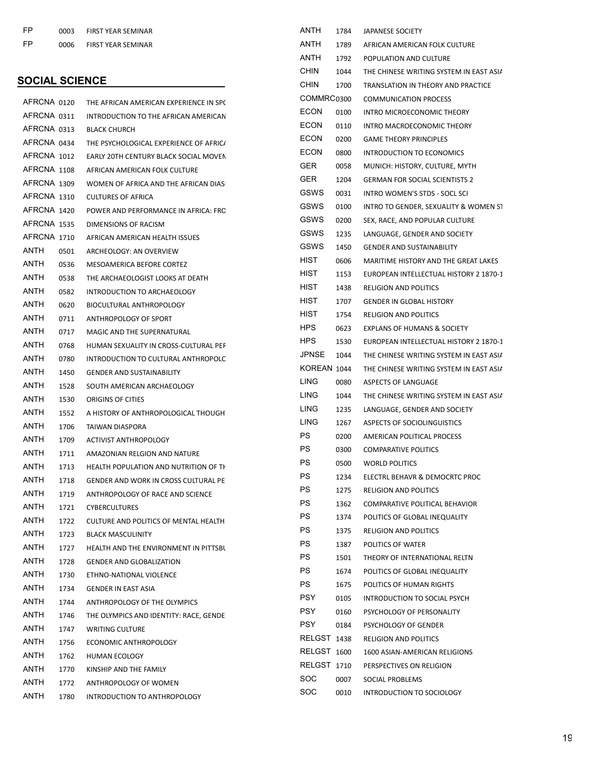| FP. | 0003 | <b>FIRST YEAR SEMINAR</b> |
|-----|------|---------------------------|
| FP  | 0006 | <b>FIRST YEAR SEMINAR</b> |

## **SOCIAL SCIENCE**

| AFRCNA 0120 |      | THE AFRICAN AMERICAN EXPERIENCE IN SP(       | COMMRC <sub>03</sub> |          |
|-------------|------|----------------------------------------------|----------------------|----------|
| AFRCNA 0311 |      | INTRODUCTION TO THE AFRICAN AMERICAN         | <b>ECON</b>          | 01       |
| AFRCNA 0313 |      | <b>BLACK CHURCH</b>                          | <b>ECON</b>          | 01       |
| AFRCNA 0434 |      | THE PSYCHOLOGICAL EXPERIENCE OF AFRIC/       | <b>ECON</b>          | 02       |
| AFRCNA 1012 |      | EARLY 20TH CENTURY BLACK SOCIAL MOVEN        | <b>ECON</b>          | 08       |
| AFRCNA 1108 |      | AFRICAN AMERICAN FOLK CULTURE                | <b>GER</b>           | 00       |
| AFRCNA 1309 |      | WOMEN OF AFRICA AND THE AFRICAN DIAS         | <b>GER</b>           | 12       |
| AFRCNA 1310 |      | <b>CULTURES OF AFRICA</b>                    | GSWS                 | 00       |
| AFRCNA 1420 |      | POWER AND PERFORMANCE IN AFRICA: FRC         | <b>GSWS</b>          | 01       |
| AFRCNA 1535 |      | DIMENSIONS OF RACISM                         | <b>GSWS</b>          | 02       |
| AFRCNA 1710 |      | AFRICAN AMERICAN HEALTH ISSUES               | <b>GSWS</b>          | 12       |
| ANTH        | 0501 | ARCHEOLOGY: AN OVERVIEW                      | <b>GSWS</b>          | 14       |
| ANTH        | 0536 | MESOAMERICA BEFORE CORTEZ                    | HIST                 | 06       |
| ANTH        | 0538 | THE ARCHAEOLOGIST LOOKS AT DEATH             | HIST                 | 11       |
| ANTH        | 0582 | INTRODUCTION TO ARCHAEOLOGY                  | HIST                 | 14       |
| ANTH        | 0620 | BIOCULTURAL ANTHROPOLOGY                     | HIST                 | 17       |
| ANTH        | 0711 | ANTHROPOLOGY OF SPORT                        | HIST                 | 17       |
| ANTH        | 0717 | MAGIC AND THE SUPERNATURAL                   | HPS.                 | 06       |
| ANTH        | 0768 | HUMAN SEXUALITY IN CROSS-CULTURAL PEF        | HPS.                 | 15       |
| ANTH        | 0780 | INTRODUCTION TO CULTURAL ANTHROPOLC          | <b>JPNSE</b>         | 10       |
| ANTH        | 1450 | <b>GENDER AND SUSTAINABILITY</b>             | KOREAN 10            |          |
| ANTH        | 1528 | SOUTH AMERICAN ARCHAEOLOGY                   | <b>LING</b>          | 00       |
| ANTH        | 1530 | ORIGINS OF CITIES                            | <b>LING</b>          | 10       |
| ANTH        | 1552 | A HISTORY OF ANTHROPOLOGICAL THOUGH          | LING                 | 12       |
| ANTH        | 1706 | TAIWAN DIASPORA                              | <b>LING</b>          | 12       |
| ANTH        | 1709 | <b>ACTIVIST ANTHROPOLOGY</b>                 | PS                   | 02       |
| ANTH        | 1711 | AMAZONIAN RELGION AND NATURE                 | PS                   | 03       |
| ANTH        | 1713 | HEALTH POPULATION AND NUTRITION OF TH        | <b>PS</b>            | 05       |
| ANTH        | 1718 | <b>GENDER AND WORK IN CROSS CULTURAL PE</b>  | PS                   | 12       |
| ANTH        | 1719 | ANTHROPOLOGY OF RACE AND SCIENCE             | <b>PS</b>            | 12       |
| ANTH        | 1721 | <b>CYBERCULTURES</b>                         | PS                   | 13       |
| ANTH        | 1722 | <b>CULTURE AND POLITICS OF MENTAL HEALTH</b> | PS                   | 13       |
| ANTH        | 1723 | <b>BLACK MASCULINITY</b>                     | PS                   | 13       |
| ANTH        | 1727 | HEALTH AND THE ENVIRONMENT IN PITTSBL        | PS.                  | 13       |
| ANTH        | 1728 | <b>GENDER AND GLOBALIZATION</b>              | PS                   | 15       |
| ANTH        | 1730 | ETHNO-NATIONAL VIOLENCE                      | PS.                  | 16       |
| ANTH        | 1734 | <b>GENDER IN EAST ASIA</b>                   | PS                   | 16       |
| <b>ANTH</b> | 1744 | ANTHROPOLOGY OF THE OLYMPICS                 | PSY.                 | 01       |
| ANTH        | 1746 | THE OLYMPICS AND IDENTITY: RACE, GENDE       | <b>PSY</b>           | 01       |
| ANTH        | 1747 | <b>WRITING CULTURE</b>                       | <b>PSY</b>           | 01       |
| ANTH        | 1756 | ECONOMIC ANTHROPOLOGY                        | RELGST 14            |          |
| ANTH        | 1762 | <b>HUMAN ECOLOGY</b>                         | RELGST 16            |          |
| ANTH        | 1770 | KINSHIP AND THE FAMILY                       | RELGST 17            |          |
|             |      |                                              |                      |          |
| ANTH        | 1772 | ANTHROPOLOGY OF WOMEN                        | SOC.<br>SOC.         | 00<br>00 |

| ANTH        | 1784 | JAPANESE SOCIETY                        |
|-------------|------|-----------------------------------------|
| ANTH        |      | 1789 AFRICAN AMERICAN FOLK CULTURE      |
| ANTH        | 1792 | POPULATION AND CULTURE                  |
| CHIN        | 1044 | THE CHINESE WRITING SYSTEM IN EAST ASIA |
| CHIN        | 1700 | TRANSLATION IN THEORY AND PRACTICE      |
| COMMRC0300  |      | <b>COMMUNICATION PROCESS</b>            |
| ECON        | 0100 | INTRO MICROECONOMIC THEORY              |
| ECON        | 0110 | <b>INTRO MACROECONOMIC THEORY</b>       |
| ECON        | 0200 | <b>GAME THEORY PRINCIPLES</b>           |
| ECON        | 0800 | INTRODUCTION TO ECONOMICS               |
| GER         | 0058 | MUNICH: HISTORY, CULTURE, MYTH          |
| GER.        | 1204 | <b>GERMAN FOR SOCIAL SCIENTISTS 2</b>   |
| <b>GSWS</b> | 0031 | INTRO WOMEN'S STDS - SOCL SCI           |
| GSWS        | 0100 | INTRO TO GENDER, SEXUALITY & WOMEN ST   |
| <b>GSWS</b> | 0200 | SEX, RACE, AND POPULAR CULTURE          |
| GSWS        | 1235 | LANGUAGE, GENDER AND SOCIETY            |
| <b>GSWS</b> | 1450 | <b>GENDER AND SUSTAINABILITY</b>        |
| HIST        | 0606 | MARITIME HISTORY AND THE GREAT LAKES    |
| HIST        | 1153 | EUROPEAN INTELLECTUAL HISTORY 2 1870-1  |
| HIST        | 1438 | <b>RELIGION AND POLITICS</b>            |
| HIST        | 1707 | <b>GENDER IN GLOBAL HISTORY</b>         |
| HIST        | 1754 | <b>RELIGION AND POLITICS</b>            |
| HPS.        | 0623 | <b>EXPLANS OF HUMANS &amp; SOCIETY</b>  |
| HPS.        | 1530 | EUROPEAN INTELLECTUAL HISTORY 2 1870-1  |
| JPNSE       |      | THE CHINESE WRITING SYSTEM IN EAST ASIA |
| KOREAN 1044 | 1044 |                                         |
|             |      | THE CHINESE WRITING SYSTEM IN EAST ASIA |
| LING.       | 0080 | ASPECTS OF LANGUAGE                     |
| LING.       | 1044 | THE CHINESE WRITING SYSTEM IN EAST ASIA |
| LING        |      | LANGUAGE, GENDER AND SOCIETY            |
|             | 1235 |                                         |
| LING        | 1267 | ASPECTS OF SOCIOLINGUISTICS             |
| PS          | 0200 | AMERICAN POLITICAL PROCESS              |
| PS          | 0300 | <b>COMPARATIVE POLITICS</b>             |
| PS          | 0500 | <b>WORLD POLITICS</b>                   |
| PS          | 1234 | ELECTRL BEHAVR & DEMOCRTC PROC          |
| PS          | 1275 | <b>RELIGION AND POLITICS</b>            |
| PS.         | 1362 | COMPARATIVE POLITICAL BEHAVIOR          |
| PS          | 1374 | POLITICS OF GLOBAL INEQUALITY           |
| PS          | 1375 | <b>RELIGION AND POLITICS</b>            |
| <b>PS</b>   | 1387 | POLITICS OF WATER                       |
| PS          | 1501 | THEORY OF INTERNATIONAL RELTN           |
| PS          | 1674 | POLITICS OF GLOBAL INEQUALITY           |
| PS          | 1675 | POLITICS OF HUMAN RIGHTS                |
| PSY         | 0105 | <b>INTRODUCTION TO SOCIAL PSYCH</b>     |
| PSY         | 0160 | PSYCHOLOGY OF PERSONALITY               |
| PSY         | 0184 | PSYCHOLOGY OF GENDER                    |
| RELGST 1438 |      | <b>RELIGION AND POLITICS</b>            |
| RELGST 1600 |      | 1600 ASIAN-AMERICAN RELIGIONS           |
| RELGST      | 1710 | PERSPECTIVES ON RELIGION                |
| SOC         | 0007 | SOCIAL PROBLEMS                         |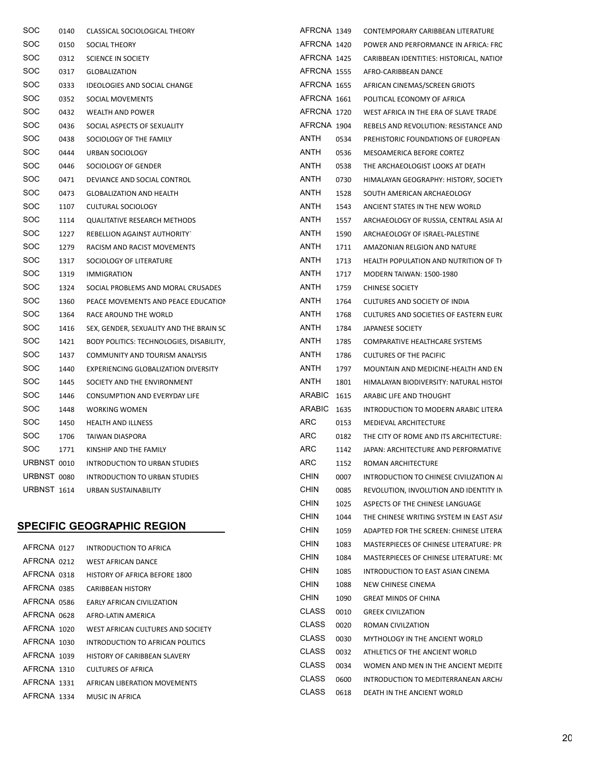| SOC         | 0140 | CLASSICAL SOCIOLOGICAL THEORY            | AFRCNA 1349  |      | CONTEMPORARY CARIBBEAN LITERATURE        |
|-------------|------|------------------------------------------|--------------|------|------------------------------------------|
| <b>SOC</b>  | 0150 | SOCIAL THEORY                            | AFRCNA 1420  |      | POWER AND PERFORMANCE IN AFRICA: FRC     |
| <b>SOC</b>  | 0312 | SCIENCE IN SOCIETY                       | AFRCNA 1425  |      | CARIBBEAN IDENTITIES: HISTORICAL, NATION |
| <b>SOC</b>  | 0317 | <b>GLOBALIZATION</b>                     | AFRCNA 1555  |      | AFRO-CARIBBEAN DANCE                     |
| <b>SOC</b>  | 0333 | IDEOLOGIES AND SOCIAL CHANGE             | AFRCNA 1655  |      | AFRICAN CINEMAS/SCREEN GRIOTS            |
| <b>SOC</b>  | 0352 | SOCIAL MOVEMENTS                         | AFRCNA 1661  |      | POLITICAL ECONOMY OF AFRICA              |
| <b>SOC</b>  | 0432 | WEALTH AND POWER                         | AFRCNA 1720  |      | WEST AFRICA IN THE ERA OF SLAVE TRADE    |
| <b>SOC</b>  | 0436 | SOCIAL ASPECTS OF SEXUALITY              | AFRCNA 1904  |      | REBELS AND REVOLUTION: RESISTANCE AND    |
| <b>SOC</b>  | 0438 | SOCIOLOGY OF THE FAMILY                  | ANTH         | 0534 | PREHISTORIC FOUNDATIONS OF EUROPEAN      |
| <b>SOC</b>  | 0444 | URBAN SOCIOLOGY                          | <b>ANTH</b>  | 0536 | MESOAMERICA BEFORE CORTEZ                |
| SOC         | 0446 | SOCIOLOGY OF GENDER                      | <b>ANTH</b>  | 0538 | THE ARCHAEOLOGIST LOOKS AT DEATH         |
| <b>SOC</b>  | 0471 | DEVIANCE AND SOCIAL CONTROL              | ANTH         | 0730 | HIMALAYAN GEOGRAPHY: HISTORY, SOCIETY    |
| <b>SOC</b>  | 0473 | <b>GLOBALIZATION AND HEALTH</b>          | ANTH         | 1528 | SOUTH AMERICAN ARCHAEOLOGY               |
| <b>SOC</b>  | 1107 | CULTURAL SOCIOLOGY                       | <b>ANTH</b>  | 1543 | ANCIENT STATES IN THE NEW WORLD          |
| <b>SOC</b>  | 1114 | <b>QUALITATIVE RESEARCH METHODS</b>      | ANTH         | 1557 | ARCHAEOLOGY OF RUSSIA, CENTRAL ASIA AI   |
| <b>SOC</b>  | 1227 | REBELLION AGAINST AUTHORITY              | ANTH         | 1590 | ARCHAEOLOGY OF ISRAEL-PALESTINE          |
| SOC         | 1279 | RACISM AND RACIST MOVEMENTS              | <b>ANTH</b>  | 1711 | AMAZONIAN RELGION AND NATURE             |
| <b>SOC</b>  | 1317 | SOCIOLOGY OF LITERATURE                  | ANTH         | 1713 | HEALTH POPULATION AND NUTRITION OF TH    |
| <b>SOC</b>  | 1319 | <b>IMMIGRATION</b>                       | <b>ANTH</b>  | 1717 | <b>MODERN TAIWAN: 1500-1980</b>          |
| <b>SOC</b>  | 1324 | SOCIAL PROBLEMS AND MORAL CRUSADES       | <b>ANTH</b>  | 1759 | <b>CHINESE SOCIETY</b>                   |
| <b>SOC</b>  | 1360 | PEACE MOVEMENTS AND PEACE EDUCATION      | <b>ANTH</b>  | 1764 | CULTURES AND SOCIETY OF INDIA            |
| <b>SOC</b>  | 1364 | RACE AROUND THE WORLD                    | ANTH         | 1768 | CULTURES AND SOCIETIES OF EASTERN EURO   |
| <b>SOC</b>  | 1416 | SEX, GENDER, SEXUALITY AND THE BRAIN SC  | ANTH         | 1784 | JAPANESE SOCIETY                         |
| <b>SOC</b>  | 1421 | BODY POLITICS: TECHNOLOGIES, DISABILITY, | <b>ANTH</b>  | 1785 | COMPARATIVE HEALTHCARE SYSTEMS           |
| <b>SOC</b>  | 1437 | COMMUNITY AND TOURISM ANALYSIS           | ANTH         | 1786 | CULTURES OF THE PACIFIC                  |
| <b>SOC</b>  | 1440 | EXPERIENCING GLOBALIZATION DIVERSITY     | ANTH         | 1797 | MOUNTAIN AND MEDICINE-HEALTH AND EN      |
| <b>SOC</b>  | 1445 | SOCIETY AND THE ENVIRONMENT              | <b>ANTH</b>  | 1801 | HIMALAYAN BIODIVERSITY: NATURAL HISTOI   |
| <b>SOC</b>  | 1446 | CONSUMPTION AND EVERYDAY LIFE            | ARABIC 1615  |      | ARABIC LIFE AND THOUGHT                  |
| SOC         | 1448 | <b>WORKING WOMEN</b>                     | ARABIC 1635  |      | INTRODUCTION TO MODERN ARABIC LITERA     |
| <b>SOC</b>  | 1450 | <b>HEALTH AND ILLNESS</b>                | <b>ARC</b>   | 0153 | MEDIEVAL ARCHITECTURE                    |
| <b>SOC</b>  | 1706 | <b>TAIWAN DIASPORA</b>                   | ARC          | 0182 | THE CITY OF ROME AND ITS ARCHITECTURE:   |
| SOC         | 1771 | KINSHIP AND THE FAMILY                   | <b>ARC</b>   | 1142 | JAPAN: ARCHITECTURE AND PERFORMATIVE     |
| URBNST 0010 |      | <b>INTRODUCTION TO URBAN STUDIES</b>     | ARC          | 1152 | ROMAN ARCHITECTURE                       |
| URBNST 0080 |      | INTRODUCTION TO URBAN STUDIES            | <b>CHIN</b>  | 0007 | INTRODUCTION TO CHINESE CIVILIZATION AI  |
| URBNST 1614 |      | URBAN SUSTAINABILITY                     | <b>CHIN</b>  | 0085 | REVOLUTION, INVOLUTION AND IDENTITY IN   |
|             |      |                                          | <b>CHIN</b>  | 1025 | ASPECTS OF THE CHINESE LANGUAGE          |
|             |      |                                          | <b>CHIN</b>  | 1044 | THE CHINESE WRITING SYSTEM IN EAST ASIA  |
|             |      | <b>SPECIFIC GEOGRAPHIC REGION</b>        | <b>CHIN</b>  | 1059 | ADAPTED FOR THE SCREEN: CHINESE LITERA   |
| AFRCNA 0127 |      | INTRODUCTION TO AFRICA                   | <b>CHIN</b>  | 1083 | MASTERPIECES OF CHINESE LITERATURE: PR   |
| AFRCNA 0212 |      | WEST AFRICAN DANCE                       | <b>CHIN</b>  | 1084 | MASTERPIECES OF CHINESE LITERATURE: MC   |
| AFRCNA 0318 |      | HISTORY OF AFRICA BEFORE 1800            | <b>CHIN</b>  | 1085 | INTRODUCTION TO EAST ASIAN CINEMA        |
| AFRCNA 0385 |      | <b>CARIBBEAN HISTORY</b>                 | <b>CHIN</b>  | 1088 | NEW CHINESE CINEMA                       |
| AFRCNA 0586 |      | EARLY AFRICAN CIVILIZATION               | <b>CHIN</b>  | 1090 | <b>GREAT MINDS OF CHINA</b>              |
| AFRCNA 0628 |      | AFRO-LATIN AMERICA                       | <b>CLASS</b> | 0010 | <b>GREEK CIVILZATION</b>                 |
| AFRCNA 1020 |      | WEST AFRICAN CULTURES AND SOCIETY        | <b>CLASS</b> | 0020 | ROMAN CIVILZATION                        |
| AFRCNA 1030 |      | INTRODUCTION TO AFRICAN POLITICS         | <b>CLASS</b> | 0030 | MYTHOLOGY IN THE ANCIENT WORLD           |
| AFRCNA 1039 |      | HISTORY OF CARIBBEAN SLAVERY             | <b>CLASS</b> | 0032 | ATHLETICS OF THE ANCIENT WORLD           |

AFRCNA 1310 CULTURES OF AFRICA

AFRCNA 1334 MUSIC IN AFRICA

AFRCNA 1331 AFRICAN LIBERATION MOVEMENTS

CLASS 0034 WOMEN AND MEN IN THE ANCIENT MEDITE CLASS 0600 INTRODUCTION TO MEDITERRANEAN ARCH/ CLASS 0618 DEATH IN THE ANCIENT WORLD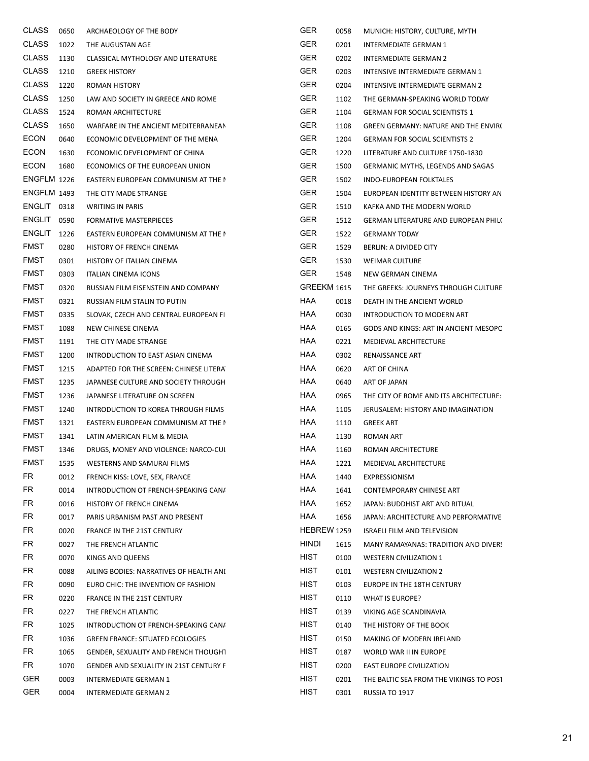| <b>CLASS</b> | 0650 | ARCHAEOLOGY OF THE BODY                     | <b>GER</b>          | 0058 | MUNICH: HISTORY, CULTURE, MYTH           |
|--------------|------|---------------------------------------------|---------------------|------|------------------------------------------|
| <b>CLASS</b> | 1022 | THE AUGUSTAN AGE                            | <b>GER</b>          | 0201 | INTERMEDIATE GERMAN 1                    |
| <b>CLASS</b> | 1130 | CLASSICAL MYTHOLOGY AND LITERATURE          | <b>GER</b>          | 0202 | INTERMEDIATE GERMAN 2                    |
| <b>CLASS</b> | 1210 | <b>GREEK HISTORY</b>                        | <b>GER</b>          | 0203 | INTENSIVE INTERMEDIATE GERMAN 1          |
| <b>CLASS</b> | 1220 | <b>ROMAN HISTORY</b>                        | <b>GER</b>          | 0204 | INTENSIVE INTERMEDIATE GERMAN 2          |
| CLASS        | 1250 | LAW AND SOCIETY IN GREECE AND ROME          | <b>GER</b>          | 1102 | THE GERMAN-SPEAKING WORLD TODAY          |
| <b>CLASS</b> | 1524 | ROMAN ARCHITECTURE                          | <b>GER</b>          | 1104 | <b>GERMAN FOR SOCIAL SCIENTISTS 1</b>    |
| <b>CLASS</b> | 1650 | WARFARE IN THE ANCIENT MEDITERRANEAN        | <b>GER</b>          | 1108 | GREEN GERMANY: NATURE AND THE ENVIRO     |
| <b>ECON</b>  | 0640 | ECONOMIC DEVELOPMENT OF THE MENA            | <b>GER</b>          | 1204 | <b>GERMAN FOR SOCIAL SCIENTISTS 2</b>    |
| <b>ECON</b>  | 1630 | ECONOMIC DEVELOPMENT OF CHINA               | <b>GER</b>          | 1220 | LITERATURE AND CULTURE 1750-1830         |
| <b>ECON</b>  | 1680 | ECONOMICS OF THE EUROPEAN UNION             | <b>GER</b>          | 1500 | <b>GERMANIC MYTHS, LEGENDS AND SAGAS</b> |
| ENGFLM 1226  |      | EASTERN EUROPEAN COMMUNISM AT THE I         | <b>GER</b>          | 1502 | INDO-EUROPEAN FOLKTALES                  |
| ENGFLM 1493  |      | THE CITY MADE STRANGE                       | <b>GER</b>          | 1504 | EUROPEAN IDENTITY BETWEEN HISTORY AN     |
| ENGLIT 0318  |      | <b>WRITING IN PARIS</b>                     | <b>GER</b>          | 1510 | KAFKA AND THE MODERN WORLD               |
| ENGLIT       | 0590 | <b>FORMATIVE MASTERPIECES</b>               | <b>GER</b>          | 1512 | GERMAN LITERATURE AND EUROPEAN PHIL(     |
| ENGLIT       | 1226 | EASTERN EUROPEAN COMMUNISM AT THE I         | <b>GER</b>          | 1522 | <b>GERMANY TODAY</b>                     |
| <b>FMST</b>  | 0280 | HISTORY OF FRENCH CINEMA                    | <b>GER</b>          | 1529 | <b>BERLIN: A DIVIDED CITY</b>            |
| <b>FMST</b>  | 0301 | HISTORY OF ITALIAN CINEMA                   | <b>GER</b>          | 1530 | <b>WEIMAR CULTURE</b>                    |
| <b>FMST</b>  | 0303 | ITALIAN CINEMA ICONS                        | <b>GER</b>          | 1548 | NEW GERMAN CINEMA                        |
| <b>FMST</b>  | 0320 | RUSSIAN FILM EISENSTEIN AND COMPANY         | GREEKM 1615         |      | THE GREEKS: JOURNEYS THROUGH CULTURE     |
| <b>FMST</b>  | 0321 | RUSSIAN FILM STALIN TO PUTIN                | HAA                 | 0018 | DEATH IN THE ANCIENT WORLD               |
| <b>FMST</b>  | 0335 | SLOVAK, CZECH AND CENTRAL EUROPEAN FI       | HAA                 | 0030 | INTRODUCTION TO MODERN ART               |
| <b>FMST</b>  | 1088 | NEW CHINESE CINEMA                          | HAA                 | 0165 | GODS AND KINGS: ART IN ANCIENT MESOPO    |
| <b>FMST</b>  | 1191 | THE CITY MADE STRANGE                       | HAA                 | 0221 | MEDIEVAL ARCHITECTURE                    |
| <b>FMST</b>  | 1200 | INTRODUCTION TO EAST ASIAN CINEMA           | HAA                 | 0302 | RENAISSANCE ART                          |
| <b>FMST</b>  | 1215 | ADAPTED FOR THE SCREEN: CHINESE LITERA      | HAA                 | 0620 | ART OF CHINA                             |
| <b>FMST</b>  | 1235 | JAPANESE CULTURE AND SOCIETY THROUGH        | HAA                 | 0640 | ART OF JAPAN                             |
| FMST         | 1236 | JAPANESE LITERATURE ON SCREEN               | HAA                 | 0965 | THE CITY OF ROME AND ITS ARCHITECTURE:   |
| <b>FMST</b>  | 1240 | INTRODUCTION TO KOREA THROUGH FILMS         | HAA                 | 1105 | JERUSALEM: HISTORY AND IMAGINATION       |
| <b>FMST</b>  | 1321 | EASTERN EUROPEAN COMMUNISM AT THE I         | HAA                 | 1110 | <b>GREEK ART</b>                         |
| <b>FMST</b>  | 1341 | LATIN AMERICAN FILM & MEDIA                 | HAA                 | 1130 | <b>ROMAN ART</b>                         |
| <b>FMST</b>  | 1346 | DRUGS, MONEY AND VIOLENCE: NARCO-CUI        | <b>HAA</b>          | 1160 | ROMAN ARCHITECTURE                       |
| FMST         | 1535 | WESTERNS AND SAMURAI FILMS                  | HAA                 | 1221 | MEDIEVAL ARCHITECTURE                    |
| FR           | 0012 | FRENCH KISS: LOVE, SEX, FRANCE              | HAA                 | 1440 | EXPRESSIONISM                            |
| FR           | 0014 | INTRODUCTION OT FRENCH-SPEAKING CAN/        | HAA                 | 1641 | CONTEMPORARY CHINESE ART                 |
| FR           | 0016 | HISTORY OF FRENCH CINEMA                    | HAA                 | 1652 | JAPAN: BUDDHIST ART AND RITUAL           |
| FR           | 0017 | PARIS URBANISM PAST AND PRESENT             | HAA                 | 1656 | JAPAN: ARCHITECTURE AND PERFORMATIVE     |
| FR           | 0020 | FRANCE IN THE 21ST CENTURY                  | HEBREW 1259         |      | <b>ISRAELI FILM AND TELEVISION</b>       |
| FR           | 0027 | THE FRENCH ATLANTIC                         | <b>HINDI</b>        | 1615 | MANY RAMAYANAS: TRADITION AND DIVERS     |
| FR           | 0070 | KINGS AND QUEENS                            | <b>HIST</b>         | 0100 | <b>WESTERN CIVILIZATION 1</b>            |
| FR           | 0088 | AILING BODIES: NARRATIVES OF HEALTH ANI     | HIST                | 0101 | <b>WESTERN CIVILIZATION 2</b>            |
| FR           | 0090 | EURO CHIC: THE INVENTION OF FASHION         | HIST                | 0103 | EUROPE IN THE 18TH CENTURY               |
| FR           | 0220 | FRANCE IN THE 21ST CENTURY                  | <b>HIST</b>         | 0110 | WHAT IS EUROPE?                          |
| FR           | 0227 | THE FRENCH ATLANTIC                         | HIST                | 0139 | VIKING AGE SCANDINAVIA                   |
| FR           |      |                                             | HIST                |      |                                          |
| FR           | 1025 | INTRODUCTION OT FRENCH-SPEAKING CAN/        | <b>HIST</b>         | 0140 | THE HISTORY OF THE BOOK                  |
| FR           | 1036 | <b>GREEN FRANCE: SITUATED ECOLOGIES</b>     | HIST                | 0150 | MAKING OF MODERN IRELAND                 |
| FR           | 1065 | <b>GENDER, SEXUALITY AND FRENCH THOUGHT</b> |                     | 0187 | WORLD WAR II IN EUROPE                   |
| <b>GER</b>   | 1070 | GENDER AND SEXUALITY IN 21ST CENTURY F      | HIST<br><b>HIST</b> | 0200 | EAST EUROPE CIVILIZATION                 |
|              | 0003 | INTERMEDIATE GERMAN 1                       |                     | 0201 | THE BALTIC SEA FROM THE VIKINGS TO POST  |
| GER.         | 0004 | INTERMEDIATE GERMAN 2                       | HIST                | 0301 | RUSSIA TO 1917                           |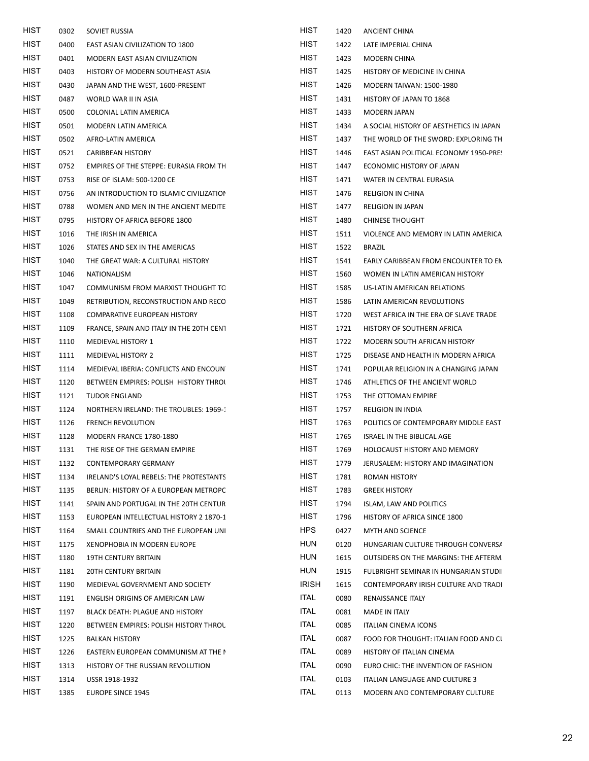| HIST        | 0302 | SOVIET RUSSIA                            | HIST         | 1420 | ANCIENT CHINA                           |
|-------------|------|------------------------------------------|--------------|------|-----------------------------------------|
| <b>HIST</b> | 0400 | EAST ASIAN CIVILIZATION TO 1800          | <b>HIST</b>  | 1422 | LATE IMPERIAL CHINA                     |
| <b>HIST</b> | 0401 | MODERN EAST ASIAN CIVILIZATION           | HIST         | 1423 | MODERN CHINA                            |
| <b>HIST</b> | 0403 | HISTORY OF MODERN SOUTHEAST ASIA         | HIST         | 1425 | HISTORY OF MEDICINE IN CHINA            |
| <b>HIST</b> | 0430 | JAPAN AND THE WEST, 1600-PRESENT         | <b>HIST</b>  | 1426 | <b>MODERN TAIWAN: 1500-1980</b>         |
| <b>HIST</b> | 0487 | WORLD WAR II IN ASIA                     | <b>HIST</b>  | 1431 | HISTORY OF JAPAN TO 1868                |
| <b>HIST</b> | 0500 | COLONIAL LATIN AMERICA                   | HIST         | 1433 | MODERN JAPAN                            |
| <b>HIST</b> | 0501 | MODERN LATIN AMERICA                     | <b>HIST</b>  | 1434 | A SOCIAL HISTORY OF AESTHETICS IN JAPAN |
| <b>HIST</b> | 0502 | AFRO-LATIN AMERICA                       | HIST         | 1437 | THE WORLD OF THE SWORD: EXPLORING TH    |
| HIST        | 0521 | <b>CARIBBEAN HISTORY</b>                 | HIST         | 1446 | EAST ASIAN POLITICAL ECONOMY 1950-PRES  |
| <b>HIST</b> | 0752 | EMPIRES OF THE STEPPE: EURASIA FROM TH   | HIST         | 1447 | ECONOMIC HISTORY OF JAPAN               |
| <b>HIST</b> | 0753 | RISE OF ISLAM: 500-1200 CE               | HIST         | 1471 | WATER IN CENTRAL EURASIA                |
| <b>HIST</b> | 0756 | AN INTRODUCTION TO ISLAMIC CIVILIZATION  | HIST         | 1476 | <b>RELIGION IN CHINA</b>                |
| <b>HIST</b> | 0788 | WOMEN AND MEN IN THE ANCIENT MEDITE      | HIST         | 1477 | <b>RELIGION IN JAPAN</b>                |
| HIST        | 0795 | HISTORY OF AFRICA BEFORE 1800            | HIST         | 1480 | <b>CHINESE THOUGHT</b>                  |
| <b>HIST</b> | 1016 | THE IRISH IN AMERICA                     | HIST         | 1511 | VIOLENCE AND MEMORY IN LATIN AMERICA    |
| <b>HIST</b> | 1026 | STATES AND SEX IN THE AMERICAS           | <b>HIST</b>  | 1522 | BRAZIL                                  |
| <b>HIST</b> | 1040 | THE GREAT WAR: A CULTURAL HISTORY        | HIST         | 1541 | EARLY CARIBBEAN FROM ENCOUNTER TO EN    |
| <b>HIST</b> | 1046 | NATIONALISM                              | HIST         | 1560 | WOMEN IN LATIN AMERICAN HISTORY         |
| <b>HIST</b> | 1047 | COMMUNISM FROM MARXIST THOUGHT TC        | HIST         | 1585 | US-LATIN AMERICAN RELATIONS             |
| HIST        | 1049 | RETRIBUTION, RECONSTRUCTION AND RECO     | HIST         | 1586 | LATIN AMERICAN REVOLUTIONS              |
| <b>HIST</b> | 1108 | COMPARATIVE EUROPEAN HISTORY             | HIST         | 1720 | WEST AFRICA IN THE ERA OF SLAVE TRADE   |
| <b>HIST</b> | 1109 | FRANCE, SPAIN AND ITALY IN THE 20TH CENT | HIST         | 1721 | HISTORY OF SOUTHERN AFRICA              |
| <b>HIST</b> | 1110 | MEDIEVAL HISTORY 1                       | HIST         | 1722 | MODERN SOUTH AFRICAN HISTORY            |
| <b>HIST</b> | 1111 | MEDIEVAL HISTORY 2                       | HIST         | 1725 | DISEASE AND HEALTH IN MODERN AFRICA     |
| <b>HIST</b> | 1114 | MEDIEVAL IBERIA: CONFLICTS AND ENCOUN    | HIST         | 1741 | POPULAR RELIGION IN A CHANGING JAPAN    |
| <b>HIST</b> | 1120 | BETWEEN EMPIRES: POLISH HISTORY THROL    | HIST         | 1746 | ATHLETICS OF THE ANCIENT WORLD          |
| <b>HIST</b> | 1121 | <b>TUDOR ENGLAND</b>                     | HIST         | 1753 | THE OTTOMAN EMPIRE                      |
| <b>HIST</b> | 1124 | NORTHERN IRELAND: THE TROUBLES: 1969-1   | HIST         | 1757 | <b>RELIGION IN INDIA</b>                |
| <b>HIST</b> | 1126 | <b>FRENCH REVOLUTION</b>                 | HIST         | 1763 | POLITICS OF CONTEMPORARY MIDDLE EAST    |
| <b>HIST</b> | 1128 | MODERN FRANCE 1780-1880                  | HIST         | 1765 | ISRAEL IN THE BIBLICAL AGE              |
| <b>HIST</b> | 1131 | THE RISE OF THE GERMAN EMPIRE            | HIST         | 1769 | HOLOCAUST HISTORY AND MEMORY            |
| <b>HIST</b> | 1132 | CONTEMPORARY GERMANY                     | <b>HIST</b>  | 1779 | JERUSALEM: HISTORY AND IMAGINATION      |
| <b>HIST</b> | 1134 | IRELAND'S LOYAL REBELS: THE PROTESTANTS  | HIST         | 1781 | ROMAN HISTORY                           |
| <b>HIST</b> | 1135 | BERLIN: HISTORY OF A EUROPEAN METROPC    | HIST         | 1783 | <b>GREEK HISTORY</b>                    |
| HIST        | 1141 | SPAIN AND PORTUGAL IN THE 20TH CENTUR    | HIST         | 1794 | ISLAM, LAW AND POLITICS                 |
| HIST        | 1153 | EUROPEAN INTELLECTUAL HISTORY 2 1870-1   | HIST         | 1796 | HISTORY OF AFRICA SINCE 1800            |
| <b>HIST</b> | 1164 | SMALL COUNTRIES AND THE EUROPEAN UNI     | <b>HPS</b>   | 0427 | MYTH AND SCIENCE                        |
| HIST        | 1175 | XENOPHOBIA IN MODERN EUROPE              | <b>HUN</b>   | 0120 | HUNGARIAN CULTURE THROUGH CONVERSA      |
| <b>HIST</b> | 1180 | 19TH CENTURY BRITAIN                     | <b>HUN</b>   | 1615 | OUTSIDERS ON THE MARGINS: THE AFTERM.   |
| <b>HIST</b> | 1181 | 20TH CENTURY BRITAIN                     | <b>HUN</b>   | 1915 | FULBRIGHT SEMINAR IN HUNGARIAN STUDII   |
| HIST        | 1190 | MEDIEVAL GOVERNMENT AND SOCIETY          | <b>IRISH</b> | 1615 | CONTEMPORARY IRISH CULTURE AND TRADI    |
| <b>HIST</b> | 1191 | ENGLISH ORIGINS OF AMERICAN LAW          | <b>ITAL</b>  | 0080 | RENAISSANCE ITALY                       |
| <b>HIST</b> | 1197 | BLACK DEATH: PLAGUE AND HISTORY          | <b>ITAL</b>  | 0081 | MADE IN ITALY                           |
| HIST        | 1220 | BETWEEN EMPIRES: POLISH HISTORY THROL    | <b>ITAL</b>  | 0085 | <b>ITALIAN CINEMA ICONS</b>             |
| <b>HIST</b> | 1225 | <b>BALKAN HISTORY</b>                    | <b>ITAL</b>  | 0087 | FOOD FOR THOUGHT: ITALIAN FOOD AND CL   |
| <b>HIST</b> | 1226 | EASTERN EUROPEAN COMMUNISM AT THE I      | <b>ITAL</b>  | 0089 | HISTORY OF ITALIAN CINEMA               |
| HIST        | 1313 | HISTORY OF THE RUSSIAN REVOLUTION        | <b>ITAL</b>  | 0090 | EURO CHIC: THE INVENTION OF FASHION     |
| <b>HIST</b> | 1314 | USSR 1918-1932                           | <b>ITAL</b>  | 0103 | ITALIAN LANGUAGE AND CULTURE 3          |
| HIST        | 1385 | <b>EUROPE SINCE 1945</b>                 | <b>ITAL</b>  | 0113 | MODERN AND CONTEMPORARY CULTURE         |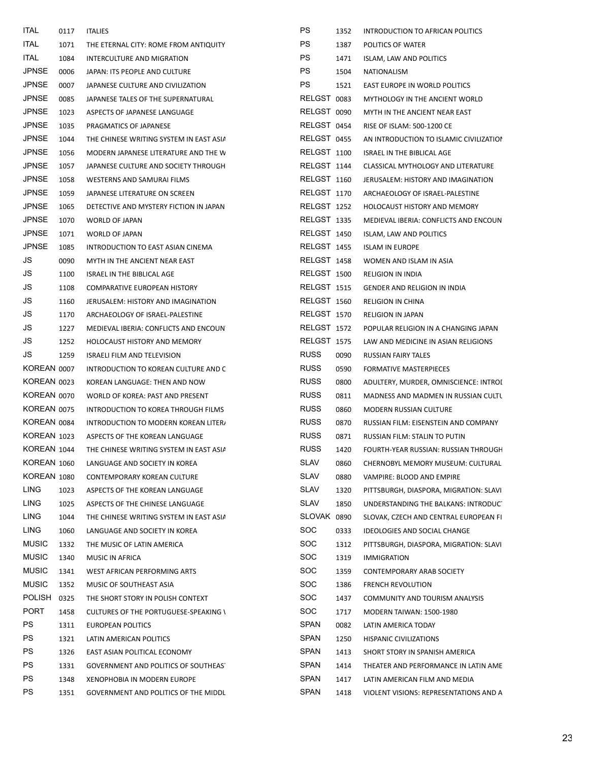| 0117 |                                                                                                                                            | <b>PS</b>                                                                                                                                                                                                                                                                                      | 1352 | INTRODUCTION TO AFRICAN POLITICS                                                                                                                                                                                                                                                                                       |
|------|--------------------------------------------------------------------------------------------------------------------------------------------|------------------------------------------------------------------------------------------------------------------------------------------------------------------------------------------------------------------------------------------------------------------------------------------------|------|------------------------------------------------------------------------------------------------------------------------------------------------------------------------------------------------------------------------------------------------------------------------------------------------------------------------|
| 1071 |                                                                                                                                            | <b>PS</b>                                                                                                                                                                                                                                                                                      | 1387 | POLITICS OF WATER                                                                                                                                                                                                                                                                                                      |
| 1084 | INTERCULTURE AND MIGRATION                                                                                                                 | <b>PS</b>                                                                                                                                                                                                                                                                                      | 1471 | ISLAM, LAW AND POLITICS                                                                                                                                                                                                                                                                                                |
| 0006 |                                                                                                                                            | <b>PS</b>                                                                                                                                                                                                                                                                                      | 1504 | NATIONALISM                                                                                                                                                                                                                                                                                                            |
| 0007 | JAPANESE CULTURE AND CIVILIZATION                                                                                                          | <b>PS</b>                                                                                                                                                                                                                                                                                      | 1521 | EAST EUROPE IN WORLD POLITICS                                                                                                                                                                                                                                                                                          |
| 0085 | JAPANESE TALES OF THE SUPERNATURAL                                                                                                         |                                                                                                                                                                                                                                                                                                |      | MYTHOLOGY IN THE ANCIENT WORLD                                                                                                                                                                                                                                                                                         |
| 1023 | ASPECTS OF JAPANESE LANGUAGE                                                                                                               |                                                                                                                                                                                                                                                                                                |      | MYTH IN THE ANCIENT NEAR EAST                                                                                                                                                                                                                                                                                          |
| 1035 | PRAGMATICS OF JAPANESE                                                                                                                     |                                                                                                                                                                                                                                                                                                |      | RISE OF ISLAM: 500-1200 CE                                                                                                                                                                                                                                                                                             |
| 1044 | THE CHINESE WRITING SYSTEM IN EAST ASIA                                                                                                    |                                                                                                                                                                                                                                                                                                |      | AN INTRODUCTION TO ISLAMIC CIVILIZATION                                                                                                                                                                                                                                                                                |
| 1056 | MODERN JAPANESE LITERATURE AND THE W                                                                                                       |                                                                                                                                                                                                                                                                                                |      | ISRAEL IN THE BIBLICAL AGE                                                                                                                                                                                                                                                                                             |
| 1057 | JAPANESE CULTURE AND SOCIETY THROUGH                                                                                                       |                                                                                                                                                                                                                                                                                                |      | CLASSICAL MYTHOLOGY AND LITERATURE                                                                                                                                                                                                                                                                                     |
| 1058 | WESTERNS AND SAMURAI FILMS                                                                                                                 |                                                                                                                                                                                                                                                                                                |      | JERUSALEM: HISTORY AND IMAGINATION                                                                                                                                                                                                                                                                                     |
| 1059 |                                                                                                                                            |                                                                                                                                                                                                                                                                                                |      | ARCHAEOLOGY OF ISRAEL-PALESTINE                                                                                                                                                                                                                                                                                        |
| 1065 | DETECTIVE AND MYSTERY FICTION IN JAPAN                                                                                                     |                                                                                                                                                                                                                                                                                                |      | HOLOCAUST HISTORY AND MEMORY                                                                                                                                                                                                                                                                                           |
| 1070 | WORLD OF JAPAN                                                                                                                             |                                                                                                                                                                                                                                                                                                |      | MEDIEVAL IBERIA: CONFLICTS AND ENCOUN                                                                                                                                                                                                                                                                                  |
| 1071 |                                                                                                                                            |                                                                                                                                                                                                                                                                                                |      | ISLAM, LAW AND POLITICS                                                                                                                                                                                                                                                                                                |
| 1085 | INTRODUCTION TO EAST ASIAN CINEMA                                                                                                          |                                                                                                                                                                                                                                                                                                |      | <b>ISLAM IN EUROPE</b>                                                                                                                                                                                                                                                                                                 |
| 0090 | MYTH IN THE ANCIENT NEAR EAST                                                                                                              |                                                                                                                                                                                                                                                                                                |      | WOMEN AND ISLAM IN ASIA                                                                                                                                                                                                                                                                                                |
| 1100 | ISRAEL IN THE BIBLICAL AGE                                                                                                                 |                                                                                                                                                                                                                                                                                                |      | <b>RELIGION IN INDIA</b>                                                                                                                                                                                                                                                                                               |
| 1108 | <b>COMPARATIVE EUROPEAN HISTORY</b>                                                                                                        |                                                                                                                                                                                                                                                                                                |      | GENDER AND RELIGION IN INDIA                                                                                                                                                                                                                                                                                           |
| 1160 |                                                                                                                                            |                                                                                                                                                                                                                                                                                                |      | <b>RELIGION IN CHINA</b>                                                                                                                                                                                                                                                                                               |
| 1170 |                                                                                                                                            |                                                                                                                                                                                                                                                                                                |      | <b>RELIGION IN JAPAN</b>                                                                                                                                                                                                                                                                                               |
| 1227 | MEDIEVAL IBERIA: CONFLICTS AND ENCOUN                                                                                                      |                                                                                                                                                                                                                                                                                                |      | POPULAR RELIGION IN A CHANGING JAPAN                                                                                                                                                                                                                                                                                   |
| 1252 | HOLOCAUST HISTORY AND MEMORY                                                                                                               |                                                                                                                                                                                                                                                                                                |      | LAW AND MEDICINE IN ASIAN RELIGIONS                                                                                                                                                                                                                                                                                    |
| 1259 | <b>ISRAELI FILM AND TELEVISION</b>                                                                                                         | <b>RUSS</b>                                                                                                                                                                                                                                                                                    | 0090 | RUSSIAN FAIRY TALES                                                                                                                                                                                                                                                                                                    |
|      | INTRODUCTION TO KOREAN CULTURE AND C                                                                                                       | <b>RUSS</b>                                                                                                                                                                                                                                                                                    | 0590 | FORMATIVE MASTERPIECES                                                                                                                                                                                                                                                                                                 |
|      | KOREAN LANGUAGE: THEN AND NOW                                                                                                              | <b>RUSS</b>                                                                                                                                                                                                                                                                                    | 0800 | ADULTERY, MURDER, OMNISCIENCE: INTROI                                                                                                                                                                                                                                                                                  |
|      | WORLD OF KOREA: PAST AND PRESENT                                                                                                           | <b>RUSS</b>                                                                                                                                                                                                                                                                                    | 0811 | MADNESS AND MADMEN IN RUSSIAN CULTU                                                                                                                                                                                                                                                                                    |
|      | INTRODUCTION TO KOREA THROUGH FILMS                                                                                                        | <b>RUSS</b>                                                                                                                                                                                                                                                                                    | 0860 | MODERN RUSSIAN CULTURE                                                                                                                                                                                                                                                                                                 |
|      | INTRODUCTION TO MODERN KOREAN LITER.                                                                                                       | <b>RUSS</b>                                                                                                                                                                                                                                                                                    | 0870 | RUSSIAN FILM: EISENSTEIN AND COMPANY                                                                                                                                                                                                                                                                                   |
|      | ASPECTS OF THE KOREAN LANGUAGE                                                                                                             | <b>RUSS</b>                                                                                                                                                                                                                                                                                    | 0871 | RUSSIAN FILM: STALIN TO PUTIN                                                                                                                                                                                                                                                                                          |
|      |                                                                                                                                            | <b>RUSS</b>                                                                                                                                                                                                                                                                                    | 1420 | FOURTH-YEAR RUSSIAN: RUSSIAN THROUGH                                                                                                                                                                                                                                                                                   |
|      | LANGUAGE AND SOCIETY IN KOREA                                                                                                              | <b>SLAV</b>                                                                                                                                                                                                                                                                                    | 0860 | CHERNOBYL MEMORY MUSEUM: CULTURAL                                                                                                                                                                                                                                                                                      |
|      | CONTEMPORARY KOREAN CULTURE                                                                                                                | <b>SLAV</b>                                                                                                                                                                                                                                                                                    | 0880 | VAMPIRE: BLOOD AND EMPIRE                                                                                                                                                                                                                                                                                              |
| 1023 | ASPECTS OF THE KOREAN LANGUAGE                                                                                                             | <b>SLAV</b>                                                                                                                                                                                                                                                                                    | 1320 | PITTSBURGH, DIASPORA, MIGRATION: SLAVI                                                                                                                                                                                                                                                                                 |
| 1025 | ASPECTS OF THE CHINESE LANGUAGE                                                                                                            | <b>SLAV</b>                                                                                                                                                                                                                                                                                    | 1850 | UNDERSTANDING THE BALKANS: INTRODUC                                                                                                                                                                                                                                                                                    |
| 1044 | THE CHINESE WRITING SYSTEM IN EAST ASIA                                                                                                    |                                                                                                                                                                                                                                                                                                |      | SLOVAK, CZECH AND CENTRAL EUROPEAN FI                                                                                                                                                                                                                                                                                  |
| 1060 | LANGUAGE AND SOCIETY IN KOREA                                                                                                              | <b>SOC</b>                                                                                                                                                                                                                                                                                     | 0333 | IDEOLOGIES AND SOCIAL CHANGE                                                                                                                                                                                                                                                                                           |
| 1332 | THE MUSIC OF LATIN AMERICA                                                                                                                 | <b>SOC</b>                                                                                                                                                                                                                                                                                     | 1312 | PITTSBURGH, DIASPORA, MIGRATION: SLAVI                                                                                                                                                                                                                                                                                 |
| 1340 | MUSIC IN AFRICA                                                                                                                            | <b>SOC</b>                                                                                                                                                                                                                                                                                     | 1319 | <b>IMMIGRATION</b>                                                                                                                                                                                                                                                                                                     |
| 1341 | WEST AFRICAN PERFORMING ARTS                                                                                                               | <b>SOC</b>                                                                                                                                                                                                                                                                                     | 1359 | CONTEMPORARY ARAB SOCIETY                                                                                                                                                                                                                                                                                              |
| 1352 | MUSIC OF SOUTHEAST ASIA                                                                                                                    | <b>SOC</b>                                                                                                                                                                                                                                                                                     | 1386 | <b>FRENCH REVOLUTION</b>                                                                                                                                                                                                                                                                                               |
| 0325 | THE SHORT STORY IN POLISH CONTEXT                                                                                                          | <b>SOC</b>                                                                                                                                                                                                                                                                                     | 1437 | COMMUNITY AND TOURISM ANALYSIS                                                                                                                                                                                                                                                                                         |
| 1458 | <b>CULTURES OF THE PORTUGUESE-SPEAKING \</b>                                                                                               | <b>SOC</b>                                                                                                                                                                                                                                                                                     | 1717 | <b>MODERN TAIWAN: 1500-1980</b>                                                                                                                                                                                                                                                                                        |
| 1311 | EUROPEAN POLITICS                                                                                                                          | <b>SPAN</b>                                                                                                                                                                                                                                                                                    | 0082 | LATIN AMERICA TODAY                                                                                                                                                                                                                                                                                                    |
| 1321 | LATIN AMERICAN POLITICS                                                                                                                    | <b>SPAN</b>                                                                                                                                                                                                                                                                                    | 1250 | HISPANIC CIVILIZATIONS                                                                                                                                                                                                                                                                                                 |
| 1326 | EAST ASIAN POLITICAL ECONOMY                                                                                                               | <b>SPAN</b>                                                                                                                                                                                                                                                                                    | 1413 | SHORT STORY IN SPANISH AMERICA                                                                                                                                                                                                                                                                                         |
| 1331 | GOVERNMENT AND POLITICS OF SOUTHEAS                                                                                                        | SPAN                                                                                                                                                                                                                                                                                           | 1414 | THEATER AND PERFORMANCE IN LATIN AME                                                                                                                                                                                                                                                                                   |
| 1348 |                                                                                                                                            | <b>SPAN</b>                                                                                                                                                                                                                                                                                    | 1417 | LATIN AMERICAN FILM AND MEDIA                                                                                                                                                                                                                                                                                          |
| 1351 | GOVERNMENT AND POLITICS OF THE MIDDL                                                                                                       | <b>SPAN</b>                                                                                                                                                                                                                                                                                    | 1418 | VIOLENT VISIONS: REPRESENTATIONS AND A                                                                                                                                                                                                                                                                                 |
|      | KOREAN 0007<br>KOREAN 0023<br>KOREAN 0070<br>KOREAN 0075<br>KOREAN 0084<br>KOREAN 1023<br>KOREAN 1044<br>KOREAN 1060<br><b>KOREAN 1080</b> | <b>ITALIES</b><br>THE ETERNAL CITY: ROME FROM ANTIQUITY<br>JAPAN: ITS PEOPLE AND CULTURE<br>JAPANESE LITERATURE ON SCREEN<br>WORLD OF JAPAN<br>JERUSALEM: HISTORY AND IMAGINATION<br>ARCHAEOLOGY OF ISRAEL-PALESTINE<br>THE CHINESE WRITING SYSTEM IN EAST ASIA<br>XENOPHOBIA IN MODERN EUROPE |      | RELGST 0083<br>RELGST 0090<br>RELGST 0454<br>RELGST 0455<br>RELGST 1100<br>RELGST 1144<br>RELGST 1160<br>RELGST 1170<br>RELGST 1252<br>RELGST 1335<br>RELGST 1450<br>RELGST 1455<br>RELGST 1458<br>RELGST 1500<br><b>RELGST 1515</b><br><b>RELGST 1560</b><br>RELGST 1570<br>RELGST 1572<br>RELGST 1575<br>SLOVAK 0890 |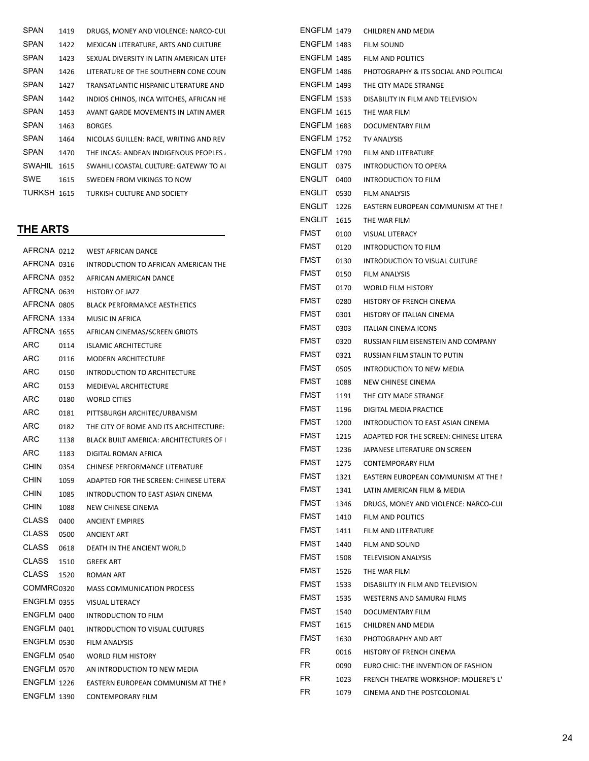| <b>SPAN</b>   | 1419 | DRUGS, MONEY AND VIOLENCE: NARCO-CUI     | <b>ENGFLM</b> |
|---------------|------|------------------------------------------|---------------|
| <b>SPAN</b>   | 1422 | MEXICAN LITERATURE, ARTS AND CULTURE     | <b>ENGFLM</b> |
| <b>SPAN</b>   | 1423 | SEXUAL DIVERSITY IN LATIN AMERICAN LITEI | <b>ENGFLM</b> |
| <b>SPAN</b>   | 1426 | LITERATURE OF THE SOUTHERN CONE COUN     | <b>ENGFLM</b> |
| <b>SPAN</b>   | 1427 | TRANSATLANTIC HISPANIC LITERATURE AND    | <b>ENGFLM</b> |
| <b>SPAN</b>   | 1442 | INDIOS CHINOS, INCA WITCHES, AFRICAN HE  | <b>ENGFLM</b> |
| <b>SPAN</b>   | 1453 | AVANT GARDE MOVEMENTS IN LATIN AMER      | <b>ENGFLM</b> |
| <b>SPAN</b>   | 1463 | <b>BORGES</b>                            | <b>ENGFLM</b> |
| SPAN          | 1464 | NICOLAS GUILLEN: RACE, WRITING AND REV   | <b>ENGFLM</b> |
| <b>SPAN</b>   | 1470 | THE INCAS: ANDEAN INDIGENOUS PEOPLES.    | <b>ENGFLM</b> |
| <b>SWAHIL</b> | 1615 | SWAHILI COASTAL CULTURE: GATEWAY TO AL   | <b>ENGLIT</b> |
| <b>SWE</b>    | 1615 | SWEDEN FROM VIKINGS TO NOW               | <b>ENGLIT</b> |
| TURKSH 1615   |      | TURKISH CULTURE AND SOCIETY              | <b>ENGLIT</b> |
|               |      |                                          |               |

## THE ARTS

| AFRCNA 0212        |      | <b>WEST AFRICAN DANCE</b>                      | FMS I       |
|--------------------|------|------------------------------------------------|-------------|
| AFRCNA 0316        |      | INTRODUCTION TO AFRICAN AMERICAN THE           | <b>FMST</b> |
| AFRCNA 0352        |      | AFRICAN AMERICAN DANCE                         | FMST        |
| AFRCNA 0639        |      | <b>HISTORY OF JAZZ</b>                         | FMST        |
| AFRCNA 0805        |      | <b>BLACK PERFORMANCE AESTHETICS</b>            | <b>FMST</b> |
| AFRCNA 1334        |      | <b>MUSIC IN AFRICA</b>                         | <b>FMST</b> |
| AFRCNA 1655        |      | AFRICAN CINEMAS/SCREEN GRIOTS                  | <b>FMST</b> |
| ARC                | 0114 | <b>ISLAMIC ARCHITECTURE</b>                    | <b>FMST</b> |
| <b>ARC</b>         | 0116 | <b>MODERN ARCHITECTURE</b>                     | <b>FMST</b> |
| ARC                | 0150 | INTRODUCTION TO ARCHITECTURE                   | <b>FMST</b> |
| ARC                | 0153 | <b>MEDIEVAL ARCHITECTURE</b>                   | <b>FMST</b> |
| ARC                | 0180 | <b>WORLD CITIES</b>                            | <b>FMST</b> |
| ARC                | 0181 | PITTSBURGH ARCHITEC/URBANISM                   | FMST        |
| <b>ARC</b>         | 0182 | THE CITY OF ROME AND ITS ARCHITECTURE:         | <b>FMST</b> |
| ARC                | 1138 | <b>BLACK BUILT AMERICA: ARCHITECTURES OF  </b> | <b>FMST</b> |
| ARC                | 1183 | DIGITAL ROMAN AFRICA                           | <b>FMST</b> |
| CHIN               | 0354 | CHINESE PERFORMANCE LITERATURE                 | <b>FMST</b> |
| <b>CHIN</b>        | 1059 | ADAPTED FOR THE SCREEN: CHINESE LITERA         | <b>FMST</b> |
| <b>CHIN</b>        | 1085 | INTRODUCTION TO EAST ASIAN CINEMA              | <b>FMST</b> |
| <b>CHIN</b>        | 1088 | NEW CHINESE CINEMA                             | <b>FMST</b> |
| <b>CLASS</b>       | 0400 | <b>ANCIENT EMPIRES</b>                         | <b>FMST</b> |
| <b>CLASS</b>       | 0500 | <b>ANCIENT ART</b>                             | <b>FMST</b> |
| <b>CLASS</b>       | 0618 | DEATH IN THE ANCIENT WORLD                     | <b>FMST</b> |
| <b>CLASS</b>       | 1510 | <b>GREEK ART</b>                               | <b>FMST</b> |
| <b>CLASS</b>       | 1520 | <b>ROMAN ART</b>                               | <b>FMST</b> |
| COMMRC0320         |      | <b>MASS COMMUNICATION PROCESS</b>              | <b>FMST</b> |
| <b>ENGFLM 0355</b> |      | <b>VISUAL LITERACY</b>                         | <b>FMST</b> |
| ENGFLM 0400        |      | <b>INTRODUCTION TO FILM</b>                    | <b>FMST</b> |
| ENGFLM 0401        |      | <b>INTRODUCTION TO VISUAL CULTURES</b>         | <b>FMST</b> |
| ENGFLM 0530        |      | <b>FILM ANALYSIS</b>                           | <b>FMST</b> |
| ENGFLM 0540        |      | <b>WORLD FILM HISTORY</b>                      | FR.         |
| ENGFLM 0570        |      | AN INTRODUCTION TO NEW MEDIA                   | FR.         |
| ENGFLM 1226        |      | EASTERN EUROPEAN COMMUNISM AT THE I            | FR.         |
| <b>ENGFLM 1390</b> |      | <b>CONTEMPORARY FILM</b>                       | FR.         |
|                    |      |                                                |             |

| ENGFLM 1479        |                    | CHILDREN AND MEDIA                     |
|--------------------|--------------------|----------------------------------------|
| <b>ENGFLM 1483</b> |                    | <b>FILM SOUND</b>                      |
|                    | ENGFLM 1485        | FILM AND POLITICS                      |
| ENGFLM 1486        |                    | PHOTOGRAPHY & ITS SOCIAL AND POLITICAL |
| ENGFLM 1493        |                    | THE CITY MADE STRANGE                  |
| <b>ENGFLM 1533</b> |                    | DISABILITY IN FILM AND TELEVISION      |
| <b>ENGFLM 1615</b> |                    | THE WAR FILM                           |
| <b>ENGFLM 1683</b> |                    | DOCUMENTARY FILM                       |
|                    | <b>ENGFLM 1752</b> | TV ANALYSIS                            |
|                    | <b>ENGFLM 1790</b> | FILM AND LITERATURE                    |
| ENGLIT 0375        |                    | INTRODUCTION TO OPERA                  |
| ENGLIT 0400        |                    | <b>INTRODUCTION TO FILM</b>            |
| ENGLIT             | 0530               | <b>FILM ANALYSIS</b>                   |
| ENGLIT             | 1226               | EASTERN EUROPEAN COMMUNISM AT THE I    |
| ENGLIT             | 1615               | THE WAR FILM                           |
| FMST               | 0100               | <b>VISUAL LITERACY</b>                 |
| FMST               | 0120               | <b>INTRODUCTION TO FILM</b>            |
| FMST               | 0130               | INTRODUCTION TO VISUAL CULTURE         |
| <b>FMST</b>        | 0150               | <b>FILM ANALYSIS</b>                   |
| FMST               | 0170               | <b>WORLD FILM HISTORY</b>              |
| FMST               | 0280               | HISTORY OF FRENCH CINEMA               |
| <b>FMST</b>        | 0301               | HISTORY OF ITALIAN CINEMA              |
| <b>FMST</b>        | 0303               | <b>ITALIAN CINEMA ICONS</b>            |
| FMST               | 0320               | RUSSIAN FILM EISENSTEIN AND COMPANY    |
| <b>FMST</b>        | 0321               | RUSSIAN FILM STALIN TO PUTIN           |
| FMST               | 0505               | INTRODUCTION TO NEW MEDIA              |
| FMST               | 1088               | NEW CHINESE CINEMA                     |
| <b>FMST</b>        | 1191               | THE CITY MADE STRANGE                  |
| FMST               | 1196               | DIGITAL MEDIA PRACTICE                 |
| <b>FMST</b>        | 1200               | INTRODUCTION TO EAST ASIAN CINEMA      |
| <b>FMST</b>        | 1215               | ADAPTED FOR THE SCREEN: CHINESE LITERA |
| <b>FMST</b>        | 1236               | JAPANESE LITERATURE ON SCREEN          |
| FMST               | 1275               | <b>CONTEMPORARY FILM</b>               |
| FMST               | 1321               | EASTERN EUROPEAN COMMUNISM AT THE I    |
| FMST               | 1341               | LATIN AMERICAN FILM & MEDIA            |
| FMST               | 1346               | DRUGS, MONEY AND VIOLENCE: NARCO-CUI   |
| FMST               | 1410               | FILM AND POLITICS                      |
| FMST               | 1411               | FILM AND LITERATURE                    |
| FMST               | 1440               | FILM AND SOUND                         |
| FMST               | 1508               | <b>TELEVISION ANALYSIS</b>             |
| FMST               | 1526               | THE WAR FILM                           |
| FMST               | 1533               | DISABILITY IN FILM AND TELEVISION      |
| FMST               | 1535               | WESTERNS AND SAMURAI FILMS             |
| FMST               | 1540               | DOCUMENTARY FILM                       |
| FMST               | 1615               | CHILDREN AND MEDIA                     |
| <b>FMST</b>        | 1630               | PHOTOGRAPHY AND ART                    |
| FR                 | 0016               | HISTORY OF FRENCH CINEMA               |
| FR                 | 0090               | EURO CHIC: THE INVENTION OF FASHION    |
| FR                 | 1023               | FRENCH THEATRE WORKSHOP: MOLIERE'S L'  |
| FR                 | 1079               | CINEMA AND THE POSTCOLONIAL            |
|                    |                    |                                        |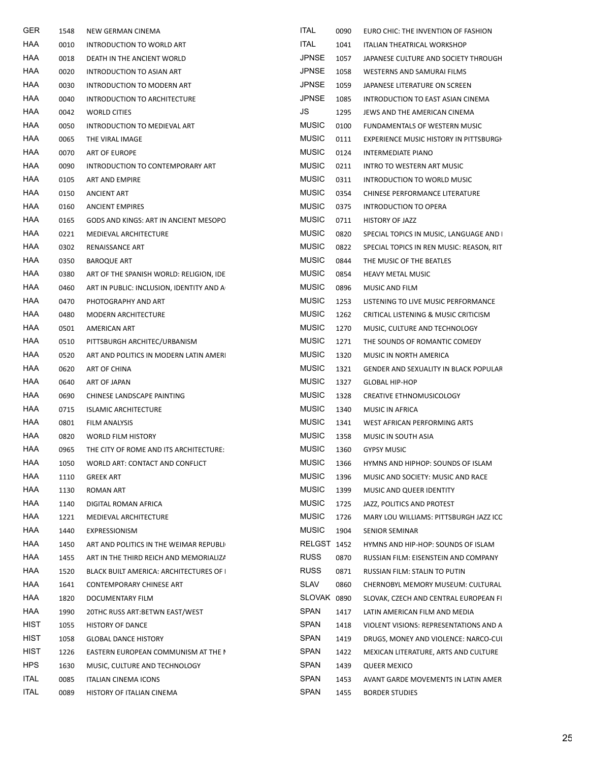| GER         | 1548 | NEW GERMAN CINEMA                        | ITAL         | 0090 | EURO CHIC: THE INVENTION OF FASHION      |
|-------------|------|------------------------------------------|--------------|------|------------------------------------------|
| HAA         | 0010 | INTRODUCTION TO WORLD ART                | <b>ITAL</b>  | 1041 | ITALIAN THEATRICAL WORKSHOP              |
| HAA         | 0018 | DEATH IN THE ANCIENT WORLD               | <b>JPNSE</b> | 1057 | JAPANESE CULTURE AND SOCIETY THROUGH     |
| HAA         | 0020 | INTRODUCTION TO ASIAN ART                | <b>JPNSE</b> | 1058 | WESTERNS AND SAMURAI FILMS               |
| HAA         | 0030 | INTRODUCTION TO MODERN ART               | <b>JPNSE</b> | 1059 | JAPANESE LITERATURE ON SCREEN            |
| HAA         | 0040 | INTRODUCTION TO ARCHITECTURE             | <b>JPNSE</b> | 1085 | INTRODUCTION TO EAST ASIAN CINEMA        |
| HAA         | 0042 | <b>WORLD CITIES</b>                      | JS           | 1295 | JEWS AND THE AMERICAN CINEMA             |
| HAA         | 0050 | INTRODUCTION TO MEDIEVAL ART             | <b>MUSIC</b> | 0100 | FUNDAMENTALS OF WESTERN MUSIC            |
| HAA         | 0065 | THE VIRAL IMAGE                          | <b>MUSIC</b> | 0111 | EXPERIENCE MUSIC HISTORY IN PITTSBURGH   |
| HAA         | 0070 | ART OF EUROPE                            | <b>MUSIC</b> | 0124 | INTERMEDIATE PIANO                       |
| HAA         | 0090 | INTRODUCTION TO CONTEMPORARY ART         | <b>MUSIC</b> | 0211 | INTRO TO WESTERN ART MUSIC               |
| HAA         | 0105 | ART AND EMPIRE                           | <b>MUSIC</b> | 0311 | INTRODUCTION TO WORLD MUSIC              |
| HAA         | 0150 | <b>ANCIENT ART</b>                       | <b>MUSIC</b> | 0354 | CHINESE PERFORMANCE LITERATURE           |
| HAA         | 0160 | <b>ANCIENT EMPIRES</b>                   | <b>MUSIC</b> | 0375 | INTRODUCTION TO OPERA                    |
| HAA         | 0165 | GODS AND KINGS: ART IN ANCIENT MESOPO    | <b>MUSIC</b> | 0711 | <b>HISTORY OF JAZZ</b>                   |
| HAA         | 0221 | MEDIEVAL ARCHITECTURE                    | <b>MUSIC</b> | 0820 | SPECIAL TOPICS IN MUSIC, LANGUAGE AND I  |
| HAA         | 0302 | RENAISSANCE ART                          | <b>MUSIC</b> | 0822 | SPECIAL TOPICS IN REN MUSIC: REASON, RIT |
| HAA         | 0350 | <b>BAROQUE ART</b>                       | <b>MUSIC</b> | 0844 | THE MUSIC OF THE BEATLES                 |
| HAA         | 0380 | ART OF THE SPANISH WORLD: RELIGION, IDE  | <b>MUSIC</b> | 0854 | <b>HEAVY METAL MUSIC</b>                 |
| HAA         | 0460 | ART IN PUBLIC: INCLUSION, IDENTITY AND A | <b>MUSIC</b> | 0896 | MUSIC AND FILM                           |
| HAA         | 0470 | PHOTOGRAPHY AND ART                      | <b>MUSIC</b> | 1253 | LISTENING TO LIVE MUSIC PERFORMANCE      |
| HAA         | 0480 | MODERN ARCHITECTURE                      | <b>MUSIC</b> | 1262 | CRITICAL LISTENING & MUSIC CRITICISM     |
| HAA         | 0501 | AMERICAN ART                             | <b>MUSIC</b> | 1270 | MUSIC, CULTURE AND TECHNOLOGY            |
| HAA         | 0510 | PITTSBURGH ARCHITEC/URBANISM             | <b>MUSIC</b> | 1271 | THE SOUNDS OF ROMANTIC COMEDY            |
| HAA         | 0520 | ART AND POLITICS IN MODERN LATIN AMERI   | <b>MUSIC</b> | 1320 | MUSIC IN NORTH AMERICA                   |
| HAA         | 0620 | ART OF CHINA                             | <b>MUSIC</b> | 1321 | GENDER AND SEXUALITY IN BLACK POPULAR    |
| HAA         | 0640 | ART OF JAPAN                             | <b>MUSIC</b> | 1327 | <b>GLOBAL HIP-HOP</b>                    |
| HAA         | 0690 | CHINESE LANDSCAPE PAINTING               | <b>MUSIC</b> | 1328 | CREATIVE ETHNOMUSICOLOGY                 |
| HAA         | 0715 | <b>ISLAMIC ARCHITECTURE</b>              | <b>MUSIC</b> | 1340 | MUSIC IN AFRICA                          |
| HAA         | 0801 | FILM ANALYSIS                            | <b>MUSIC</b> | 1341 | WEST AFRICAN PERFORMING ARTS             |
| HAA         | 0820 | <b>WORLD FILM HISTORY</b>                | <b>MUSIC</b> | 1358 | MUSIC IN SOUTH ASIA                      |
| HAA         | 0965 | THE CITY OF ROME AND ITS ARCHITECTURE:   | <b>MUSIC</b> | 1360 | <b>GYPSY MUSIC</b>                       |
| HAA         | 1050 | WORLD ART: CONTACT AND CONFLICT          | <b>MUSIC</b> | 1366 | HYMNS AND HIPHOP: SOUNDS OF ISLAM        |
| HAA         | 1110 | <b>GREEK ART</b>                         | <b>MUSIC</b> | 1396 | MUSIC AND SOCIETY: MUSIC AND RACE        |
| HAA         | 1130 | ROMAN ART                                | <b>MUSIC</b> | 1399 | MUSIC AND QUEER IDENTITY                 |
| HAA         | 1140 | DIGITAL ROMAN AFRICA                     | <b>MUSIC</b> | 1725 | JAZZ, POLITICS AND PROTEST               |
| HAA         | 1221 | MEDIEVAL ARCHITECTURE                    | <b>MUSIC</b> | 1726 | MARY LOU WILLIAMS: PITTSBURGH JAZZ ICC   |
| HAA         | 1440 | EXPRESSIONISM                            | <b>MUSIC</b> | 1904 | <b>SENIOR SEMINAR</b>                    |
| HAA         | 1450 | ART AND POLITICS IN THE WEIMAR REPUBLI   | RELGST 1452  |      | HYMNS AND HIP-HOP: SOUNDS OF ISLAM       |
| HAA         | 1455 | ART IN THE THIRD REICH AND MEMORIALIZA   | <b>RUSS</b>  | 0870 | RUSSIAN FILM: EISENSTEIN AND COMPANY     |
| HAA         | 1520 | BLACK BUILT AMERICA: ARCHITECTURES OF    | <b>RUSS</b>  | 0871 | RUSSIAN FILM: STALIN TO PUTIN            |
| HAA         | 1641 | CONTEMPORARY CHINESE ART                 | <b>SLAV</b>  | 0860 | CHERNOBYL MEMORY MUSEUM: CULTURAL        |
| HAA         | 1820 | DOCUMENTARY FILM                         | SLOVAK 0890  |      | SLOVAK, CZECH AND CENTRAL EUROPEAN FI    |
| HAA         | 1990 | 20THC RUSS ART: BETWN EAST/WEST          | <b>SPAN</b>  | 1417 | LATIN AMERICAN FILM AND MEDIA            |
| HIST        | 1055 | <b>HISTORY OF DANCE</b>                  | <b>SPAN</b>  | 1418 | VIOLENT VISIONS: REPRESENTATIONS AND A   |
| HIST        | 1058 | <b>GLOBAL DANCE HISTORY</b>              | SPAN         | 1419 | DRUGS, MONEY AND VIOLENCE: NARCO-CUI     |
| HIST        | 1226 | EASTERN EUROPEAN COMMUNISM AT THE I      | <b>SPAN</b>  | 1422 | MEXICAN LITERATURE, ARTS AND CULTURE     |
| <b>HPS</b>  | 1630 | MUSIC, CULTURE AND TECHNOLOGY            | SPAN         | 1439 | <b>QUEER MEXICO</b>                      |
| ITAL        | 0085 | <b>ITALIAN CINEMA ICONS</b>              | <b>SPAN</b>  | 1453 | AVANT GARDE MOVEMENTS IN LATIN AMER      |
| <b>ITAL</b> | 0089 | HISTORY OF ITALIAN CINEMA                | <b>SPAN</b>  | 1455 | <b>BORDER STUDIES</b>                    |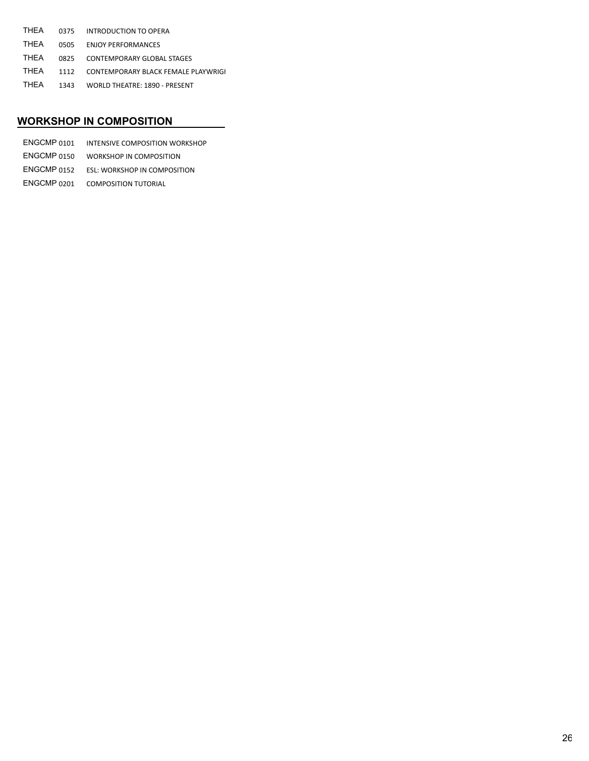| THEA | 0375 INTRODUCTION TO OPERA               |
|------|------------------------------------------|
| THEA | 0505 ENJOY PERFORMANCES                  |
| THFA | 0825 CONTEMPORARY GLOBAL STAGES          |
| THEA | 1112 CONTEMPORARY BLACK FEMALE PLAYWRIGI |
| THFA | 1343 WORLD THEATRE: 1890 - PRESENT       |

## WORKSHOP IN COMPOSITION

| ENGCMP 0101 | INTENSIVE COMPOSITION WORKSHOP          |
|-------------|-----------------------------------------|
| ENGCMP 0150 | WORKSHOP IN COMPOSITION                 |
| ENGCMP 0152 | ESL: WORKSHOP IN COMPOSITION            |
|             | <b>ENGCMP 0201 COMPOSITION TUTORIAL</b> |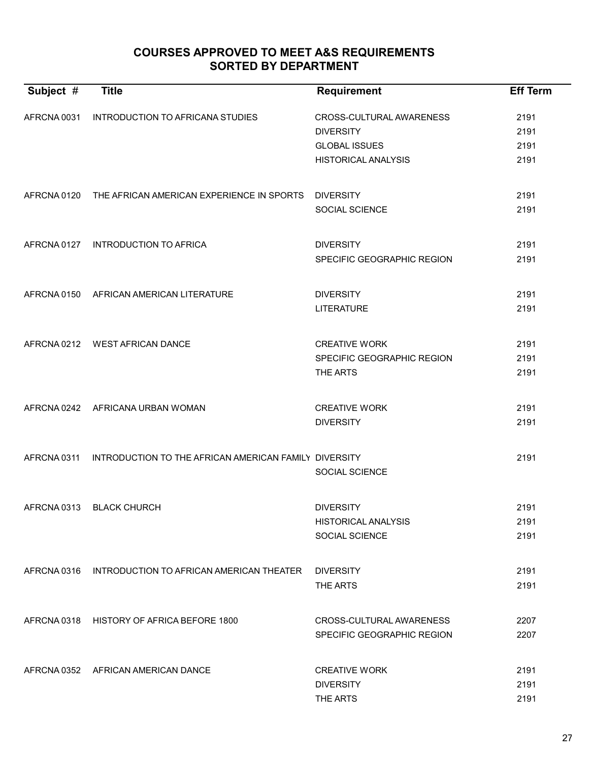# COURSES APPROVED TO MEET A&S REQUIREMENTS SORTED BY DEPARTMENT

| Subject #   | <b>Title</b>                                          | <b>Requirement</b>         | <b>Eff Term</b> |
|-------------|-------------------------------------------------------|----------------------------|-----------------|
|             |                                                       |                            |                 |
| AFRCNA 0031 | INTRODUCTION TO AFRICANA STUDIES                      | CROSS-CULTURAL AWARENESS   | 2191            |
|             |                                                       | <b>DIVERSITY</b>           | 2191            |
|             |                                                       | <b>GLOBAL ISSUES</b>       | 2191            |
|             |                                                       | <b>HISTORICAL ANALYSIS</b> | 2191            |
|             |                                                       |                            |                 |
| AFRCNA 0120 | THE AFRICAN AMERICAN EXPERIENCE IN SPORTS             | <b>DIVERSITY</b>           | 2191            |
|             |                                                       | SOCIAL SCIENCE             | 2191            |
| AFRCNA 0127 | <b>INTRODUCTION TO AFRICA</b>                         | <b>DIVERSITY</b>           | 2191            |
|             |                                                       | SPECIFIC GEOGRAPHIC REGION | 2191            |
|             |                                                       |                            |                 |
|             | AFRCNA 0150 AFRICAN AMERICAN LITERATURE               | <b>DIVERSITY</b>           | 2191            |
|             |                                                       | <b>LITERATURE</b>          | 2191            |
|             |                                                       |                            |                 |
|             | AFRCNA 0212 WEST AFRICAN DANCE                        | <b>CREATIVE WORK</b>       | 2191            |
|             |                                                       | SPECIFIC GEOGRAPHIC REGION | 2191            |
|             |                                                       | THE ARTS                   | 2191            |
|             |                                                       |                            |                 |
| AFRCNA 0242 | AFRICANA URBAN WOMAN                                  | <b>CREATIVE WORK</b>       | 2191            |
|             |                                                       | <b>DIVERSITY</b>           | 2191            |
|             |                                                       |                            |                 |
| AFRCNA 0311 | INTRODUCTION TO THE AFRICAN AMERICAN FAMILY DIVERSITY |                            | 2191            |
|             |                                                       | <b>SOCIAL SCIENCE</b>      |                 |
| AFRCNA 0313 | <b>BLACK CHURCH</b>                                   | <b>DIVERSITY</b>           | 2191            |
|             |                                                       | <b>HISTORICAL ANALYSIS</b> | 2191            |
|             |                                                       | SOCIAL SCIENCE             | 2191            |
|             |                                                       |                            |                 |
|             | AFRCNA 0316 INTRODUCTION TO AFRICAN AMERICAN THEATER  | <b>DIVERSITY</b>           | 2191            |
|             |                                                       | THE ARTS                   | 2191            |
|             |                                                       |                            |                 |
| AFRCNA 0318 | HISTORY OF AFRICA BEFORE 1800                         | CROSS-CULTURAL AWARENESS   | 2207            |
|             |                                                       | SPECIFIC GEOGRAPHIC REGION | 2207            |
|             |                                                       |                            |                 |
|             | AFRCNA 0352 AFRICAN AMERICAN DANCE                    | <b>CREATIVE WORK</b>       | 2191            |
|             |                                                       | <b>DIVERSITY</b>           | 2191            |
|             |                                                       | THE ARTS                   | 2191            |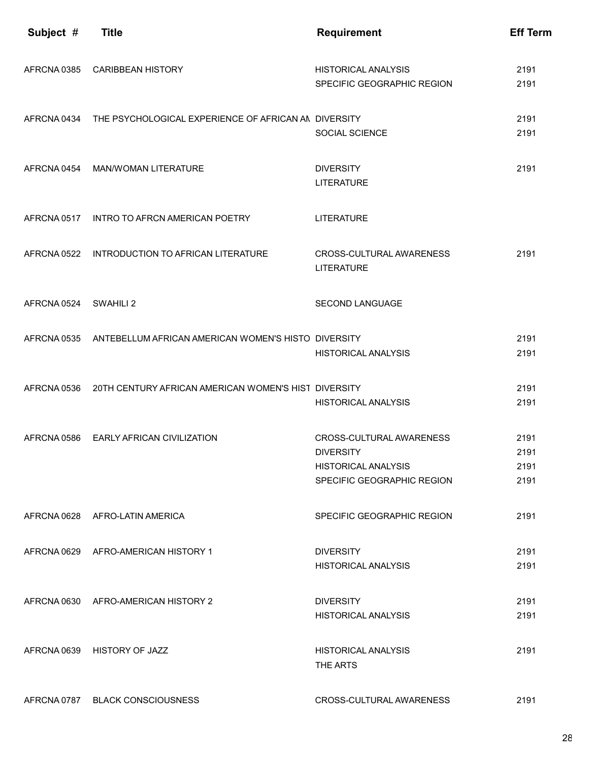| Subject #   | <b>Title</b>                                                    | <b>Requirement</b>                                                                                       | <b>Eff Term</b>              |
|-------------|-----------------------------------------------------------------|----------------------------------------------------------------------------------------------------------|------------------------------|
| AFRCNA 0385 | <b>CARIBBEAN HISTORY</b>                                        | <b>HISTORICAL ANALYSIS</b><br>SPECIFIC GEOGRAPHIC REGION                                                 | 2191<br>2191                 |
| AFRCNA 0434 | THE PSYCHOLOGICAL EXPERIENCE OF AFRICAN AN DIVERSITY            | SOCIAL SCIENCE                                                                                           | 2191<br>2191                 |
| AFRCNA 0454 | <b>MAN/WOMAN LITERATURE</b>                                     | <b>DIVERSITY</b><br><b>LITERATURE</b>                                                                    | 2191                         |
| AFRCNA 0517 | INTRO TO AFRCN AMERICAN POETRY                                  | <b>LITERATURE</b>                                                                                        |                              |
| AFRCNA 0522 | INTRODUCTION TO AFRICAN LITERATURE                              | CROSS-CULTURAL AWARENESS<br><b>LITERATURE</b>                                                            | 2191                         |
| AFRCNA 0524 | SWAHILI 2                                                       | <b>SECOND LANGUAGE</b>                                                                                   |                              |
|             | AFRCNA 0535 ANTEBELLUM AFRICAN AMERICAN WOMEN'S HISTO DIVERSITY | <b>HISTORICAL ANALYSIS</b>                                                                               | 2191<br>2191                 |
| AFRCNA 0536 | 20TH CENTURY AFRICAN AMERICAN WOMEN'S HIST DIVERSITY            | <b>HISTORICAL ANALYSIS</b>                                                                               | 2191<br>2191                 |
| AFRCNA 0586 | <b>EARLY AFRICAN CIVILIZATION</b>                               | CROSS-CULTURAL AWARENESS<br><b>DIVERSITY</b><br><b>HISTORICAL ANALYSIS</b><br>SPECIFIC GEOGRAPHIC REGION | 2191<br>2191<br>2191<br>2191 |
| AFRCNA 0628 | AFRO-LATIN AMERICA                                              | SPECIFIC GEOGRAPHIC REGION                                                                               | 2191                         |
| AFRCNA 0629 | AFRO-AMERICAN HISTORY 1                                         | <b>DIVERSITY</b><br><b>HISTORICAL ANALYSIS</b>                                                           | 2191<br>2191                 |
|             | AFRCNA 0630 AFRO-AMERICAN HISTORY 2                             | <b>DIVERSITY</b><br><b>HISTORICAL ANALYSIS</b>                                                           | 2191<br>2191                 |
| AFRCNA 0639 | <b>HISTORY OF JAZZ</b>                                          | <b>HISTORICAL ANALYSIS</b><br>THE ARTS                                                                   | 2191                         |
| AFRCNA 0787 | <b>BLACK CONSCIOUSNESS</b>                                      | CROSS-CULTURAL AWARENESS                                                                                 | 2191                         |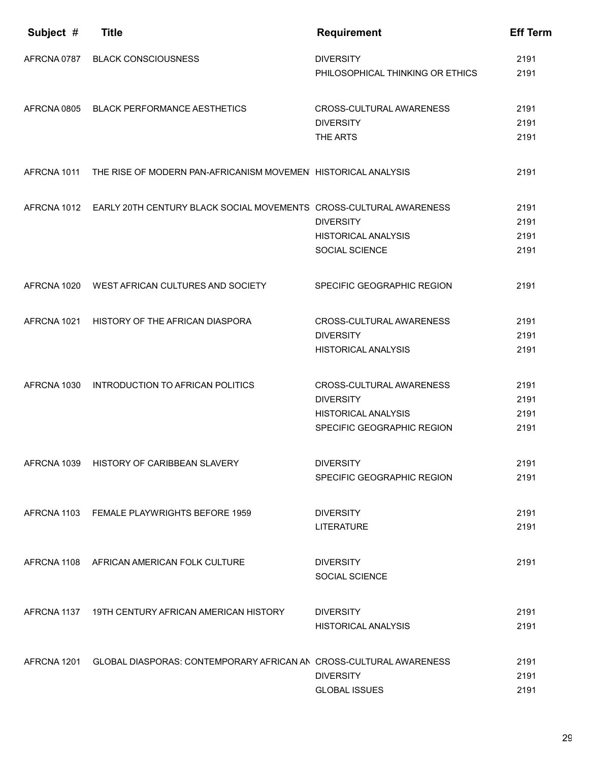| Subject #   | <b>Title</b>                                                                   | <b>Requirement</b>                                                                                       | <b>Eff Term</b>              |
|-------------|--------------------------------------------------------------------------------|----------------------------------------------------------------------------------------------------------|------------------------------|
| AFRCNA 0787 | <b>BLACK CONSCIOUSNESS</b>                                                     | <b>DIVERSITY</b><br>PHILOSOPHICAL THINKING OR ETHICS                                                     | 2191<br>2191                 |
| AFRCNA 0805 | <b>BLACK PERFORMANCE AESTHETICS</b>                                            | CROSS-CULTURAL AWARENESS<br><b>DIVERSITY</b><br>THE ARTS                                                 | 2191<br>2191<br>2191         |
| AFRCNA 1011 | THE RISE OF MODERN PAN-AFRICANISM MOVEMEN HISTORICAL ANALYSIS                  |                                                                                                          | 2191                         |
|             | AFRCNA 1012 EARLY 20TH CENTURY BLACK SOCIAL MOVEMENTS CROSS-CULTURAL AWARENESS | <b>DIVERSITY</b><br><b>HISTORICAL ANALYSIS</b><br>SOCIAL SCIENCE                                         | 2191<br>2191<br>2191<br>2191 |
|             | AFRCNA 1020 WEST AFRICAN CULTURES AND SOCIETY                                  | SPECIFIC GEOGRAPHIC REGION                                                                               | 2191                         |
| AFRCNA 1021 | HISTORY OF THE AFRICAN DIASPORA                                                | CROSS-CULTURAL AWARENESS<br><b>DIVERSITY</b><br><b>HISTORICAL ANALYSIS</b>                               | 2191<br>2191<br>2191         |
| AFRCNA 1030 | INTRODUCTION TO AFRICAN POLITICS                                               | CROSS-CULTURAL AWARENESS<br><b>DIVERSITY</b><br><b>HISTORICAL ANALYSIS</b><br>SPECIFIC GEOGRAPHIC REGION | 2191<br>2191<br>2191<br>2191 |
|             | AFRCNA 1039 HISTORY OF CARIBBEAN SLAVERY                                       | <b>DIVERSITY</b><br>SPECIFIC GEOGRAPHIC REGION                                                           | 2191<br>2191                 |
|             | AFRCNA 1103 FEMALE PLAYWRIGHTS BEFORE 1959                                     | <b>DIVERSITY</b><br><b>LITERATURE</b>                                                                    | 2191<br>2191                 |
|             | AFRCNA 1108 AFRICAN AMERICAN FOLK CULTURE                                      | <b>DIVERSITY</b><br><b>SOCIAL SCIENCE</b>                                                                | 2191                         |
|             | AFRCNA 1137 19TH CENTURY AFRICAN AMERICAN HISTORY                              | <b>DIVERSITY</b><br>HISTORICAL ANALYSIS                                                                  | 2191<br>2191                 |
|             | AFRCNA 1201 GLOBAL DIASPORAS: CONTEMPORARY AFRICAN AN CROSS-CULTURAL AWARENESS | <b>DIVERSITY</b><br><b>GLOBAL ISSUES</b>                                                                 | 2191<br>2191<br>2191         |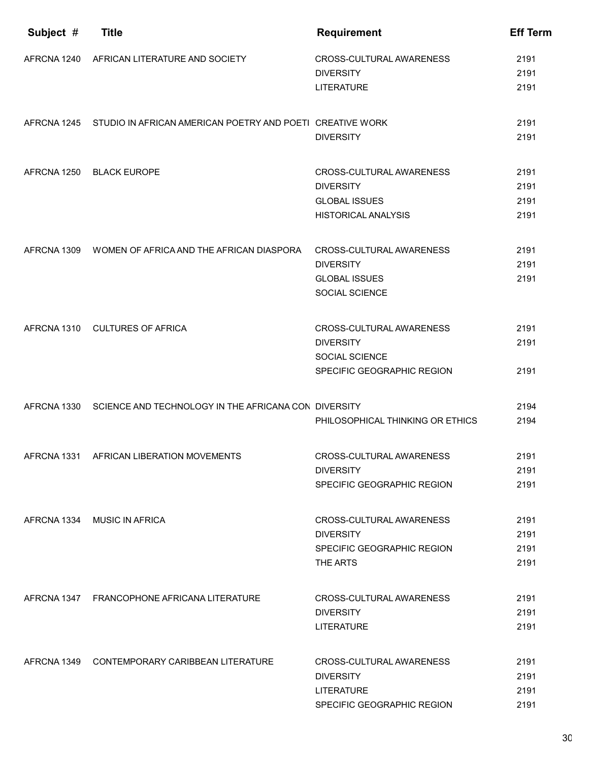| Subject #   | <b>Title</b>                                                          | <b>Requirement</b>               | <b>Eff Term</b> |
|-------------|-----------------------------------------------------------------------|----------------------------------|-----------------|
| AFRCNA 1240 | AFRICAN LITERATURE AND SOCIETY                                        | CROSS-CULTURAL AWARENESS         | 2191            |
|             |                                                                       | <b>DIVERSITY</b>                 | 2191            |
|             |                                                                       | <b>LITERATURE</b>                | 2191            |
|             | AFRCNA 1245 STUDIO IN AFRICAN AMERICAN POETRY AND POETI CREATIVE WORK |                                  | 2191            |
|             |                                                                       | <b>DIVERSITY</b>                 | 2191            |
| AFRCNA 1250 | <b>BLACK EUROPE</b>                                                   | CROSS-CULTURAL AWARENESS         | 2191            |
|             |                                                                       | <b>DIVERSITY</b>                 | 2191            |
|             |                                                                       | <b>GLOBAL ISSUES</b>             | 2191            |
|             |                                                                       | <b>HISTORICAL ANALYSIS</b>       | 2191            |
| AFRCNA 1309 | WOMEN OF AFRICA AND THE AFRICAN DIASPORA                              | CROSS-CULTURAL AWARENESS         | 2191            |
|             |                                                                       | <b>DIVERSITY</b>                 | 2191            |
|             |                                                                       | <b>GLOBAL ISSUES</b>             | 2191            |
|             |                                                                       | SOCIAL SCIENCE                   |                 |
|             | AFRCNA 1310 CULTURES OF AFRICA                                        | CROSS-CULTURAL AWARENESS         | 2191            |
|             |                                                                       | <b>DIVERSITY</b>                 | 2191            |
|             |                                                                       | <b>SOCIAL SCIENCE</b>            |                 |
|             |                                                                       | SPECIFIC GEOGRAPHIC REGION       | 2191            |
| AFRCNA 1330 | SCIENCE AND TECHNOLOGY IN THE AFRICANA CON DIVERSITY                  |                                  | 2194            |
|             |                                                                       | PHILOSOPHICAL THINKING OR ETHICS | 2194            |
|             | AFRCNA 1331 AFRICAN LIBERATION MOVEMENTS                              | CROSS-CULTURAL AWARENESS         | 2191            |
|             |                                                                       | <b>DIVERSITY</b>                 | 2191            |
|             |                                                                       | SPECIFIC GEOGRAPHIC REGION       | 2191            |
| AFRCNA 1334 | <b>MUSIC IN AFRICA</b>                                                | CROSS-CULTURAL AWARENESS         | 2191            |
|             |                                                                       | <b>DIVERSITY</b>                 | 2191            |
|             |                                                                       | SPECIFIC GEOGRAPHIC REGION       | 2191            |
|             |                                                                       | THE ARTS                         | 2191            |
|             | AFRCNA 1347 FRANCOPHONE AFRICANA LITERATURE                           | CROSS-CULTURAL AWARENESS         | 2191            |
|             |                                                                       | <b>DIVERSITY</b>                 | 2191            |
|             |                                                                       | <b>LITERATURE</b>                | 2191            |
| AFRCNA 1349 | CONTEMPORARY CARIBBEAN LITERATURE                                     | CROSS-CULTURAL AWARENESS         | 2191            |
|             |                                                                       | <b>DIVERSITY</b>                 | 2191            |
|             |                                                                       | <b>LITERATURE</b>                | 2191            |
|             |                                                                       | SPECIFIC GEOGRAPHIC REGION       | 2191            |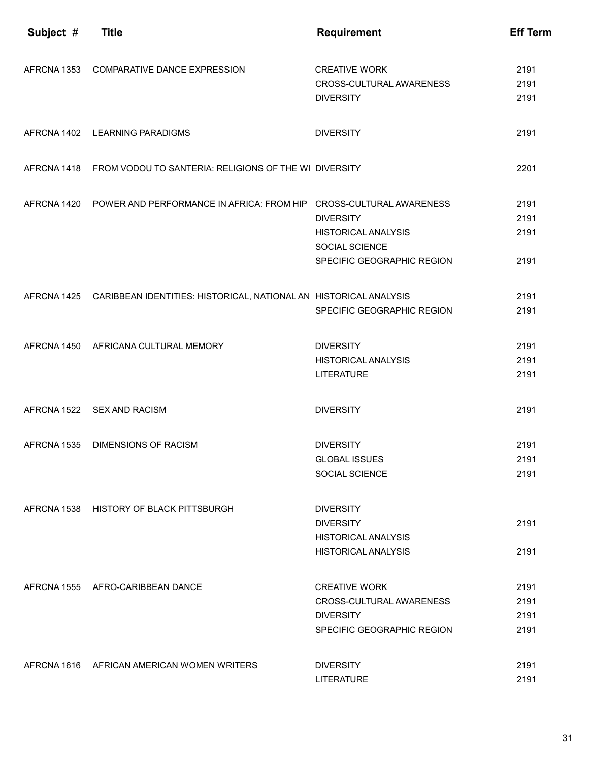| Subject #   | <b>Title</b>                                                                   | <b>Requirement</b>         | <b>Eff Term</b> |
|-------------|--------------------------------------------------------------------------------|----------------------------|-----------------|
|             |                                                                                |                            |                 |
|             | AFRCNA 1353 COMPARATIVE DANCE EXPRESSION                                       | <b>CREATIVE WORK</b>       | 2191            |
|             |                                                                                | CROSS-CULTURAL AWARENESS   | 2191            |
|             |                                                                                | <b>DIVERSITY</b>           | 2191            |
|             | AFRCNA 1402 LEARNING PARADIGMS                                                 | <b>DIVERSITY</b>           | 2191            |
|             | AFRCNA 1418 FROM VODOU TO SANTERIA: RELIGIONS OF THE WI DIVERSITY              |                            | 2201            |
|             | AFRCNA 1420 POWER AND PERFORMANCE IN AFRICA: FROM HIP CROSS-CULTURAL AWARENESS |                            | 2191            |
|             |                                                                                | <b>DIVERSITY</b>           | 2191            |
|             |                                                                                | <b>HISTORICAL ANALYSIS</b> | 2191            |
|             |                                                                                | SOCIAL SCIENCE             |                 |
|             |                                                                                | SPECIFIC GEOGRAPHIC REGION | 2191            |
|             | AFRCNA 1425 CARIBBEAN IDENTITIES: HISTORICAL, NATIONAL AN HISTORICAL ANALYSIS  |                            | 2191            |
|             |                                                                                | SPECIFIC GEOGRAPHIC REGION | 2191            |
|             | AFRCNA 1450 AFRICANA CULTURAL MEMORY                                           | <b>DIVERSITY</b>           | 2191            |
|             |                                                                                | <b>HISTORICAL ANALYSIS</b> | 2191            |
|             |                                                                                | <b>LITERATURE</b>          | 2191            |
|             | AFRCNA 1522 SEX AND RACISM                                                     | <b>DIVERSITY</b>           | 2191            |
|             |                                                                                |                            |                 |
| AFRCNA 1535 | <b>DIMENSIONS OF RACISM</b>                                                    | <b>DIVERSITY</b>           | 2191            |
|             |                                                                                | <b>GLOBAL ISSUES</b>       | 2191            |
|             |                                                                                | SOCIAL SCIENCE             | 2191            |
|             | AFRCNA 1538 HISTORY OF BLACK PITTSBURGH                                        | <b>DIVERSITY</b>           |                 |
|             |                                                                                | <b>DIVERSITY</b>           | 2191            |
|             |                                                                                | <b>HISTORICAL ANALYSIS</b> |                 |
|             |                                                                                | <b>HISTORICAL ANALYSIS</b> | 2191            |
|             | AFRCNA 1555 AFRO-CARIBBEAN DANCE                                               | <b>CREATIVE WORK</b>       | 2191            |
|             |                                                                                | CROSS-CULTURAL AWARENESS   | 2191            |
|             |                                                                                | <b>DIVERSITY</b>           | 2191            |
|             |                                                                                | SPECIFIC GEOGRAPHIC REGION | 2191            |
|             | AFRCNA 1616 AFRICAN AMERICAN WOMEN WRITERS                                     | <b>DIVERSITY</b>           | 2191            |
|             |                                                                                | <b>LITERATURE</b>          | 2191            |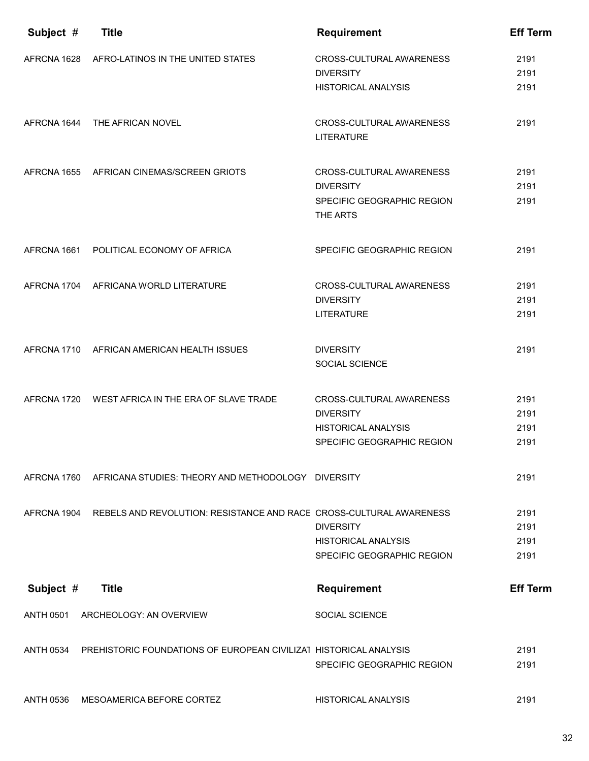| Subject #        | <b>Title</b>                                                        | <b>Requirement</b>                            | <b>Eff Term</b> |
|------------------|---------------------------------------------------------------------|-----------------------------------------------|-----------------|
|                  | AFRCNA 1628 AFRO-LATINOS IN THE UNITED STATES                       | CROSS-CULTURAL AWARENESS<br><b>DIVERSITY</b>  | 2191<br>2191    |
|                  |                                                                     | <b>HISTORICAL ANALYSIS</b>                    | 2191            |
| AFRCNA 1644      | THE AFRICAN NOVEL                                                   | CROSS-CULTURAL AWARENESS<br><b>LITERATURE</b> | 2191            |
| AFRCNA 1655      | AFRICAN CINEMAS/SCREEN GRIOTS                                       | CROSS-CULTURAL AWARENESS<br><b>DIVERSITY</b>  | 2191<br>2191    |
|                  |                                                                     | SPECIFIC GEOGRAPHIC REGION<br>THE ARTS        | 2191            |
| AFRCNA 1661      | POLITICAL ECONOMY OF AFRICA                                         | SPECIFIC GEOGRAPHIC REGION                    | 2191            |
| AFRCNA 1704      | AFRICANA WORLD LITERATURE                                           | CROSS-CULTURAL AWARENESS<br><b>DIVERSITY</b>  | 2191<br>2191    |
|                  |                                                                     | <b>LITERATURE</b>                             | 2191            |
|                  | AFRCNA 1710 AFRICAN AMERICAN HEALTH ISSUES                          | <b>DIVERSITY</b><br>SOCIAL SCIENCE            | 2191            |
|                  |                                                                     |                                               |                 |
|                  | AFRCNA 1720 WEST AFRICA IN THE ERA OF SLAVE TRADE                   | CROSS-CULTURAL AWARENESS<br><b>DIVERSITY</b>  | 2191<br>2191    |
|                  |                                                                     | <b>HISTORICAL ANALYSIS</b>                    | 2191            |
|                  |                                                                     | SPECIFIC GEOGRAPHIC REGION                    | 2191            |
| AFRCNA 1760      | AFRICANA STUDIES: THEORY AND METHODOLOGY DIVERSITY                  |                                               | 2191            |
| AFRCNA 1904      | REBELS AND REVOLUTION: RESISTANCE AND RACE CROSS-CULTURAL AWARENESS | <b>DIVERSITY</b>                              | 2191<br>2191    |
|                  |                                                                     | <b>HISTORICAL ANALYSIS</b>                    | 2191            |
|                  |                                                                     | SPECIFIC GEOGRAPHIC REGION                    | 2191            |
| Subject #        | <b>Title</b>                                                        | <b>Requirement</b>                            | <b>Eff Term</b> |
| <b>ANTH 0501</b> | ARCHEOLOGY: AN OVERVIEW                                             | SOCIAL SCIENCE                                |                 |
| <b>ANTH 0534</b> | PREHISTORIC FOUNDATIONS OF EUROPEAN CIVILIZAT HISTORICAL ANALYSIS   |                                               | 2191            |
|                  |                                                                     | SPECIFIC GEOGRAPHIC REGION                    | 2191            |
| <b>ANTH 0536</b> | MESOAMERICA BEFORE CORTEZ                                           | <b>HISTORICAL ANALYSIS</b>                    | 2191            |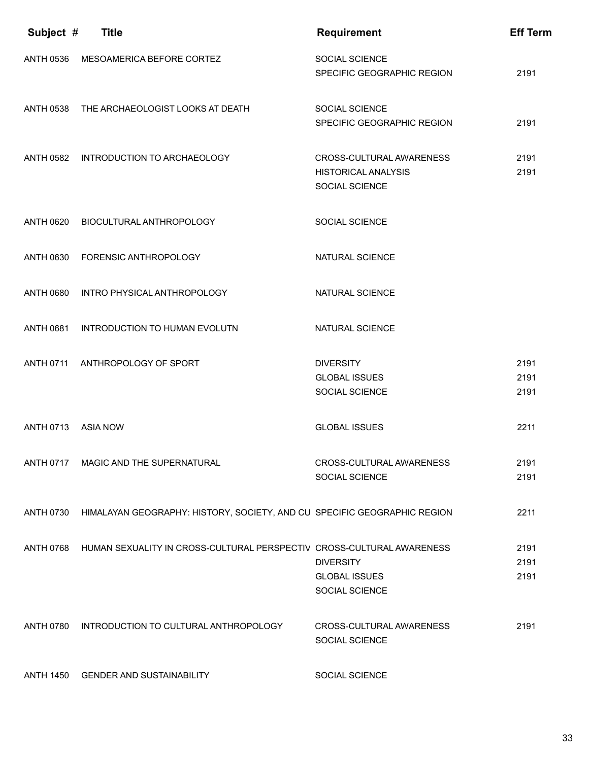| Subject #        | <b>Title</b>                                                             | <b>Requirement</b>                                                       | <b>Eff Term</b>      |
|------------------|--------------------------------------------------------------------------|--------------------------------------------------------------------------|----------------------|
| <b>ANTH 0536</b> | MESOAMERICA BEFORE CORTEZ                                                | <b>SOCIAL SCIENCE</b><br>SPECIFIC GEOGRAPHIC REGION                      | 2191                 |
| <b>ANTH 0538</b> | THE ARCHAEOLOGIST LOOKS AT DEATH                                         | SOCIAL SCIENCE<br>SPECIFIC GEOGRAPHIC REGION                             | 2191                 |
|                  | ANTH 0582 INTRODUCTION TO ARCHAEOLOGY                                    | CROSS-CULTURAL AWARENESS<br><b>HISTORICAL ANALYSIS</b><br>SOCIAL SCIENCE | 2191<br>2191         |
| <b>ANTH 0620</b> | BIOCULTURAL ANTHROPOLOGY                                                 | SOCIAL SCIENCE                                                           |                      |
| <b>ANTH 0630</b> | <b>FORENSIC ANTHROPOLOGY</b>                                             | NATURAL SCIENCE                                                          |                      |
| <b>ANTH 0680</b> | INTRO PHYSICAL ANTHROPOLOGY                                              | NATURAL SCIENCE                                                          |                      |
| <b>ANTH 0681</b> | INTRODUCTION TO HUMAN EVOLUTN                                            | NATURAL SCIENCE                                                          |                      |
| <b>ANTH 0711</b> | ANTHROPOLOGY OF SPORT                                                    | <b>DIVERSITY</b><br><b>GLOBAL ISSUES</b><br>SOCIAL SCIENCE               | 2191<br>2191<br>2191 |
| <b>ANTH 0713</b> | <b>ASIA NOW</b>                                                          | <b>GLOBAL ISSUES</b>                                                     | 2211                 |
|                  | ANTH 0717 MAGIC AND THE SUPERNATURAL                                     | CROSS-CULTURAL AWARENESS<br>SOCIAL SCIENCE                               | 2191<br>2191         |
| <b>ANTH 0730</b> | HIMALAYAN GEOGRAPHY: HISTORY, SOCIETY, AND CU SPECIFIC GEOGRAPHIC REGION |                                                                          | 2211                 |
| <b>ANTH 0768</b> | HUMAN SEXUALITY IN CROSS-CULTURAL PERSPECTIV CROSS-CULTURAL AWARENESS    | <b>DIVERSITY</b><br><b>GLOBAL ISSUES</b><br>SOCIAL SCIENCE               | 2191<br>2191<br>2191 |
| <b>ANTH 0780</b> | INTRODUCTION TO CULTURAL ANTHROPOLOGY                                    | CROSS-CULTURAL AWARENESS<br>SOCIAL SCIENCE                               | 2191                 |
| <b>ANTH 1450</b> | <b>GENDER AND SUSTAINABILITY</b>                                         | SOCIAL SCIENCE                                                           |                      |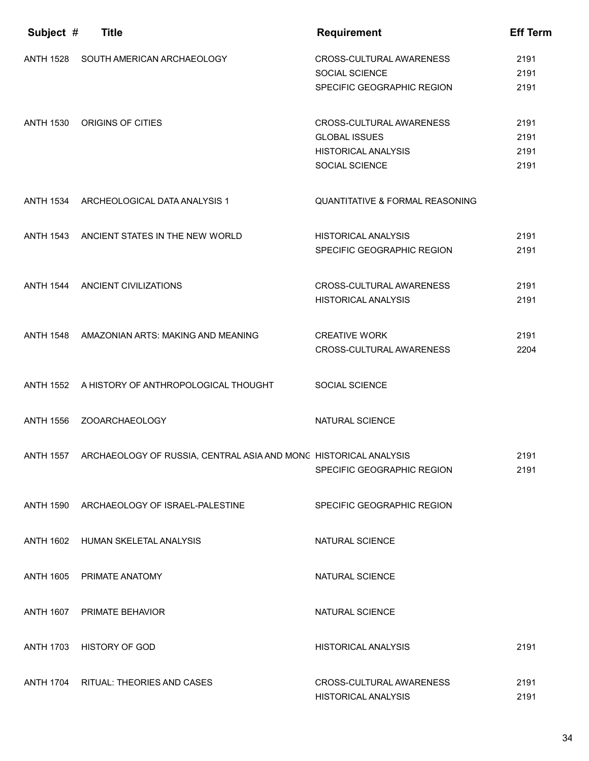| Subject #        | <b>Title</b>                                                               | <b>Requirement</b>                                     | <b>Eff Term</b> |
|------------------|----------------------------------------------------------------------------|--------------------------------------------------------|-----------------|
| <b>ANTH 1528</b> | SOUTH AMERICAN ARCHAEOLOGY                                                 | CROSS-CULTURAL AWARENESS<br><b>SOCIAL SCIENCE</b>      | 2191<br>2191    |
|                  |                                                                            | SPECIFIC GEOGRAPHIC REGION                             | 2191            |
| <b>ANTH 1530</b> | ORIGINS OF CITIES                                                          | CROSS-CULTURAL AWARENESS                               | 2191            |
|                  |                                                                            | <b>GLOBAL ISSUES</b><br><b>HISTORICAL ANALYSIS</b>     | 2191<br>2191    |
|                  |                                                                            | SOCIAL SCIENCE                                         | 2191            |
|                  |                                                                            |                                                        |                 |
|                  | ANTH 1534 ARCHEOLOGICAL DATA ANALYSIS 1                                    | <b>QUANTITATIVE &amp; FORMAL REASONING</b>             |                 |
|                  | ANTH 1543 ANCIENT STATES IN THE NEW WORLD                                  | <b>HISTORICAL ANALYSIS</b>                             | 2191            |
|                  |                                                                            | SPECIFIC GEOGRAPHIC REGION                             | 2191            |
|                  |                                                                            |                                                        |                 |
|                  | ANTH 1544 ANCIENT CIVILIZATIONS                                            | CROSS-CULTURAL AWARENESS<br><b>HISTORICAL ANALYSIS</b> | 2191<br>2191    |
|                  |                                                                            |                                                        |                 |
|                  | ANTH 1548 AMAZONIAN ARTS: MAKING AND MEANING                               | <b>CREATIVE WORK</b>                                   | 2191            |
|                  |                                                                            | <b>CROSS-CULTURAL AWARENESS</b>                        | 2204            |
|                  | ANTH 1552 A HISTORY OF ANTHROPOLOGICAL THOUGHT                             | SOCIAL SCIENCE                                         |                 |
|                  |                                                                            |                                                        |                 |
| <b>ANTH 1556</b> | ZOOARCHAEOLOGY                                                             | NATURAL SCIENCE                                        |                 |
|                  |                                                                            |                                                        |                 |
|                  | ANTH 1557 ARCHAEOLOGY OF RUSSIA, CENTRAL ASIA AND MONC HISTORICAL ANALYSIS | SPECIFIC GEOGRAPHIC REGION                             | 2191<br>2191    |
|                  |                                                                            |                                                        |                 |
|                  | ANTH 1590 ARCHAEOLOGY OF ISRAEL-PALESTINE                                  | SPECIFIC GEOGRAPHIC REGION                             |                 |
|                  |                                                                            |                                                        |                 |
|                  | ANTH 1602 HUMAN SKELETAL ANALYSIS                                          | NATURAL SCIENCE                                        |                 |
|                  |                                                                            |                                                        |                 |
| <b>ANTH 1605</b> | PRIMATE ANATOMY                                                            | NATURAL SCIENCE                                        |                 |
|                  | ANTH 1607 PRIMATE BEHAVIOR                                                 | NATURAL SCIENCE                                        |                 |
|                  |                                                                            |                                                        |                 |
|                  | ANTH 1703 HISTORY OF GOD                                                   | <b>HISTORICAL ANALYSIS</b>                             | 2191            |
| <b>ANTH 1704</b> | RITUAL: THEORIES AND CASES                                                 | CROSS-CULTURAL AWARENESS                               | 2191            |
|                  |                                                                            | <b>HISTORICAL ANALYSIS</b>                             | 2191            |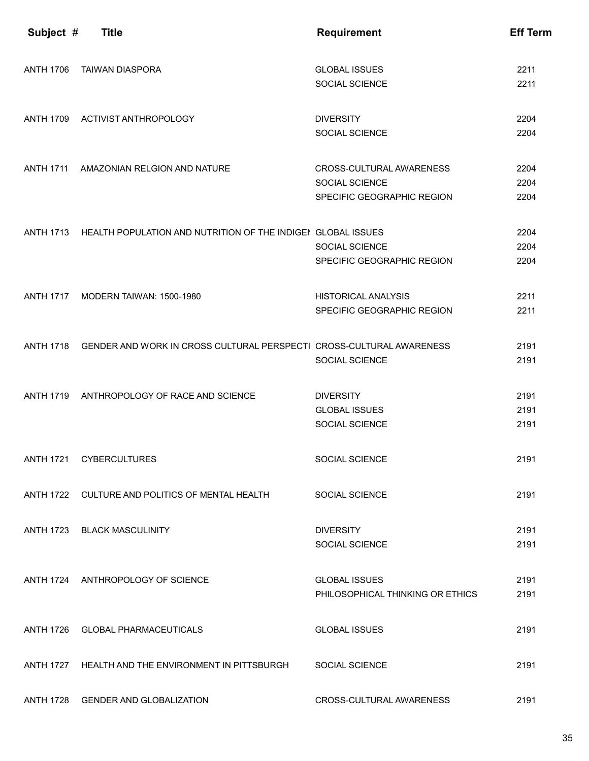| Subject #        | <b>Title</b>                                                         | <b>Requirement</b>                                                       | <b>Eff Term</b>      |
|------------------|----------------------------------------------------------------------|--------------------------------------------------------------------------|----------------------|
| <b>ANTH 1706</b> | <b>TAIWAN DIASPORA</b>                                               | <b>GLOBAL ISSUES</b><br>SOCIAL SCIENCE                                   | 2211<br>2211         |
| <b>ANTH 1709</b> | ACTIVIST ANTHROPOLOGY                                                | <b>DIVERSITY</b><br>SOCIAL SCIENCE                                       | 2204<br>2204         |
| <b>ANTH 1711</b> | AMAZONIAN RELGION AND NATURE                                         | CROSS-CULTURAL AWARENESS<br>SOCIAL SCIENCE<br>SPECIFIC GEOGRAPHIC REGION | 2204<br>2204<br>2204 |
| <b>ANTH 1713</b> | HEALTH POPULATION AND NUTRITION OF THE INDIGEN GLOBAL ISSUES         | SOCIAL SCIENCE<br>SPECIFIC GEOGRAPHIC REGION                             | 2204<br>2204<br>2204 |
| <b>ANTH 1717</b> | MODERN TAIWAN: 1500-1980                                             | <b>HISTORICAL ANALYSIS</b><br>SPECIFIC GEOGRAPHIC REGION                 | 2211<br>2211         |
| <b>ANTH 1718</b> | GENDER AND WORK IN CROSS CULTURAL PERSPECTI CROSS-CULTURAL AWARENESS | SOCIAL SCIENCE                                                           | 2191<br>2191         |
| <b>ANTH 1719</b> | ANTHROPOLOGY OF RACE AND SCIENCE                                     | <b>DIVERSITY</b><br><b>GLOBAL ISSUES</b><br>SOCIAL SCIENCE               | 2191<br>2191<br>2191 |
| <b>ANTH 1721</b> | <b>CYBERCULTURES</b>                                                 | <b>SOCIAL SCIENCE</b>                                                    | 2191                 |
| <b>ANTH 1722</b> | CULTURE AND POLITICS OF MENTAL HEALTH                                | <b>SOCIAL SCIENCE</b>                                                    | 2191                 |
| <b>ANTH 1723</b> | <b>BLACK MASCULINITY</b>                                             | <b>DIVERSITY</b><br>SOCIAL SCIENCE                                       | 2191<br>2191         |
|                  | ANTH 1724 ANTHROPOLOGY OF SCIENCE                                    | <b>GLOBAL ISSUES</b><br>PHILOSOPHICAL THINKING OR ETHICS                 | 2191<br>2191         |
|                  | ANTH 1726 GLOBAL PHARMACEUTICALS                                     | <b>GLOBAL ISSUES</b>                                                     | 2191                 |
| <b>ANTH 1727</b> | HEALTH AND THE ENVIRONMENT IN PITTSBURGH                             | SOCIAL SCIENCE                                                           | 2191                 |
| <b>ANTH 1728</b> | <b>GENDER AND GLOBALIZATION</b>                                      | CROSS-CULTURAL AWARENESS                                                 | 2191                 |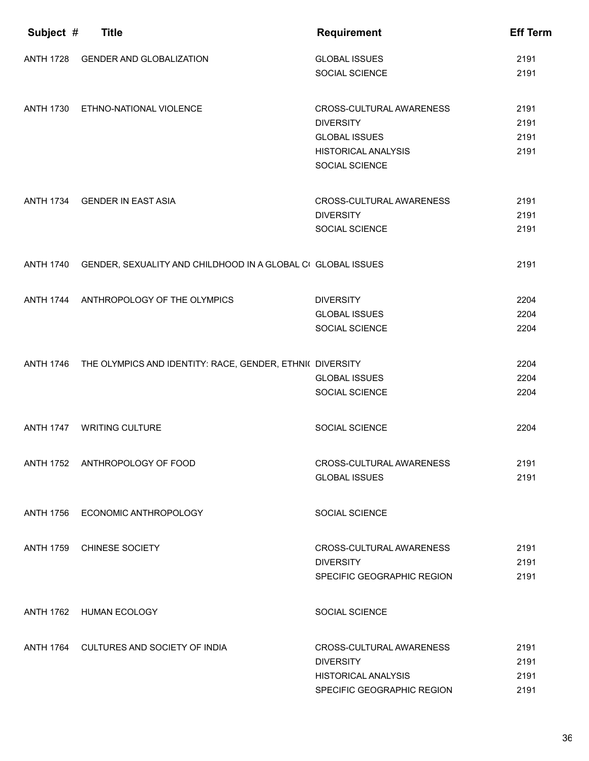| Subject #        | <b>Title</b>                                                        | <b>Requirement</b>                     | <b>Eff Term</b> |
|------------------|---------------------------------------------------------------------|----------------------------------------|-----------------|
| <b>ANTH 1728</b> | <b>GENDER AND GLOBALIZATION</b>                                     | <b>GLOBAL ISSUES</b><br>SOCIAL SCIENCE | 2191<br>2191    |
|                  |                                                                     |                                        |                 |
| <b>ANTH 1730</b> | ETHNO-NATIONAL VIOLENCE                                             | CROSS-CULTURAL AWARENESS               | 2191            |
|                  |                                                                     | <b>DIVERSITY</b>                       | 2191            |
|                  |                                                                     | <b>GLOBAL ISSUES</b>                   | 2191            |
|                  |                                                                     | <b>HISTORICAL ANALYSIS</b>             | 2191            |
|                  |                                                                     | SOCIAL SCIENCE                         |                 |
|                  | ANTH 1734 GENDER IN EAST ASIA                                       | CROSS-CULTURAL AWARENESS               | 2191            |
|                  |                                                                     | <b>DIVERSITY</b>                       | 2191            |
|                  |                                                                     | SOCIAL SCIENCE                         | 2191            |
|                  |                                                                     |                                        |                 |
| <b>ANTH 1740</b> | GENDER, SEXUALITY AND CHILDHOOD IN A GLOBAL CI GLOBAL ISSUES        |                                        | 2191            |
|                  |                                                                     |                                        |                 |
| <b>ANTH 1744</b> | ANTHROPOLOGY OF THE OLYMPICS                                        | <b>DIVERSITY</b>                       | 2204            |
|                  |                                                                     | <b>GLOBAL ISSUES</b>                   | 2204            |
|                  |                                                                     | SOCIAL SCIENCE                         | 2204            |
|                  |                                                                     |                                        | 2204            |
|                  | ANTH 1746 THE OLYMPICS AND IDENTITY: RACE, GENDER, ETHNI( DIVERSITY | <b>GLOBAL ISSUES</b>                   | 2204            |
|                  |                                                                     | SOCIAL SCIENCE                         | 2204            |
|                  |                                                                     |                                        |                 |
| <b>ANTH 1747</b> | <b>WRITING CULTURE</b>                                              | <b>SOCIAL SCIENCE</b>                  | 2204            |
|                  |                                                                     |                                        |                 |
|                  | ANTH 1752 ANTHROPOLOGY OF FOOD                                      | CROSS-CULTURAL AWARENESS               | 2191            |
|                  |                                                                     | <b>GLOBAL ISSUES</b>                   | 2191            |
|                  |                                                                     |                                        |                 |
| <b>ANTH 1756</b> | ECONOMIC ANTHROPOLOGY                                               | <b>SOCIAL SCIENCE</b>                  |                 |
| <b>ANTH 1759</b> | CHINESE SOCIETY                                                     | CROSS-CULTURAL AWARENESS               | 2191            |
|                  |                                                                     | <b>DIVERSITY</b>                       | 2191            |
|                  |                                                                     | SPECIFIC GEOGRAPHIC REGION             | 2191            |
|                  | ANTH 1762 HUMAN ECOLOGY                                             | SOCIAL SCIENCE                         |                 |
|                  |                                                                     |                                        |                 |
|                  | ANTH 1764 CULTURES AND SOCIETY OF INDIA                             | CROSS-CULTURAL AWARENESS               | 2191            |
|                  |                                                                     | <b>DIVERSITY</b>                       | 2191            |
|                  |                                                                     | <b>HISTORICAL ANALYSIS</b>             | 2191            |
|                  |                                                                     | SPECIFIC GEOGRAPHIC REGION             | 2191            |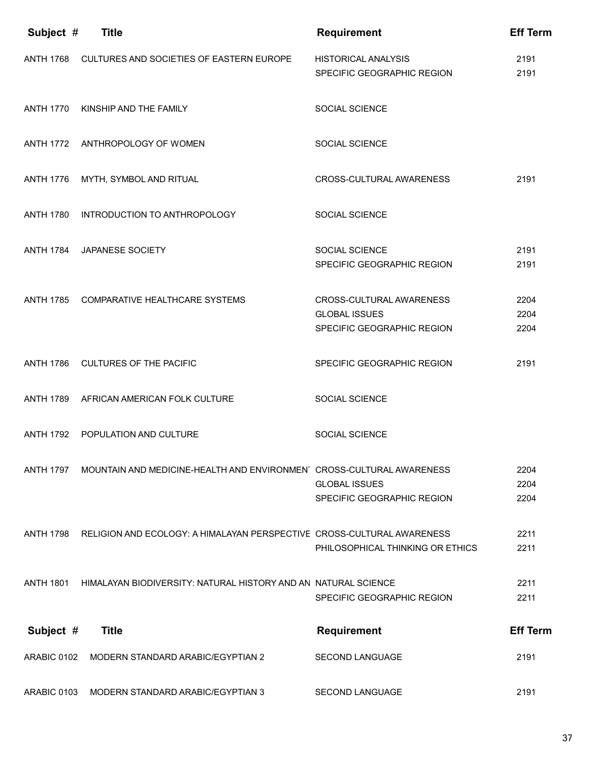| Subject #        | <b>Title</b>                                                           | <b>Requirement</b>                                       | <b>Eff Term</b> |
|------------------|------------------------------------------------------------------------|----------------------------------------------------------|-----------------|
| <b>ANTH 1768</b> | CULTURES AND SOCIETIES OF EASTERN EUROPE                               | <b>HISTORICAL ANALYSIS</b><br>SPECIFIC GEOGRAPHIC REGION | 2191<br>2191    |
| <b>ANTH 1770</b> | KINSHIP AND THE FAMILY                                                 | <b>SOCIAL SCIENCE</b>                                    |                 |
|                  | ANTH 1772 ANTHROPOLOGY OF WOMEN                                        | <b>SOCIAL SCIENCE</b>                                    |                 |
| <b>ANTH 1776</b> | MYTH, SYMBOL AND RITUAL                                                | CROSS-CULTURAL AWARENESS                                 | 2191            |
| <b>ANTH 1780</b> | INTRODUCTION TO ANTHROPOLOGY                                           | <b>SOCIAL SCIENCE</b>                                    |                 |
| <b>ANTH 1784</b> | JAPANESE SOCIETY                                                       | <b>SOCIAL SCIENCE</b>                                    | 2191            |
|                  |                                                                        | SPECIFIC GEOGRAPHIC REGION                               | 2191            |
|                  |                                                                        |                                                          |                 |
| <b>ANTH 1785</b> | COMPARATIVE HEALTHCARE SYSTEMS                                         | CROSS-CULTURAL AWARENESS                                 | 2204            |
|                  |                                                                        | <b>GLOBAL ISSUES</b>                                     | 2204            |
|                  |                                                                        | SPECIFIC GEOGRAPHIC REGION                               | 2204            |
|                  |                                                                        |                                                          |                 |
| <b>ANTH 1786</b> | <b>CULTURES OF THE PACIFIC</b>                                         | SPECIFIC GEOGRAPHIC REGION                               | 2191            |
| <b>ANTH 1789</b> | AFRICAN AMERICAN FOLK CULTURE                                          | SOCIAL SCIENCE                                           |                 |
| <b>ANTH 1792</b> | POPULATION AND CULTURE                                                 | <b>SOCIAL SCIENCE</b>                                    |                 |
| <b>ANTH 1797</b> | MOUNTAIN AND MEDICINE-HEALTH AND ENVIRONMEN CROSS-CULTURAL AWARENESS   |                                                          | 2204            |
|                  |                                                                        | <b>GLOBAL ISSUES</b>                                     | 2204            |
|                  |                                                                        | SPECIFIC GEOGRAPHIC REGION                               | 2204            |
| <b>ANTH 1798</b> | RELIGION AND ECOLOGY: A HIMALAYAN PERSPECTIVE CROSS-CULTURAL AWARENESS |                                                          | 2211            |
|                  |                                                                        | PHILOSOPHICAL THINKING OR ETHICS                         | 2211            |
| <b>ANTH 1801</b> | HIMALAYAN BIODIVERSITY: NATURAL HISTORY AND AN NATURAL SCIENCE         |                                                          | 2211            |
|                  |                                                                        | SPECIFIC GEOGRAPHIC REGION                               | 2211            |
| Subject #        | <b>Title</b>                                                           | <b>Requirement</b>                                       | <b>Eff Term</b> |
| ARABIC 0102      | MODERN STANDARD ARABIC/EGYPTIAN 2                                      | <b>SECOND LANGUAGE</b>                                   | 2191            |
| ARABIC 0103      | MODERN STANDARD ARABIC/EGYPTIAN 3                                      | SECOND LANGUAGE                                          | 2191            |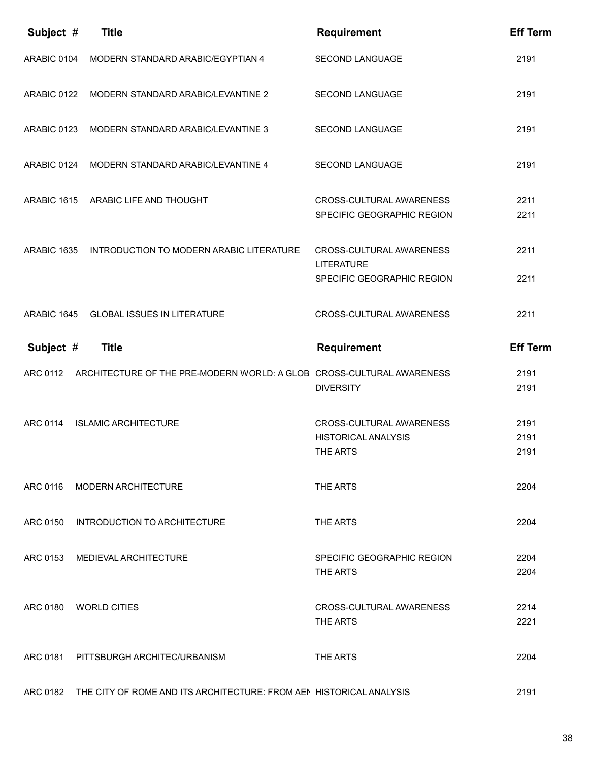| Subject #   | <b>Title</b>                                                                    | <b>Requirement</b>                                                          | <b>Eff Term</b>      |
|-------------|---------------------------------------------------------------------------------|-----------------------------------------------------------------------------|----------------------|
| ARABIC 0104 | MODERN STANDARD ARABIC/EGYPTIAN 4                                               | <b>SECOND LANGUAGE</b>                                                      | 2191                 |
| ARABIC 0122 | MODERN STANDARD ARABIC/LEVANTINE 2                                              | <b>SECOND LANGUAGE</b>                                                      | 2191                 |
| ARABIC 0123 | MODERN STANDARD ARABIC/LEVANTINE 3                                              | SECOND LANGUAGE                                                             | 2191                 |
| ARABIC 0124 | MODERN STANDARD ARABIC/LEVANTINE 4                                              | <b>SECOND LANGUAGE</b>                                                      | 2191                 |
| ARABIC 1615 | ARABIC LIFE AND THOUGHT                                                         | CROSS-CULTURAL AWARENESS<br>SPECIFIC GEOGRAPHIC REGION                      | 2211<br>2211         |
| ARABIC 1635 | INTRODUCTION TO MODERN ARABIC LITERATURE                                        | CROSS-CULTURAL AWARENESS<br><b>LITERATURE</b><br>SPECIFIC GEOGRAPHIC REGION | 2211<br>2211         |
| ARABIC 1645 | <b>GLOBAL ISSUES IN LITERATURE</b>                                              | CROSS-CULTURAL AWARENESS                                                    | 2211                 |
| Subject #   | <b>Title</b>                                                                    | <b>Requirement</b>                                                          | <b>Eff Term</b>      |
|             |                                                                                 |                                                                             |                      |
|             | ARC 0112 ARCHITECTURE OF THE PRE-MODERN WORLD: A GLOB. CROSS-CULTURAL AWARENESS | <b>DIVERSITY</b>                                                            | 2191<br>2191         |
| ARC 0114    | <b>ISLAMIC ARCHITECTURE</b>                                                     | CROSS-CULTURAL AWARENESS<br><b>HISTORICAL ANALYSIS</b><br>THE ARTS          | 2191<br>2191<br>2191 |
|             | ARC 0116 MODERN ARCHITECTURE                                                    | THE ARTS                                                                    | 2204                 |
|             | ARC 0150 INTRODUCTION TO ARCHITECTURE                                           | THE ARTS                                                                    | 2204                 |
|             | ARC 0153 MEDIEVAL ARCHITECTURE                                                  | SPECIFIC GEOGRAPHIC REGION<br>THE ARTS                                      | 2204<br>2204         |
|             | ARC 0180 WORLD CITIES                                                           | CROSS-CULTURAL AWARENESS<br>THE ARTS                                        | 2214<br>2221         |
|             | ARC 0181 PITTSBURGH ARCHITEC/URBANISM                                           | THE ARTS                                                                    | 2204                 |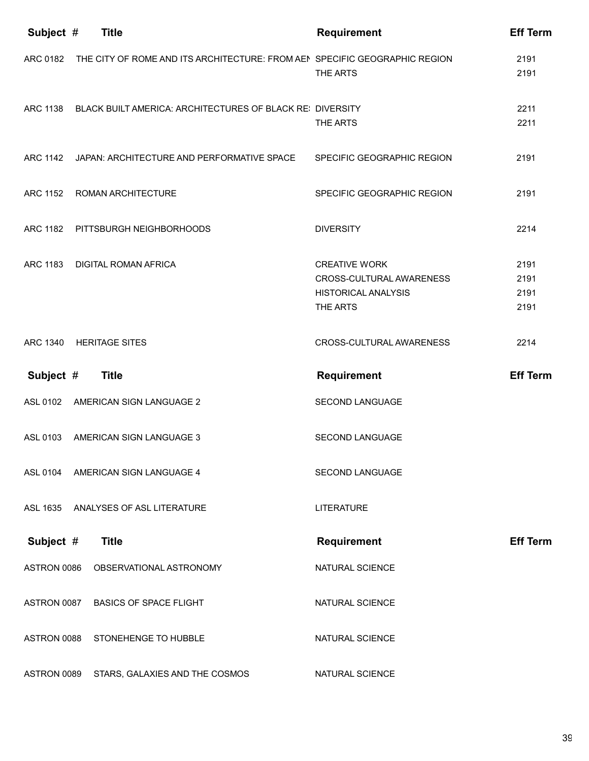| Subject #   | <b>Title</b>                                                               | <b>Requirement</b>                                                                         | <b>Eff Term</b>              |
|-------------|----------------------------------------------------------------------------|--------------------------------------------------------------------------------------------|------------------------------|
| ARC 0182    | THE CITY OF ROME AND ITS ARCHITECTURE: FROM AEN SPECIFIC GEOGRAPHIC REGION | THE ARTS                                                                                   | 2191<br>2191                 |
|             | ARC 1138 BLACK BUILT AMERICA: ARCHITECTURES OF BLACK REI DIVERSITY         | THE ARTS                                                                                   | 2211<br>2211                 |
|             | ARC 1142 JAPAN: ARCHITECTURE AND PERFORMATIVE SPACE                        | SPECIFIC GEOGRAPHIC REGION                                                                 | 2191                         |
| ARC 1152    | ROMAN ARCHITECTURE                                                         | SPECIFIC GEOGRAPHIC REGION                                                                 | 2191                         |
|             | ARC 1182 PITTSBURGH NEIGHBORHOODS                                          | <b>DIVERSITY</b>                                                                           | 2214                         |
| ARC 1183    | <b>DIGITAL ROMAN AFRICA</b>                                                | <b>CREATIVE WORK</b><br>CROSS-CULTURAL AWARENESS<br><b>HISTORICAL ANALYSIS</b><br>THE ARTS | 2191<br>2191<br>2191<br>2191 |
|             | ARC 1340 HERITAGE SITES                                                    | CROSS-CULTURAL AWARENESS                                                                   | 2214                         |
| Subject #   | <b>Title</b>                                                               | <b>Requirement</b>                                                                         | <b>Eff Term</b>              |
|             |                                                                            |                                                                                            |                              |
| ASL 0102    | AMERICAN SIGN LANGUAGE 2                                                   | <b>SECOND LANGUAGE</b>                                                                     |                              |
| ASL 0103    | AMERICAN SIGN LANGUAGE 3                                                   | <b>SECOND LANGUAGE</b>                                                                     |                              |
| ASL 0104    | AMERICAN SIGN LANGUAGE 4                                                   | <b>SECOND LANGUAGE</b>                                                                     |                              |
| ASL 1635    | ANALYSES OF ASL LITERATURE                                                 | <b>LITERATURE</b>                                                                          |                              |
| Subject #   | <b>Title</b>                                                               | <b>Requirement</b>                                                                         | <b>Eff Term</b>              |
| ASTRON 0086 | OBSERVATIONAL ASTRONOMY                                                    | NATURAL SCIENCE                                                                            |                              |
| ASTRON 0087 | <b>BASICS OF SPACE FLIGHT</b>                                              | NATURAL SCIENCE                                                                            |                              |
| ASTRON 0088 | STONEHENGE TO HUBBLE                                                       | NATURAL SCIENCE                                                                            |                              |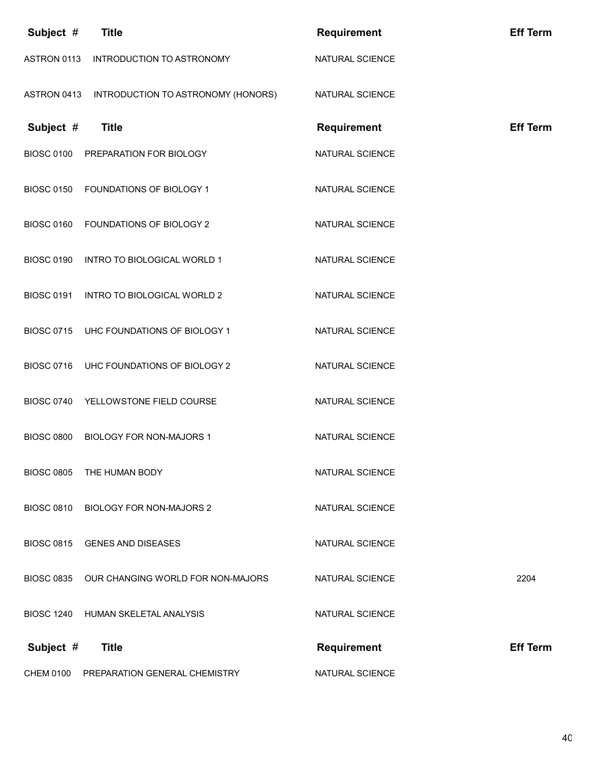| Subject #         | <b>Title</b>                                 | <b>Requirement</b> | <b>Eff Term</b> |
|-------------------|----------------------------------------------|--------------------|-----------------|
| ASTRON 0113       | INTRODUCTION TO ASTRONOMY                    | NATURAL SCIENCE    |                 |
| ASTRON 0413       | INTRODUCTION TO ASTRONOMY (HONORS)           | NATURAL SCIENCE    |                 |
| Subject #         | <b>Title</b>                                 | <b>Requirement</b> | <b>Eff Term</b> |
| <b>BIOSC 0100</b> | PREPARATION FOR BIOLOGY                      | NATURAL SCIENCE    |                 |
| <b>BIOSC 0150</b> | FOUNDATIONS OF BIOLOGY 1                     | NATURAL SCIENCE    |                 |
| <b>BIOSC 0160</b> | FOUNDATIONS OF BIOLOGY 2                     | NATURAL SCIENCE    |                 |
| <b>BIOSC 0190</b> | INTRO TO BIOLOGICAL WORLD 1                  | NATURAL SCIENCE    |                 |
| <b>BIOSC 0191</b> | INTRO TO BIOLOGICAL WORLD 2                  | NATURAL SCIENCE    |                 |
| <b>BIOSC 0715</b> | UHC FOUNDATIONS OF BIOLOGY 1                 | NATURAL SCIENCE    |                 |
| <b>BIOSC 0716</b> | UHC FOUNDATIONS OF BIOLOGY 2                 | NATURAL SCIENCE    |                 |
| <b>BIOSC 0740</b> | YELLOWSTONE FIELD COURSE                     | NATURAL SCIENCE    |                 |
| <b>BIOSC 0800</b> | <b>BIOLOGY FOR NON-MAJORS 1</b>              | NATURAL SCIENCE    |                 |
| <b>BIOSC 0805</b> | THE HUMAN BODY                               | NATURAL SCIENCE    |                 |
| <b>BIOSC 0810</b> | <b>BIOLOGY FOR NON-MAJORS 2</b>              | NATURAL SCIENCE    |                 |
| <b>BIOSC 0815</b> | <b>GENES AND DISEASES</b>                    | NATURAL SCIENCE    |                 |
|                   | BIOSC 0835 OUR CHANGING WORLD FOR NON-MAJORS | NATURAL SCIENCE    | 2204            |
| <b>BIOSC 1240</b> | HUMAN SKELETAL ANALYSIS                      | NATURAL SCIENCE    |                 |
| Subject #         | <b>Title</b>                                 | <b>Requirement</b> | <b>Eff Term</b> |
| <b>CHEM 0100</b>  | PREPARATION GENERAL CHEMISTRY                | NATURAL SCIENCE    |                 |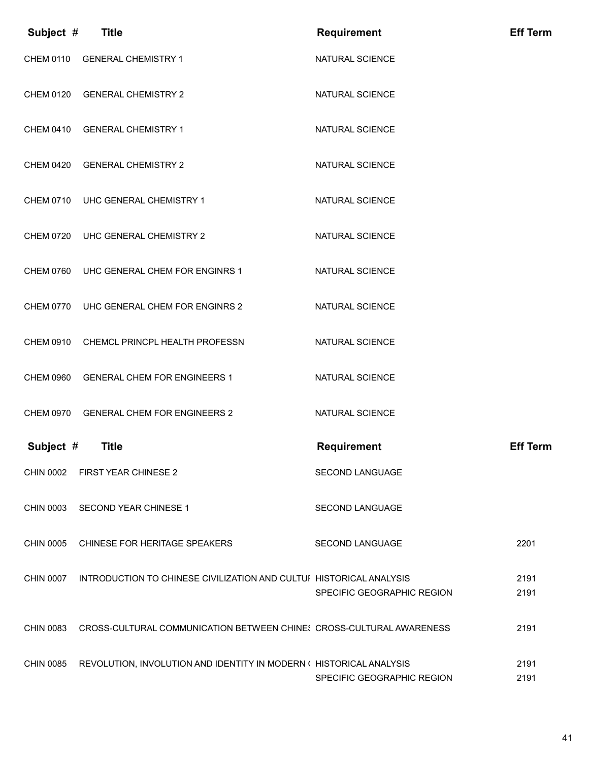| Subject #        | <b>Title</b>                                                                  | <b>Requirement</b>                    | <b>Eff Term</b> |
|------------------|-------------------------------------------------------------------------------|---------------------------------------|-----------------|
| <b>CHEM 0110</b> | <b>GENERAL CHEMISTRY 1</b>                                                    | NATURAL SCIENCE                       |                 |
| <b>CHEM 0120</b> | <b>GENERAL CHEMISTRY 2</b>                                                    | NATURAL SCIENCE                       |                 |
|                  | CHEM 0410 GENERAL CHEMISTRY 1                                                 | NATURAL SCIENCE                       |                 |
|                  | CHEM 0420 GENERAL CHEMISTRY 2                                                 | NATURAL SCIENCE                       |                 |
|                  | CHEM 0710 UHC GENERAL CHEMISTRY 1                                             | NATURAL SCIENCE                       |                 |
|                  | CHEM 0720 UHC GENERAL CHEMISTRY 2                                             | NATURAL SCIENCE                       |                 |
| <b>CHEM 0760</b> | UHC GENERAL CHEM FOR ENGINRS 1                                                | <b>NATURAL SCIENCE</b>                |                 |
|                  | CHEM 0770 UHC GENERAL CHEM FOR ENGINRS 2                                      | NATURAL SCIENCE                       |                 |
|                  | CHEM 0910 CHEMCL PRINCPL HEALTH PROFESSN                                      | NATURAL SCIENCE                       |                 |
|                  | CHEM 0960 GENERAL CHEM FOR ENGINEERS 1                                        | NATURAL SCIENCE                       |                 |
| Subject #        | CHEM 0970 GENERAL CHEM FOR ENGINEERS 2<br><b>Title</b>                        | NATURAL SCIENCE<br><b>Requirement</b> | <b>Eff Term</b> |
|                  | CHIN 0002 FIRST YEAR CHINESE 2                                                | <b>SECOND LANGUAGE</b>                |                 |
|                  | CHIN 0003 SECOND YEAR CHINESE 1                                               | <b>SECOND LANGUAGE</b>                |                 |
|                  | CHIN 0005 CHINESE FOR HERITAGE SPEAKERS                                       | <b>SECOND LANGUAGE</b>                | 2201            |
| <b>CHIN 0007</b> | INTRODUCTION TO CHINESE CIVILIZATION AND CULTUI HISTORICAL ANALYSIS           | SPECIFIC GEOGRAPHIC REGION            | 2191<br>2191    |
| <b>CHIN 0083</b> | CROSS-CULTURAL COMMUNICATION BETWEEN CHINE: CROSS-CULTURAL AWARENESS          |                                       | 2191            |
|                  | CHIN 0085 REVOLUTION, INVOLUTION AND IDENTITY IN MODERN ( HISTORICAL ANALYSIS | SPECIFIC GEOGRAPHIC REGION            | 2191<br>2191    |
|                  |                                                                               |                                       |                 |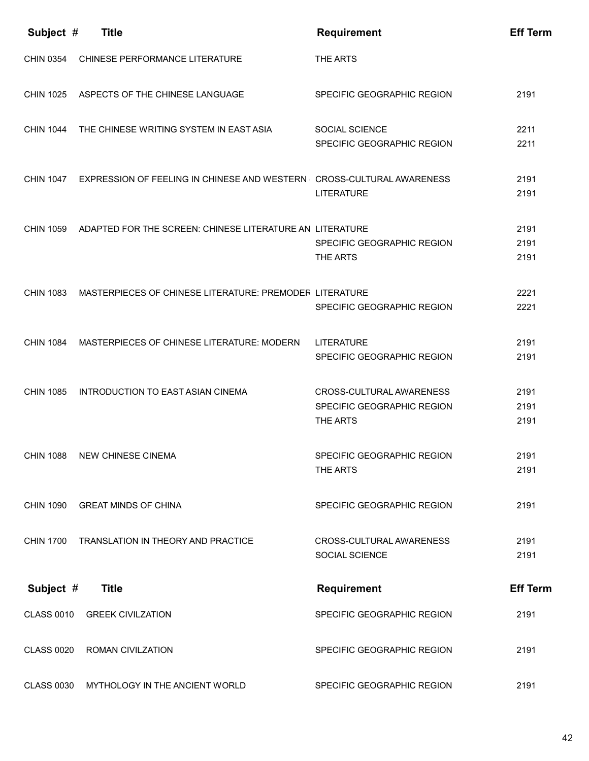| Subject #         | <b>Title</b>                                                                    | <b>Requirement</b>                                                 | <b>Eff Term</b>      |
|-------------------|---------------------------------------------------------------------------------|--------------------------------------------------------------------|----------------------|
| <b>CHIN 0354</b>  | CHINESE PERFORMANCE LITERATURE                                                  | THE ARTS                                                           |                      |
|                   | CHIN 1025 ASPECTS OF THE CHINESE LANGUAGE                                       | SPECIFIC GEOGRAPHIC REGION                                         | 2191                 |
|                   | CHIN 1044 THE CHINESE WRITING SYSTEM IN EAST ASIA                               | <b>SOCIAL SCIENCE</b><br>SPECIFIC GEOGRAPHIC REGION                | 2211<br>2211         |
|                   | CHIN 1047 EXPRESSION OF FEELING IN CHINESE AND WESTERN CROSS-CULTURAL AWARENESS | <b>LITERATURE</b>                                                  | 2191<br>2191         |
| <b>CHIN 1059</b>  | ADAPTED FOR THE SCREEN: CHINESE LITERATURE AN LITERATURE                        | SPECIFIC GEOGRAPHIC REGION<br>THE ARTS                             | 2191<br>2191<br>2191 |
| <b>CHIN 1083</b>  | MASTERPIECES OF CHINESE LITERATURE: PREMODER LITERATURE                         | SPECIFIC GEOGRAPHIC REGION                                         | 2221<br>2221         |
| <b>CHIN 1084</b>  | MASTERPIECES OF CHINESE LITERATURE: MODERN LITERATURE                           | SPECIFIC GEOGRAPHIC REGION                                         | 2191<br>2191         |
| <b>CHIN 1085</b>  | INTRODUCTION TO EAST ASIAN CINEMA                                               | CROSS-CULTURAL AWARENESS<br>SPECIFIC GEOGRAPHIC REGION<br>THE ARTS | 2191<br>2191<br>2191 |
| <b>CHIN 1088</b>  | <b>NEW CHINESE CINEMA</b>                                                       | SPECIFIC GEOGRAPHIC REGION<br>THE ARTS                             | 2191<br>2191         |
| <b>CHIN 1090</b>  | <b>GREAT MINDS OF CHINA</b>                                                     | SPECIFIC GEOGRAPHIC REGION                                         | 2191                 |
| <b>CHIN 1700</b>  | TRANSLATION IN THEORY AND PRACTICE                                              | CROSS-CULTURAL AWARENESS<br><b>SOCIAL SCIENCE</b>                  | 2191<br>2191         |
| Subject #         | <b>Title</b>                                                                    | <b>Requirement</b>                                                 | <b>Eff Term</b>      |
| <b>CLASS 0010</b> | <b>GREEK CIVILZATION</b>                                                        | SPECIFIC GEOGRAPHIC REGION                                         | 2191                 |
| <b>CLASS 0020</b> | <b>ROMAN CIVILZATION</b>                                                        | SPECIFIC GEOGRAPHIC REGION                                         | 2191                 |
| <b>CLASS 0030</b> | MYTHOLOGY IN THE ANCIENT WORLD                                                  | SPECIFIC GEOGRAPHIC REGION                                         | 2191                 |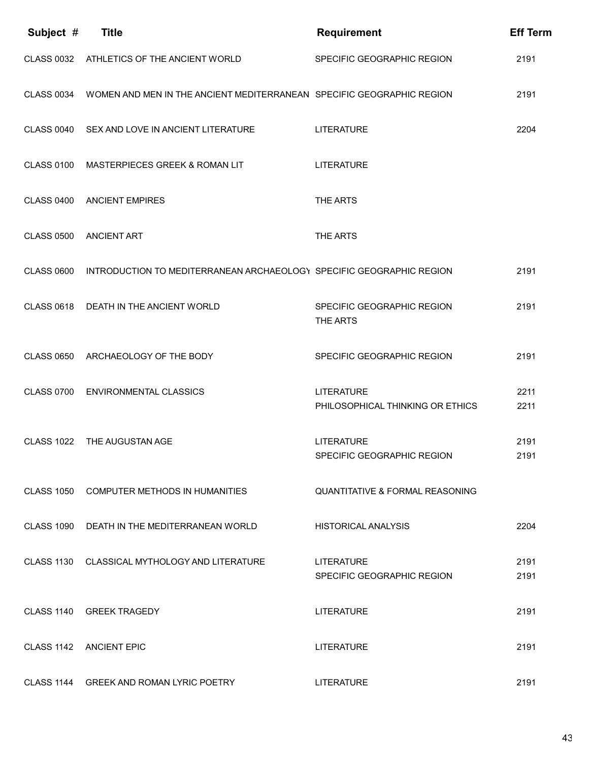| Subject #         | <b>Title</b>                                                          | <b>Requirement</b>                                    | <b>Eff Term</b> |
|-------------------|-----------------------------------------------------------------------|-------------------------------------------------------|-----------------|
|                   | CLASS 0032 ATHLETICS OF THE ANCIENT WORLD                             | SPECIFIC GEOGRAPHIC REGION                            | 2191            |
| <b>CLASS 0034</b> | WOMEN AND MEN IN THE ANCIENT MEDITERRANEAN SPECIFIC GEOGRAPHIC REGION |                                                       | 2191            |
|                   | CLASS 0040 SEX AND LOVE IN ANCIENT LITERATURE                         | <b>LITERATURE</b>                                     | 2204            |
| <b>CLASS 0100</b> | MASTERPIECES GREEK & ROMAN LIT                                        | <b>LITERATURE</b>                                     |                 |
| <b>CLASS 0400</b> | <b>ANCIENT EMPIRES</b>                                                | THE ARTS                                              |                 |
| <b>CLASS 0500</b> | <b>ANCIENT ART</b>                                                    | THE ARTS                                              |                 |
| <b>CLASS 0600</b> | INTRODUCTION TO MEDITERRANEAN ARCHAEOLOGY SPECIFIC GEOGRAPHIC REGION  |                                                       | 2191            |
| <b>CLASS 0618</b> | DEATH IN THE ANCIENT WORLD                                            | SPECIFIC GEOGRAPHIC REGION<br>THE ARTS                | 2191            |
| <b>CLASS 0650</b> | ARCHAEOLOGY OF THE BODY                                               | SPECIFIC GEOGRAPHIC REGION                            | 2191            |
| <b>CLASS 0700</b> | <b>ENVIRONMENTAL CLASSICS</b>                                         | <b>LITERATURE</b><br>PHILOSOPHICAL THINKING OR ETHICS | 2211<br>2211    |
| <b>CLASS 1022</b> | THE AUGUSTAN AGE                                                      | <b>LITERATURE</b><br>SPECIFIC GEOGRAPHIC REGION       | 2191<br>2191    |
| <b>CLASS 1050</b> | COMPUTER METHODS IN HUMANITIES                                        | <b>QUANTITATIVE &amp; FORMAL REASONING</b>            |                 |
|                   | CLASS 1090 DEATH IN THE MEDITERRANEAN WORLD                           | <b>HISTORICAL ANALYSIS</b>                            | 2204            |
|                   | CLASS 1130 CLASSICAL MYTHOLOGY AND LITERATURE                         | <b>LITERATURE</b><br>SPECIFIC GEOGRAPHIC REGION       | 2191<br>2191    |
|                   | CLASS 1140 GREEK TRAGEDY                                              | <b>LITERATURE</b>                                     | 2191            |
|                   | CLASS 1142 ANCIENT EPIC                                               | <b>LITERATURE</b>                                     | 2191            |
|                   | CLASS 1144 GREEK AND ROMAN LYRIC POETRY                               | <b>LITERATURE</b>                                     | 2191            |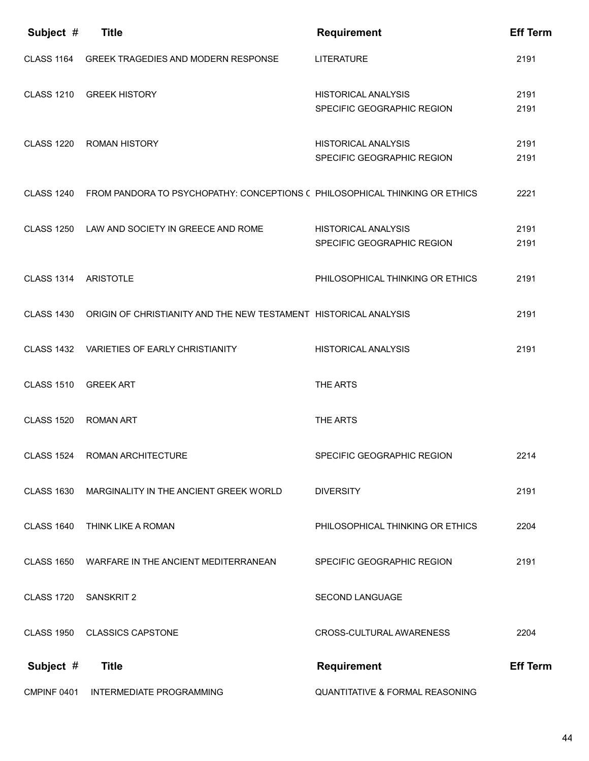| Subject #         | <b>Title</b>                                                                          | <b>Requirement</b>                                       | <b>Eff Term</b> |
|-------------------|---------------------------------------------------------------------------------------|----------------------------------------------------------|-----------------|
| <b>CLASS 1164</b> | <b>GREEK TRAGEDIES AND MODERN RESPONSE</b>                                            | <b>LITERATURE</b>                                        | 2191            |
| <b>CLASS 1210</b> | <b>GREEK HISTORY</b>                                                                  | <b>HISTORICAL ANALYSIS</b><br>SPECIFIC GEOGRAPHIC REGION | 2191<br>2191    |
| <b>CLASS 1220</b> | <b>ROMAN HISTORY</b>                                                                  | <b>HISTORICAL ANALYSIS</b><br>SPECIFIC GEOGRAPHIC REGION | 2191<br>2191    |
|                   | CLASS 1240 FROM PANDORA TO PSYCHOPATHY: CONCEPTIONS (PHILOSOPHICAL THINKING OR ETHICS |                                                          | 2221            |
|                   | CLASS 1250 LAW AND SOCIETY IN GREECE AND ROME                                         | <b>HISTORICAL ANALYSIS</b><br>SPECIFIC GEOGRAPHIC REGION | 2191<br>2191    |
| <b>CLASS 1314</b> | <b>ARISTOTLE</b>                                                                      | PHILOSOPHICAL THINKING OR ETHICS                         | 2191            |
| <b>CLASS 1430</b> | ORIGIN OF CHRISTIANITY AND THE NEW TESTAMENT HISTORICAL ANALYSIS                      |                                                          | 2191            |
|                   | CLASS 1432 VARIETIES OF EARLY CHRISTIANITY                                            | <b>HISTORICAL ANALYSIS</b>                               | 2191            |
| <b>CLASS 1510</b> | <b>GREEK ART</b>                                                                      | THE ARTS                                                 |                 |
| <b>CLASS 1520</b> | <b>ROMAN ART</b>                                                                      | THE ARTS                                                 |                 |
| <b>CLASS 1524</b> | <b>ROMAN ARCHITECTURE</b>                                                             | SPECIFIC GEOGRAPHIC REGION                               | 2214            |
| <b>CLASS 1630</b> | MARGINALITY IN THE ANCIENT GREEK WORLD                                                | <b>DIVERSITY</b>                                         | 2191            |
| <b>CLASS 1640</b> | THINK LIKE A ROMAN                                                                    | PHILOSOPHICAL THINKING OR ETHICS                         | 2204            |
| <b>CLASS 1650</b> | WARFARE IN THE ANCIENT MEDITERRANEAN                                                  | SPECIFIC GEOGRAPHIC REGION                               | 2191            |
| <b>CLASS 1720</b> | <b>SANSKRIT 2</b>                                                                     | SECOND LANGUAGE                                          |                 |
| <b>CLASS 1950</b> | <b>CLASSICS CAPSTONE</b>                                                              | CROSS-CULTURAL AWARENESS                                 | 2204            |
| Subject #         | <b>Title</b>                                                                          | <b>Requirement</b>                                       | <b>Eff Term</b> |
| CMPINF 0401       | INTERMEDIATE PROGRAMMING                                                              | QUANTITATIVE & FORMAL REASONING                          |                 |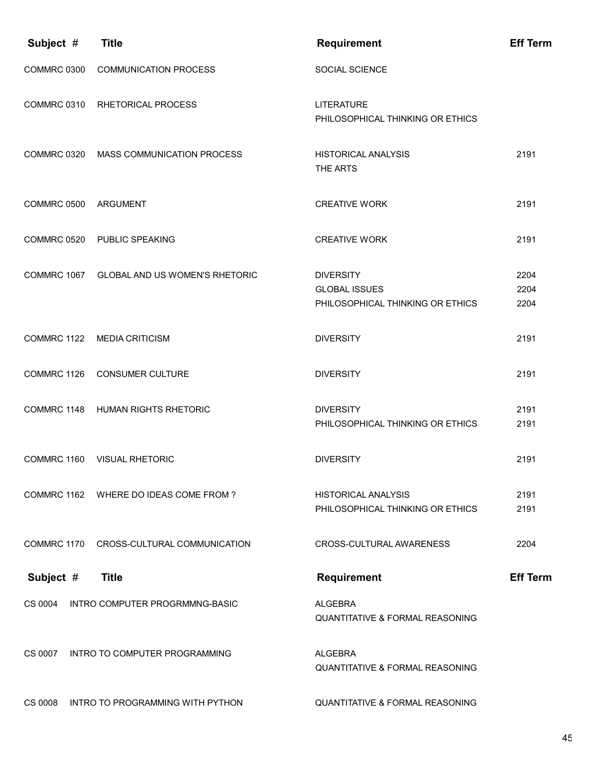| Subject #   | <b>Title</b>                             | <b>Requirement</b>                                                           | <b>Eff Term</b>      |
|-------------|------------------------------------------|------------------------------------------------------------------------------|----------------------|
| COMMRC 0300 | <b>COMMUNICATION PROCESS</b>             | <b>SOCIAL SCIENCE</b>                                                        |                      |
| COMMRC 0310 | <b>RHETORICAL PROCESS</b>                | <b>LITERATURE</b><br>PHILOSOPHICAL THINKING OR ETHICS                        |                      |
|             | COMMRC 0320 MASS COMMUNICATION PROCESS   | <b>HISTORICAL ANALYSIS</b><br>THE ARTS                                       | 2191                 |
| COMMRC 0500 | ARGUMENT                                 | <b>CREATIVE WORK</b>                                                         | 2191                 |
|             | COMMRC 0520 PUBLIC SPEAKING              | <b>CREATIVE WORK</b>                                                         | 2191                 |
| COMMRC 1067 | <b>GLOBAL AND US WOMEN'S RHETORIC</b>    | <b>DIVERSITY</b><br><b>GLOBAL ISSUES</b><br>PHILOSOPHICAL THINKING OR ETHICS | 2204<br>2204<br>2204 |
|             | COMMRC 1122 MEDIA CRITICISM              | <b>DIVERSITY</b>                                                             | 2191                 |
| COMMRC 1126 | <b>CONSUMER CULTURE</b>                  | <b>DIVERSITY</b>                                                             | 2191                 |
| COMMRC 1148 | <b>HUMAN RIGHTS RHETORIC</b>             | <b>DIVERSITY</b><br>PHILOSOPHICAL THINKING OR ETHICS                         | 2191<br>2191         |
| COMMRC 1160 | <b>VISUAL RHETORIC</b>                   | <b>DIVERSITY</b>                                                             | 2191                 |
|             | COMMRC 1162 WHERE DO IDEAS COME FROM ?   | <b>HISTORICAL ANALYSIS</b><br>PHILOSOPHICAL THINKING OR ETHICS               | 2191<br>2191         |
|             | COMMRC 1170 CROSS-CULTURAL COMMUNICATION | CROSS-CULTURAL AWARENESS                                                     | 2204                 |
| Subject #   | <b>Title</b>                             | <b>Requirement</b>                                                           | <b>Eff Term</b>      |
| CS 0004     | INTRO COMPUTER PROGRMMNG-BASIC           | <b>ALGEBRA</b><br><b>QUANTITATIVE &amp; FORMAL REASONING</b>                 |                      |
| CS 0007     | INTRO TO COMPUTER PROGRAMMING            | <b>ALGEBRA</b><br><b>QUANTITATIVE &amp; FORMAL REASONING</b>                 |                      |
| CS 0008     | INTRO TO PROGRAMMING WITH PYTHON         | <b>QUANTITATIVE &amp; FORMAL REASONING</b>                                   |                      |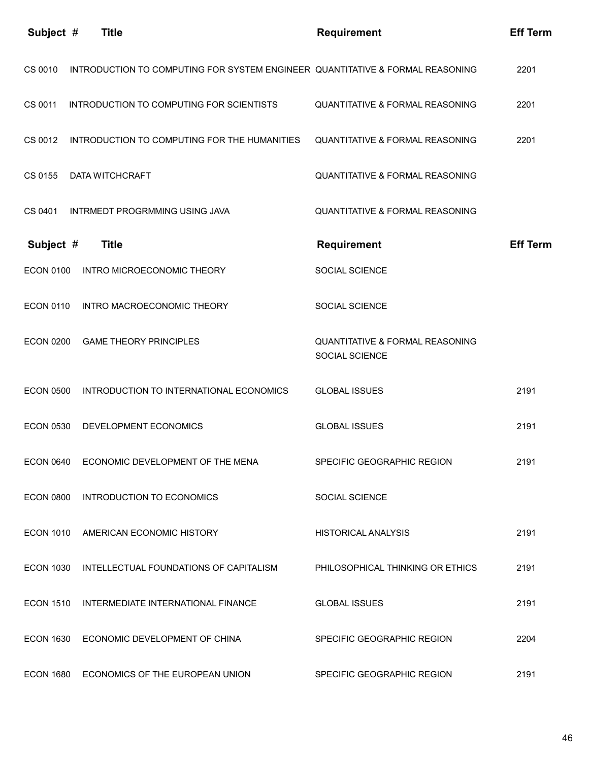| Subject #        | <b>Title</b>                                                                  | <b>Requirement</b>                                           | <b>Eff Term</b> |
|------------------|-------------------------------------------------------------------------------|--------------------------------------------------------------|-----------------|
| CS 0010          | INTRODUCTION TO COMPUTING FOR SYSTEM ENGINEER QUANTITATIVE & FORMAL REASONING |                                                              | 2201            |
| CS 0011          | INTRODUCTION TO COMPUTING FOR SCIENTISTS                                      | <b>QUANTITATIVE &amp; FORMAL REASONING</b>                   | 2201            |
| CS 0012          | INTRODUCTION TO COMPUTING FOR THE HUMANITIES                                  | <b>QUANTITATIVE &amp; FORMAL REASONING</b>                   | 2201            |
| CS 0155          | DATA WITCHCRAFT                                                               | <b>QUANTITATIVE &amp; FORMAL REASONING</b>                   |                 |
| CS 0401          | INTRMEDT PROGRMMING USING JAVA                                                | <b>QUANTITATIVE &amp; FORMAL REASONING</b>                   |                 |
| Subject #        | <b>Title</b>                                                                  | <b>Requirement</b>                                           | <b>Eff Term</b> |
| <b>ECON 0100</b> | INTRO MICROECONOMIC THEORY                                                    | SOCIAL SCIENCE                                               |                 |
| <b>ECON 0110</b> | INTRO MACROECONOMIC THEORY                                                    | <b>SOCIAL SCIENCE</b>                                        |                 |
| <b>ECON 0200</b> | <b>GAME THEORY PRINCIPLES</b>                                                 | <b>QUANTITATIVE &amp; FORMAL REASONING</b><br>SOCIAL SCIENCE |                 |
| <b>ECON 0500</b> | INTRODUCTION TO INTERNATIONAL ECONOMICS                                       | <b>GLOBAL ISSUES</b>                                         | 2191            |
| <b>ECON 0530</b> | DEVELOPMENT ECONOMICS                                                         | <b>GLOBAL ISSUES</b>                                         | 2191            |
|                  | ECON 0640 ECONOMIC DEVELOPMENT OF THE MENA                                    | SPECIFIC GEOGRAPHIC REGION                                   | 2191            |
|                  | ECON 0800 INTRODUCTION TO ECONOMICS                                           | <b>SOCIAL SCIENCE</b>                                        |                 |
|                  | ECON 1010 AMERICAN ECONOMIC HISTORY                                           | <b>HISTORICAL ANALYSIS</b>                                   | 2191            |
| <b>ECON 1030</b> | INTELLECTUAL FOUNDATIONS OF CAPITALISM                                        | PHILOSOPHICAL THINKING OR ETHICS                             | 2191            |
| <b>ECON 1510</b> | INTERMEDIATE INTERNATIONAL FINANCE                                            | <b>GLOBAL ISSUES</b>                                         | 2191            |
|                  | ECON 1630 ECONOMIC DEVELOPMENT OF CHINA                                       | SPECIFIC GEOGRAPHIC REGION                                   | 2204            |
| <b>ECON 1680</b> | ECONOMICS OF THE EUROPEAN UNION                                               | SPECIFIC GEOGRAPHIC REGION                                   | 2191            |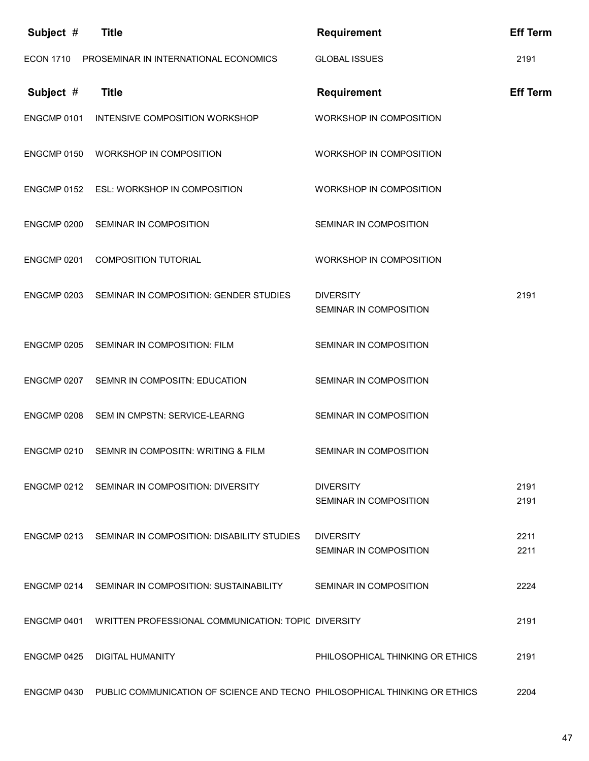| Subject #        | <b>Title</b>                                                                           | <b>Requirement</b>                         | <b>Eff Term</b> |
|------------------|----------------------------------------------------------------------------------------|--------------------------------------------|-----------------|
| <b>ECON 1710</b> | PROSEMINAR IN INTERNATIONAL ECONOMICS                                                  | <b>GLOBAL ISSUES</b>                       | 2191            |
| Subject #        | <b>Title</b>                                                                           | <b>Requirement</b>                         | <b>Eff Term</b> |
|                  | ENGCMP 0101 INTENSIVE COMPOSITION WORKSHOP                                             | WORKSHOP IN COMPOSITION                    |                 |
| ENGCMP 0150      | <b>WORKSHOP IN COMPOSITION</b>                                                         | WORKSHOP IN COMPOSITION                    |                 |
|                  | ENGCMP 0152 ESL: WORKSHOP IN COMPOSITION                                               | WORKSHOP IN COMPOSITION                    |                 |
| ENGCMP 0200      | SEMINAR IN COMPOSITION                                                                 | SEMINAR IN COMPOSITION                     |                 |
| ENGCMP 0201      | <b>COMPOSITION TUTORIAL</b>                                                            | WORKSHOP IN COMPOSITION                    |                 |
|                  | ENGCMP 0203 SEMINAR IN COMPOSITION: GENDER STUDIES                                     | <b>DIVERSITY</b><br>SEMINAR IN COMPOSITION | 2191            |
| ENGCMP 0205      | SEMINAR IN COMPOSITION: FILM                                                           | SEMINAR IN COMPOSITION                     |                 |
| ENGCMP 0207      | SEMNR IN COMPOSITN: EDUCATION                                                          | SEMINAR IN COMPOSITION                     |                 |
| ENGCMP 0208      | SEM IN CMPSTN: SERVICE-LEARNG                                                          | SEMINAR IN COMPOSITION                     |                 |
|                  | ENGCMP 0210 SEMNR IN COMPOSITN: WRITING & FILM                                         | SEMINAR IN COMPOSITION                     |                 |
|                  | ENGCMP 0212 SEMINAR IN COMPOSITION: DIVERSITY                                          | <b>DIVERSITY</b><br>SEMINAR IN COMPOSITION | 2191<br>2191    |
|                  | ENGCMP 0213 SEMINAR IN COMPOSITION: DISABILITY STUDIES DIVERSITY                       | SEMINAR IN COMPOSITION                     | 2211<br>2211    |
|                  | ENGCMP 0214 SEMINAR IN COMPOSITION: SUSTAINABILITY SEMINAR IN COMPOSITION              |                                            | 2224            |
|                  | ENGCMP 0401 WRITTEN PROFESSIONAL COMMUNICATION: TOPIC DIVERSITY                        |                                            | 2191            |
|                  | ENGCMP 0425 DIGITAL HUMANITY                                                           | PHILOSOPHICAL THINKING OR ETHICS           | 2191            |
|                  | ENGCMP 0430 PUBLIC COMMUNICATION OF SCIENCE AND TECNO PHILOSOPHICAL THINKING OR ETHICS |                                            | 2204            |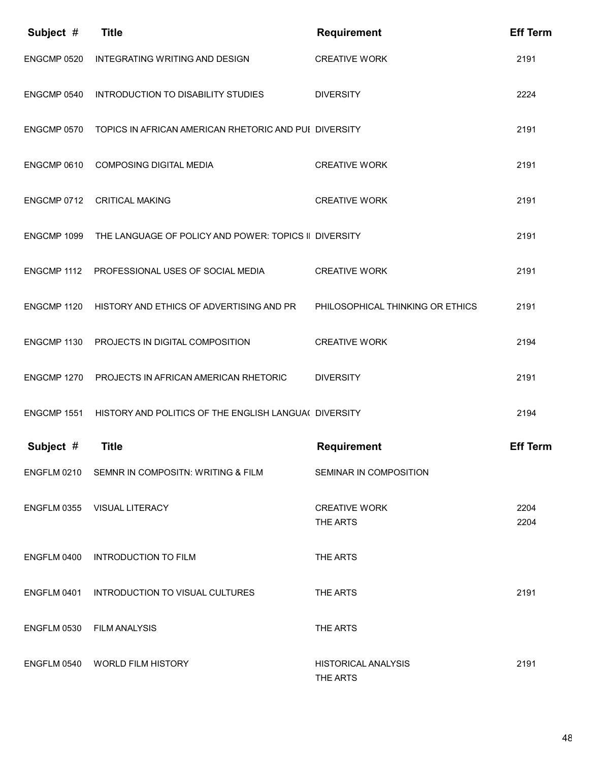| Subject #   | <b>Title</b>                                          | <b>Requirement</b>                     | <b>Eff Term</b> |
|-------------|-------------------------------------------------------|----------------------------------------|-----------------|
| ENGCMP 0520 | INTEGRATING WRITING AND DESIGN                        | <b>CREATIVE WORK</b>                   | 2191            |
| ENGCMP 0540 | INTRODUCTION TO DISABILITY STUDIES                    | <b>DIVERSITY</b>                       | 2224            |
| ENGCMP 0570 | TOPICS IN AFRICAN AMERICAN RHETORIC AND PUI DIVERSITY |                                        | 2191            |
| ENGCMP 0610 | <b>COMPOSING DIGITAL MEDIA</b>                        | <b>CREATIVE WORK</b>                   | 2191            |
| ENGCMP 0712 | CRITICAL MAKING                                       | <b>CREATIVE WORK</b>                   | 2191            |
| ENGCMP 1099 | THE LANGUAGE OF POLICY AND POWER: TOPICS II DIVERSITY |                                        | 2191            |
|             | ENGCMP 1112 PROFESSIONAL USES OF SOCIAL MEDIA         | <b>CREATIVE WORK</b>                   | 2191            |
| ENGCMP 1120 | HISTORY AND ETHICS OF ADVERTISING AND PR              | PHILOSOPHICAL THINKING OR ETHICS       | 2191            |
| ENGCMP 1130 | PROJECTS IN DIGITAL COMPOSITION                       | <b>CREATIVE WORK</b>                   | 2194            |
| ENGCMP 1270 | PROJECTS IN AFRICAN AMERICAN RHETORIC                 | <b>DIVERSITY</b>                       | 2191            |
| ENGCMP 1551 | HISTORY AND POLITICS OF THE ENGLISH LANGUA( DIVERSITY |                                        | 2194            |
| Subject #   | <b>Title</b>                                          | <b>Requirement</b>                     | <b>Eff Term</b> |
|             | ENGFLM 0210 SEMNR IN COMPOSITN: WRITING & FILM        | SEMINAR IN COMPOSITION                 |                 |
|             | ENGFLM 0355 VISUAL LITERACY                           | <b>CREATIVE WORK</b><br>THE ARTS       | 2204<br>2204    |
| ENGFLM 0400 | INTRODUCTION TO FILM                                  | THE ARTS                               |                 |
| ENGFLM 0401 | INTRODUCTION TO VISUAL CULTURES                       | THE ARTS                               | 2191            |
| ENGFLM 0530 | <b>FILM ANALYSIS</b>                                  | THE ARTS                               |                 |
|             | ENGFLM 0540 WORLD FILM HISTORY                        | <b>HISTORICAL ANALYSIS</b><br>THE ARTS | 2191            |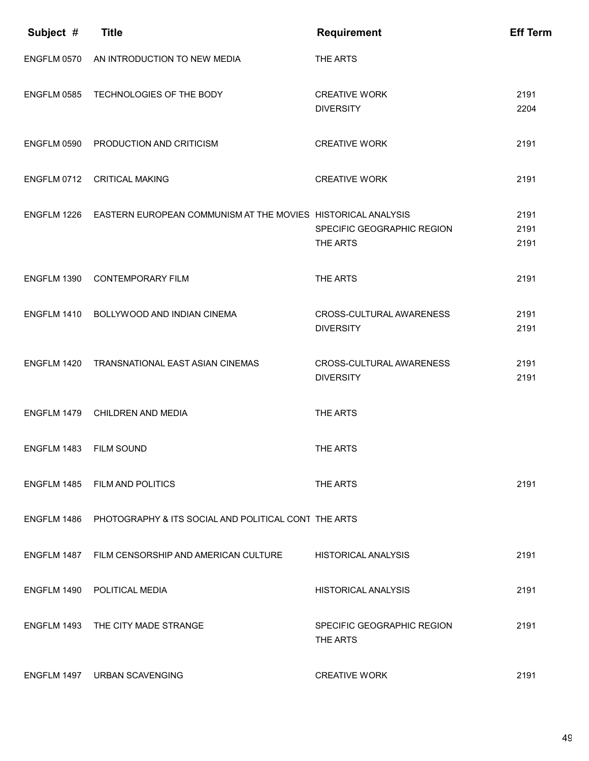| Subject #   | <b>Title</b>                                                             | <b>Requirement</b>                           | <b>Eff Term</b>      |
|-------------|--------------------------------------------------------------------------|----------------------------------------------|----------------------|
| ENGFLM 0570 | AN INTRODUCTION TO NEW MEDIA                                             | THE ARTS                                     |                      |
| ENGFLM 0585 | TECHNOLOGIES OF THE BODY                                                 | <b>CREATIVE WORK</b><br><b>DIVERSITY</b>     | 2191<br>2204         |
|             | ENGFLM 0590 PRODUCTION AND CRITICISM                                     | <b>CREATIVE WORK</b>                         | 2191                 |
|             | ENGFLM 0712 CRITICAL MAKING                                              | <b>CREATIVE WORK</b>                         | 2191                 |
|             | ENGFLM 1226 EASTERN EUROPEAN COMMUNISM AT THE MOVIES HISTORICAL ANALYSIS | SPECIFIC GEOGRAPHIC REGION<br>THE ARTS       | 2191<br>2191<br>2191 |
| ENGFLM 1390 | <b>CONTEMPORARY FILM</b>                                                 | THE ARTS                                     | 2191                 |
|             | ENGFLM 1410 BOLLYWOOD AND INDIAN CINEMA                                  | CROSS-CULTURAL AWARENESS<br><b>DIVERSITY</b> | 2191<br>2191         |
|             | ENGFLM 1420 TRANSNATIONAL EAST ASIAN CINEMAS                             | CROSS-CULTURAL AWARENESS<br><b>DIVERSITY</b> | 2191<br>2191         |
|             | ENGFLM 1479 CHILDREN AND MEDIA                                           | THE ARTS                                     |                      |
| ENGFLM 1483 | <b>FILM SOUND</b>                                                        | THE ARTS                                     |                      |
|             | ENGFLM 1485 FILM AND POLITICS                                            | THE ARTS                                     | 2191                 |
|             | ENGFLM 1486 PHOTOGRAPHY & ITS SOCIAL AND POLITICAL CONT THE ARTS         |                                              |                      |
|             | ENGFLM 1487 FILM CENSORSHIP AND AMERICAN CULTURE                         | HISTORICAL ANALYSIS                          | 2191                 |
|             | ENGFLM 1490 POLITICAL MEDIA                                              | <b>HISTORICAL ANALYSIS</b>                   | 2191                 |
|             | ENGFLM 1493 THE CITY MADE STRANGE                                        | SPECIFIC GEOGRAPHIC REGION<br>THE ARTS       | 2191                 |
|             | ENGFLM 1497 URBAN SCAVENGING                                             | <b>CREATIVE WORK</b>                         | 2191                 |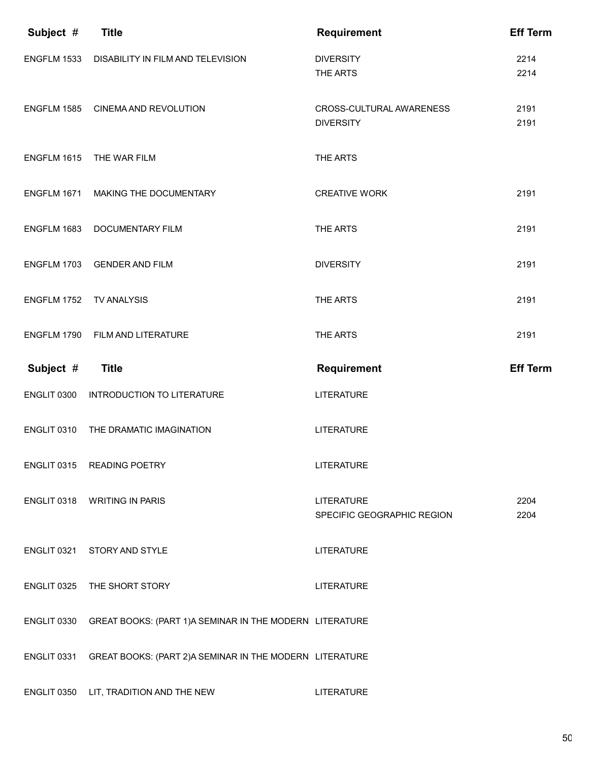| Subject #   | <b>Title</b>                                            | <b>Requirement</b>                              | <b>Eff Term</b> |
|-------------|---------------------------------------------------------|-------------------------------------------------|-----------------|
| ENGFLM 1533 | DISABILITY IN FILM AND TELEVISION                       | <b>DIVERSITY</b><br>THE ARTS                    | 2214<br>2214    |
|             | ENGFLM 1585 CINEMA AND REVOLUTION                       | CROSS-CULTURAL AWARENESS<br><b>DIVERSITY</b>    | 2191<br>2191    |
| ENGFLM 1615 | THE WAR FILM                                            | THE ARTS                                        |                 |
| ENGFLM 1671 | MAKING THE DOCUMENTARY                                  | <b>CREATIVE WORK</b>                            | 2191            |
| ENGFLM 1683 | <b>DOCUMENTARY FILM</b>                                 | THE ARTS                                        | 2191            |
| ENGFLM 1703 | <b>GENDER AND FILM</b>                                  | <b>DIVERSITY</b>                                | 2191            |
| ENGFLM 1752 | <b>TV ANALYSIS</b>                                      | THE ARTS                                        | 2191            |
| ENGFLM 1790 | FILM AND LITERATURE                                     | THE ARTS                                        | 2191            |
|             |                                                         |                                                 |                 |
| Subject #   | <b>Title</b>                                            | <b>Requirement</b>                              | <b>Eff Term</b> |
| ENGLIT 0300 | INTRODUCTION TO LITERATURE                              | <b>LITERATURE</b>                               |                 |
| ENGLIT 0310 | THE DRAMATIC IMAGINATION                                | <b>LITERATURE</b>                               |                 |
|             | ENGLIT 0315 READING POETRY                              | <b>LITERATURE</b>                               |                 |
|             | ENGLIT 0318 WRITING IN PARIS                            | <b>LITERATURE</b><br>SPECIFIC GEOGRAPHIC REGION | 2204<br>2204    |
|             | ENGLIT 0321 STORY AND STYLE                             | <b>LITERATURE</b>                               |                 |
|             | ENGLIT 0325 THE SHORT STORY                             | <b>LITERATURE</b>                               |                 |
| ENGLIT 0330 | GREAT BOOKS: (PART 1)A SEMINAR IN THE MODERN LITERATURE |                                                 |                 |
| ENGLIT 0331 | GREAT BOOKS: (PART 2)A SEMINAR IN THE MODERN LITERATURE |                                                 |                 |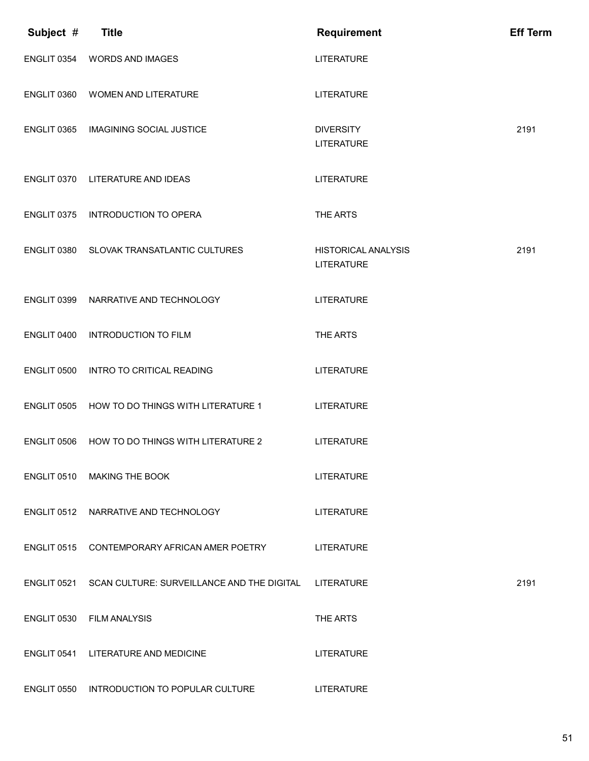| Subject #          | <b>Title</b>                               | <b>Requirement</b>                              | <b>Eff Term</b> |
|--------------------|--------------------------------------------|-------------------------------------------------|-----------------|
| ENGLIT 0354        | <b>WORDS AND IMAGES</b>                    | <b>LITERATURE</b>                               |                 |
| ENGLIT 0360        | WOMEN AND LITERATURE                       | <b>LITERATURE</b>                               |                 |
| ENGLIT 0365        | <b>IMAGINING SOCIAL JUSTICE</b>            | <b>DIVERSITY</b><br><b>LITERATURE</b>           | 2191            |
| ENGLIT 0370        | LITERATURE AND IDEAS                       | <b>LITERATURE</b>                               |                 |
| ENGLIT 0375        | <b>INTRODUCTION TO OPERA</b>               | THE ARTS                                        |                 |
| ENGLIT 0380        | SLOVAK TRANSATLANTIC CULTURES              | <b>HISTORICAL ANALYSIS</b><br><b>LITERATURE</b> | 2191            |
| ENGLIT 0399        | NARRATIVE AND TECHNOLOGY                   | <b>LITERATURE</b>                               |                 |
| ENGLIT 0400        | <b>INTRODUCTION TO FILM</b>                | THE ARTS                                        |                 |
| ENGLIT 0500        | INTRO TO CRITICAL READING                  | <b>LITERATURE</b>                               |                 |
| <b>ENGLIT 0505</b> | HOW TO DO THINGS WITH LITERATURE 1         | <b>LITERATURE</b>                               |                 |
| ENGLIT 0506        | HOW TO DO THINGS WITH LITERATURE 2         | <b>LITERATURE</b>                               |                 |
|                    | ENGLIT 0510 MAKING THE BOOK                | <b>LITERATURE</b>                               |                 |
|                    | ENGLIT 0512 NARRATIVE AND TECHNOLOGY       | <b>LITERATURE</b>                               |                 |
| ENGLIT 0515        | CONTEMPORARY AFRICAN AMER POETRY           | <b>LITERATURE</b>                               |                 |
| ENGLIT 0521        | SCAN CULTURE: SURVEILLANCE AND THE DIGITAL | <b>LITERATURE</b>                               | 2191            |
| ENGLIT 0530        | <b>FILM ANALYSIS</b>                       | THE ARTS                                        |                 |
| ENGLIT 0541        | LITERATURE AND MEDICINE                    | <b>LITERATURE</b>                               |                 |
| ENGLIT 0550        | INTRODUCTION TO POPULAR CULTURE            | <b>LITERATURE</b>                               |                 |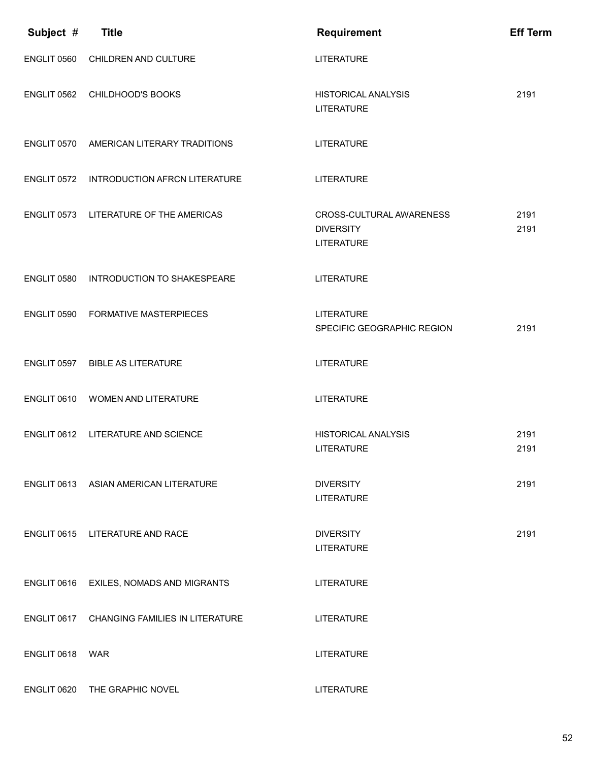| Subject #   | <b>Title</b>                                | <b>Requirement</b>                                                       | <b>Eff Term</b> |
|-------------|---------------------------------------------|--------------------------------------------------------------------------|-----------------|
| ENGLIT 0560 | CHILDREN AND CULTURE                        | <b>LITERATURE</b>                                                        |                 |
| ENGLIT 0562 | CHILDHOOD'S BOOKS                           | <b>HISTORICAL ANALYSIS</b><br><b>LITERATURE</b>                          | 2191            |
| ENGLIT 0570 | AMERICAN LITERARY TRADITIONS                | <b>LITERATURE</b>                                                        |                 |
| ENGLIT 0572 | <b>INTRODUCTION AFRCN LITERATURE</b>        | <b>LITERATURE</b>                                                        |                 |
|             | ENGLIT 0573 LITERATURE OF THE AMERICAS      | <b>CROSS-CULTURAL AWARENESS</b><br><b>DIVERSITY</b><br><b>LITERATURE</b> | 2191<br>2191    |
| ENGLIT 0580 | INTRODUCTION TO SHAKESPEARE                 | <b>LITERATURE</b>                                                        |                 |
| ENGLIT 0590 | <b>FORMATIVE MASTERPIECES</b>               | <b>LITERATURE</b><br>SPECIFIC GEOGRAPHIC REGION                          | 2191            |
| ENGLIT 0597 | <b>BIBLE AS LITERATURE</b>                  | <b>LITERATURE</b>                                                        |                 |
| ENGLIT 0610 | <b>WOMEN AND LITERATURE</b>                 | <b>LITERATURE</b>                                                        |                 |
| ENGLIT 0612 | LITERATURE AND SCIENCE                      | <b>HISTORICAL ANALYSIS</b><br>LITERATURE                                 | 2191<br>2191    |
| ENGLIT 0613 | ASIAN AMERICAN LITERATURE                   | <b>DIVERSITY</b><br><b>LITERATURE</b>                                    | 2191            |
|             | ENGLIT 0615 LITERATURE AND RACE             | <b>DIVERSITY</b><br><b>LITERATURE</b>                                    | 2191            |
| ENGLIT 0616 | EXILES, NOMADS AND MIGRANTS                 | <b>LITERATURE</b>                                                        |                 |
|             | ENGLIT 0617 CHANGING FAMILIES IN LITERATURE | <b>LITERATURE</b>                                                        |                 |
| ENGLIT 0618 | WAR                                         | <b>LITERATURE</b>                                                        |                 |
| ENGLIT 0620 | THE GRAPHIC NOVEL                           | <b>LITERATURE</b>                                                        |                 |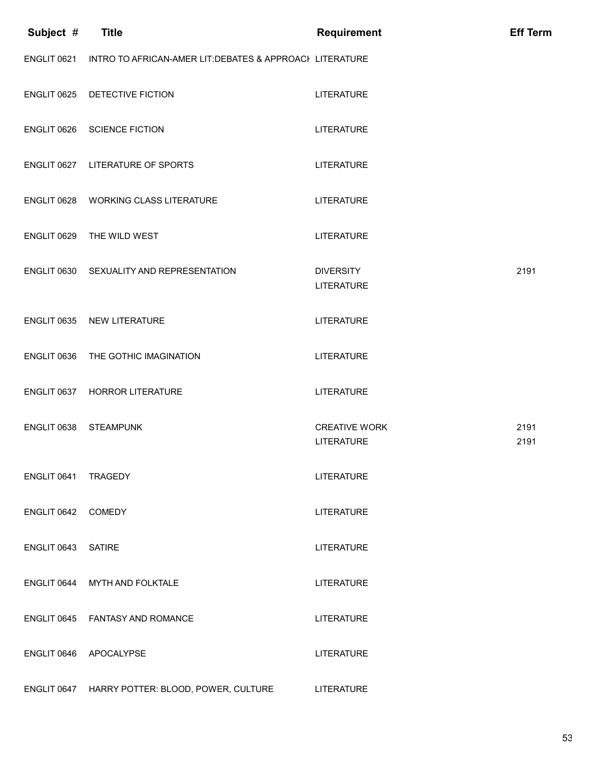| Subject #   | <b>Title</b>                                             | <b>Requirement</b>                        | <b>Eff Term</b> |
|-------------|----------------------------------------------------------|-------------------------------------------|-----------------|
| ENGLIT 0621 | INTRO TO AFRICAN-AMER LIT: DEBATES & APPROACH LITERATURE |                                           |                 |
| ENGLIT 0625 | DETECTIVE FICTION                                        | <b>LITERATURE</b>                         |                 |
| ENGLIT 0626 | <b>SCIENCE FICTION</b>                                   | <b>LITERATURE</b>                         |                 |
|             | ENGLIT 0627 LITERATURE OF SPORTS                         | <b>LITERATURE</b>                         |                 |
| ENGLIT 0628 | <b>WORKING CLASS LITERATURE</b>                          | <b>LITERATURE</b>                         |                 |
| ENGLIT 0629 | THE WILD WEST                                            | <b>LITERATURE</b>                         |                 |
|             | ENGLIT 0630 SEXUALITY AND REPRESENTATION                 | <b>DIVERSITY</b><br><b>LITERATURE</b>     | 2191            |
|             | ENGLIT 0635 NEW LITERATURE                               | <b>LITERATURE</b>                         |                 |
| ENGLIT 0636 | THE GOTHIC IMAGINATION                                   | <b>LITERATURE</b>                         |                 |
| ENGLIT 0637 | <b>HORROR LITERATURE</b>                                 | <b>LITERATURE</b>                         |                 |
| ENGLIT 0638 | <b>STEAMPUNK</b>                                         | <b>CREATIVE WORK</b><br><b>LITERATURE</b> | 2191<br>2191    |
| ENGLIT 0641 | <b>TRAGEDY</b>                                           | <b>LITERATURE</b>                         |                 |
| ENGLIT 0642 | <b>COMEDY</b>                                            | <b>LITERATURE</b>                         |                 |
| ENGLIT 0643 | <b>SATIRE</b>                                            | <b>LITERATURE</b>                         |                 |
| ENGLIT 0644 | MYTH AND FOLKTALE                                        | <b>LITERATURE</b>                         |                 |
| ENGLIT 0645 | <b>FANTASY AND ROMANCE</b>                               | <b>LITERATURE</b>                         |                 |
| ENGLIT 0646 | APOCALYPSE                                               | <b>LITERATURE</b>                         |                 |
|             | ENGLIT 0647 HARRY POTTER: BLOOD, POWER, CULTURE          | <b>LITERATURE</b>                         |                 |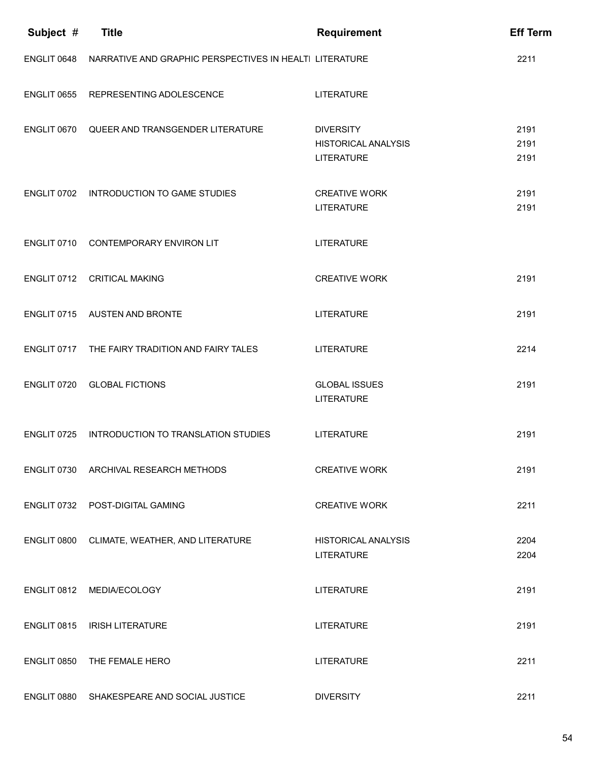| Subject #          | <b>Title</b>                                            | <b>Requirement</b>                                                  | <b>Eff Term</b>      |
|--------------------|---------------------------------------------------------|---------------------------------------------------------------------|----------------------|
| ENGLIT 0648        | NARRATIVE AND GRAPHIC PERSPECTIVES IN HEALTI LITERATURE |                                                                     | 2211                 |
| <b>ENGLIT 0655</b> | REPRESENTING ADOLESCENCE                                | <b>LITERATURE</b>                                                   |                      |
| ENGLIT 0670        | QUEER AND TRANSGENDER LITERATURE                        | <b>DIVERSITY</b><br><b>HISTORICAL ANALYSIS</b><br><b>LITERATURE</b> | 2191<br>2191<br>2191 |
|                    | ENGLIT 0702 INTRODUCTION TO GAME STUDIES                | <b>CREATIVE WORK</b><br><b>LITERATURE</b>                           | 2191<br>2191         |
| ENGLIT 0710        | CONTEMPORARY ENVIRON LIT                                | <b>LITERATURE</b>                                                   |                      |
| <b>ENGLIT 0712</b> | <b>CRITICAL MAKING</b>                                  | <b>CREATIVE WORK</b>                                                | 2191                 |
| ENGLIT 0715        | AUSTEN AND BRONTE                                       | <b>LITERATURE</b>                                                   | 2191                 |
|                    | ENGLIT 0717 THE FAIRY TRADITION AND FAIRY TALES         | <b>LITERATURE</b>                                                   | 2214                 |
| ENGLIT 0720        | <b>GLOBAL FICTIONS</b>                                  | <b>GLOBAL ISSUES</b><br><b>LITERATURE</b>                           | 2191                 |
| ENGLIT 0725        | INTRODUCTION TO TRANSLATION STUDIES                     | <b>LITERATURE</b>                                                   | 2191                 |
|                    | ENGLIT 0730 ARCHIVAL RESEARCH METHODS                   | <b>CREATIVE WORK</b>                                                | 2191                 |
|                    | ENGLIT 0732 POST-DIGITAL GAMING                         | <b>CREATIVE WORK</b>                                                | 2211                 |
| ENGLIT 0800        | CLIMATE, WEATHER, AND LITERATURE                        | <b>HISTORICAL ANALYSIS</b><br><b>LITERATURE</b>                     | 2204<br>2204         |
| ENGLIT 0812        | MEDIA/ECOLOGY                                           | <b>LITERATURE</b>                                                   | 2191                 |
|                    | ENGLIT 0815 IRISH LITERATURE                            | <b>LITERATURE</b>                                                   | 2191                 |
|                    | ENGLIT 0850 THE FEMALE HERO                             | <b>LITERATURE</b>                                                   | 2211                 |
|                    | ENGLIT 0880 SHAKESPEARE AND SOCIAL JUSTICE              | <b>DIVERSITY</b>                                                    | 2211                 |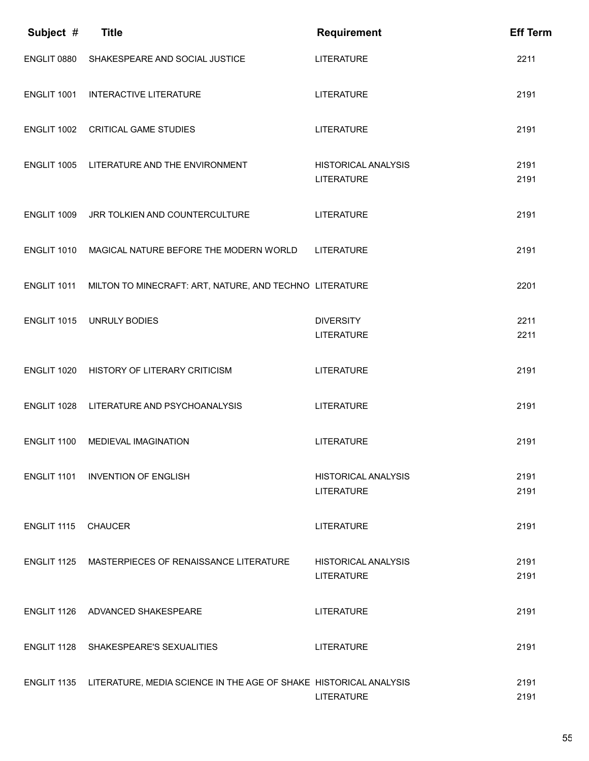| Subject #   | <b>Title</b>                                                      | <b>Requirement</b>                              | <b>Eff Term</b> |
|-------------|-------------------------------------------------------------------|-------------------------------------------------|-----------------|
| ENGLIT 0880 | SHAKESPEARE AND SOCIAL JUSTICE                                    | <b>LITERATURE</b>                               | 2211            |
| ENGLIT 1001 | <b>INTERACTIVE LITERATURE</b>                                     | <b>LITERATURE</b>                               | 2191            |
| ENGLIT 1002 | <b>CRITICAL GAME STUDIES</b>                                      | <b>LITERATURE</b>                               | 2191            |
| ENGLIT 1005 | LITERATURE AND THE ENVIRONMENT                                    | <b>HISTORICAL ANALYSIS</b><br><b>LITERATURE</b> | 2191<br>2191    |
| ENGLIT 1009 | JRR TOLKIEN AND COUNTERCULTURE                                    | <b>LITERATURE</b>                               | 2191            |
| ENGLIT 1010 | MAGICAL NATURE BEFORE THE MODERN WORLD                            | <b>LITERATURE</b>                               | 2191            |
| ENGLIT 1011 | MILTON TO MINECRAFT: ART, NATURE, AND TECHNO LITERATURE           |                                                 | 2201            |
| ENGLIT 1015 | <b>UNRULY BODIES</b>                                              | <b>DIVERSITY</b><br><b>LITERATURE</b>           | 2211<br>2211    |
| ENGLIT 1020 | HISTORY OF LITERARY CRITICISM                                     | <b>LITERATURE</b>                               | 2191            |
| ENGLIT 1028 | LITERATURE AND PSYCHOANALYSIS                                     | <b>LITERATURE</b>                               | 2191            |
| ENGLIT 1100 | <b>MEDIEVAL IMAGINATION</b>                                       | <b>LITERATURE</b>                               | 2191            |
|             | ENGLIT 1101 INVENTION OF ENGLISH                                  | <b>HISTORICAL ANALYSIS</b><br><b>LITERATURE</b> | 2191<br>2191    |
| ENGLIT 1115 | <b>CHAUCER</b>                                                    | <b>LITERATURE</b>                               | 2191            |
|             | ENGLIT 1125 MASTERPIECES OF RENAISSANCE LITERATURE                | <b>HISTORICAL ANALYSIS</b><br><b>LITERATURE</b> | 2191<br>2191    |
|             | ENGLIT 1126 ADVANCED SHAKESPEARE                                  | <b>LITERATURE</b>                               | 2191            |
|             | ENGLIT 1128 SHAKESPEARE'S SEXUALITIES                             | <b>LITERATURE</b>                               | 2191            |
| ENGLIT 1135 | LITERATURE, MEDIA SCIENCE IN THE AGE OF SHAKE HISTORICAL ANALYSIS | <b>LITERATURE</b>                               | 2191<br>2191    |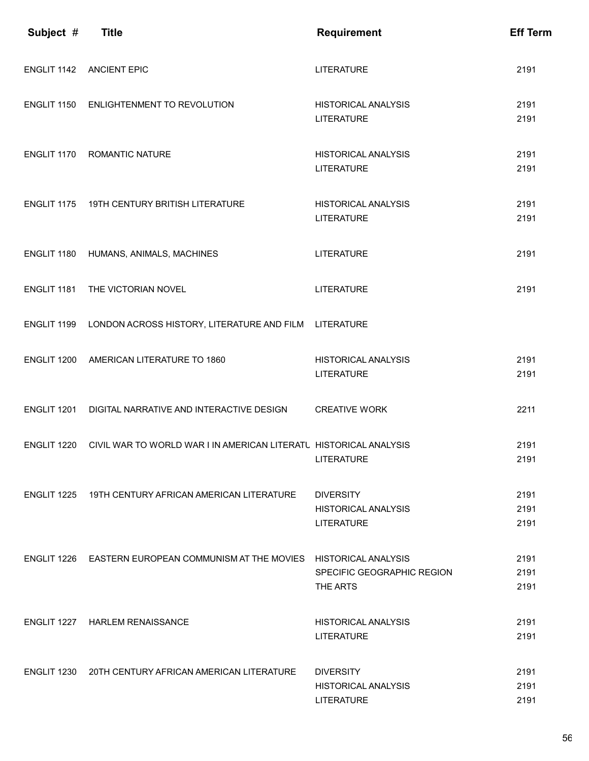| Subject #   | <b>Title</b>                                                             | <b>Requirement</b>                                           | <b>Eff Term</b>      |
|-------------|--------------------------------------------------------------------------|--------------------------------------------------------------|----------------------|
| ENGLIT 1142 | <b>ANCIENT EPIC</b>                                                      | <b>LITERATURE</b>                                            | 2191                 |
| ENGLIT 1150 | ENLIGHTENMENT TO REVOLUTION                                              | <b>HISTORICAL ANALYSIS</b><br><b>LITERATURE</b>              | 2191<br>2191         |
| ENGLIT 1170 | <b>ROMANTIC NATURE</b>                                                   | <b>HISTORICAL ANALYSIS</b><br><b>LITERATURE</b>              | 2191<br>2191         |
| ENGLIT 1175 | 19TH CENTURY BRITISH LITERATURE                                          | <b>HISTORICAL ANALYSIS</b><br><b>LITERATURE</b>              | 2191<br>2191         |
| ENGLIT 1180 | HUMANS, ANIMALS, MACHINES                                                | <b>LITERATURE</b>                                            | 2191                 |
| ENGLIT 1181 | THE VICTORIAN NOVEL                                                      | <b>LITERATURE</b>                                            | 2191                 |
| ENGLIT 1199 | LONDON ACROSS HISTORY, LITERATURE AND FILM LITERATURE                    |                                                              |                      |
| ENGLIT 1200 | AMERICAN LITERATURE TO 1860                                              | <b>HISTORICAL ANALYSIS</b><br><b>LITERATURE</b>              | 2191<br>2191         |
| ENGLIT 1201 | DIGITAL NARRATIVE AND INTERACTIVE DESIGN                                 | <b>CREATIVE WORK</b>                                         | 2211                 |
| ENGLIT 1220 | CIVIL WAR TO WORLD WAR I IN AMERICAN LITERATU HISTORICAL ANALYSIS        | <b>LITERATURE</b>                                            | 2191<br>2191         |
|             | ENGLIT 1225 19TH CENTURY AFRICAN AMERICAN LITERATURE                     | <b>DIVERSITY</b><br>HISTORICAL ANALYSIS<br><b>LITERATURE</b> | 2191<br>2191<br>2191 |
|             | ENGLIT 1226 EASTERN EUROPEAN COMMUNISM AT THE MOVIES HISTORICAL ANALYSIS | SPECIFIC GEOGRAPHIC REGION<br>THE ARTS                       | 2191<br>2191<br>2191 |
|             | ENGLIT 1227 HARLEM RENAISSANCE                                           | <b>HISTORICAL ANALYSIS</b><br><b>LITERATURE</b>              | 2191<br>2191         |
| ENGLIT 1230 | 20TH CENTURY AFRICAN AMERICAN LITERATURE                                 | <b>DIVERSITY</b><br>HISTORICAL ANALYSIS<br><b>LITERATURE</b> | 2191<br>2191<br>2191 |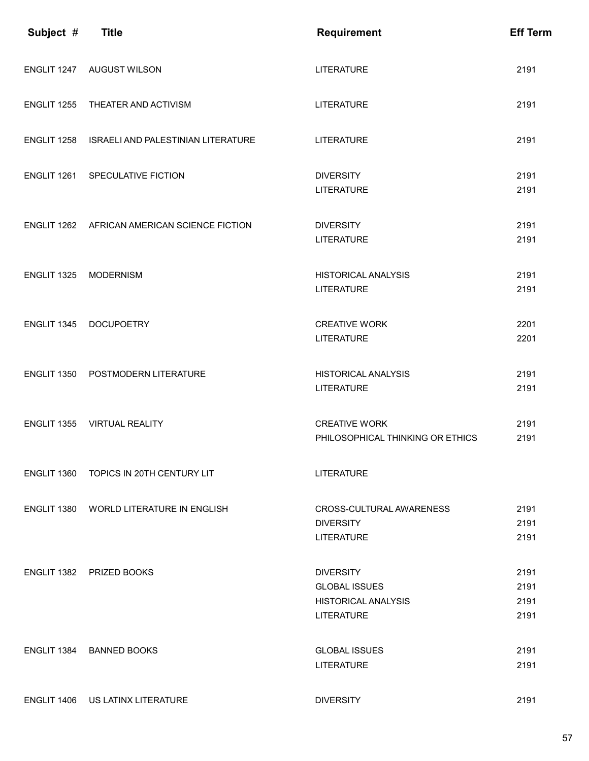| Subject #   | <b>Title</b>                                 | Requirement                                                                                 | <b>Eff Term</b>              |
|-------------|----------------------------------------------|---------------------------------------------------------------------------------------------|------------------------------|
|             | ENGLIT 1247 AUGUST WILSON                    | <b>LITERATURE</b>                                                                           | 2191                         |
| ENGLIT 1255 | THEATER AND ACTIVISM                         | <b>LITERATURE</b>                                                                           | 2191                         |
| ENGLIT 1258 | <b>ISRAELI AND PALESTINIAN LITERATURE</b>    | <b>LITERATURE</b>                                                                           | 2191                         |
|             | ENGLIT 1261 SPECULATIVE FICTION              | <b>DIVERSITY</b><br><b>LITERATURE</b>                                                       | 2191<br>2191                 |
|             | ENGLIT 1262 AFRICAN AMERICAN SCIENCE FICTION | <b>DIVERSITY</b><br><b>LITERATURE</b>                                                       | 2191<br>2191                 |
| ENGLIT 1325 | <b>MODERNISM</b>                             | <b>HISTORICAL ANALYSIS</b><br><b>LITERATURE</b>                                             | 2191<br>2191                 |
| ENGLIT 1345 | <b>DOCUPOETRY</b>                            | <b>CREATIVE WORK</b><br><b>LITERATURE</b>                                                   | 2201<br>2201                 |
|             | ENGLIT 1350 POSTMODERN LITERATURE            | <b>HISTORICAL ANALYSIS</b><br><b>LITERATURE</b>                                             | 2191<br>2191                 |
| ENGLIT 1355 | <b>VIRTUAL REALITY</b>                       | <b>CREATIVE WORK</b><br>PHILOSOPHICAL THINKING OR ETHICS                                    | 2191<br>2191                 |
| ENGLIT 1360 | TOPICS IN 20TH CENTURY LIT                   | <b>LITERATURE</b>                                                                           |                              |
| ENGLIT 1380 | <b>WORLD LITERATURE IN ENGLISH</b>           | <b>CROSS-CULTURAL AWARENESS</b><br><b>DIVERSITY</b><br><b>LITERATURE</b>                    | 2191<br>2191<br>2191         |
|             | ENGLIT 1382 PRIZED BOOKS                     | <b>DIVERSITY</b><br><b>GLOBAL ISSUES</b><br><b>HISTORICAL ANALYSIS</b><br><b>LITERATURE</b> | 2191<br>2191<br>2191<br>2191 |
|             | ENGLIT 1384 BANNED BOOKS                     | <b>GLOBAL ISSUES</b><br><b>LITERATURE</b>                                                   | 2191<br>2191                 |
| ENGLIT 1406 | US LATINX LITERATURE                         | <b>DIVERSITY</b>                                                                            | 2191                         |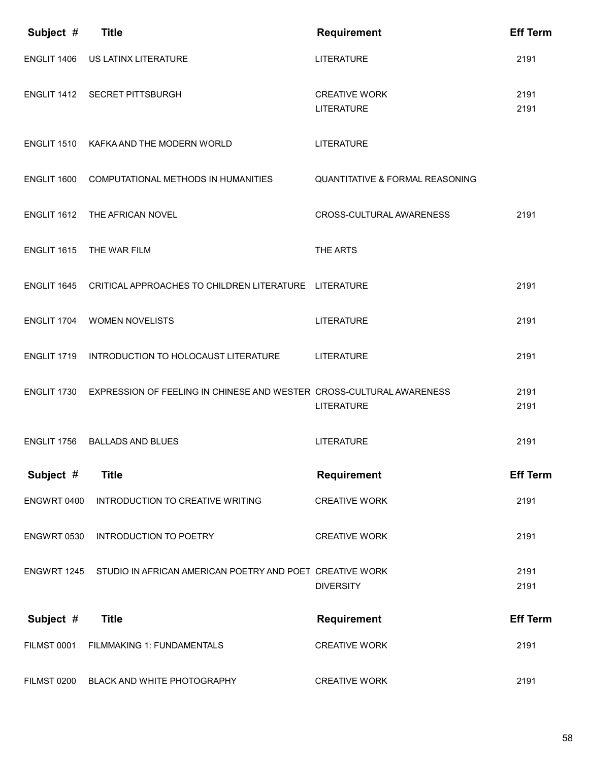| Subject #          | <b>Title</b>                                                         | <b>Requirement</b>                         | <b>Eff Term</b> |
|--------------------|----------------------------------------------------------------------|--------------------------------------------|-----------------|
| ENGLIT 1406        | US LATINX LITERATURE                                                 | <b>LITERATURE</b>                          | 2191            |
|                    | ENGLIT 1412 SECRET PITTSBURGH                                        | <b>CREATIVE WORK</b><br><b>LITERATURE</b>  | 2191<br>2191    |
| ENGLIT 1510        | KAFKA AND THE MODERN WORLD                                           | <b>LITERATURE</b>                          |                 |
| ENGLIT 1600        | COMPUTATIONAL METHODS IN HUMANITIES                                  | <b>QUANTITATIVE &amp; FORMAL REASONING</b> |                 |
| ENGLIT 1612        | THE AFRICAN NOVEL                                                    | <b>CROSS-CULTURAL AWARENESS</b>            | 2191            |
| ENGLIT 1615        | THE WAR FILM                                                         | THE ARTS                                   |                 |
| ENGLIT 1645        | CRITICAL APPROACHES TO CHILDREN LITERATURE LITERATURE                |                                            | 2191            |
| ENGLIT 1704        | <b>WOMEN NOVELISTS</b>                                               | <b>LITERATURE</b>                          | 2191            |
| ENGLIT 1719        | INTRODUCTION TO HOLOCAUST LITERATURE                                 | LITERATURE                                 | 2191            |
| ENGLIT 1730        | EXPRESSION OF FEELING IN CHINESE AND WESTER CROSS-CULTURAL AWARENESS | <b>LITERATURE</b>                          | 2191<br>2191    |
| ENGLIT 1756        | <b>BALLADS AND BLUES</b>                                             | <b>LITERATURE</b>                          | 2191            |
| Subject #          | <b>Title</b>                                                         | <b>Requirement</b>                         | <b>Eff Term</b> |
| ENGWRT 0400        | INTRODUCTION TO CREATIVE WRITING                                     | <b>CREATIVE WORK</b>                       | 2191            |
| ENGWRT 0530        | <b>INTRODUCTION TO POETRY</b>                                        | <b>CREATIVE WORK</b>                       | 2191            |
| ENGWRT 1245        | STUDIO IN AFRICAN AMERICAN POETRY AND POET CREATIVE WORK             | <b>DIVERSITY</b>                           | 2191<br>2191    |
| Subject #          | <b>Title</b>                                                         | <b>Requirement</b>                         | <b>Eff Term</b> |
| <b>FILMST 0001</b> | FILMMAKING 1: FUNDAMENTALS                                           | <b>CREATIVE WORK</b>                       | 2191            |
| <b>FILMST 0200</b> | BLACK AND WHITE PHOTOGRAPHY                                          | <b>CREATIVE WORK</b>                       | 2191            |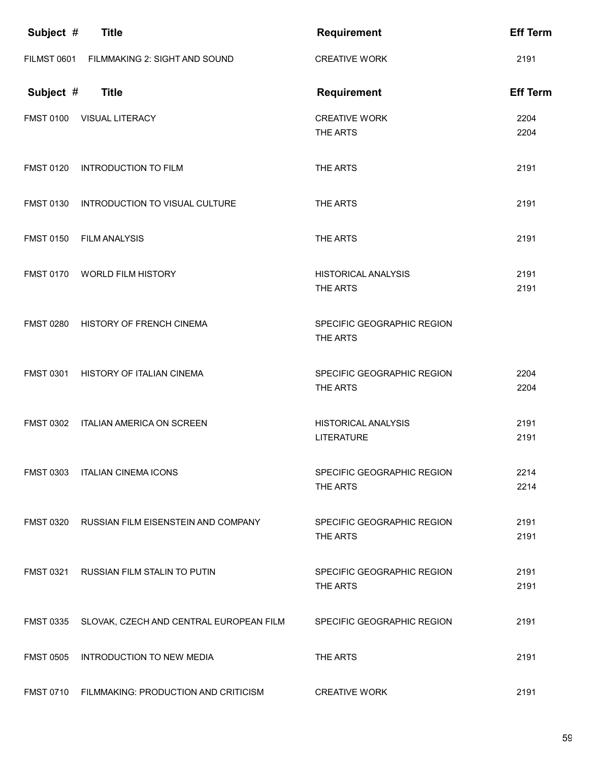| Subject #          | <b>Title</b>                                      | <b>Requirement</b>                              | <b>Eff Term</b> |
|--------------------|---------------------------------------------------|-------------------------------------------------|-----------------|
| <b>FILMST 0601</b> | FILMMAKING 2: SIGHT AND SOUND                     | <b>CREATIVE WORK</b>                            | 2191            |
| Subject #          | <b>Title</b>                                      | Requirement                                     | <b>Eff Term</b> |
| <b>FMST 0100</b>   | VISUAL LITERACY                                   | <b>CREATIVE WORK</b><br>THE ARTS                | 2204<br>2204    |
| <b>FMST 0120</b>   | <b>INTRODUCTION TO FILM</b>                       | THE ARTS                                        | 2191            |
| <b>FMST 0130</b>   | INTRODUCTION TO VISUAL CULTURE                    | THE ARTS                                        | 2191            |
| <b>FMST 0150</b>   | <b>FILM ANALYSIS</b>                              | THE ARTS                                        | 2191            |
| <b>FMST 0170</b>   | <b>WORLD FILM HISTORY</b>                         | <b>HISTORICAL ANALYSIS</b><br>THE ARTS          | 2191<br>2191    |
| <b>FMST 0280</b>   | HISTORY OF FRENCH CINEMA                          | SPECIFIC GEOGRAPHIC REGION<br>THE ARTS          |                 |
| <b>FMST 0301</b>   | HISTORY OF ITALIAN CINEMA                         | SPECIFIC GEOGRAPHIC REGION<br>THE ARTS          | 2204<br>2204    |
| <b>FMST 0302</b>   | <b>ITALIAN AMERICA ON SCREEN</b>                  | <b>HISTORICAL ANALYSIS</b><br><b>LITERATURE</b> | 2191<br>2191    |
| <b>FMST 0303</b>   | ITALIAN CINEMA ICONS                              | SPECIFIC GEOGRAPHIC REGION<br>THE ARTS          | 2214<br>2214    |
|                    | FMST 0320 RUSSIAN FILM EISENSTEIN AND COMPANY     | SPECIFIC GEOGRAPHIC REGION<br>THE ARTS          | 2191<br>2191    |
|                    | FMST 0321 RUSSIAN FILM STALIN TO PUTIN            | SPECIFIC GEOGRAPHIC REGION<br>THE ARTS          | 2191<br>2191    |
|                    | FMST 0335 SLOVAK, CZECH AND CENTRAL EUROPEAN FILM | SPECIFIC GEOGRAPHIC REGION                      | 2191            |
| <b>FMST 0505</b>   | INTRODUCTION TO NEW MEDIA                         | THE ARTS                                        | 2191            |
|                    | FMST 0710 FILMMAKING: PRODUCTION AND CRITICISM    | <b>CREATIVE WORK</b>                            | 2191            |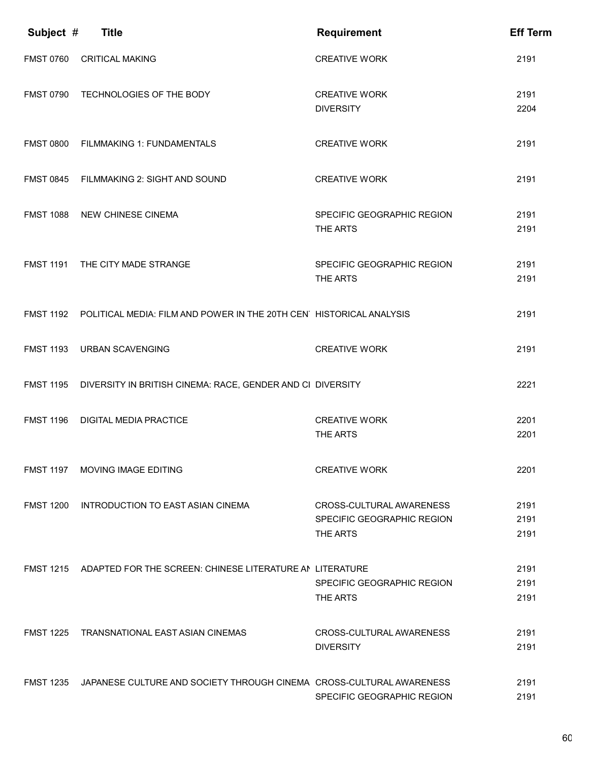| Subject #        | <b>Title</b>                                                                   | <b>Requirement</b>                     | <b>Eff Term</b> |
|------------------|--------------------------------------------------------------------------------|----------------------------------------|-----------------|
| <b>FMST 0760</b> | <b>CRITICAL MAKING</b>                                                         | <b>CREATIVE WORK</b>                   | 2191            |
| <b>FMST 0790</b> | TECHNOLOGIES OF THE BODY                                                       | <b>CREATIVE WORK</b>                   | 2191            |
|                  |                                                                                | <b>DIVERSITY</b>                       | 2204            |
| <b>FMST 0800</b> | <b>FILMMAKING 1: FUNDAMENTALS</b>                                              | <b>CREATIVE WORK</b>                   | 2191            |
|                  | FMST 0845 FILMMAKING 2: SIGHT AND SOUND                                        | <b>CREATIVE WORK</b>                   | 2191            |
|                  | FMST 1088 NEW CHINESE CINEMA                                                   | SPECIFIC GEOGRAPHIC REGION             | 2191            |
|                  |                                                                                | THE ARTS                               | 2191            |
| <b>FMST 1191</b> | THE CITY MADE STRANGE                                                          | SPECIFIC GEOGRAPHIC REGION             | 2191            |
|                  |                                                                                | THE ARTS                               | 2191            |
|                  | FMST 1192 POLITICAL MEDIA: FILM AND POWER IN THE 20TH CEN HISTORICAL ANALYSIS  |                                        | 2191            |
| <b>FMST 1193</b> | <b>URBAN SCAVENGING</b>                                                        | <b>CREATIVE WORK</b>                   | 2191            |
|                  | FMST 1195 DIVERSITY IN BRITISH CINEMA: RACE, GENDER AND CI DIVERSITY           |                                        | 2221            |
| <b>FMST 1196</b> | <b>DIGITAL MEDIA PRACTICE</b>                                                  | <b>CREATIVE WORK</b>                   | 2201            |
|                  |                                                                                | THE ARTS                               | 2201            |
| <b>FMST 1197</b> | <b>MOVING IMAGE EDITING</b>                                                    | <b>CREATIVE WORK</b>                   | 2201            |
| <b>FMST 1200</b> | INTRODUCTION TO EAST ASIAN CINEMA                                              | CROSS-CULTURAL AWARENESS               | 2191            |
|                  |                                                                                | SPECIFIC GEOGRAPHIC REGION             | 2191            |
|                  |                                                                                | THE ARTS                               | 2191            |
|                  | FMST 1215 ADAPTED FOR THE SCREEN: CHINESE LITERATURE AN LITERATURE             |                                        | 2191            |
|                  |                                                                                | SPECIFIC GEOGRAPHIC REGION<br>THE ARTS | 2191<br>2191    |
|                  |                                                                                |                                        |                 |
| <b>FMST 1225</b> | <b>TRANSNATIONAL EAST ASIAN CINEMAS</b>                                        | CROSS-CULTURAL AWARENESS               | 2191            |
|                  |                                                                                | <b>DIVERSITY</b>                       | 2191            |
|                  | FMST 1235 JAPANESE CULTURE AND SOCIETY THROUGH CINEMA CROSS-CULTURAL AWARENESS |                                        | 2191            |
|                  |                                                                                | SPECIFIC GEOGRAPHIC REGION             | 2191            |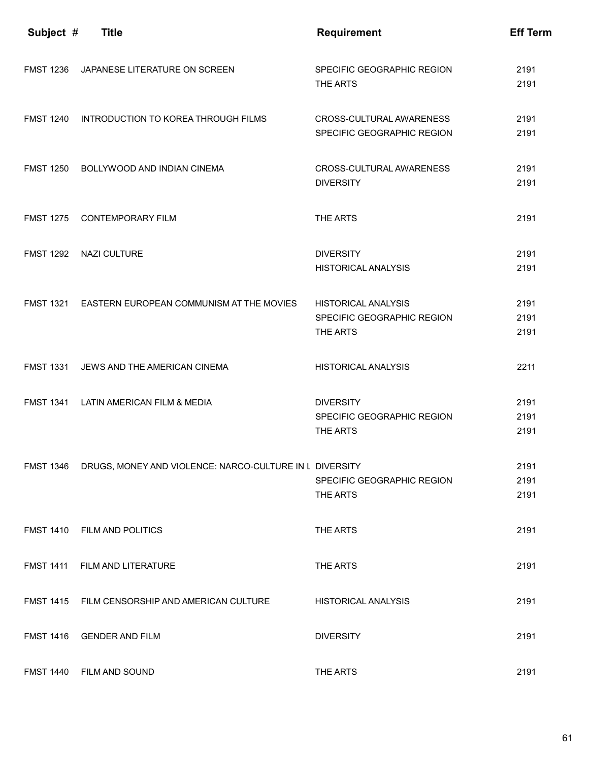| Subject #        | <b>Title</b>                                                      | <b>Requirement</b>                                                   | <b>Eff Term</b>      |
|------------------|-------------------------------------------------------------------|----------------------------------------------------------------------|----------------------|
| <b>FMST 1236</b> | JAPANESE LITERATURE ON SCREEN                                     | SPECIFIC GEOGRAPHIC REGION<br>THE ARTS                               | 2191<br>2191         |
| <b>FMST 1240</b> | INTRODUCTION TO KOREA THROUGH FILMS                               | CROSS-CULTURAL AWARENESS<br>SPECIFIC GEOGRAPHIC REGION               | 2191<br>2191         |
| <b>FMST 1250</b> | <b>BOLLYWOOD AND INDIAN CINEMA</b>                                | CROSS-CULTURAL AWARENESS<br><b>DIVERSITY</b>                         | 2191<br>2191         |
| <b>FMST 1275</b> | <b>CONTEMPORARY FILM</b>                                          | THE ARTS                                                             | 2191                 |
| <b>FMST 1292</b> | <b>NAZI CULTURE</b>                                               | <b>DIVERSITY</b><br><b>HISTORICAL ANALYSIS</b>                       | 2191<br>2191         |
|                  | FMST 1321 EASTERN EUROPEAN COMMUNISM AT THE MOVIES                | <b>HISTORICAL ANALYSIS</b><br>SPECIFIC GEOGRAPHIC REGION<br>THE ARTS | 2191<br>2191<br>2191 |
| <b>FMST 1331</b> | JEWS AND THE AMERICAN CINEMA                                      | <b>HISTORICAL ANALYSIS</b>                                           | 2211                 |
| <b>FMST 1341</b> | LATIN AMERICAN FILM & MEDIA                                       | <b>DIVERSITY</b><br>SPECIFIC GEOGRAPHIC REGION<br>THE ARTS           | 2191<br>2191<br>2191 |
|                  | FMST 1346 DRUGS, MONEY AND VIOLENCE: NARCO-CULTURE IN L DIVERSITY | SPECIFIC GEOGRAPHIC REGION<br>THE ARTS                               | 2191<br>2191<br>2191 |
|                  | FMST 1410 FILM AND POLITICS                                       | THE ARTS                                                             | 2191                 |
|                  | FMST 1411 FILM AND LITERATURE                                     | THE ARTS                                                             | 2191                 |
|                  | FMST 1415 FILM CENSORSHIP AND AMERICAN CULTURE                    | <b>HISTORICAL ANALYSIS</b>                                           | 2191                 |
|                  | FMST 1416 GENDER AND FILM                                         | <b>DIVERSITY</b>                                                     | 2191                 |
|                  | FMST 1440 FILM AND SOUND                                          | THE ARTS                                                             | 2191                 |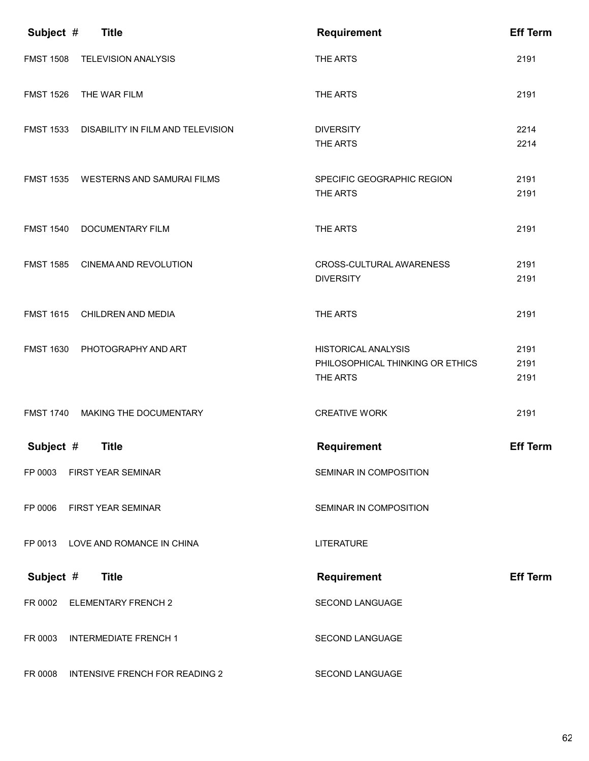| Subject #        | <b>Title</b>                      | <b>Requirement</b>                                                         | <b>Eff Term</b>      |
|------------------|-----------------------------------|----------------------------------------------------------------------------|----------------------|
| <b>FMST 1508</b> | <b>TELEVISION ANALYSIS</b>        | THE ARTS                                                                   | 2191                 |
| <b>FMST 1526</b> | THE WAR FILM                      | THE ARTS                                                                   | 2191                 |
| <b>FMST 1533</b> | DISABILITY IN FILM AND TELEVISION | <b>DIVERSITY</b><br>THE ARTS                                               | 2214<br>2214         |
| <b>FMST 1535</b> | WESTERNS AND SAMURAI FILMS        | SPECIFIC GEOGRAPHIC REGION<br>THE ARTS                                     | 2191<br>2191         |
| <b>FMST 1540</b> | DOCUMENTARY FILM                  | THE ARTS                                                                   | 2191                 |
| <b>FMST 1585</b> | CINEMA AND REVOLUTION             | CROSS-CULTURAL AWARENESS<br><b>DIVERSITY</b>                               | 2191<br>2191         |
| <b>FMST 1615</b> | CHILDREN AND MEDIA                | THE ARTS                                                                   | 2191                 |
| <b>FMST 1630</b> | PHOTOGRAPHY AND ART               | <b>HISTORICAL ANALYSIS</b><br>PHILOSOPHICAL THINKING OR ETHICS<br>THE ARTS | 2191<br>2191<br>2191 |
| <b>FMST 1740</b> | MAKING THE DOCUMENTARY            | <b>CREATIVE WORK</b>                                                       | 2191                 |
| Subject #        | <b>Title</b>                      | <b>Requirement</b>                                                         | <b>Eff Term</b>      |
| FP 0003          | <b>FIRST YEAR SEMINAR</b>         | SEMINAR IN COMPOSITION                                                     |                      |
|                  | FP 0006 FIRST YEAR SEMINAR        | SEMINAR IN COMPOSITION                                                     |                      |
|                  | FP 0013 LOVE AND ROMANCE IN CHINA | <b>LITERATURE</b>                                                          |                      |
| Subject #        | <b>Title</b>                      | <b>Requirement</b>                                                         | <b>Eff Term</b>      |
| FR 0002          | <b>ELEMENTARY FRENCH 2</b>        | <b>SECOND LANGUAGE</b>                                                     |                      |
| FR 0003          | <b>INTERMEDIATE FRENCH 1</b>      | <b>SECOND LANGUAGE</b>                                                     |                      |
| FR 0008          | INTENSIVE FRENCH FOR READING 2    | SECOND LANGUAGE                                                            |                      |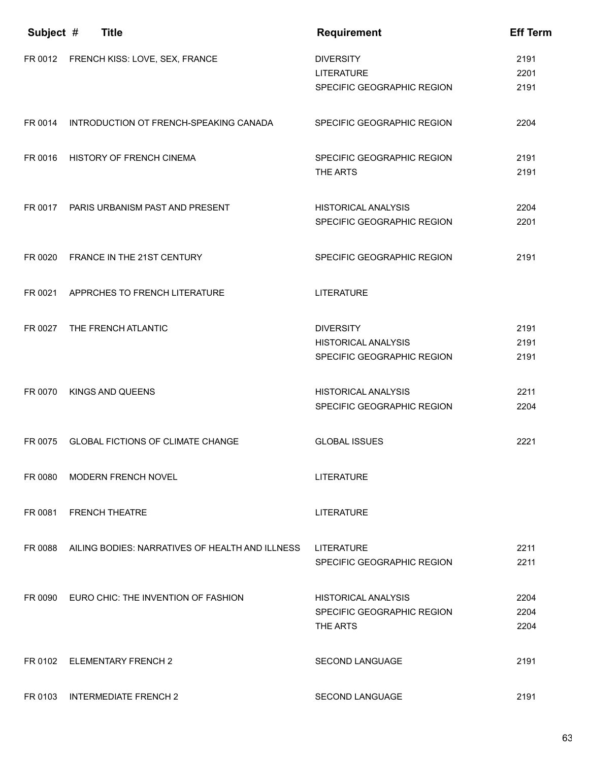| Subject # | <b>Title</b>                                    | Requirement                                                                  | <b>Eff Term</b>      |
|-----------|-------------------------------------------------|------------------------------------------------------------------------------|----------------------|
|           | FR 0012 FRENCH KISS: LOVE, SEX, FRANCE          | <b>DIVERSITY</b><br><b>LITERATURE</b><br>SPECIFIC GEOGRAPHIC REGION          | 2191<br>2201<br>2191 |
| FR 0014   | INTRODUCTION OT FRENCH-SPEAKING CANADA          | SPECIFIC GEOGRAPHIC REGION                                                   | 2204                 |
| FR 0016   | <b>HISTORY OF FRENCH CINEMA</b>                 | SPECIFIC GEOGRAPHIC REGION<br>THE ARTS                                       | 2191<br>2191         |
| FR 0017   | PARIS URBANISM PAST AND PRESENT                 | <b>HISTORICAL ANALYSIS</b><br>SPECIFIC GEOGRAPHIC REGION                     | 2204<br>2201         |
| FR 0020   | FRANCE IN THE 21ST CENTURY                      | SPECIFIC GEOGRAPHIC REGION                                                   | 2191                 |
|           | FR 0021 APPRCHES TO FRENCH LITERATURE           | <b>LITERATURE</b>                                                            |                      |
| FR 0027   | THE FRENCH ATLANTIC                             | <b>DIVERSITY</b><br><b>HISTORICAL ANALYSIS</b><br>SPECIFIC GEOGRAPHIC REGION | 2191<br>2191<br>2191 |
| FR 0070   | <b>KINGS AND QUEENS</b>                         | <b>HISTORICAL ANALYSIS</b><br>SPECIFIC GEOGRAPHIC REGION                     | 2211<br>2204         |
| FR 0075   | <b>GLOBAL FICTIONS OF CLIMATE CHANGE</b>        | <b>GLOBAL ISSUES</b>                                                         | 2221                 |
| FR 0080   | <b>MODERN FRENCH NOVEL</b>                      | <b>LITERATURE</b>                                                            |                      |
| FR 0081   | <b>FRENCH THEATRE</b>                           | <b>LITERATURE</b>                                                            |                      |
| FR 0088   | AILING BODIES: NARRATIVES OF HEALTH AND ILLNESS | <b>LITERATURE</b><br>SPECIFIC GEOGRAPHIC REGION                              | 2211<br>2211         |
| FR 0090   | EURO CHIC: THE INVENTION OF FASHION             | HISTORICAL ANALYSIS<br>SPECIFIC GEOGRAPHIC REGION<br>THE ARTS                | 2204<br>2204<br>2204 |
| FR 0102   | <b>ELEMENTARY FRENCH 2</b>                      | <b>SECOND LANGUAGE</b>                                                       | 2191                 |
| FR 0103   | <b>INTERMEDIATE FRENCH 2</b>                    | <b>SECOND LANGUAGE</b>                                                       | 2191                 |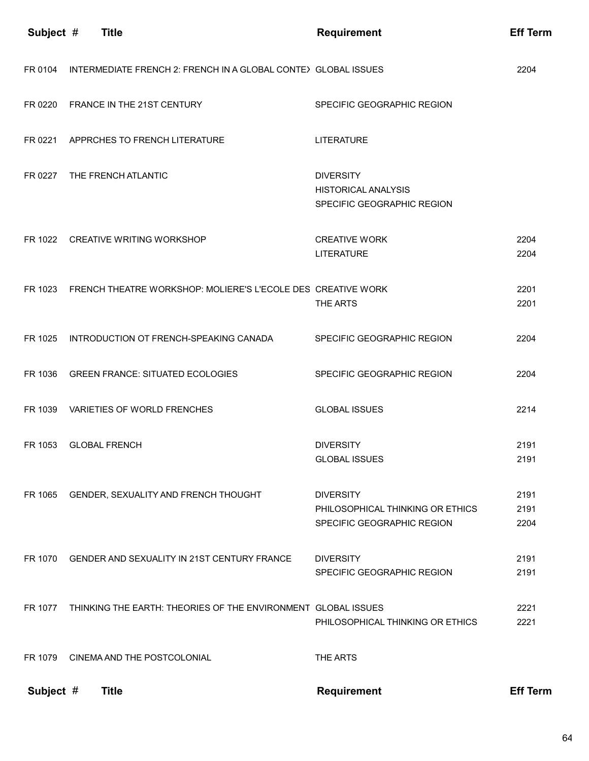| Subject # | <b>Title</b>                                                         | <b>Requirement</b>                                                                 | <b>Eff Term</b>      |
|-----------|----------------------------------------------------------------------|------------------------------------------------------------------------------------|----------------------|
| FR 0104   | INTERMEDIATE FRENCH 2: FRENCH IN A GLOBAL CONTEY GLOBAL ISSUES       |                                                                                    | 2204                 |
| FR 0220   | FRANCE IN THE 21ST CENTURY                                           | SPECIFIC GEOGRAPHIC REGION                                                         |                      |
| FR 0221   | APPRCHES TO FRENCH LITERATURE                                        | <b>LITERATURE</b>                                                                  |                      |
| FR 0227   | THE FRENCH ATLANTIC                                                  | <b>DIVERSITY</b><br><b>HISTORICAL ANALYSIS</b><br>SPECIFIC GEOGRAPHIC REGION       |                      |
|           | FR 1022 CREATIVE WRITING WORKSHOP                                    | <b>CREATIVE WORK</b><br><b>LITERATURE</b>                                          | 2204<br>2204         |
|           | FR 1023 FRENCH THEATRE WORKSHOP: MOLIERE'S L'ECOLE DES CREATIVE WORK | THE ARTS                                                                           | 2201<br>2201         |
| FR 1025   | INTRODUCTION OT FRENCH-SPEAKING CANADA                               | SPECIFIC GEOGRAPHIC REGION                                                         | 2204                 |
| FR 1036   | <b>GREEN FRANCE: SITUATED ECOLOGIES</b>                              | SPECIFIC GEOGRAPHIC REGION                                                         | 2204                 |
| FR 1039   | VARIETIES OF WORLD FRENCHES                                          | <b>GLOBAL ISSUES</b>                                                               | 2214                 |
| FR 1053   | <b>GLOBAL FRENCH</b>                                                 | <b>DIVERSITY</b><br><b>GLOBAL ISSUES</b>                                           | 2191<br>2191         |
| FR 1065   | GENDER, SEXUALITY AND FRENCH THOUGHT                                 | <b>DIVERSITY</b><br>PHILOSOPHICAL THINKING OR ETHICS<br>SPECIFIC GEOGRAPHIC REGION | 2191<br>2191<br>2204 |
| FR 1070   | GENDER AND SEXUALITY IN 21ST CENTURY FRANCE                          | <b>DIVERSITY</b><br>SPECIFIC GEOGRAPHIC REGION                                     | 2191<br>2191         |
| FR 1077   | THINKING THE EARTH: THEORIES OF THE ENVIRONMENT GLOBAL ISSUES        | PHILOSOPHICAL THINKING OR ETHICS                                                   | 2221<br>2221         |
| FR 1079   | CINEMA AND THE POSTCOLONIAL                                          | THE ARTS                                                                           |                      |
| Subject # | <b>Title</b>                                                         | <b>Requirement</b>                                                                 | <b>Eff Term</b>      |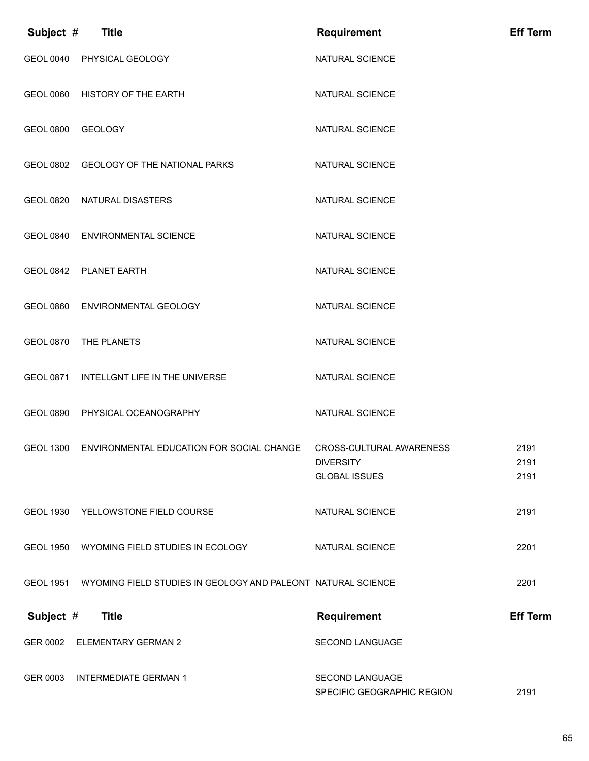| Subject #        | <b>Title</b>                                                           | <b>Requirement</b>                                                   | <b>Eff Term</b>      |
|------------------|------------------------------------------------------------------------|----------------------------------------------------------------------|----------------------|
|                  | GEOL 0040 PHYSICAL GEOLOGY                                             | <b>NATURAL SCIENCE</b>                                               |                      |
| <b>GEOL 0060</b> | HISTORY OF THE EARTH                                                   | NATURAL SCIENCE                                                      |                      |
| <b>GEOL 0800</b> | <b>GEOLOGY</b>                                                         | NATURAL SCIENCE                                                      |                      |
| <b>GEOL 0802</b> | <b>GEOLOGY OF THE NATIONAL PARKS</b>                                   | NATURAL SCIENCE                                                      |                      |
| <b>GEOL 0820</b> | NATURAL DISASTERS                                                      | NATURAL SCIENCE                                                      |                      |
| <b>GEOL 0840</b> | <b>ENVIRONMENTAL SCIENCE</b>                                           | NATURAL SCIENCE                                                      |                      |
|                  | GEOL 0842 PLANET EARTH                                                 | <b>NATURAL SCIENCE</b>                                               |                      |
|                  | GEOL 0860 ENVIRONMENTAL GEOLOGY                                        | NATURAL SCIENCE                                                      |                      |
| <b>GEOL 0870</b> | THE PLANETS                                                            | NATURAL SCIENCE                                                      |                      |
| <b>GEOL 0871</b> | INTELLGNT LIFE IN THE UNIVERSE                                         | NATURAL SCIENCE                                                      |                      |
| <b>GEOL 0890</b> | PHYSICAL OCEANOGRAPHY                                                  | NATURAL SCIENCE                                                      |                      |
| <b>GEOL 1300</b> | ENVIRONMENTAL EDUCATION FOR SOCIAL CHANGE                              | CROSS-CULTURAL AWARENESS<br><b>DIVERSITY</b><br><b>GLOBAL ISSUES</b> | 2191<br>2191<br>2191 |
|                  | GEOL 1930 YELLOWSTONE FIELD COURSE                                     | NATURAL SCIENCE                                                      | 2191                 |
| <b>GEOL 1950</b> | WYOMING FIELD STUDIES IN ECOLOGY                                       | NATURAL SCIENCE                                                      | 2201                 |
|                  | GEOL 1951 WYOMING FIELD STUDIES IN GEOLOGY AND PALEONT NATURAL SCIENCE |                                                                      | 2201                 |
| Subject #        | <b>Title</b>                                                           | <b>Requirement</b>                                                   | <b>Eff Term</b>      |
| GER 0002         | <b>ELEMENTARY GERMAN 2</b>                                             | SECOND LANGUAGE                                                      |                      |
| GER 0003         | <b>INTERMEDIATE GERMAN 1</b>                                           | <b>SECOND LANGUAGE</b><br>SPECIFIC GEOGRAPHIC REGION                 | 2191                 |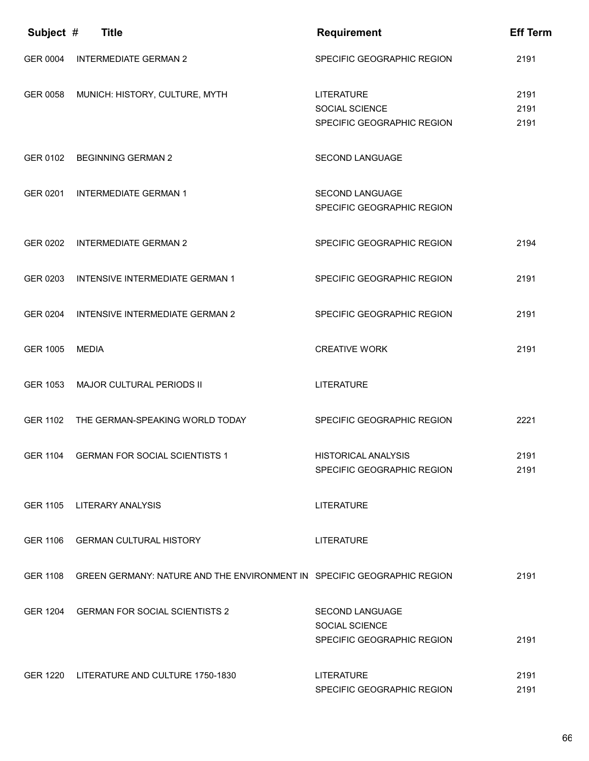| Subject #       | <b>Title</b>                                                                     | <b>Requirement</b>                                   | <b>Eff Term</b> |
|-----------------|----------------------------------------------------------------------------------|------------------------------------------------------|-----------------|
| GER 0004        | <b>INTERMEDIATE GERMAN 2</b>                                                     | SPECIFIC GEOGRAPHIC REGION                           | 2191            |
| GER 0058        | MUNICH: HISTORY, CULTURE, MYTH                                                   | <b>LITERATURE</b>                                    | 2191            |
|                 |                                                                                  | SOCIAL SCIENCE<br>SPECIFIC GEOGRAPHIC REGION         | 2191<br>2191    |
|                 |                                                                                  |                                                      |                 |
|                 | GER 0102 BEGINNING GERMAN 2                                                      | <b>SECOND LANGUAGE</b>                               |                 |
|                 |                                                                                  |                                                      |                 |
| GER 0201        | <b>INTERMEDIATE GERMAN 1</b>                                                     | <b>SECOND LANGUAGE</b><br>SPECIFIC GEOGRAPHIC REGION |                 |
|                 |                                                                                  |                                                      |                 |
| GER 0202        | <b>INTERMEDIATE GERMAN 2</b>                                                     | SPECIFIC GEOGRAPHIC REGION                           | 2194            |
| GER 0203        | <b>INTENSIVE INTERMEDIATE GERMAN 1</b>                                           | SPECIFIC GEOGRAPHIC REGION                           | 2191            |
|                 |                                                                                  |                                                      |                 |
| GER 0204        | INTENSIVE INTERMEDIATE GERMAN 2                                                  | SPECIFIC GEOGRAPHIC REGION                           | 2191            |
|                 |                                                                                  |                                                      |                 |
| GER 1005        | <b>MEDIA</b>                                                                     | <b>CREATIVE WORK</b>                                 | 2191            |
| GER 1053        | MAJOR CULTURAL PERIODS II                                                        | <b>LITERATURE</b>                                    |                 |
|                 |                                                                                  |                                                      |                 |
| <b>GER 1102</b> | THE GERMAN-SPEAKING WORLD TODAY                                                  | SPECIFIC GEOGRAPHIC REGION                           | 2221            |
|                 | GER 1104 GERMAN FOR SOCIAL SCIENTISTS 1                                          | <b>HISTORICAL ANALYSIS</b>                           | 2191            |
|                 |                                                                                  | SPECIFIC GEOGRAPHIC REGION                           | 2191            |
|                 |                                                                                  |                                                      |                 |
|                 | GER 1105 LITERARY ANALYSIS                                                       | <b>LITERATURE</b>                                    |                 |
|                 | GER 1106 GERMAN CULTURAL HISTORY                                                 | <b>LITERATURE</b>                                    |                 |
|                 |                                                                                  |                                                      |                 |
|                 | GER 1108 GREEN GERMANY: NATURE AND THE ENVIRONMENT IN SPECIFIC GEOGRAPHIC REGION |                                                      | 2191            |
|                 | GER 1204 GERMAN FOR SOCIAL SCIENTISTS 2                                          | SECOND LANGUAGE                                      |                 |
|                 |                                                                                  | SOCIAL SCIENCE                                       |                 |
|                 |                                                                                  | SPECIFIC GEOGRAPHIC REGION                           | 2191            |
|                 | GER 1220 LITERATURE AND CULTURE 1750-1830                                        | <b>LITERATURE</b>                                    | 2191            |
|                 |                                                                                  | SPECIFIC GEOGRAPHIC REGION                           | 2191            |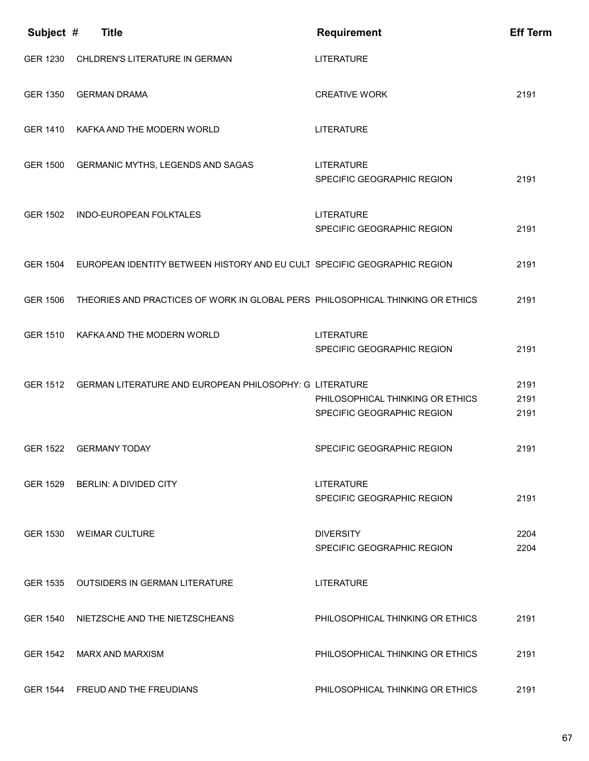| Subject #       | <b>Title</b>                                                                      | <b>Requirement</b>                                             | <b>Eff Term</b>      |
|-----------------|-----------------------------------------------------------------------------------|----------------------------------------------------------------|----------------------|
| GER 1230        | CHLDREN'S LITERATURE IN GERMAN                                                    | <b>LITERATURE</b>                                              |                      |
| GER 1350        | <b>GERMAN DRAMA</b>                                                               | <b>CREATIVE WORK</b>                                           | 2191                 |
|                 | GER 1410 KAFKA AND THE MODERN WORLD                                               | <b>LITERATURE</b>                                              |                      |
|                 | GER 1500 GERMANIC MYTHS, LEGENDS AND SAGAS                                        | <b>LITERATURE</b><br>SPECIFIC GEOGRAPHIC REGION                | 2191                 |
| GER 1502        | <b>INDO-EUROPEAN FOLKTALES</b>                                                    | <b>LITERATURE</b><br>SPECIFIC GEOGRAPHIC REGION                | 2191                 |
|                 | GER 1504 EUROPEAN IDENTITY BETWEEN HISTORY AND EU CULT SPECIFIC GEOGRAPHIC REGION |                                                                | 2191                 |
| <b>GER 1506</b> | THEORIES AND PRACTICES OF WORK IN GLOBAL PERS PHILOSOPHICAL THINKING OR ETHICS    |                                                                | 2191                 |
| <b>GER 1510</b> | KAFKA AND THE MODERN WORLD                                                        | <b>LITERATURE</b><br>SPECIFIC GEOGRAPHIC REGION                | 2191                 |
|                 | GER 1512 GERMAN LITERATURE AND EUROPEAN PHILOSOPHY: G LITERATURE                  | PHILOSOPHICAL THINKING OR ETHICS<br>SPECIFIC GEOGRAPHIC REGION | 2191<br>2191<br>2191 |
| GER 1522        | <b>GERMANY TODAY</b>                                                              | SPECIFIC GEOGRAPHIC REGION                                     | 2191                 |
|                 | GER 1529 BERLIN: A DIVIDED CITY                                                   | <b>LITERATURE</b><br>SPECIFIC GEOGRAPHIC REGION                | 2191                 |
|                 | GER 1530 WEIMAR CULTURE                                                           | <b>DIVERSITY</b><br>SPECIFIC GEOGRAPHIC REGION                 | 2204<br>2204         |
| GER 1535        | <b>OUTSIDERS IN GERMAN LITERATURE</b>                                             | <b>LITERATURE</b>                                              |                      |
| GER 1540        | NIETZSCHE AND THE NIETZSCHEANS                                                    | PHILOSOPHICAL THINKING OR ETHICS                               | 2191                 |
| GER 1542        | <b>MARX AND MARXISM</b>                                                           | PHILOSOPHICAL THINKING OR ETHICS                               | 2191                 |
|                 | GER 1544 FREUD AND THE FREUDIANS                                                  | PHILOSOPHICAL THINKING OR ETHICS                               | 2191                 |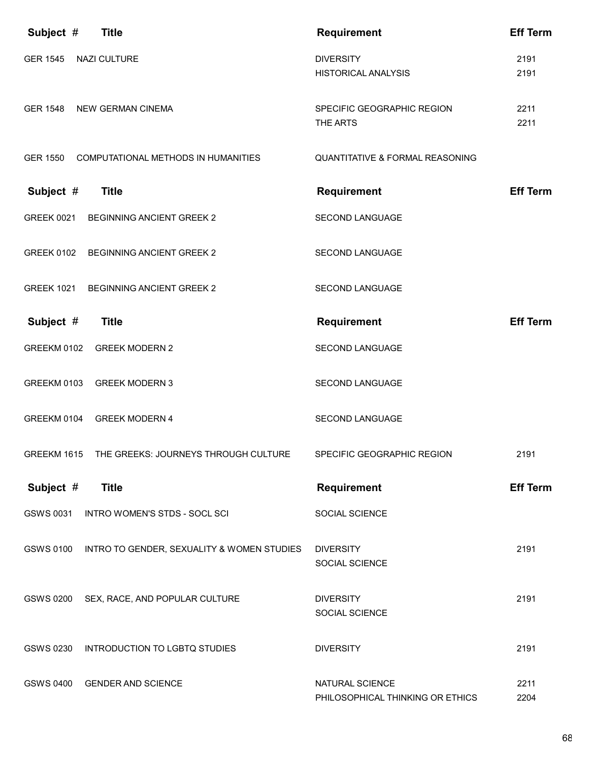| Subject #         | <b>Title</b>                                 | <b>Requirement</b>                                  | <b>Eff Term</b> |
|-------------------|----------------------------------------------|-----------------------------------------------------|-----------------|
| <b>GER 1545</b>   | NAZI CULTURE                                 | <b>DIVERSITY</b><br><b>HISTORICAL ANALYSIS</b>      | 2191<br>2191    |
| GER 1548          | <b>NEW GERMAN CINEMA</b>                     | SPECIFIC GEOGRAPHIC REGION<br>THE ARTS              | 2211<br>2211    |
|                   | GER 1550 COMPUTATIONAL METHODS IN HUMANITIES | <b>QUANTITATIVE &amp; FORMAL REASONING</b>          |                 |
| Subject #         | <b>Title</b>                                 | <b>Requirement</b>                                  | <b>Eff Term</b> |
| <b>GREEK 0021</b> | <b>BEGINNING ANCIENT GREEK 2</b>             | SECOND LANGUAGE                                     |                 |
| <b>GREEK 0102</b> | <b>BEGINNING ANCIENT GREEK 2</b>             | <b>SECOND LANGUAGE</b>                              |                 |
| <b>GREEK 1021</b> | <b>BEGINNING ANCIENT GREEK 2</b>             | SECOND LANGUAGE                                     |                 |
| Subject #         | <b>Title</b>                                 | <b>Requirement</b>                                  | <b>Eff Term</b> |
|                   | GREEKM 0102 GREEK MODERN 2                   | <b>SECOND LANGUAGE</b>                              |                 |
|                   | GREEKM 0103 GREEK MODERN 3                   | SECOND LANGUAGE                                     |                 |
|                   | GREEKM 0104 GREEK MODERN 4                   | SECOND LANGUAGE                                     |                 |
| GREEKM 1615       | THE GREEKS: JOURNEYS THROUGH CULTURE         | SPECIFIC GEOGRAPHIC REGION                          | 2191            |
| Subject #         | <b>Title</b>                                 | <b>Requirement</b>                                  | <b>Eff Term</b> |
| GSWS 0031         | INTRO WOMEN'S STDS - SOCL SCI                | SOCIAL SCIENCE                                      |                 |
| <b>GSWS 0100</b>  | INTRO TO GENDER, SEXUALITY & WOMEN STUDIES   | <b>DIVERSITY</b><br>SOCIAL SCIENCE                  | 2191            |
| <b>GSWS 0200</b>  | SEX, RACE, AND POPULAR CULTURE               | <b>DIVERSITY</b><br>SOCIAL SCIENCE                  | 2191            |
| GSWS 0230         | INTRODUCTION TO LGBTQ STUDIES                | <b>DIVERSITY</b>                                    | 2191            |
| GSWS 0400         | <b>GENDER AND SCIENCE</b>                    | NATURAL SCIENCE<br>PHILOSOPHICAL THINKING OR ETHICS | 2211<br>2204    |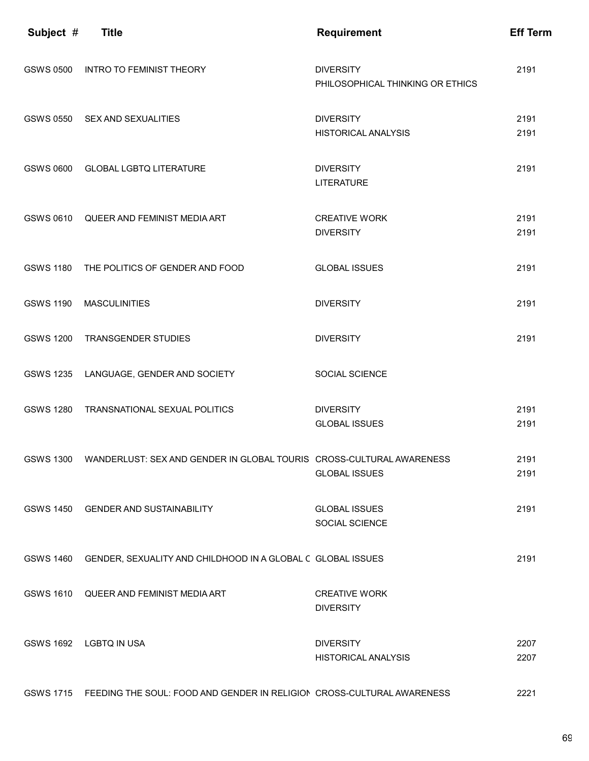| Subject #        | <b>Title</b>                                                                     | <b>Requirement</b>                                   | <b>Eff Term</b> |
|------------------|----------------------------------------------------------------------------------|------------------------------------------------------|-----------------|
| <b>GSWS 0500</b> | <b>INTRO TO FEMINIST THEORY</b>                                                  | <b>DIVERSITY</b><br>PHILOSOPHICAL THINKING OR ETHICS | 2191            |
| <b>GSWS 0550</b> | SEX AND SEXUALITIES                                                              | <b>DIVERSITY</b><br><b>HISTORICAL ANALYSIS</b>       | 2191<br>2191    |
| GSWS 0600        | <b>GLOBAL LGBTQ LITERATURE</b>                                                   | <b>DIVERSITY</b><br><b>LITERATURE</b>                | 2191            |
| GSWS 0610        | QUEER AND FEMINIST MEDIA ART                                                     | <b>CREATIVE WORK</b><br><b>DIVERSITY</b>             | 2191<br>2191    |
| <b>GSWS 1180</b> | THE POLITICS OF GENDER AND FOOD                                                  | <b>GLOBAL ISSUES</b>                                 | 2191            |
| <b>GSWS 1190</b> | <b>MASCULINITIES</b>                                                             | <b>DIVERSITY</b>                                     | 2191            |
| <b>GSWS 1200</b> | <b>TRANSGENDER STUDIES</b>                                                       | <b>DIVERSITY</b>                                     | 2191            |
| <b>GSWS 1235</b> | LANGUAGE, GENDER AND SOCIETY                                                     | SOCIAL SCIENCE                                       |                 |
| <b>GSWS 1280</b> | TRANSNATIONAL SEXUAL POLITICS                                                    | <b>DIVERSITY</b><br><b>GLOBAL ISSUES</b>             | 2191<br>2191    |
|                  | GSWS 1300 WANDERLUST: SEX AND GENDER IN GLOBAL TOURIS CROSS-CULTURAL AWARENESS   | <b>GLOBAL ISSUES</b>                                 | 2191<br>2191    |
|                  | GSWS 1450 GENDER AND SUSTAINABILITY                                              | <b>GLOBAL ISSUES</b><br>SOCIAL SCIENCE               | 2191            |
| <b>GSWS 1460</b> | GENDER, SEXUALITY AND CHILDHOOD IN A GLOBAL C GLOBAL ISSUES                      |                                                      | 2191            |
|                  | GSWS 1610 QUEER AND FEMINIST MEDIA ART                                           | <b>CREATIVE WORK</b><br><b>DIVERSITY</b>             |                 |
|                  | GSWS 1692 LGBTQ IN USA                                                           | <b>DIVERSITY</b><br><b>HISTORICAL ANALYSIS</b>       | 2207<br>2207    |
|                  | GSWS 1715 FEEDING THE SOUL: FOOD AND GENDER IN RELIGION CROSS-CULTURAL AWARENESS |                                                      | 2221            |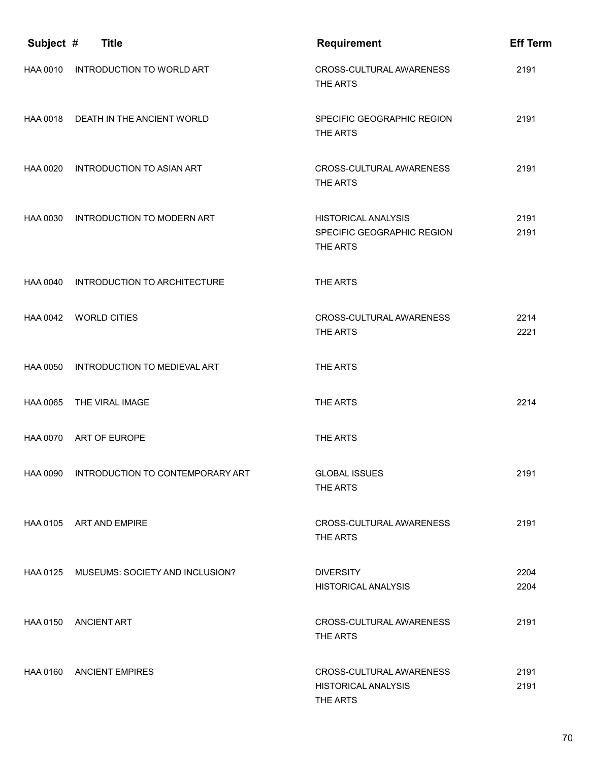| Subject #       | <b>Title</b>                              | <b>Requirement</b>                                                   | <b>Eff Term</b> |
|-----------------|-------------------------------------------|----------------------------------------------------------------------|-----------------|
| HAA 0010        | INTRODUCTION TO WORLD ART                 | <b>CROSS-CULTURAL AWARENESS</b><br>THE ARTS                          | 2191            |
|                 | HAA 0018 DEATH IN THE ANCIENT WORLD       | SPECIFIC GEOGRAPHIC REGION<br>THE ARTS                               | 2191            |
| HAA 0020        | <b>INTRODUCTION TO ASIAN ART</b>          | CROSS-CULTURAL AWARENESS<br>THE ARTS                                 | 2191            |
| HAA 0030        | INTRODUCTION TO MODERN ART                | <b>HISTORICAL ANALYSIS</b><br>SPECIFIC GEOGRAPHIC REGION<br>THE ARTS | 2191<br>2191    |
|                 | HAA 0040 INTRODUCTION TO ARCHITECTURE     | THE ARTS                                                             |                 |
|                 | HAA 0042 WORLD CITIES                     | CROSS-CULTURAL AWARENESS<br>THE ARTS                                 | 2214<br>2221    |
| <b>HAA 0050</b> | INTRODUCTION TO MEDIEVAL ART              | THE ARTS                                                             |                 |
| HAA 0065        | THE VIRAL IMAGE                           | THE ARTS                                                             | 2214            |
| HAA 0070        | ART OF EUROPE                             | THE ARTS                                                             |                 |
|                 | HAA 0090 INTRODUCTION TO CONTEMPORARY ART | <b>GLOBAL ISSUES</b><br>THE ARTS                                     | 2191            |
|                 | HAA 0105 ART AND EMPIRE                   | CROSS-CULTURAL AWARENESS<br>THE ARTS                                 | 2191            |
|                 | HAA 0125 MUSEUMS: SOCIETY AND INCLUSION?  | <b>DIVERSITY</b><br><b>HISTORICAL ANALYSIS</b>                       | 2204<br>2204    |
|                 | HAA 0150 ANCIENT ART                      | CROSS-CULTURAL AWARENESS<br>THE ARTS                                 | 2191            |
| HAA 0160        | <b>ANCIENT EMPIRES</b>                    | CROSS-CULTURAL AWARENESS<br><b>HISTORICAL ANALYSIS</b><br>THE ARTS   | 2191<br>2191    |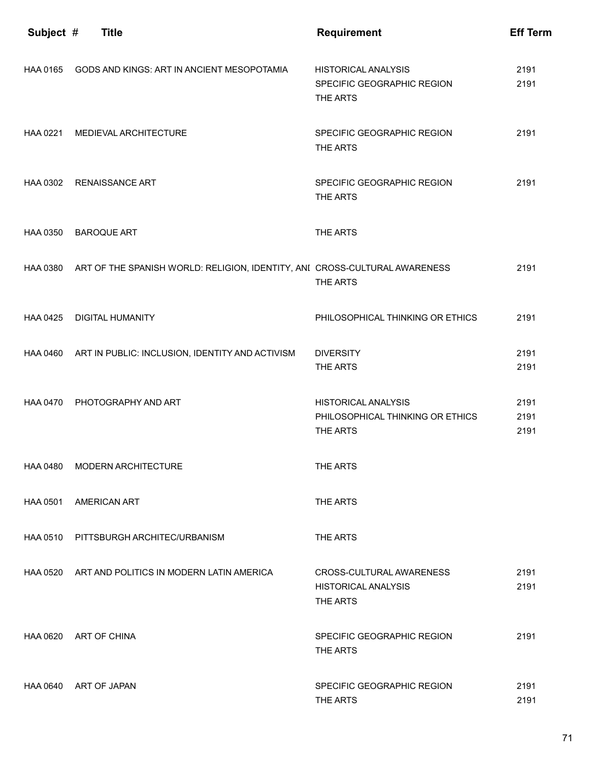| Subject # | <b>Title</b>                                                                        | <b>Requirement</b>                                                         | <b>Eff Term</b>      |
|-----------|-------------------------------------------------------------------------------------|----------------------------------------------------------------------------|----------------------|
| HAA 0165  | GODS AND KINGS: ART IN ANCIENT MESOPOTAMIA                                          | <b>HISTORICAL ANALYSIS</b><br>SPECIFIC GEOGRAPHIC REGION<br>THE ARTS       | 2191<br>2191         |
| HAA 0221  | MEDIEVAL ARCHITECTURE                                                               | SPECIFIC GEOGRAPHIC REGION<br>THE ARTS                                     | 2191                 |
|           | HAA 0302 RENAISSANCE ART                                                            | SPECIFIC GEOGRAPHIC REGION<br>THE ARTS                                     | 2191                 |
| HAA 0350  | <b>BAROQUE ART</b>                                                                  | THE ARTS                                                                   |                      |
|           | HAA 0380 ART OF THE SPANISH WORLD: RELIGION, IDENTITY, ANI CROSS-CULTURAL AWARENESS | THE ARTS                                                                   | 2191                 |
| HAA 0425  | <b>DIGITAL HUMANITY</b>                                                             | PHILOSOPHICAL THINKING OR ETHICS                                           | 2191                 |
|           | HAA 0460 ART IN PUBLIC: INCLUSION, IDENTITY AND ACTIVISM                            | <b>DIVERSITY</b><br>THE ARTS                                               | 2191<br>2191         |
| HAA 0470  | PHOTOGRAPHY AND ART                                                                 | <b>HISTORICAL ANALYSIS</b><br>PHILOSOPHICAL THINKING OR ETHICS<br>THE ARTS | 2191<br>2191<br>2191 |
|           | HAA 0480 MODERN ARCHITECTURE                                                        | THE ARTS                                                                   |                      |
|           | HAA 0501 AMERICAN ART                                                               | THE ARTS                                                                   |                      |
| HAA 0510  | PITTSBURGH ARCHITEC/URBANISM                                                        | THE ARTS                                                                   |                      |
|           | HAA 0520 ART AND POLITICS IN MODERN LATIN AMERICA                                   | CROSS-CULTURAL AWARENESS<br><b>HISTORICAL ANALYSIS</b><br>THE ARTS         | 2191<br>2191         |
|           | HAA 0620 ART OF CHINA                                                               | SPECIFIC GEOGRAPHIC REGION<br>THE ARTS                                     | 2191                 |
|           | HAA 0640 ART OF JAPAN                                                               | SPECIFIC GEOGRAPHIC REGION<br>THE ARTS                                     | 2191<br>2191         |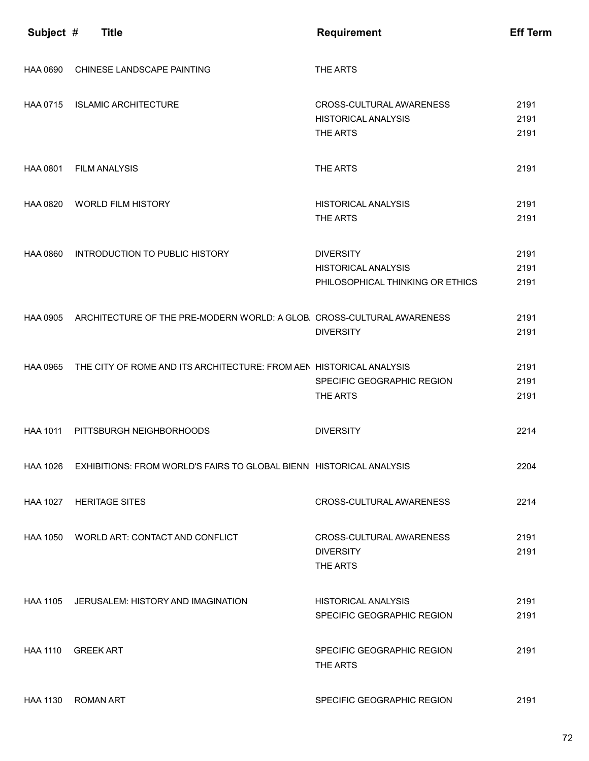| Subject #       | <b>Title</b>                                                                    | <b>Requirement</b>                                                                 | <b>Eff Term</b>      |
|-----------------|---------------------------------------------------------------------------------|------------------------------------------------------------------------------------|----------------------|
| HAA 0690        | CHINESE LANDSCAPE PAINTING                                                      | THE ARTS                                                                           |                      |
|                 | HAA 0715 ISLAMIC ARCHITECTURE                                                   | CROSS-CULTURAL AWARENESS<br><b>HISTORICAL ANALYSIS</b><br>THE ARTS                 | 2191<br>2191<br>2191 |
| HAA 0801        | <b>FILM ANALYSIS</b>                                                            | THE ARTS                                                                           | 2191                 |
| HAA 0820        | <b>WORLD FILM HISTORY</b>                                                       | <b>HISTORICAL ANALYSIS</b><br>THE ARTS                                             | 2191<br>2191         |
| <b>HAA 0860</b> | INTRODUCTION TO PUBLIC HISTORY                                                  | <b>DIVERSITY</b><br><b>HISTORICAL ANALYSIS</b><br>PHILOSOPHICAL THINKING OR ETHICS | 2191<br>2191<br>2191 |
|                 | HAA 0905 ARCHITECTURE OF THE PRE-MODERN WORLD: A GLOB. CROSS-CULTURAL AWARENESS | <b>DIVERSITY</b>                                                                   | 2191<br>2191         |
|                 | HAA 0965 THE CITY OF ROME AND ITS ARCHITECTURE: FROM AEN HISTORICAL ANALYSIS    | SPECIFIC GEOGRAPHIC REGION<br>THE ARTS                                             | 2191<br>2191<br>2191 |
| <b>HAA 1011</b> | PITTSBURGH NEIGHBORHOODS                                                        | <b>DIVERSITY</b>                                                                   | 2214                 |
| HAA 1026        | EXHIBITIONS: FROM WORLD'S FAIRS TO GLOBAL BIENN HISTORICAL ANALYSIS             |                                                                                    | 2204                 |
|                 | HAA 1027 HERITAGE SITES                                                         | CROSS-CULTURAL AWARENESS                                                           | 2214                 |
|                 | HAA 1050 WORLD ART: CONTACT AND CONFLICT                                        | CROSS-CULTURAL AWARENESS<br><b>DIVERSITY</b><br>THE ARTS                           | 2191<br>2191         |
|                 | HAA 1105 JERUSALEM: HISTORY AND IMAGINATION                                     | <b>HISTORICAL ANALYSIS</b><br>SPECIFIC GEOGRAPHIC REGION                           | 2191<br>2191         |
| <b>HAA 1110</b> | GREEK ART                                                                       | SPECIFIC GEOGRAPHIC REGION<br>THE ARTS                                             | 2191                 |
| <b>HAA 1130</b> | <b>ROMAN ART</b>                                                                | SPECIFIC GEOGRAPHIC REGION                                                         | 2191                 |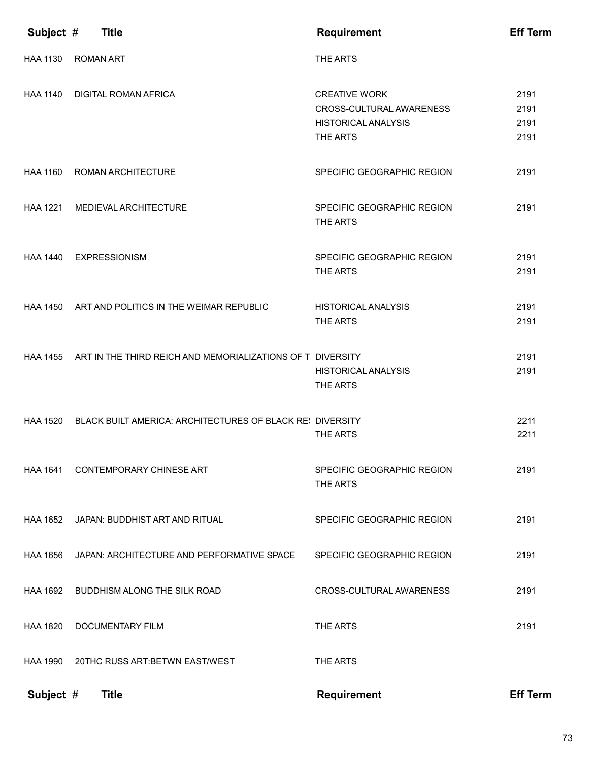| Subject #       | <b>Title</b>                                                        | <b>Requirement</b>                                                                         | <b>Eff Term</b>              |
|-----------------|---------------------------------------------------------------------|--------------------------------------------------------------------------------------------|------------------------------|
| <b>HAA 1130</b> | <b>ROMAN ART</b>                                                    | THE ARTS                                                                                   |                              |
| <b>HAA 1140</b> | <b>DIGITAL ROMAN AFRICA</b>                                         | <b>CREATIVE WORK</b><br>CROSS-CULTURAL AWARENESS<br><b>HISTORICAL ANALYSIS</b><br>THE ARTS | 2191<br>2191<br>2191<br>2191 |
| <b>HAA 1160</b> | ROMAN ARCHITECTURE                                                  | SPECIFIC GEOGRAPHIC REGION                                                                 | 2191                         |
| <b>HAA 1221</b> | MEDIEVAL ARCHITECTURE                                               | SPECIFIC GEOGRAPHIC REGION<br>THE ARTS                                                     | 2191                         |
| <b>HAA 1440</b> | <b>EXPRESSIONISM</b>                                                | SPECIFIC GEOGRAPHIC REGION<br>THE ARTS                                                     | 2191<br>2191                 |
|                 | HAA 1450 ART AND POLITICS IN THE WEIMAR REPUBLIC                    | <b>HISTORICAL ANALYSIS</b><br>THE ARTS                                                     | 2191<br>2191                 |
|                 | HAA 1455 ART IN THE THIRD REICH AND MEMORIALIZATIONS OF T DIVERSITY | <b>HISTORICAL ANALYSIS</b><br>THE ARTS                                                     | 2191<br>2191                 |
|                 | HAA 1520 BLACK BUILT AMERICA: ARCHITECTURES OF BLACK RE: DIVERSITY  | THE ARTS                                                                                   | 2211<br>2211                 |
| <b>HAA 1641</b> | CONTEMPORARY CHINESE ART                                            | SPECIFIC GEOGRAPHIC REGION<br>THE ARTS                                                     | 2191                         |
| HAA 1652        | JAPAN: BUDDHIST ART AND RITUAL                                      | SPECIFIC GEOGRAPHIC REGION                                                                 | 2191                         |
| HAA 1656        | JAPAN: ARCHITECTURE AND PERFORMATIVE SPACE                          | SPECIFIC GEOGRAPHIC REGION                                                                 | 2191                         |
| HAA 1692        | BUDDHISM ALONG THE SILK ROAD                                        | CROSS-CULTURAL AWARENESS                                                                   | 2191                         |
| <b>HAA 1820</b> | DOCUMENTARY FILM                                                    | THE ARTS                                                                                   | 2191                         |
| HAA 1990        | 20THC RUSS ART: BETWN EAST/WEST                                     | THE ARTS                                                                                   |                              |
| Subject #       | <b>Title</b>                                                        | <b>Requirement</b>                                                                         | <b>Eff Term</b>              |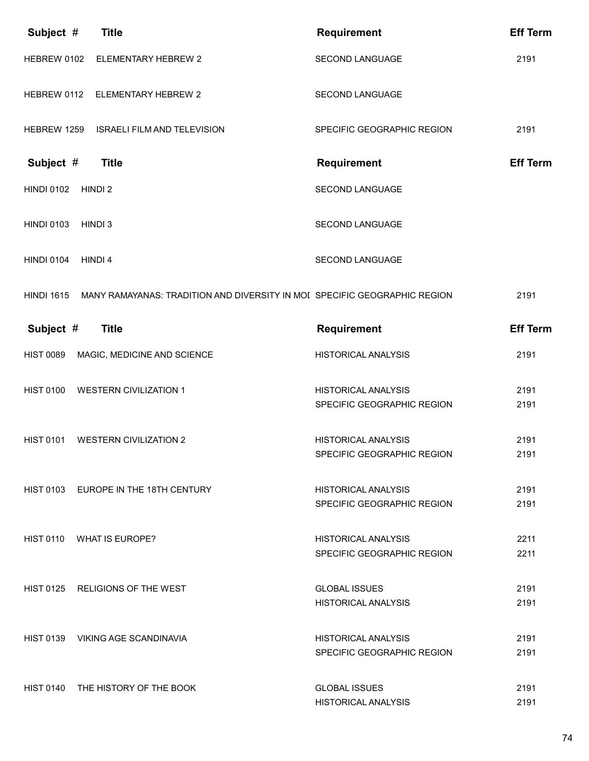| Subject #         | <b>Title</b>                                                              | <b>Requirement</b>                                       | <b>Eff Term</b> |
|-------------------|---------------------------------------------------------------------------|----------------------------------------------------------|-----------------|
| HEBREW 0102       | ELEMENTARY HEBREW 2                                                       | SECOND LANGUAGE                                          | 2191            |
| HEBREW 0112       | <b>ELEMENTARY HEBREW 2</b>                                                | <b>SECOND LANGUAGE</b>                                   |                 |
| HEBREW 1259       | <b>ISRAELI FILM AND TELEVISION</b>                                        | SPECIFIC GEOGRAPHIC REGION                               | 2191            |
| Subject #         | <b>Title</b>                                                              | <b>Requirement</b>                                       | <b>Eff Term</b> |
| <b>HINDI 0102</b> | HINDI 2                                                                   | SECOND LANGUAGE                                          |                 |
| <b>HINDI 0103</b> | HINDI 3                                                                   | SECOND LANGUAGE                                          |                 |
| <b>HINDI 0104</b> | HINDI 4                                                                   | SECOND LANGUAGE                                          |                 |
| <b>HINDI 1615</b> | MANY RAMAYANAS: TRADITION AND DIVERSITY IN MOI SPECIFIC GEOGRAPHIC REGION |                                                          | 2191            |
| Subject #         | <b>Title</b>                                                              | Requirement                                              | <b>Eff Term</b> |
| <b>HIST 0089</b>  | MAGIC, MEDICINE AND SCIENCE                                               | <b>HISTORICAL ANALYSIS</b>                               | 2191            |
| <b>HIST 0100</b>  | <b>WESTERN CIVILIZATION 1</b>                                             | <b>HISTORICAL ANALYSIS</b><br>SPECIFIC GEOGRAPHIC REGION | 2191<br>2191    |
|                   |                                                                           |                                                          |                 |
| <b>HIST 0101</b>  | <b>WESTERN CIVILIZATION 2</b>                                             | <b>HISTORICAL ANALYSIS</b><br>SPECIFIC GEOGRAPHIC REGION | 2191<br>2191    |
|                   |                                                                           |                                                          |                 |
|                   | HIST 0103 EUROPE IN THE 18TH CENTURY                                      | HISTORICAL ANALYSIS                                      | 2191            |
|                   |                                                                           | SPECIFIC GEOGRAPHIC REGION                               | 2191            |
|                   | HIST 0110 WHAT IS EUROPE?                                                 | <b>HISTORICAL ANALYSIS</b>                               | 2211            |
|                   |                                                                           | SPECIFIC GEOGRAPHIC REGION                               | 2211            |
| HIST 0125         | RELIGIONS OF THE WEST                                                     | <b>GLOBAL ISSUES</b>                                     | 2191            |
|                   |                                                                           | <b>HISTORICAL ANALYSIS</b>                               | 2191            |
|                   | HIST 0139 VIKING AGE SCANDINAVIA                                          | <b>HISTORICAL ANALYSIS</b>                               | 2191            |
|                   |                                                                           | SPECIFIC GEOGRAPHIC REGION                               | 2191            |
| <b>HIST 0140</b>  | THE HISTORY OF THE BOOK                                                   | <b>GLOBAL ISSUES</b>                                     | 2191            |
|                   |                                                                           | <b>HISTORICAL ANALYSIS</b>                               | 2191            |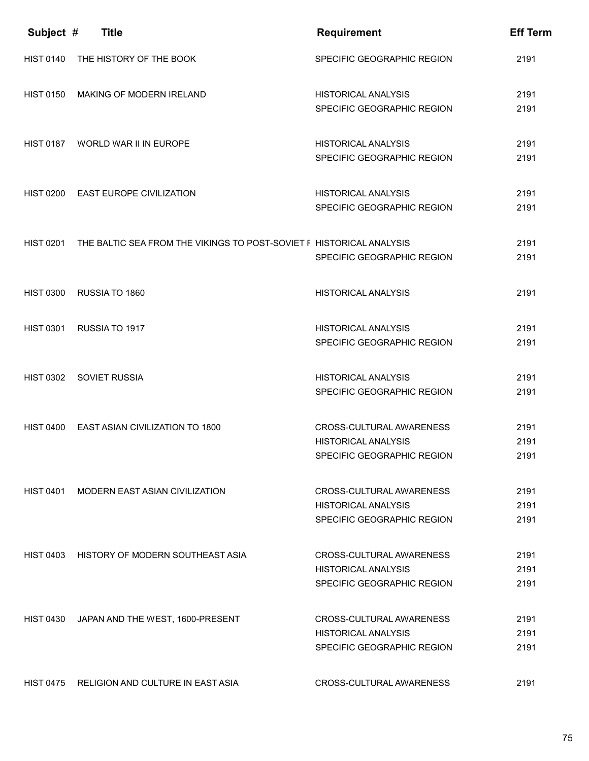| Subject #        | <b>Title</b>                                                         | <b>Requirement</b>                                                                   | <b>Eff Term</b>      |
|------------------|----------------------------------------------------------------------|--------------------------------------------------------------------------------------|----------------------|
| <b>HIST 0140</b> | THE HISTORY OF THE BOOK                                              | SPECIFIC GEOGRAPHIC REGION                                                           | 2191                 |
| <b>HIST 0150</b> | MAKING OF MODERN IRELAND                                             | <b>HISTORICAL ANALYSIS</b><br>SPECIFIC GEOGRAPHIC REGION                             | 2191<br>2191         |
| <b>HIST 0187</b> | WORLD WAR II IN EUROPE                                               | <b>HISTORICAL ANALYSIS</b><br>SPECIFIC GEOGRAPHIC REGION                             | 2191<br>2191         |
|                  | HIST 0200 EAST EUROPE CIVILIZATION                                   | <b>HISTORICAL ANALYSIS</b><br>SPECIFIC GEOGRAPHIC REGION                             | 2191<br>2191         |
| <b>HIST 0201</b> | THE BALTIC SEA FROM THE VIKINGS TO POST-SOVIET F HISTORICAL ANALYSIS | SPECIFIC GEOGRAPHIC REGION                                                           | 2191<br>2191         |
| <b>HIST 0300</b> | RUSSIA TO 1860                                                       | <b>HISTORICAL ANALYSIS</b>                                                           | 2191                 |
| <b>HIST 0301</b> | RUSSIA TO 1917                                                       | <b>HISTORICAL ANALYSIS</b><br>SPECIFIC GEOGRAPHIC REGION                             | 2191<br>2191         |
| <b>HIST 0302</b> | <b>SOVIET RUSSIA</b>                                                 | <b>HISTORICAL ANALYSIS</b><br>SPECIFIC GEOGRAPHIC REGION                             | 2191<br>2191         |
| <b>HIST 0400</b> | <b>EAST ASIAN CIVILIZATION TO 1800</b>                               | CROSS-CULTURAL AWARENESS<br><b>HISTORICAL ANALYSIS</b><br>SPECIFIC GEOGRAPHIC REGION | 2191<br>2191<br>2191 |
| <b>HIST 0401</b> | <b>MODERN EAST ASIAN CIVILIZATION</b>                                | CROSS-CULTURAL AWARENESS<br><b>HISTORICAL ANALYSIS</b><br>SPECIFIC GEOGRAPHIC REGION | 2191<br>2191<br>2191 |
| HIST 0403        | HISTORY OF MODERN SOUTHEAST ASIA                                     | CROSS-CULTURAL AWARENESS<br><b>HISTORICAL ANALYSIS</b><br>SPECIFIC GEOGRAPHIC REGION | 2191<br>2191<br>2191 |
| <b>HIST 0430</b> | JAPAN AND THE WEST, 1600-PRESENT                                     | CROSS-CULTURAL AWARENESS<br><b>HISTORICAL ANALYSIS</b><br>SPECIFIC GEOGRAPHIC REGION | 2191<br>2191<br>2191 |
| <b>HIST 0475</b> | RELIGION AND CULTURE IN EAST ASIA                                    | CROSS-CULTURAL AWARENESS                                                             | 2191                 |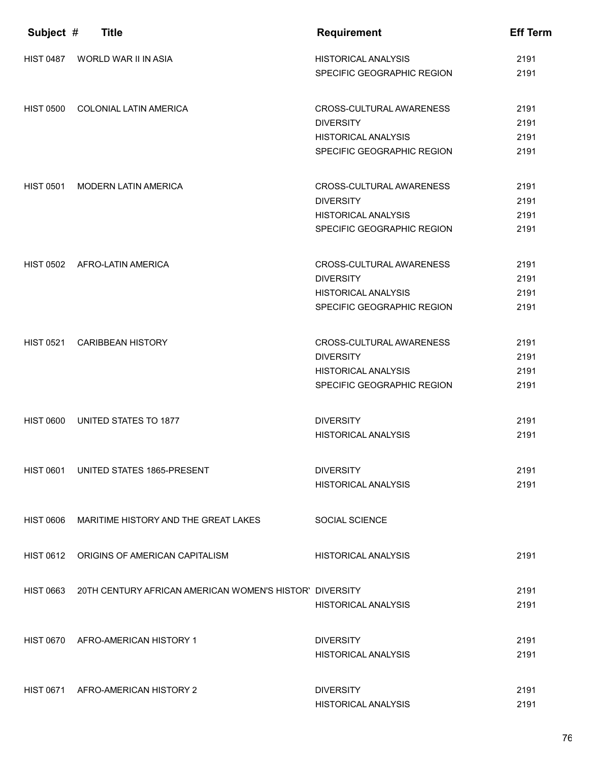| Subject #        | <b>Title</b>                                                      | <b>Requirement</b>                                                                                       | <b>Eff Term</b>              |
|------------------|-------------------------------------------------------------------|----------------------------------------------------------------------------------------------------------|------------------------------|
| <b>HIST 0487</b> | WORLD WAR II IN ASIA                                              | <b>HISTORICAL ANALYSIS</b><br>SPECIFIC GEOGRAPHIC REGION                                                 | 2191<br>2191                 |
| <b>HIST 0500</b> | COLONIAL LATIN AMERICA                                            | CROSS-CULTURAL AWARENESS<br><b>DIVERSITY</b><br><b>HISTORICAL ANALYSIS</b><br>SPECIFIC GEOGRAPHIC REGION | 2191<br>2191<br>2191<br>2191 |
| <b>HIST 0501</b> | <b>MODERN LATIN AMERICA</b>                                       | CROSS-CULTURAL AWARENESS<br><b>DIVERSITY</b><br><b>HISTORICAL ANALYSIS</b><br>SPECIFIC GEOGRAPHIC REGION | 2191<br>2191<br>2191<br>2191 |
|                  | HIST 0502 AFRO-LATIN AMERICA                                      | CROSS-CULTURAL AWARENESS<br><b>DIVERSITY</b><br><b>HISTORICAL ANALYSIS</b><br>SPECIFIC GEOGRAPHIC REGION | 2191<br>2191<br>2191<br>2191 |
| <b>HIST 0521</b> | <b>CARIBBEAN HISTORY</b>                                          | CROSS-CULTURAL AWARENESS<br><b>DIVERSITY</b><br><b>HISTORICAL ANALYSIS</b><br>SPECIFIC GEOGRAPHIC REGION | 2191<br>2191<br>2191<br>2191 |
| <b>HIST 0600</b> | UNITED STATES TO 1877                                             | <b>DIVERSITY</b><br><b>HISTORICAL ANALYSIS</b>                                                           | 2191<br>2191                 |
| <b>HIST 0601</b> | UNITED STATES 1865-PRESENT                                        | <b>DIVERSITY</b><br><b>HISTORICAL ANALYSIS</b>                                                           | 2191<br>2191                 |
| HIST 0606        | MARITIME HISTORY AND THE GREAT LAKES                              | <b>SOCIAL SCIENCE</b>                                                                                    |                              |
|                  | HIST 0612 ORIGINS OF AMERICAN CAPITALISM                          | <b>HISTORICAL ANALYSIS</b>                                                                               | 2191                         |
|                  | HIST 0663 20TH CENTURY AFRICAN AMERICAN WOMEN'S HISTOR' DIVERSITY | HISTORICAL ANALYSIS                                                                                      | 2191<br>2191                 |
|                  | HIST 0670 AFRO-AMERICAN HISTORY 1                                 | <b>DIVERSITY</b><br><b>HISTORICAL ANALYSIS</b>                                                           | 2191<br>2191                 |
|                  | HIST 0671 AFRO-AMERICAN HISTORY 2                                 | <b>DIVERSITY</b><br><b>HISTORICAL ANALYSIS</b>                                                           | 2191<br>2191                 |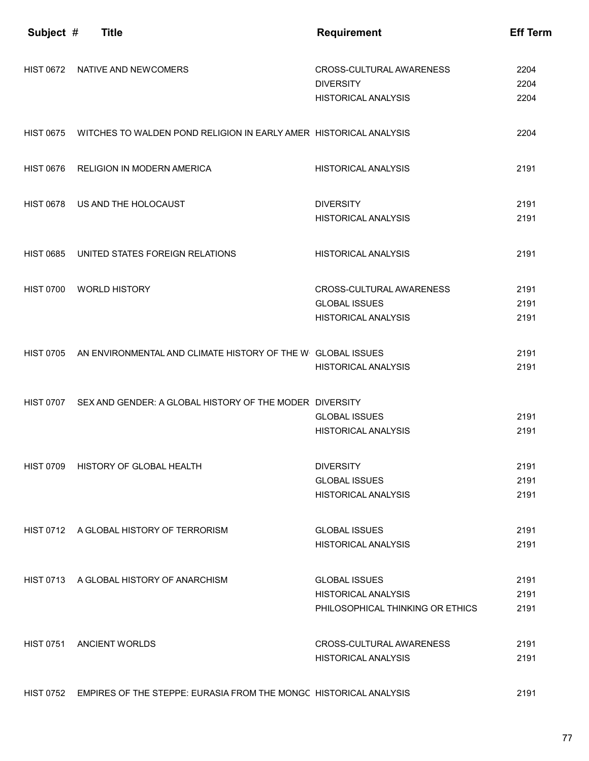| Subject #        | <b>Title</b>                                                                | <b>Requirement</b>               | <b>Eff Term</b> |
|------------------|-----------------------------------------------------------------------------|----------------------------------|-----------------|
|                  |                                                                             |                                  |                 |
|                  | HIST 0672 NATIVE AND NEWCOMERS                                              | CROSS-CULTURAL AWARENESS         | 2204            |
|                  |                                                                             | <b>DIVERSITY</b>                 | 2204            |
|                  |                                                                             | <b>HISTORICAL ANALYSIS</b>       | 2204            |
|                  | HIST 0675 WITCHES TO WALDEN POND RELIGION IN EARLY AMER HISTORICAL ANALYSIS |                                  | 2204            |
|                  | HIST 0676 RELIGION IN MODERN AMERICA                                        | <b>HISTORICAL ANALYSIS</b>       | 2191            |
|                  | HIST 0678 US AND THE HOLOCAUST                                              | <b>DIVERSITY</b>                 | 2191            |
|                  |                                                                             | <b>HISTORICAL ANALYSIS</b>       | 2191            |
| <b>HIST 0685</b> | UNITED STATES FOREIGN RELATIONS                                             | <b>HISTORICAL ANALYSIS</b>       | 2191            |
| <b>HIST 0700</b> | WORLD HISTORY                                                               | CROSS-CULTURAL AWARENESS         | 2191            |
|                  |                                                                             | <b>GLOBAL ISSUES</b>             | 2191            |
|                  |                                                                             | <b>HISTORICAL ANALYSIS</b>       | 2191            |
|                  | HIST 0705 AN ENVIRONMENTAL AND CLIMATE HISTORY OF THE W GLOBAL ISSUES       |                                  | 2191            |
|                  |                                                                             | <b>HISTORICAL ANALYSIS</b>       | 2191            |
|                  | HIST 0707 SEX AND GENDER: A GLOBAL HISTORY OF THE MODER DIVERSITY           |                                  |                 |
|                  |                                                                             | <b>GLOBAL ISSUES</b>             | 2191            |
|                  |                                                                             | <b>HISTORICAL ANALYSIS</b>       | 2191            |
| <b>HIST 0709</b> | HISTORY OF GLOBAL HEALTH                                                    | <b>DIVERSITY</b>                 | 2191            |
|                  |                                                                             | <b>GLOBAL ISSUES</b>             | 2191            |
|                  |                                                                             | <b>HISTORICAL ANALYSIS</b>       | 2191            |
|                  | HIST 0712 A GLOBAL HISTORY OF TERRORISM                                     | <b>GLOBAL ISSUES</b>             | 2191            |
|                  |                                                                             | <b>HISTORICAL ANALYSIS</b>       | 2191            |
|                  | HIST 0713 A GLOBAL HISTORY OF ANARCHISM                                     | <b>GLOBAL ISSUES</b>             | 2191            |
|                  |                                                                             | <b>HISTORICAL ANALYSIS</b>       | 2191            |
|                  |                                                                             | PHILOSOPHICAL THINKING OR ETHICS | 2191            |
|                  | HIST 0751 ANCIENT WORLDS                                                    | CROSS-CULTURAL AWARENESS         | 2191            |
|                  |                                                                             | <b>HISTORICAL ANALYSIS</b>       | 2191            |
|                  |                                                                             |                                  |                 |

HIST 0752 EMPIRES OF THE STEPPE: EURASIA FROM THE MONGC HISTORICAL ANALYSIS 2191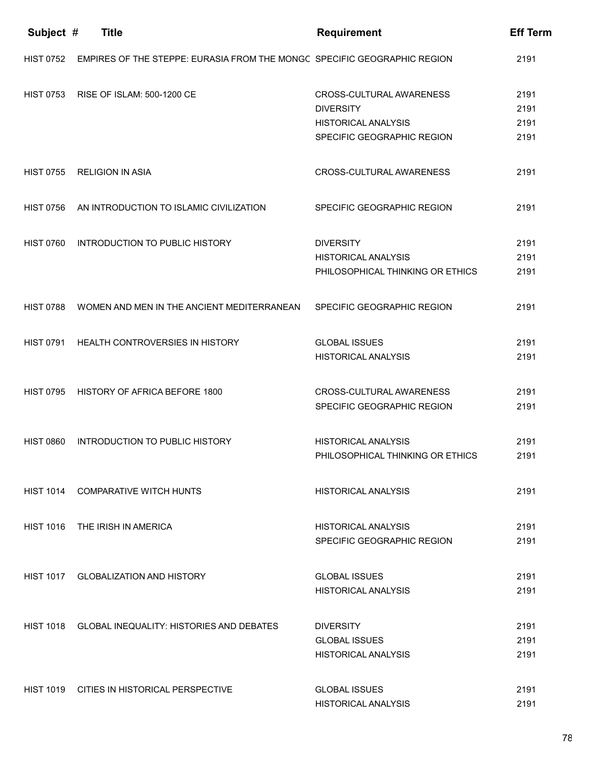| Subject #        | <b>Title</b>                                                             | <b>Requirement</b>               | <b>Eff Term</b> |
|------------------|--------------------------------------------------------------------------|----------------------------------|-----------------|
| <b>HIST 0752</b> | EMPIRES OF THE STEPPE: EURASIA FROM THE MONGC SPECIFIC GEOGRAPHIC REGION |                                  | 2191            |
| <b>HIST 0753</b> | RISE OF ISLAM: 500-1200 CE                                               | CROSS-CULTURAL AWARENESS         | 2191            |
|                  |                                                                          | <b>DIVERSITY</b>                 | 2191            |
|                  |                                                                          | <b>HISTORICAL ANALYSIS</b>       | 2191            |
|                  |                                                                          | SPECIFIC GEOGRAPHIC REGION       | 2191            |
| <b>HIST 0755</b> | <b>RELIGION IN ASIA</b>                                                  | CROSS-CULTURAL AWARENESS         | 2191            |
| <b>HIST 0756</b> | AN INTRODUCTION TO ISLAMIC CIVILIZATION                                  | SPECIFIC GEOGRAPHIC REGION       | 2191            |
| <b>HIST 0760</b> | <b>INTRODUCTION TO PUBLIC HISTORY</b>                                    | <b>DIVERSITY</b>                 | 2191            |
|                  |                                                                          | <b>HISTORICAL ANALYSIS</b>       | 2191            |
|                  |                                                                          | PHILOSOPHICAL THINKING OR ETHICS | 2191            |
| <b>HIST 0788</b> | WOMEN AND MEN IN THE ANCIENT MEDITERRANEAN                               | SPECIFIC GEOGRAPHIC REGION       | 2191            |
| <b>HIST 0791</b> | HEALTH CONTROVERSIES IN HISTORY                                          | <b>GLOBAL ISSUES</b>             | 2191            |
|                  |                                                                          | <b>HISTORICAL ANALYSIS</b>       | 2191            |
| <b>HIST 0795</b> | HISTORY OF AFRICA BEFORE 1800                                            | CROSS-CULTURAL AWARENESS         | 2191            |
|                  |                                                                          | SPECIFIC GEOGRAPHIC REGION       | 2191            |
| <b>HIST 0860</b> | <b>INTRODUCTION TO PUBLIC HISTORY</b>                                    | <b>HISTORICAL ANALYSIS</b>       | 2191            |
|                  |                                                                          | PHILOSOPHICAL THINKING OR ETHICS | 2191            |
| <b>HIST 1014</b> | <b>COMPARATIVE WITCH HUNTS</b>                                           | <b>HISTORICAL ANALYSIS</b>       | 2191            |
| <b>HIST 1016</b> | THE IRISH IN AMERICA                                                     | <b>HISTORICAL ANALYSIS</b>       | 2191            |
|                  |                                                                          | SPECIFIC GEOGRAPHIC REGION       | 2191            |
|                  | HIST 1017 GLOBALIZATION AND HISTORY                                      | <b>GLOBAL ISSUES</b>             | 2191            |
|                  |                                                                          | <b>HISTORICAL ANALYSIS</b>       | 2191            |
|                  | HIST 1018 GLOBAL INEQUALITY: HISTORIES AND DEBATES                       | <b>DIVERSITY</b>                 | 2191            |
|                  |                                                                          | <b>GLOBAL ISSUES</b>             | 2191            |
|                  |                                                                          | <b>HISTORICAL ANALYSIS</b>       | 2191            |
|                  | HIST 1019 CITIES IN HISTORICAL PERSPECTIVE                               | <b>GLOBAL ISSUES</b>             | 2191            |
|                  |                                                                          | <b>HISTORICAL ANALYSIS</b>       | 2191            |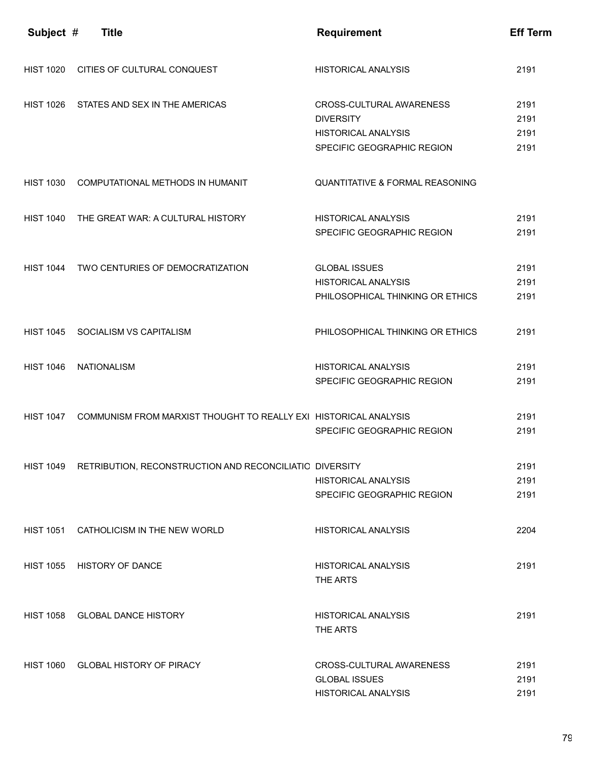| Subject #        | <b>Title</b>                                                      | <b>Requirement</b>                         | <b>Eff Term</b> |
|------------------|-------------------------------------------------------------------|--------------------------------------------|-----------------|
| <b>HIST 1020</b> | CITIES OF CULTURAL CONQUEST                                       | <b>HISTORICAL ANALYSIS</b>                 | 2191            |
| <b>HIST 1026</b> | STATES AND SEX IN THE AMERICAS                                    | CROSS-CULTURAL AWARENESS                   | 2191            |
|                  |                                                                   | <b>DIVERSITY</b>                           | 2191            |
|                  |                                                                   | <b>HISTORICAL ANALYSIS</b>                 | 2191            |
|                  |                                                                   | SPECIFIC GEOGRAPHIC REGION                 | 2191            |
| <b>HIST 1030</b> | COMPUTATIONAL METHODS IN HUMANIT                                  | <b>QUANTITATIVE &amp; FORMAL REASONING</b> |                 |
| <b>HIST 1040</b> | THE GREAT WAR: A CULTURAL HISTORY                                 | <b>HISTORICAL ANALYSIS</b>                 | 2191            |
|                  |                                                                   | SPECIFIC GEOGRAPHIC REGION                 | 2191            |
| <b>HIST 1044</b> | TWO CENTURIES OF DEMOCRATIZATION                                  | <b>GLOBAL ISSUES</b>                       | 2191            |
|                  |                                                                   | <b>HISTORICAL ANALYSIS</b>                 | 2191            |
|                  |                                                                   | PHILOSOPHICAL THINKING OR ETHICS           | 2191            |
|                  |                                                                   |                                            |                 |
| <b>HIST 1045</b> | SOCIALISM VS CAPITALISM                                           | PHILOSOPHICAL THINKING OR ETHICS           | 2191            |
| <b>HIST 1046</b> | <b>NATIONALISM</b>                                                | <b>HISTORICAL ANALYSIS</b>                 | 2191            |
|                  |                                                                   | SPECIFIC GEOGRAPHIC REGION                 | 2191            |
| <b>HIST 1047</b> | COMMUNISM FROM MARXIST THOUGHT TO REALLY EXI HISTORICAL ANALYSIS  |                                            | 2191            |
|                  |                                                                   | SPECIFIC GEOGRAPHIC REGION                 | 2191            |
|                  |                                                                   |                                            |                 |
|                  | HIST 1049 RETRIBUTION, RECONSTRUCTION AND RECONCILIATIO DIVERSITY |                                            | 2191            |
|                  |                                                                   | <b>HISTORICAL ANALYSIS</b>                 | 2191            |
|                  |                                                                   | SPECIFIC GEOGRAPHIC REGION                 | 2191            |
|                  | HIST 1051 CATHOLICISM IN THE NEW WORLD                            | <b>HISTORICAL ANALYSIS</b>                 | 2204            |
| HIST 1055        | <b>HISTORY OF DANCE</b>                                           | HISTORICAL ANALYSIS                        | 2191            |
|                  |                                                                   | THE ARTS                                   |                 |
| <b>HIST 1058</b> | <b>GLOBAL DANCE HISTORY</b>                                       | HISTORICAL ANALYSIS                        | 2191            |
|                  |                                                                   | THE ARTS                                   |                 |
|                  |                                                                   |                                            |                 |
| <b>HIST 1060</b> | <b>GLOBAL HISTORY OF PIRACY</b>                                   | CROSS-CULTURAL AWARENESS                   | 2191            |
|                  |                                                                   | <b>GLOBAL ISSUES</b>                       | 2191            |
|                  |                                                                   | <b>HISTORICAL ANALYSIS</b>                 | 2191            |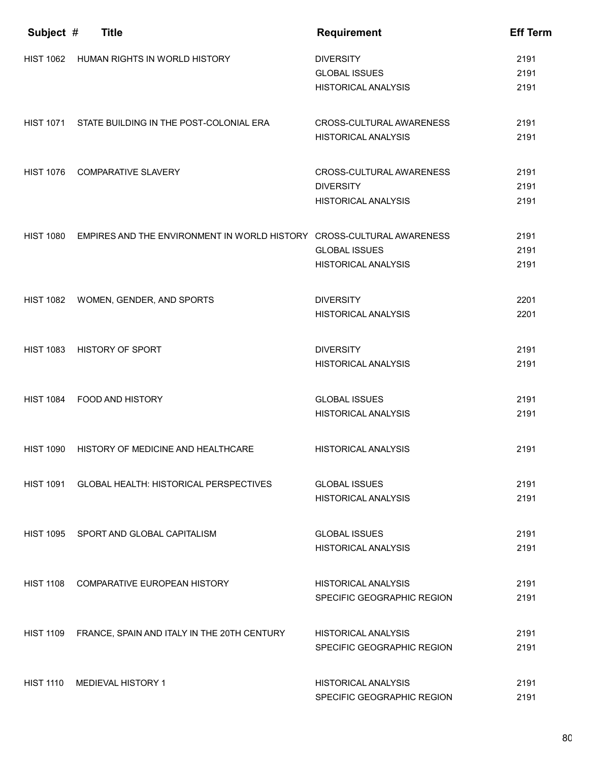| Subject #        | <b>Title</b>                                                          | <b>Requirement</b>                       | <b>Eff Term</b> |
|------------------|-----------------------------------------------------------------------|------------------------------------------|-----------------|
| <b>HIST 1062</b> | HUMAN RIGHTS IN WORLD HISTORY                                         | <b>DIVERSITY</b><br><b>GLOBAL ISSUES</b> | 2191<br>2191    |
|                  |                                                                       | <b>HISTORICAL ANALYSIS</b>               | 2191            |
|                  | HIST 1071 STATE BUILDING IN THE POST-COLONIAL ERA                     | CROSS-CULTURAL AWARENESS                 | 2191            |
|                  |                                                                       | <b>HISTORICAL ANALYSIS</b>               | 2191            |
| <b>HIST 1076</b> | <b>COMPARATIVE SLAVERY</b>                                            | CROSS-CULTURAL AWARENESS                 | 2191            |
|                  |                                                                       | <b>DIVERSITY</b>                         | 2191            |
|                  |                                                                       | <b>HISTORICAL ANALYSIS</b>               | 2191            |
| <b>HIST 1080</b> | EMPIRES AND THE ENVIRONMENT IN WORLD HISTORY CROSS-CULTURAL AWARENESS |                                          | 2191            |
|                  |                                                                       | <b>GLOBAL ISSUES</b>                     | 2191            |
|                  |                                                                       | <b>HISTORICAL ANALYSIS</b>               | 2191            |
| <b>HIST 1082</b> | WOMEN, GENDER, AND SPORTS                                             | <b>DIVERSITY</b>                         | 2201            |
|                  |                                                                       | <b>HISTORICAL ANALYSIS</b>               | 2201            |
| <b>HIST 1083</b> | <b>HISTORY OF SPORT</b>                                               | <b>DIVERSITY</b>                         | 2191            |
|                  |                                                                       | <b>HISTORICAL ANALYSIS</b>               | 2191            |
| <b>HIST 1084</b> | FOOD AND HISTORY                                                      | <b>GLOBAL ISSUES</b>                     | 2191            |
|                  |                                                                       | <b>HISTORICAL ANALYSIS</b>               | 2191            |
| <b>HIST 1090</b> | HISTORY OF MEDICINE AND HEALTHCARE                                    | <b>HISTORICAL ANALYSIS</b>               | 2191            |
|                  |                                                                       |                                          |                 |
| <b>HIST 1091</b> | <b>GLOBAL HEALTH: HISTORICAL PERSPECTIVES</b>                         | <b>GLOBAL ISSUES</b>                     | 2191            |
|                  |                                                                       | <b>HISTORICAL ANALYSIS</b>               | 2191            |
|                  | HIST 1095 SPORT AND GLOBAL CAPITALISM                                 | <b>GLOBAL ISSUES</b>                     | 2191            |
|                  |                                                                       | <b>HISTORICAL ANALYSIS</b>               | 2191            |
| <b>HIST 1108</b> | <b>COMPARATIVE EUROPEAN HISTORY</b>                                   | <b>HISTORICAL ANALYSIS</b>               | 2191            |
|                  |                                                                       | SPECIFIC GEOGRAPHIC REGION               | 2191            |
| HIST 1109        | FRANCE, SPAIN AND ITALY IN THE 20TH CENTURY                           | HISTORICAL ANALYSIS                      | 2191            |
|                  |                                                                       | SPECIFIC GEOGRAPHIC REGION               | 2191            |
| <b>HIST 1110</b> | <b>MEDIEVAL HISTORY 1</b>                                             | <b>HISTORICAL ANALYSIS</b>               | 2191            |
|                  |                                                                       | SPECIFIC GEOGRAPHIC REGION               | 2191            |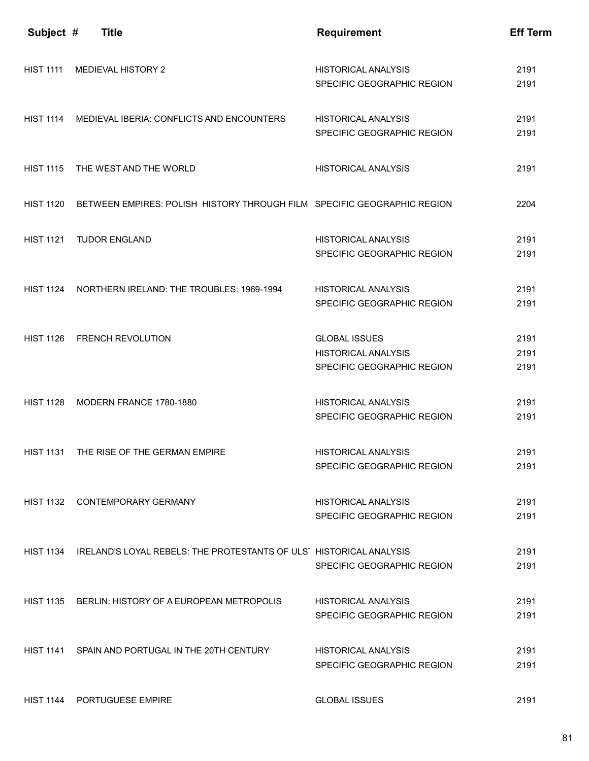| Subject #        | <b>Title</b>                                                                 | <b>Requirement</b>                                                               | <b>Eff Term</b>      |
|------------------|------------------------------------------------------------------------------|----------------------------------------------------------------------------------|----------------------|
| <b>HIST 1111</b> | <b>MEDIEVAL HISTORY 2</b>                                                    | <b>HISTORICAL ANALYSIS</b><br>SPECIFIC GEOGRAPHIC REGION                         | 2191<br>2191         |
|                  | HIST 1114 MEDIEVAL IBERIA: CONFLICTS AND ENCOUNTERS                          | <b>HISTORICAL ANALYSIS</b><br>SPECIFIC GEOGRAPHIC REGION                         | 2191<br>2191         |
| <b>HIST 1115</b> | THE WEST AND THE WORLD                                                       | <b>HISTORICAL ANALYSIS</b>                                                       | 2191                 |
| <b>HIST 1120</b> | BETWEEN EMPIRES: POLISH HISTORY THROUGH FILM SPECIFIC GEOGRAPHIC REGION      |                                                                                  | 2204                 |
| <b>HIST 1121</b> | <b>TUDOR ENGLAND</b>                                                         | <b>HISTORICAL ANALYSIS</b><br>SPECIFIC GEOGRAPHIC REGION                         | 2191<br>2191         |
| <b>HIST 1124</b> | NORTHERN IRELAND: THE TROUBLES: 1969-1994                                    | <b>HISTORICAL ANALYSIS</b><br>SPECIFIC GEOGRAPHIC REGION                         | 2191<br>2191         |
|                  | HIST 1126 FRENCH REVOLUTION                                                  | <b>GLOBAL ISSUES</b><br><b>HISTORICAL ANALYSIS</b><br>SPECIFIC GEOGRAPHIC REGION | 2191<br>2191<br>2191 |
| <b>HIST 1128</b> | MODERN FRANCE 1780-1880                                                      | <b>HISTORICAL ANALYSIS</b><br>SPECIFIC GEOGRAPHIC REGION                         | 2191<br>2191         |
|                  | HIST 1131 THE RISE OF THE GERMAN EMPIRE                                      | <b>HISTORICAL ANALYSIS</b><br>SPECIFIC GEOGRAPHIC REGION                         | 2191<br>2191         |
|                  | HIST 1132 CONTEMPORARY GERMANY                                               | <b>HISTORICAL ANALYSIS</b><br>SPECIFIC GEOGRAPHIC REGION                         | 2191<br>2191         |
|                  | HIST 1134 IRELAND'S LOYAL REBELS: THE PROTESTANTS OF ULS HISTORICAL ANALYSIS | SPECIFIC GEOGRAPHIC REGION                                                       | 2191<br>2191         |
|                  | HIST 1135 BERLIN: HISTORY OF A EUROPEAN METROPOLIS                           | <b>HISTORICAL ANALYSIS</b><br>SPECIFIC GEOGRAPHIC REGION                         | 2191<br>2191         |
|                  | HIST 1141 SPAIN AND PORTUGAL IN THE 20TH CENTURY                             | <b>HISTORICAL ANALYSIS</b><br>SPECIFIC GEOGRAPHIC REGION                         | 2191<br>2191         |
| <b>HIST 1144</b> | PORTUGUESE EMPIRE                                                            | <b>GLOBAL ISSUES</b>                                                             | 2191                 |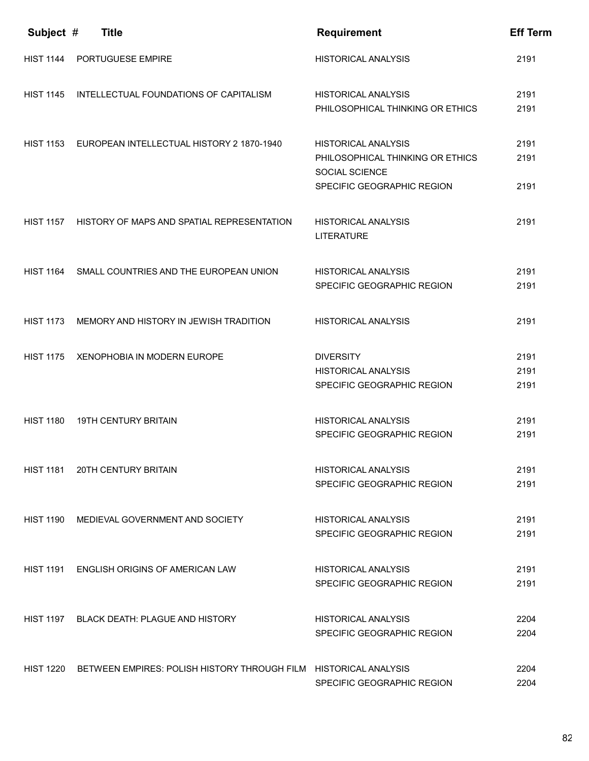| Subject #        | <b>Title</b>                                                     | <b>Requirement</b>                                       | <b>Eff Term</b> |
|------------------|------------------------------------------------------------------|----------------------------------------------------------|-----------------|
| <b>HIST 1144</b> | PORTUGUESE EMPIRE                                                | <b>HISTORICAL ANALYSIS</b>                               | 2191            |
| <b>HIST 1145</b> | INTELLECTUAL FOUNDATIONS OF CAPITALISM                           | <b>HISTORICAL ANALYSIS</b>                               | 2191            |
|                  |                                                                  | PHILOSOPHICAL THINKING OR ETHICS                         | 2191            |
| HIST 1153        | EUROPEAN INTELLECTUAL HISTORY 2 1870-1940                        | <b>HISTORICAL ANALYSIS</b>                               | 2191            |
|                  |                                                                  | PHILOSOPHICAL THINKING OR ETHICS<br>SOCIAL SCIENCE       | 2191            |
|                  |                                                                  | SPECIFIC GEOGRAPHIC REGION                               | 2191            |
| <b>HIST 1157</b> | HISTORY OF MAPS AND SPATIAL REPRESENTATION                       | <b>HISTORICAL ANALYSIS</b><br><b>LITERATURE</b>          | 2191            |
| <b>HIST 1164</b> | SMALL COUNTRIES AND THE EUROPEAN UNION                           | <b>HISTORICAL ANALYSIS</b>                               | 2191            |
|                  |                                                                  | SPECIFIC GEOGRAPHIC REGION                               | 2191            |
| <b>HIST 1173</b> | MEMORY AND HISTORY IN JEWISH TRADITION                           | <b>HISTORICAL ANALYSIS</b>                               | 2191            |
| <b>HIST 1175</b> | XENOPHOBIA IN MODERN EUROPE                                      | <b>DIVERSITY</b>                                         | 2191            |
|                  |                                                                  | <b>HISTORICAL ANALYSIS</b><br>SPECIFIC GEOGRAPHIC REGION | 2191<br>2191    |
|                  |                                                                  |                                                          |                 |
| <b>HIST 1180</b> | <b>19TH CENTURY BRITAIN</b>                                      | <b>HISTORICAL ANALYSIS</b>                               | 2191            |
|                  |                                                                  | SPECIFIC GEOGRAPHIC REGION                               | 2191            |
| HIST 1181        | <b>20TH CENTURY BRITAIN</b>                                      | HISTORICAL ANALYSIS                                      | 2191            |
|                  |                                                                  | SPECIFIC GEOGRAPHIC REGION                               | 2191            |
| HIST 1190        | MEDIEVAL GOVERNMENT AND SOCIETY                                  | HISTORICAL ANALYSIS                                      | 2191            |
|                  |                                                                  | SPECIFIC GEOGRAPHIC REGION                               | 2191            |
| HIST 1191        | ENGLISH ORIGINS OF AMERICAN LAW                                  | <b>HISTORICAL ANALYSIS</b>                               | 2191            |
|                  |                                                                  | SPECIFIC GEOGRAPHIC REGION                               | 2191            |
| <b>HIST 1197</b> | <b>BLACK DEATH: PLAGUE AND HISTORY</b>                           | HISTORICAL ANALYSIS                                      | 2204            |
|                  |                                                                  | SPECIFIC GEOGRAPHIC REGION                               | 2204            |
| HIST 1220        | BETWEEN EMPIRES: POLISH HISTORY THROUGH FILM HISTORICAL ANALYSIS |                                                          | 2204            |
|                  |                                                                  | SPECIFIC GEOGRAPHIC REGION                               | 2204            |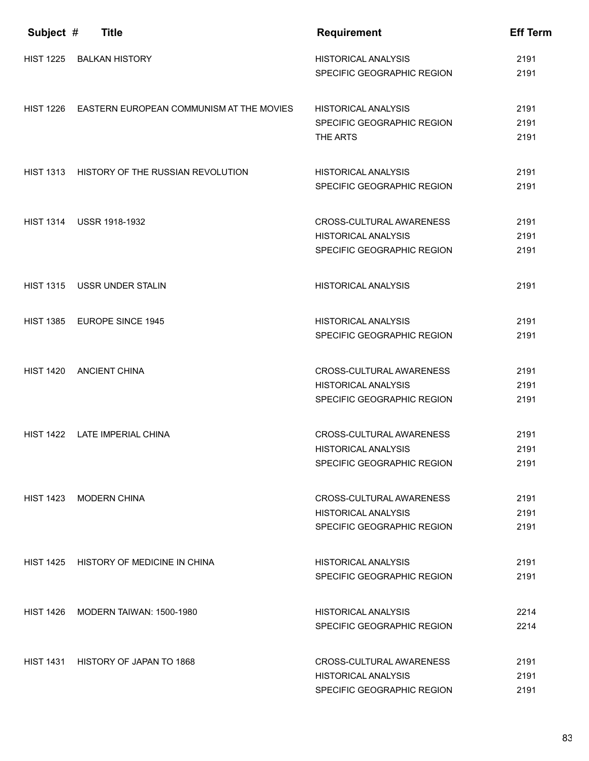| Subject #        | <b>Title</b>                                       | <b>Requirement</b>                                                                   | <b>Eff Term</b>      |
|------------------|----------------------------------------------------|--------------------------------------------------------------------------------------|----------------------|
| <b>HIST 1225</b> | <b>BALKAN HISTORY</b>                              | <b>HISTORICAL ANALYSIS</b><br>SPECIFIC GEOGRAPHIC REGION                             | 2191<br>2191         |
|                  | HIST 1226 EASTERN EUROPEAN COMMUNISM AT THE MOVIES | <b>HISTORICAL ANALYSIS</b><br>SPECIFIC GEOGRAPHIC REGION                             | 2191<br>2191         |
| <b>HIST 1313</b> | HISTORY OF THE RUSSIAN REVOLUTION                  | THE ARTS<br><b>HISTORICAL ANALYSIS</b>                                               | 2191<br>2191         |
|                  |                                                    | SPECIFIC GEOGRAPHIC REGION                                                           | 2191                 |
|                  | HIST 1314 USSR 1918-1932                           | CROSS-CULTURAL AWARENESS<br><b>HISTORICAL ANALYSIS</b><br>SPECIFIC GEOGRAPHIC REGION | 2191<br>2191<br>2191 |
| <b>HIST 1315</b> | USSR UNDER STALIN                                  | <b>HISTORICAL ANALYSIS</b>                                                           | 2191                 |
|                  | HIST 1385 EUROPE SINCE 1945                        | <b>HISTORICAL ANALYSIS</b><br>SPECIFIC GEOGRAPHIC REGION                             | 2191<br>2191         |
| <b>HIST 1420</b> | <b>ANCIENT CHINA</b>                               | CROSS-CULTURAL AWARENESS<br><b>HISTORICAL ANALYSIS</b><br>SPECIFIC GEOGRAPHIC REGION | 2191<br>2191<br>2191 |
| <b>HIST 1422</b> | LATE IMPERIAL CHINA                                | CROSS-CULTURAL AWARENESS<br><b>HISTORICAL ANALYSIS</b>                               | 2191<br>2191         |
|                  |                                                    | SPECIFIC GEOGRAPHIC REGION                                                           | 2191                 |
|                  | HIST 1423 MODERN CHINA                             | CROSS-CULTURAL AWARENESS<br>HISTORICAL ANALYSIS<br>SPECIFIC GEOGRAPHIC REGION        | 2191<br>2191<br>2191 |
|                  | HIST 1425 HISTORY OF MEDICINE IN CHINA             | <b>HISTORICAL ANALYSIS</b><br>SPECIFIC GEOGRAPHIC REGION                             | 2191<br>2191         |
| HIST 1426        | MODERN TAIWAN: 1500-1980                           | <b>HISTORICAL ANALYSIS</b><br>SPECIFIC GEOGRAPHIC REGION                             | 2214<br>2214         |
| HIST 1431        | HISTORY OF JAPAN TO 1868                           | CROSS-CULTURAL AWARENESS<br>HISTORICAL ANALYSIS<br>SPECIFIC GEOGRAPHIC REGION        | 2191<br>2191<br>2191 |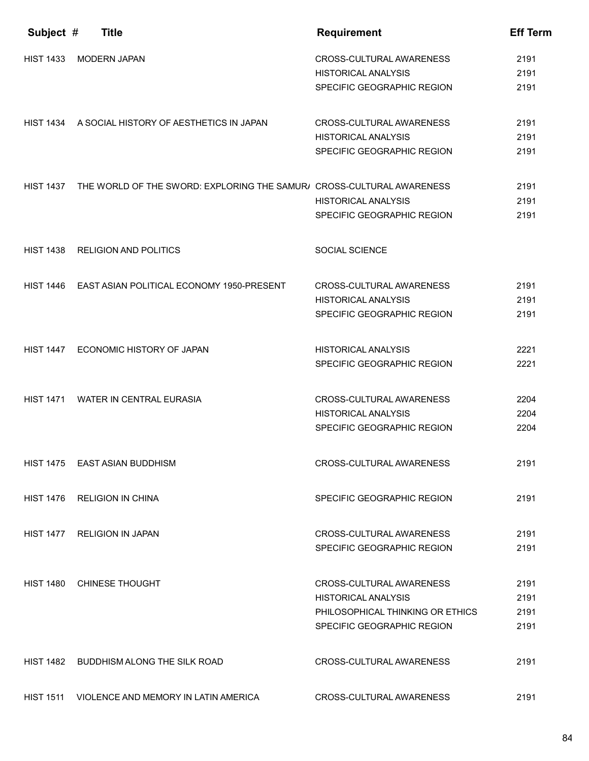| Subject #        | <b>Title</b>                                                          | <b>Requirement</b>                                             | <b>Eff Term</b> |
|------------------|-----------------------------------------------------------------------|----------------------------------------------------------------|-----------------|
| <b>HIST 1433</b> | <b>MODERN JAPAN</b>                                                   | CROSS-CULTURAL AWARENESS<br><b>HISTORICAL ANALYSIS</b>         | 2191<br>2191    |
|                  |                                                                       | SPECIFIC GEOGRAPHIC REGION                                     | 2191            |
|                  | HIST 1434 A SOCIAL HISTORY OF AESTHETICS IN JAPAN                     | <b>CROSS-CULTURAL AWARENESS</b>                                | 2191            |
|                  |                                                                       | <b>HISTORICAL ANALYSIS</b><br>SPECIFIC GEOGRAPHIC REGION       | 2191<br>2191    |
| <b>HIST 1437</b> | THE WORLD OF THE SWORD: EXPLORING THE SAMUR/ CROSS-CULTURAL AWARENESS |                                                                | 2191            |
|                  |                                                                       | <b>HISTORICAL ANALYSIS</b><br>SPECIFIC GEOGRAPHIC REGION       | 2191<br>2191    |
|                  |                                                                       |                                                                |                 |
| <b>HIST 1438</b> | <b>RELIGION AND POLITICS</b>                                          | <b>SOCIAL SCIENCE</b>                                          |                 |
| <b>HIST 1446</b> | EAST ASIAN POLITICAL ECONOMY 1950-PRESENT                             | CROSS-CULTURAL AWARENESS                                       | 2191            |
|                  |                                                                       | <b>HISTORICAL ANALYSIS</b><br>SPECIFIC GEOGRAPHIC REGION       | 2191<br>2191    |
| <b>HIST 1447</b> | ECONOMIC HISTORY OF JAPAN                                             | <b>HISTORICAL ANALYSIS</b>                                     | 2221            |
|                  |                                                                       | SPECIFIC GEOGRAPHIC REGION                                     | 2221            |
| <b>HIST 1471</b> | <b>WATER IN CENTRAL EURASIA</b>                                       | <b>CROSS-CULTURAL AWARENESS</b>                                | 2204            |
|                  |                                                                       | <b>HISTORICAL ANALYSIS</b>                                     | 2204            |
|                  |                                                                       | SPECIFIC GEOGRAPHIC REGION                                     | 2204            |
|                  | HIST 1475 EAST ASIAN BUDDHISM                                         | CROSS-CULTURAL AWARENESS                                       | 2191            |
| HIST 1476        | <b>RELIGION IN CHINA</b>                                              | SPECIFIC GEOGRAPHIC REGION                                     | 2191            |
| <b>HIST 1477</b> | <b>RELIGION IN JAPAN</b>                                              | CROSS-CULTURAL AWARENESS                                       | 2191            |
|                  |                                                                       | SPECIFIC GEOGRAPHIC REGION                                     | 2191            |
| <b>HIST 1480</b> | <b>CHINESE THOUGHT</b>                                                | CROSS-CULTURAL AWARENESS                                       | 2191            |
|                  |                                                                       | <b>HISTORICAL ANALYSIS</b><br>PHILOSOPHICAL THINKING OR ETHICS | 2191<br>2191    |
|                  |                                                                       | SPECIFIC GEOGRAPHIC REGION                                     | 2191            |
| HIST 1482        | BUDDHISM ALONG THE SILK ROAD                                          | CROSS-CULTURAL AWARENESS                                       | 2191            |
| <b>HIST 1511</b> | VIOLENCE AND MEMORY IN LATIN AMERICA                                  | CROSS-CULTURAL AWARENESS                                       | 2191            |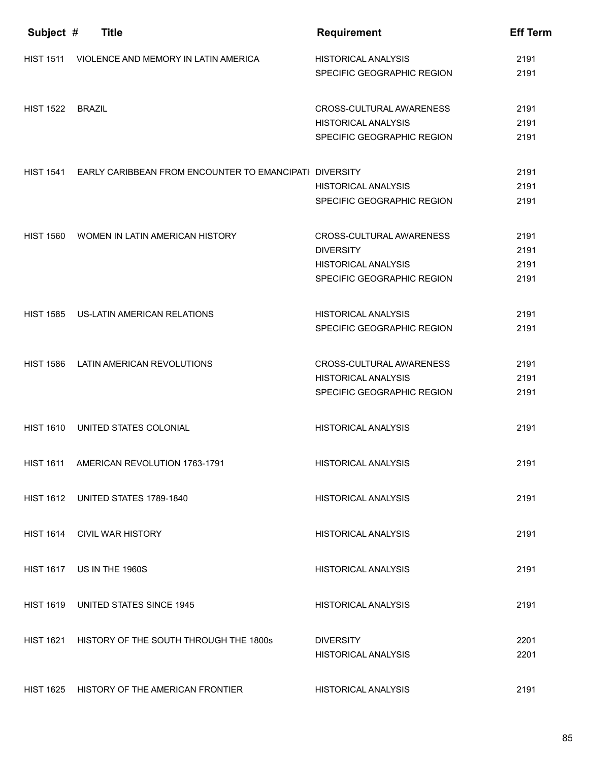| Subject #        | <b>Title</b>                                                  | <b>Requirement</b>                                                                                       | <b>Eff Term</b>              |
|------------------|---------------------------------------------------------------|----------------------------------------------------------------------------------------------------------|------------------------------|
| <b>HIST 1511</b> | VIOLENCE AND MEMORY IN LATIN AMERICA                          | <b>HISTORICAL ANALYSIS</b><br>SPECIFIC GEOGRAPHIC REGION                                                 | 2191<br>2191                 |
| <b>HIST 1522</b> | <b>BRAZIL</b>                                                 | CROSS-CULTURAL AWARENESS<br><b>HISTORICAL ANALYSIS</b><br>SPECIFIC GEOGRAPHIC REGION                     | 2191<br>2191<br>2191         |
| <b>HIST 1541</b> | <b>EARLY CARIBBEAN FROM ENCOUNTER TO EMANCIPATI DIVERSITY</b> | <b>HISTORICAL ANALYSIS</b><br>SPECIFIC GEOGRAPHIC REGION                                                 | 2191<br>2191<br>2191         |
| <b>HIST 1560</b> | WOMEN IN LATIN AMERICAN HISTORY                               | CROSS-CULTURAL AWARENESS<br><b>DIVERSITY</b><br><b>HISTORICAL ANALYSIS</b><br>SPECIFIC GEOGRAPHIC REGION | 2191<br>2191<br>2191<br>2191 |
| <b>HIST 1585</b> | US-LATIN AMERICAN RELATIONS                                   | <b>HISTORICAL ANALYSIS</b><br>SPECIFIC GEOGRAPHIC REGION                                                 | 2191<br>2191                 |
| <b>HIST 1586</b> | LATIN AMERICAN REVOLUTIONS                                    | CROSS-CULTURAL AWARENESS<br><b>HISTORICAL ANALYSIS</b><br>SPECIFIC GEOGRAPHIC REGION                     | 2191<br>2191<br>2191         |
| <b>HIST 1610</b> | UNITED STATES COLONIAL                                        | <b>HISTORICAL ANALYSIS</b>                                                                               | 2191                         |
|                  | HIST 1611 AMERICAN REVOLUTION 1763-1791                       | <b>HISTORICAL ANALYSIS</b>                                                                               | 2191                         |
|                  | HIST 1612 UNITED STATES 1789-1840                             | <b>HISTORICAL ANALYSIS</b>                                                                               | 2191                         |
| <b>HIST 1614</b> | <b>CIVIL WAR HISTORY</b>                                      | <b>HISTORICAL ANALYSIS</b>                                                                               | 2191                         |
| <b>HIST 1617</b> | US IN THE 1960S                                               | HISTORICAL ANALYSIS                                                                                      | 2191                         |
| <b>HIST 1619</b> | UNITED STATES SINCE 1945                                      | <b>HISTORICAL ANALYSIS</b>                                                                               | 2191                         |
| <b>HIST 1621</b> | HISTORY OF THE SOUTH THROUGH THE 1800s                        | <b>DIVERSITY</b><br><b>HISTORICAL ANALYSIS</b>                                                           | 2201<br>2201                 |
| <b>HIST 1625</b> | HISTORY OF THE AMERICAN FRONTIER                              | <b>HISTORICAL ANALYSIS</b>                                                                               | 2191                         |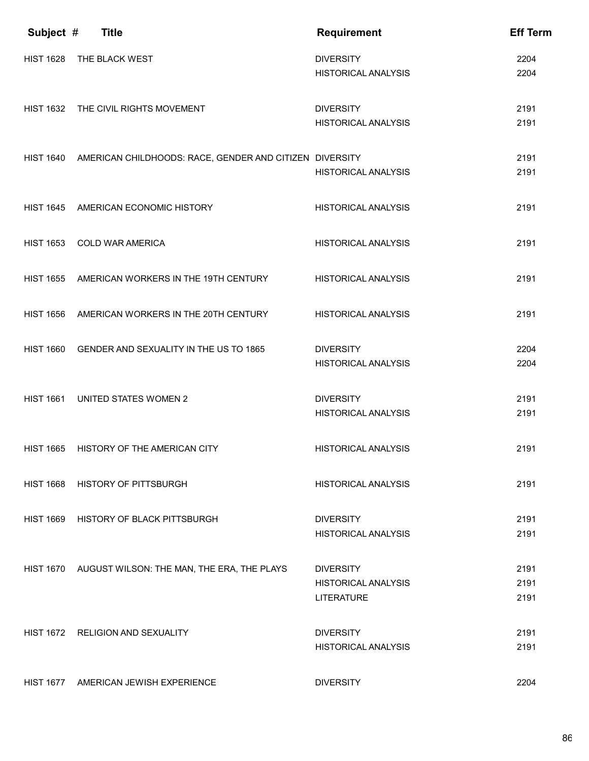| Subject #        | <b>Title</b>                                                      | <b>Requirement</b>                                                  | <b>Eff Term</b>      |
|------------------|-------------------------------------------------------------------|---------------------------------------------------------------------|----------------------|
| <b>HIST 1628</b> | THE BLACK WEST                                                    | <b>DIVERSITY</b><br><b>HISTORICAL ANALYSIS</b>                      | 2204<br>2204         |
|                  | HIST 1632 THE CIVIL RIGHTS MOVEMENT                               | <b>DIVERSITY</b><br><b>HISTORICAL ANALYSIS</b>                      | 2191<br>2191         |
|                  | HIST 1640 AMERICAN CHILDHOODS: RACE, GENDER AND CITIZEN DIVERSITY | <b>HISTORICAL ANALYSIS</b>                                          | 2191<br>2191         |
| <b>HIST 1645</b> | AMERICAN ECONOMIC HISTORY                                         | <b>HISTORICAL ANALYSIS</b>                                          | 2191                 |
| <b>HIST 1653</b> | <b>COLD WAR AMERICA</b>                                           | <b>HISTORICAL ANALYSIS</b>                                          | 2191                 |
| <b>HIST 1655</b> | AMERICAN WORKERS IN THE 19TH CENTURY                              | <b>HISTORICAL ANALYSIS</b>                                          | 2191                 |
| <b>HIST 1656</b> | AMERICAN WORKERS IN THE 20TH CENTURY                              | <b>HISTORICAL ANALYSIS</b>                                          | 2191                 |
| <b>HIST 1660</b> | GENDER AND SEXUALITY IN THE US TO 1865                            | <b>DIVERSITY</b><br><b>HISTORICAL ANALYSIS</b>                      | 2204<br>2204         |
| <b>HIST 1661</b> | <b>UNITED STATES WOMEN 2</b>                                      | <b>DIVERSITY</b><br><b>HISTORICAL ANALYSIS</b>                      | 2191<br>2191         |
| <b>HIST 1665</b> | HISTORY OF THE AMERICAN CITY                                      | <b>HISTORICAL ANALYSIS</b>                                          | 2191                 |
| <b>HIST 1668</b> | <b>HISTORY OF PITTSBURGH</b>                                      | <b>HISTORICAL ANALYSIS</b>                                          | 2191                 |
|                  | HIST 1669 HISTORY OF BLACK PITTSBURGH                             | <b>DIVERSITY</b><br><b>HISTORICAL ANALYSIS</b>                      | 2191<br>2191         |
|                  | HIST 1670 AUGUST WILSON: THE MAN, THE ERA, THE PLAYS              | <b>DIVERSITY</b><br><b>HISTORICAL ANALYSIS</b><br><b>LITERATURE</b> | 2191<br>2191<br>2191 |
| <b>HIST 1672</b> | <b>RELIGION AND SEXUALITY</b>                                     | <b>DIVERSITY</b><br><b>HISTORICAL ANALYSIS</b>                      | 2191<br>2191         |
| <b>HIST 1677</b> | AMERICAN JEWISH EXPERIENCE                                        | <b>DIVERSITY</b>                                                    | 2204                 |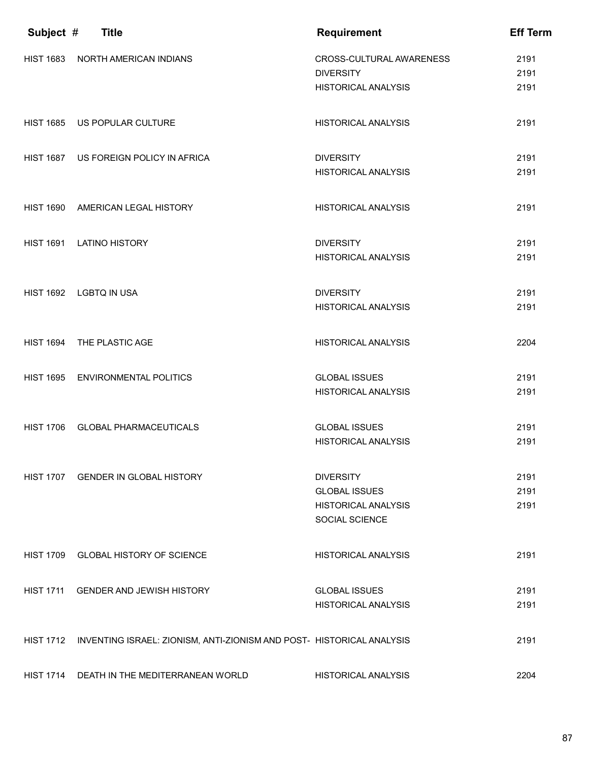| Subject #        | <b>Title</b>                                                          | <b>Requirement</b>                                  | <b>Eff Term</b> |
|------------------|-----------------------------------------------------------------------|-----------------------------------------------------|-----------------|
| <b>HIST 1683</b> | NORTH AMERICAN INDIANS                                                | <b>CROSS-CULTURAL AWARENESS</b><br><b>DIVERSITY</b> | 2191<br>2191    |
|                  |                                                                       | <b>HISTORICAL ANALYSIS</b>                          | 2191            |
| <b>HIST 1685</b> | US POPULAR CULTURE                                                    | <b>HISTORICAL ANALYSIS</b>                          | 2191            |
| <b>HIST 1687</b> | US FOREIGN POLICY IN AFRICA                                           | <b>DIVERSITY</b>                                    | 2191            |
|                  |                                                                       | <b>HISTORICAL ANALYSIS</b>                          | 2191            |
| <b>HIST 1690</b> | AMERICAN LEGAL HISTORY                                                | <b>HISTORICAL ANALYSIS</b>                          | 2191            |
| <b>HIST 1691</b> | <b>LATINO HISTORY</b>                                                 | <b>DIVERSITY</b>                                    | 2191            |
|                  |                                                                       | <b>HISTORICAL ANALYSIS</b>                          | 2191            |
|                  | HIST 1692 LGBTQ IN USA                                                | <b>DIVERSITY</b>                                    | 2191            |
|                  |                                                                       | <b>HISTORICAL ANALYSIS</b>                          | 2191            |
| <b>HIST 1694</b> | THE PLASTIC AGE                                                       | <b>HISTORICAL ANALYSIS</b>                          | 2204            |
| <b>HIST 1695</b> | <b>ENVIRONMENTAL POLITICS</b>                                         | <b>GLOBAL ISSUES</b>                                | 2191            |
|                  |                                                                       | <b>HISTORICAL ANALYSIS</b>                          | 2191            |
| <b>HIST 1706</b> | <b>GLOBAL PHARMACEUTICALS</b>                                         | <b>GLOBAL ISSUES</b>                                | 2191            |
|                  |                                                                       | <b>HISTORICAL ANALYSIS</b>                          | 2191            |
|                  | HIST 1707 GENDER IN GLOBAL HISTORY                                    | <b>DIVERSITY</b>                                    | 2191            |
|                  |                                                                       | <b>GLOBAL ISSUES</b><br><b>HISTORICAL ANALYSIS</b>  | 2191<br>2191    |
|                  |                                                                       | SOCIAL SCIENCE                                      |                 |
|                  | HIST 1709 GLOBAL HISTORY OF SCIENCE                                   | <b>HISTORICAL ANALYSIS</b>                          | 2191            |
| <b>HIST 1711</b> | <b>GENDER AND JEWISH HISTORY</b>                                      | <b>GLOBAL ISSUES</b>                                | 2191            |
|                  |                                                                       | <b>HISTORICAL ANALYSIS</b>                          | 2191            |
| <b>HIST 1712</b> | INVENTING ISRAEL: ZIONISM, ANTI-ZIONISM AND POST- HISTORICAL ANALYSIS |                                                     | 2191            |
| <b>HIST 1714</b> | DEATH IN THE MEDITERRANEAN WORLD                                      | <b>HISTORICAL ANALYSIS</b>                          | 2204            |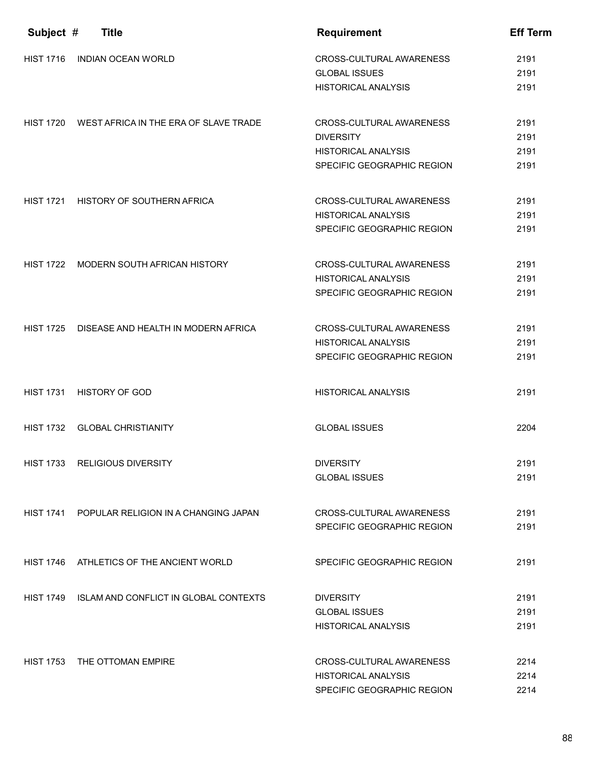| Subject #        | <b>Title</b>                                    | <b>Requirement</b>         | <b>Eff Term</b> |
|------------------|-------------------------------------------------|----------------------------|-----------------|
| <b>HIST 1716</b> | <b>INDIAN OCEAN WORLD</b>                       | CROSS-CULTURAL AWARENESS   | 2191            |
|                  |                                                 | <b>GLOBAL ISSUES</b>       | 2191            |
|                  |                                                 | <b>HISTORICAL ANALYSIS</b> | 2191            |
| <b>HIST 1720</b> | WEST AFRICA IN THE ERA OF SLAVE TRADE           | CROSS-CULTURAL AWARENESS   | 2191            |
|                  |                                                 | <b>DIVERSITY</b>           | 2191            |
|                  |                                                 | <b>HISTORICAL ANALYSIS</b> | 2191            |
|                  |                                                 | SPECIFIC GEOGRAPHIC REGION | 2191            |
| <b>HIST 1721</b> | HISTORY OF SOUTHERN AFRICA                      | CROSS-CULTURAL AWARENESS   | 2191            |
|                  |                                                 | <b>HISTORICAL ANALYSIS</b> | 2191            |
|                  |                                                 | SPECIFIC GEOGRAPHIC REGION | 2191            |
| <b>HIST 1722</b> | MODERN SOUTH AFRICAN HISTORY                    | CROSS-CULTURAL AWARENESS   | 2191            |
|                  |                                                 | <b>HISTORICAL ANALYSIS</b> | 2191            |
|                  |                                                 | SPECIFIC GEOGRAPHIC REGION | 2191            |
| <b>HIST 1725</b> | DISEASE AND HEALTH IN MODERN AFRICA             | CROSS-CULTURAL AWARENESS   | 2191            |
|                  |                                                 | <b>HISTORICAL ANALYSIS</b> | 2191            |
|                  |                                                 | SPECIFIC GEOGRAPHIC REGION | 2191            |
| <b>HIST 1731</b> | <b>HISTORY OF GOD</b>                           | <b>HISTORICAL ANALYSIS</b> | 2191            |
| <b>HIST 1732</b> | <b>GLOBAL CHRISTIANITY</b>                      | <b>GLOBAL ISSUES</b>       | 2204            |
|                  | HIST 1733 RELIGIOUS DIVERSITY                   | <b>DIVERSITY</b>           | 2191            |
|                  |                                                 | <b>GLOBAL ISSUES</b>       | 2191            |
|                  | HIST 1741 POPULAR RELIGION IN A CHANGING JAPAN  | CROSS-CULTURAL AWARENESS   | 2191            |
|                  |                                                 | SPECIFIC GEOGRAPHIC REGION | 2191            |
|                  | HIST 1746 ATHLETICS OF THE ANCIENT WORLD        | SPECIFIC GEOGRAPHIC REGION | 2191            |
|                  | HIST 1749 ISLAM AND CONFLICT IN GLOBAL CONTEXTS | <b>DIVERSITY</b>           | 2191            |
|                  |                                                 | <b>GLOBAL ISSUES</b>       | 2191            |
|                  |                                                 | <b>HISTORICAL ANALYSIS</b> | 2191            |
| <b>HIST 1753</b> | THE OTTOMAN EMPIRE                              | CROSS-CULTURAL AWARENESS   | 2214            |
|                  |                                                 | <b>HISTORICAL ANALYSIS</b> | 2214            |
|                  |                                                 | SPECIFIC GEOGRAPHIC REGION | 2214            |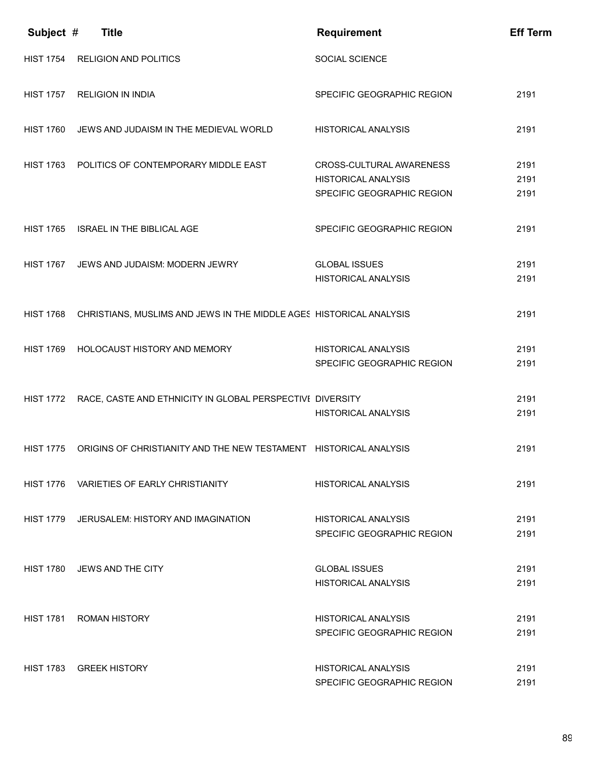| Subject #        | <b>Title</b>                                                        | <b>Requirement</b>                                                                   | <b>Eff Term</b>      |
|------------------|---------------------------------------------------------------------|--------------------------------------------------------------------------------------|----------------------|
| <b>HIST 1754</b> | <b>RELIGION AND POLITICS</b>                                        | SOCIAL SCIENCE                                                                       |                      |
| <b>HIST 1757</b> | <b>RELIGION IN INDIA</b>                                            | SPECIFIC GEOGRAPHIC REGION                                                           | 2191                 |
| <b>HIST 1760</b> | JEWS AND JUDAISM IN THE MEDIEVAL WORLD                              | <b>HISTORICAL ANALYSIS</b>                                                           | 2191                 |
| <b>HIST 1763</b> | POLITICS OF CONTEMPORARY MIDDLE EAST                                | CROSS-CULTURAL AWARENESS<br><b>HISTORICAL ANALYSIS</b><br>SPECIFIC GEOGRAPHIC REGION | 2191<br>2191<br>2191 |
| <b>HIST 1765</b> | ISRAEL IN THE BIBLICAL AGE                                          | SPECIFIC GEOGRAPHIC REGION                                                           | 2191                 |
| <b>HIST 1767</b> | JEWS AND JUDAISM: MODERN JEWRY                                      | <b>GLOBAL ISSUES</b><br><b>HISTORICAL ANALYSIS</b>                                   | 2191<br>2191         |
| <b>HIST 1768</b> | CHRISTIANS, MUSLIMS AND JEWS IN THE MIDDLE AGES HISTORICAL ANALYSIS |                                                                                      | 2191                 |
| <b>HIST 1769</b> | HOLOCAUST HISTORY AND MEMORY                                        | <b>HISTORICAL ANALYSIS</b><br>SPECIFIC GEOGRAPHIC REGION                             | 2191<br>2191         |
| <b>HIST 1772</b> | RACE, CASTE AND ETHNICITY IN GLOBAL PERSPECTIVE DIVERSITY           | <b>HISTORICAL ANALYSIS</b>                                                           | 2191<br>2191         |
| <b>HIST 1775</b> | ORIGINS OF CHRISTIANITY AND THE NEW TESTAMENT HISTORICAL ANALYSIS   |                                                                                      | 2191                 |
| <b>HIST 1776</b> | VARIETIES OF EARLY CHRISTIANITY                                     | <b>HISTORICAL ANALYSIS</b>                                                           | 2191                 |
|                  | HIST 1779 JERUSALEM: HISTORY AND IMAGINATION                        | HISTORICAL ANALYSIS<br>SPECIFIC GEOGRAPHIC REGION                                    | 2191<br>2191         |
| HIST 1780        | JEWS AND THE CITY                                                   | <b>GLOBAL ISSUES</b><br><b>HISTORICAL ANALYSIS</b>                                   | 2191<br>2191         |
| <b>HIST 1781</b> | ROMAN HISTORY                                                       | HISTORICAL ANALYSIS<br>SPECIFIC GEOGRAPHIC REGION                                    | 2191<br>2191         |
|                  | HIST 1783 GREEK HISTORY                                             | <b>HISTORICAL ANALYSIS</b><br>SPECIFIC GEOGRAPHIC REGION                             | 2191<br>2191         |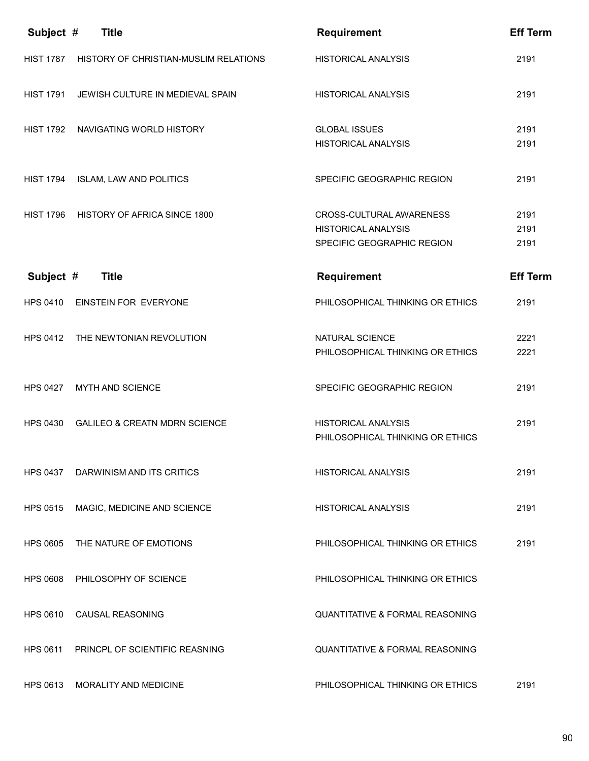| Subject #        | <b>Title</b>                             | <b>Requirement</b>                                                                   | <b>Eff Term</b>      |
|------------------|------------------------------------------|--------------------------------------------------------------------------------------|----------------------|
| <b>HIST 1787</b> | HISTORY OF CHRISTIAN-MUSLIM RELATIONS    | <b>HISTORICAL ANALYSIS</b>                                                           | 2191                 |
| <b>HIST 1791</b> | JEWISH CULTURE IN MEDIEVAL SPAIN         | <b>HISTORICAL ANALYSIS</b>                                                           | 2191                 |
| <b>HIST 1792</b> | NAVIGATING WORLD HISTORY                 | <b>GLOBAL ISSUES</b><br><b>HISTORICAL ANALYSIS</b>                                   | 2191<br>2191         |
| <b>HIST 1794</b> | ISLAM, LAW AND POLITICS                  | SPECIFIC GEOGRAPHIC REGION                                                           | 2191                 |
| <b>HIST 1796</b> | HISTORY OF AFRICA SINCE 1800             | CROSS-CULTURAL AWARENESS<br><b>HISTORICAL ANALYSIS</b><br>SPECIFIC GEOGRAPHIC REGION | 2191<br>2191<br>2191 |
| Subject #        | <b>Title</b>                             | <b>Requirement</b>                                                                   | <b>Eff Term</b>      |
| HPS 0410         | EINSTEIN FOR EVERYONE                    | PHILOSOPHICAL THINKING OR ETHICS                                                     | 2191                 |
|                  | HPS 0412 THE NEWTONIAN REVOLUTION        | NATURAL SCIENCE<br>PHILOSOPHICAL THINKING OR ETHICS                                  | 2221<br>2221         |
| <b>HPS 0427</b>  | <b>MYTH AND SCIENCE</b>                  | SPECIFIC GEOGRAPHIC REGION                                                           | 2191                 |
| <b>HPS 0430</b>  | <b>GALILEO &amp; CREATN MDRN SCIENCE</b> | <b>HISTORICAL ANALYSIS</b><br>PHILOSOPHICAL THINKING OR ETHICS                       | 2191                 |
|                  | HPS 0437 DARWINISM AND ITS CRITICS       | <b>HISTORICAL ANALYSIS</b>                                                           | 2191                 |
| HPS 0515         | MAGIC, MEDICINE AND SCIENCE              | HISTORICAL ANALYSIS                                                                  | 2191                 |
| <b>HPS 0605</b>  | THE NATURE OF EMOTIONS                   | PHILOSOPHICAL THINKING OR ETHICS                                                     | 2191                 |
|                  | HPS 0608 PHILOSOPHY OF SCIENCE           | PHILOSOPHICAL THINKING OR ETHICS                                                     |                      |
|                  | HPS 0610 CAUSAL REASONING                | <b>QUANTITATIVE &amp; FORMAL REASONING</b>                                           |                      |
| <b>HPS 0611</b>  | PRINCPL OF SCIENTIFIC REASNING           | <b>QUANTITATIVE &amp; FORMAL REASONING</b>                                           |                      |
| <b>HPS 0613</b>  | <b>MORALITY AND MEDICINE</b>             | PHILOSOPHICAL THINKING OR ETHICS                                                     | 2191                 |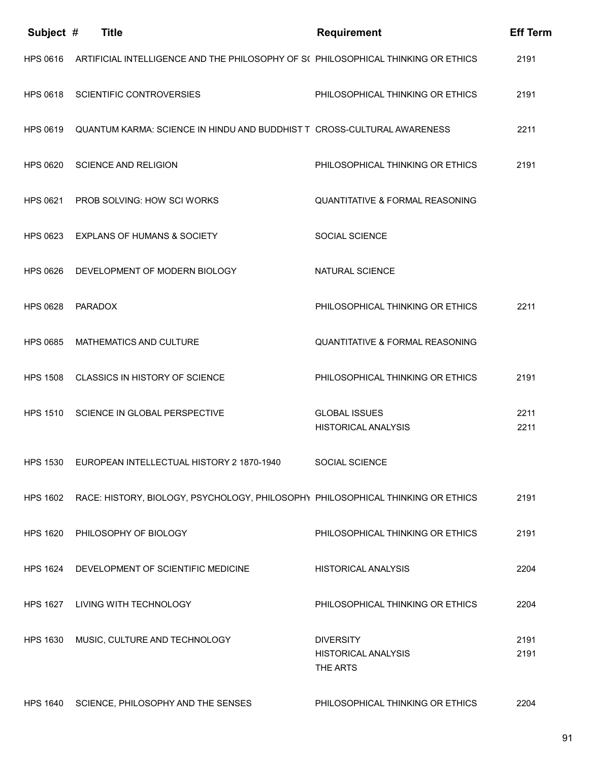| Subject #       | <b>Title</b>                                                                             | <b>Requirement</b>                                         | <b>Eff Term</b> |
|-----------------|------------------------------------------------------------------------------------------|------------------------------------------------------------|-----------------|
| HPS 0616        | ARTIFICIAL INTELLIGENCE AND THE PHILOSOPHY OF S( PHILOSOPHICAL THINKING OR ETHICS        |                                                            | 2191            |
| <b>HPS 0618</b> | <b>SCIENTIFIC CONTROVERSIES</b>                                                          | PHILOSOPHICAL THINKING OR ETHICS                           | 2191            |
| <b>HPS 0619</b> | QUANTUM KARMA: SCIENCE IN HINDU AND BUDDHIST T CROSS-CULTURAL AWARENESS                  |                                                            | 2211            |
| <b>HPS 0620</b> | <b>SCIENCE AND RELIGION</b>                                                              | PHILOSOPHICAL THINKING OR ETHICS                           | 2191            |
|                 | HPS 0621 PROB SOLVING: HOW SCI WORKS                                                     | <b>QUANTITATIVE &amp; FORMAL REASONING</b>                 |                 |
| HPS 0623        | <b>EXPLANS OF HUMANS &amp; SOCIETY</b>                                                   | <b>SOCIAL SCIENCE</b>                                      |                 |
| <b>HPS 0626</b> | DEVELOPMENT OF MODERN BIOLOGY                                                            | NATURAL SCIENCE                                            |                 |
| <b>HPS 0628</b> | <b>PARADOX</b>                                                                           | PHILOSOPHICAL THINKING OR ETHICS                           | 2211            |
| <b>HPS 0685</b> | MATHEMATICS AND CULTURE                                                                  | <b>QUANTITATIVE &amp; FORMAL REASONING</b>                 |                 |
| <b>HPS 1508</b> | CLASSICS IN HISTORY OF SCIENCE                                                           | PHILOSOPHICAL THINKING OR ETHICS                           | 2191            |
| <b>HPS 1510</b> | SCIENCE IN GLOBAL PERSPECTIVE                                                            | <b>GLOBAL ISSUES</b><br><b>HISTORICAL ANALYSIS</b>         | 2211<br>2211    |
|                 | HPS 1530 EUROPEAN INTELLECTUAL HISTORY 2 1870-1940                                       | <b>SOCIAL SCIENCE</b>                                      |                 |
|                 | HPS 1602 RACE: HISTORY, BIOLOGY, PSYCHOLOGY, PHILOSOPHY PHILOSOPHICAL THINKING OR ETHICS |                                                            | 2191            |
|                 | HPS 1620 PHILOSOPHY OF BIOLOGY                                                           | PHILOSOPHICAL THINKING OR ETHICS                           | 2191            |
|                 | HPS 1624 DEVELOPMENT OF SCIENTIFIC MEDICINE                                              | <b>HISTORICAL ANALYSIS</b>                                 | 2204            |
|                 | HPS 1627 LIVING WITH TECHNOLOGY                                                          | PHILOSOPHICAL THINKING OR ETHICS                           | 2204            |
| <b>HPS 1630</b> | MUSIC, CULTURE AND TECHNOLOGY                                                            | <b>DIVERSITY</b><br><b>HISTORICAL ANALYSIS</b><br>THE ARTS | 2191<br>2191    |
|                 | HPS 1640 SCIENCE, PHILOSOPHY AND THE SENSES                                              | PHILOSOPHICAL THINKING OR ETHICS                           | 2204            |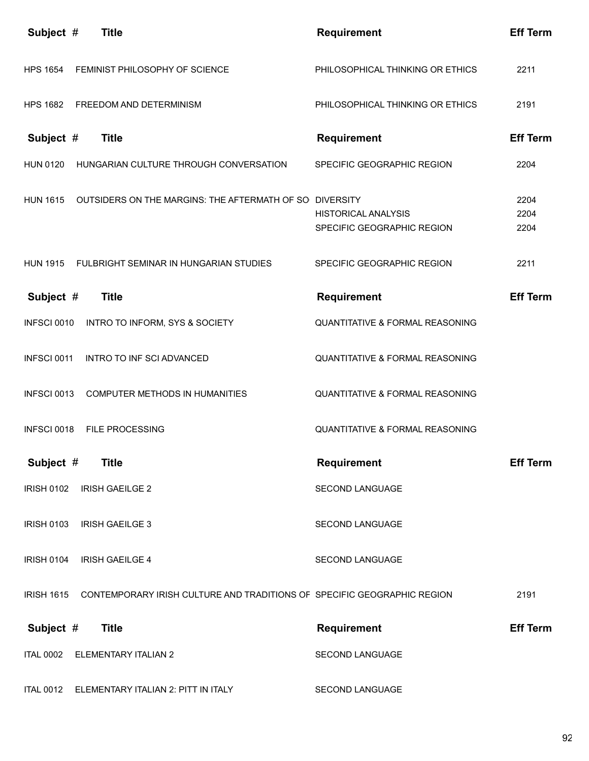| Subject #         | <b>Title</b>                                                            | <b>Requirement</b>                                       | <b>Eff Term</b>      |
|-------------------|-------------------------------------------------------------------------|----------------------------------------------------------|----------------------|
| <b>HPS 1654</b>   | FEMINIST PHILOSOPHY OF SCIENCE                                          | PHILOSOPHICAL THINKING OR ETHICS                         | 2211                 |
| <b>HPS 1682</b>   | FREEDOM AND DETERMINISM                                                 | PHILOSOPHICAL THINKING OR ETHICS                         | 2191                 |
| Subject #         | <b>Title</b>                                                            | <b>Requirement</b>                                       | <b>Eff Term</b>      |
| <b>HUN 0120</b>   | HUNGARIAN CULTURE THROUGH CONVERSATION                                  | SPECIFIC GEOGRAPHIC REGION                               | 2204                 |
| <b>HUN 1615</b>   | OUTSIDERS ON THE MARGINS: THE AFTERMATH OF SO DIVERSITY                 | <b>HISTORICAL ANALYSIS</b><br>SPECIFIC GEOGRAPHIC REGION | 2204<br>2204<br>2204 |
|                   | HUN 1915 FULBRIGHT SEMINAR IN HUNGARIAN STUDIES                         | SPECIFIC GEOGRAPHIC REGION                               | 2211                 |
| Subject #         | <b>Title</b>                                                            | <b>Requirement</b>                                       | <b>Eff Term</b>      |
| INFSCI 0010       | INTRO TO INFORM, SYS & SOCIETY                                          | <b>QUANTITATIVE &amp; FORMAL REASONING</b>               |                      |
| INFSCI 0011       | <b>INTRO TO INF SCI ADVANCED</b>                                        | <b>QUANTITATIVE &amp; FORMAL REASONING</b>               |                      |
| INFSCI 0013       | COMPUTER METHODS IN HUMANITIES                                          | QUANTITATIVE & FORMAL REASONING                          |                      |
| INFSCI 0018       | <b>FILE PROCESSING</b>                                                  | <b>QUANTITATIVE &amp; FORMAL REASONING</b>               |                      |
| Subject #         | <b>Title</b>                                                            | <b>Requirement</b>                                       | <b>Eff Term</b>      |
| <b>IRISH 0102</b> | <b>IRISH GAEILGE 2</b>                                                  | SECOND LANGUAGE                                          |                      |
| <b>IRISH 0103</b> | <b>IRISH GAEILGE 3</b>                                                  | SECOND LANGUAGE                                          |                      |
| <b>IRISH 0104</b> | <b>IRISH GAEILGE 4</b>                                                  | <b>SECOND LANGUAGE</b>                                   |                      |
| <b>IRISH 1615</b> | CONTEMPORARY IRISH CULTURE AND TRADITIONS OF SPECIFIC GEOGRAPHIC REGION |                                                          | 2191                 |
| Subject #         | <b>Title</b>                                                            | <b>Requirement</b>                                       | <b>Eff Term</b>      |
| <b>ITAL 0002</b>  | ELEMENTARY ITALIAN 2                                                    | SECOND LANGUAGE                                          |                      |
| <b>ITAL 0012</b>  | ELEMENTARY ITALIAN 2: PITT IN ITALY                                     | SECOND LANGUAGE                                          |                      |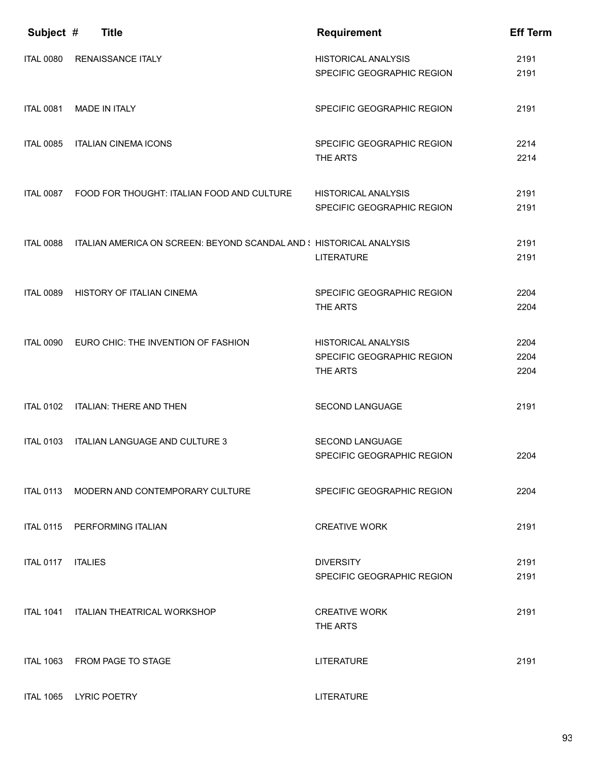| Subject #        | <b>Title</b>                                                        | <b>Requirement</b>                                                   | <b>Eff Term</b>      |
|------------------|---------------------------------------------------------------------|----------------------------------------------------------------------|----------------------|
| <b>ITAL 0080</b> | <b>RENAISSANCE ITALY</b>                                            | <b>HISTORICAL ANALYSIS</b><br>SPECIFIC GEOGRAPHIC REGION             | 2191<br>2191         |
| <b>ITAL 0081</b> | <b>MADE IN ITALY</b>                                                | SPECIFIC GEOGRAPHIC REGION                                           | 2191                 |
| <b>ITAL 0085</b> | <b>ITALIAN CINEMA ICONS</b>                                         | SPECIFIC GEOGRAPHIC REGION<br>THE ARTS                               | 2214<br>2214         |
| <b>ITAL 0087</b> | FOOD FOR THOUGHT: ITALIAN FOOD AND CULTURE                          | <b>HISTORICAL ANALYSIS</b><br>SPECIFIC GEOGRAPHIC REGION             | 2191<br>2191         |
| <b>ITAL 0088</b> | ITALIAN AMERICA ON SCREEN: BEYOND SCANDAL AND { HISTORICAL ANALYSIS | <b>LITERATURE</b>                                                    | 2191<br>2191         |
| <b>ITAL 0089</b> | HISTORY OF ITALIAN CINEMA                                           | SPECIFIC GEOGRAPHIC REGION<br>THE ARTS                               | 2204<br>2204         |
| <b>ITAL 0090</b> | EURO CHIC: THE INVENTION OF FASHION                                 | <b>HISTORICAL ANALYSIS</b><br>SPECIFIC GEOGRAPHIC REGION<br>THE ARTS | 2204<br>2204<br>2204 |
| <b>ITAL 0102</b> | <b>ITALIAN: THERE AND THEN</b>                                      | <b>SECOND LANGUAGE</b>                                               | 2191                 |
| <b>ITAL 0103</b> | ITALIAN LANGUAGE AND CULTURE 3                                      | SECOND LANGUAGE<br>SPECIFIC GEOGRAPHIC REGION                        | 2204                 |
| <b>ITAL 0113</b> | MODERN AND CONTEMPORARY CULTURE                                     | SPECIFIC GEOGRAPHIC REGION                                           | 2204                 |
| <b>ITAL 0115</b> | PERFORMING ITALIAN                                                  | <b>CREATIVE WORK</b>                                                 | 2191                 |
| <b>ITAL 0117</b> | <b>ITALIES</b>                                                      | <b>DIVERSITY</b><br>SPECIFIC GEOGRAPHIC REGION                       | 2191<br>2191         |
|                  | ITAL 1041 ITALIAN THEATRICAL WORKSHOP                               | <b>CREATIVE WORK</b><br>THE ARTS                                     | 2191                 |
| <b>ITAL 1063</b> | FROM PAGE TO STAGE                                                  | <b>LITERATURE</b>                                                    | 2191                 |
| <b>ITAL 1065</b> | <b>LYRIC POETRY</b>                                                 | <b>LITERATURE</b>                                                    |                      |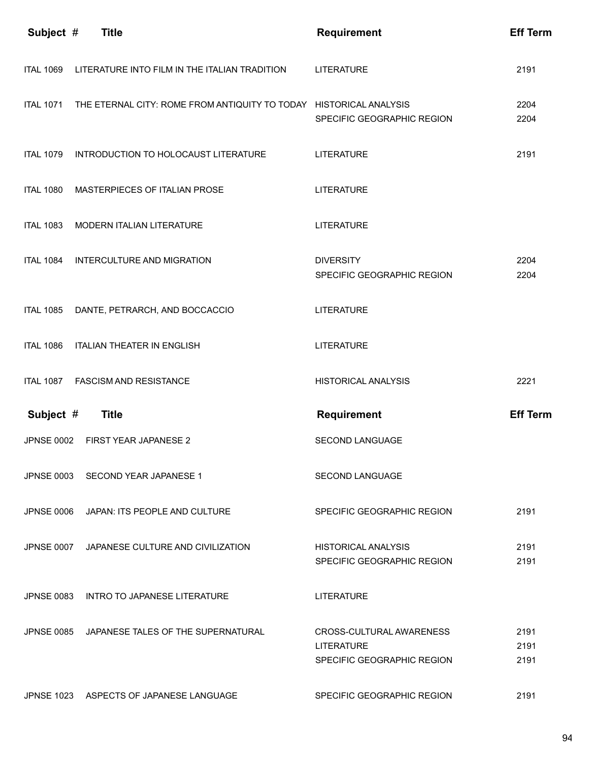| Subject #         | <b>Title</b>                                                       | <b>Requirement</b>                                                          | <b>Eff Term</b>      |
|-------------------|--------------------------------------------------------------------|-----------------------------------------------------------------------------|----------------------|
| <b>ITAL 1069</b>  | LITERATURE INTO FILM IN THE ITALIAN TRADITION                      | <b>LITERATURE</b>                                                           | 2191                 |
| <b>ITAL 1071</b>  | THE ETERNAL CITY: ROME FROM ANTIQUITY TO TODAY HISTORICAL ANALYSIS | SPECIFIC GEOGRAPHIC REGION                                                  | 2204<br>2204         |
| <b>ITAL 1079</b>  | INTRODUCTION TO HOLOCAUST LITERATURE                               | <b>LITERATURE</b>                                                           | 2191                 |
| <b>ITAL 1080</b>  | MASTERPIECES OF ITALIAN PROSE                                      | <b>LITERATURE</b>                                                           |                      |
| <b>ITAL 1083</b>  | <b>MODERN ITALIAN LITERATURE</b>                                   | <b>LITERATURE</b>                                                           |                      |
| <b>ITAL 1084</b>  | INTERCULTURE AND MIGRATION                                         | <b>DIVERSITY</b><br>SPECIFIC GEOGRAPHIC REGION                              | 2204<br>2204         |
| <b>ITAL 1085</b>  | DANTE, PETRARCH, AND BOCCACCIO                                     | <b>LITERATURE</b>                                                           |                      |
| <b>ITAL 1086</b>  | <b>ITALIAN THEATER IN ENGLISH</b>                                  | <b>LITERATURE</b>                                                           |                      |
| <b>ITAL 1087</b>  | <b>FASCISM AND RESISTANCE</b>                                      | <b>HISTORICAL ANALYSIS</b>                                                  | 2221                 |
| Subject #         | <b>Title</b>                                                       | <b>Requirement</b>                                                          | <b>Eff Term</b>      |
|                   |                                                                    |                                                                             |                      |
| <b>JPNSE 0002</b> | <b>FIRST YEAR JAPANESE 2</b>                                       | <b>SECOND LANGUAGE</b>                                                      |                      |
|                   | JPNSE 0003 SECOND YEAR JAPANESE 1                                  | <b>SECOND LANGUAGE</b>                                                      |                      |
| JPNSE 0006        | JAPAN: ITS PEOPLE AND CULTURE                                      | SPECIFIC GEOGRAPHIC REGION                                                  | 2191                 |
| <b>JPNSE 0007</b> | JAPANESE CULTURE AND CIVILIZATION                                  | <b>HISTORICAL ANALYSIS</b><br>SPECIFIC GEOGRAPHIC REGION                    | 2191<br>2191         |
|                   | JPNSE 0083 INTRO TO JAPANESE LITERATURE                            | <b>LITERATURE</b>                                                           |                      |
|                   | JPNSE 0085 JAPANESE TALES OF THE SUPERNATURAL                      | CROSS-CULTURAL AWARENESS<br><b>LITERATURE</b><br>SPECIFIC GEOGRAPHIC REGION | 2191<br>2191<br>2191 |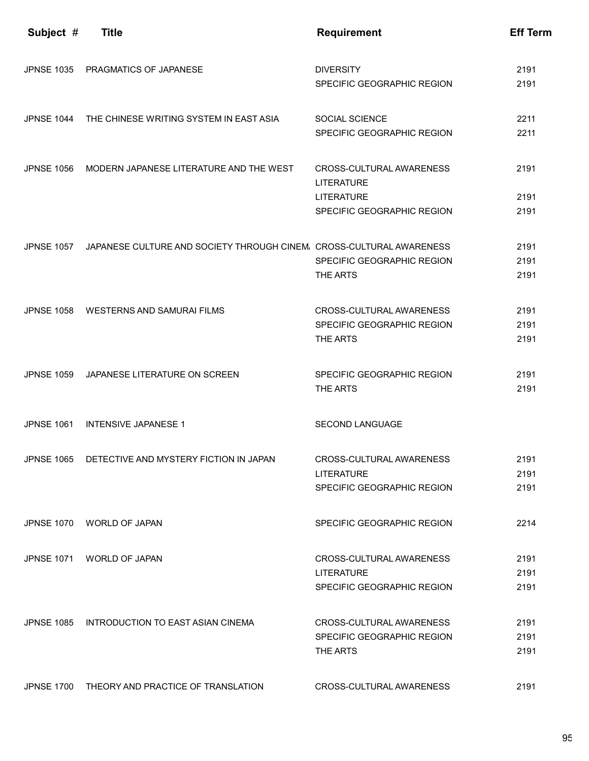| Subject #         | <b>Title</b>                                                                    | <b>Requirement</b>                                                          | <b>Eff Term</b>      |
|-------------------|---------------------------------------------------------------------------------|-----------------------------------------------------------------------------|----------------------|
|                   | JPNSE 1035 PRAGMATICS OF JAPANESE                                               | <b>DIVERSITY</b><br>SPECIFIC GEOGRAPHIC REGION                              | 2191<br>2191         |
|                   | JPNSE 1044 THE CHINESE WRITING SYSTEM IN EAST ASIA                              | SOCIAL SCIENCE<br>SPECIFIC GEOGRAPHIC REGION                                | 2211<br>2211         |
| <b>JPNSE 1056</b> | MODERN JAPANESE LITERATURE AND THE WEST                                         | CROSS-CULTURAL AWARENESS<br><b>LITERATURE</b>                               | 2191                 |
|                   |                                                                                 | <b>LITERATURE</b><br>SPECIFIC GEOGRAPHIC REGION                             | 2191<br>2191         |
|                   | JPNSE 1057 JAPANESE CULTURE AND SOCIETY THROUGH CINEM. CROSS-CULTURAL AWARENESS | SPECIFIC GEOGRAPHIC REGION<br>THE ARTS                                      | 2191<br>2191<br>2191 |
|                   | JPNSE 1058 WESTERNS AND SAMURAI FILMS                                           | CROSS-CULTURAL AWARENESS<br>SPECIFIC GEOGRAPHIC REGION<br>THE ARTS          | 2191<br>2191<br>2191 |
| <b>JPNSE 1059</b> | JAPANESE LITERATURE ON SCREEN                                                   | SPECIFIC GEOGRAPHIC REGION<br>THE ARTS                                      | 2191<br>2191         |
| <b>JPNSE 1061</b> | <b>INTENSIVE JAPANESE 1</b>                                                     | <b>SECOND LANGUAGE</b>                                                      |                      |
| <b>JPNSE 1065</b> | DETECTIVE AND MYSTERY FICTION IN JAPAN                                          | CROSS-CULTURAL AWARENESS<br><b>LITERATURE</b><br>SPECIFIC GEOGRAPHIC REGION | 2191<br>2191<br>2191 |
| <b>JPNSE 1070</b> | <b>WORLD OF JAPAN</b>                                                           | SPECIFIC GEOGRAPHIC REGION                                                  | 2214                 |
| <b>JPNSE 1071</b> | <b>WORLD OF JAPAN</b>                                                           | CROSS-CULTURAL AWARENESS<br><b>LITERATURE</b><br>SPECIFIC GEOGRAPHIC REGION | 2191<br>2191<br>2191 |
|                   | JPNSE 1085 INTRODUCTION TO EAST ASIAN CINEMA                                    | CROSS-CULTURAL AWARENESS<br>SPECIFIC GEOGRAPHIC REGION<br>THE ARTS          | 2191<br>2191<br>2191 |
|                   | JPNSE 1700 THEORY AND PRACTICE OF TRANSLATION                                   | CROSS-CULTURAL AWARENESS                                                    | 2191                 |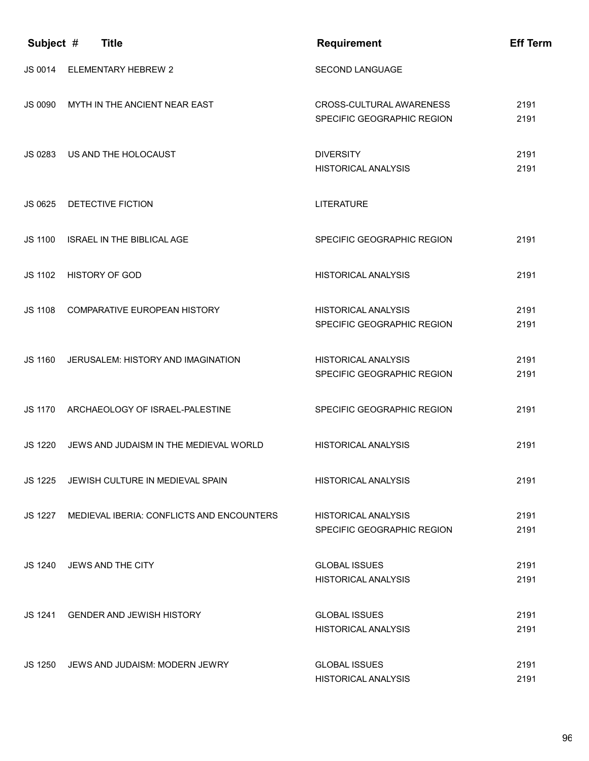| Subject #      | <b>Title</b>                                      | <b>Requirement</b>                                       | <b>Eff Term</b> |
|----------------|---------------------------------------------------|----------------------------------------------------------|-----------------|
| JS 0014        | <b>ELEMENTARY HEBREW 2</b>                        | <b>SECOND LANGUAGE</b>                                   |                 |
| JS 0090        | MYTH IN THE ANCIENT NEAR EAST                     | CROSS-CULTURAL AWARENESS<br>SPECIFIC GEOGRAPHIC REGION   | 2191<br>2191    |
| JS 0283        | US AND THE HOLOCAUST                              | <b>DIVERSITY</b><br><b>HISTORICAL ANALYSIS</b>           | 2191<br>2191    |
| JS 0625        | DETECTIVE FICTION                                 | <b>LITERATURE</b>                                        |                 |
| JS 1100        | <b>ISRAEL IN THE BIBLICAL AGE</b>                 | SPECIFIC GEOGRAPHIC REGION                               | 2191            |
| JS 1102        | <b>HISTORY OF GOD</b>                             | <b>HISTORICAL ANALYSIS</b>                               | 2191            |
| <b>JS 1108</b> | COMPARATIVE EUROPEAN HISTORY                      | <b>HISTORICAL ANALYSIS</b><br>SPECIFIC GEOGRAPHIC REGION | 2191<br>2191    |
| JS 1160        | JERUSALEM: HISTORY AND IMAGINATION                | <b>HISTORICAL ANALYSIS</b><br>SPECIFIC GEOGRAPHIC REGION | 2191<br>2191    |
| JS 1170        | ARCHAEOLOGY OF ISRAEL-PALESTINE                   | SPECIFIC GEOGRAPHIC REGION                               | 2191            |
| JS 1220        | JEWS AND JUDAISM IN THE MEDIEVAL WORLD            | <b>HISTORICAL ANALYSIS</b>                               | 2191            |
| JS 1225        | JEWISH CULTURE IN MEDIEVAL SPAIN                  | <b>HISTORICAL ANALYSIS</b>                               | 2191            |
|                | JS 1227 MEDIEVAL IBERIA: CONFLICTS AND ENCOUNTERS | <b>HISTORICAL ANALYSIS</b><br>SPECIFIC GEOGRAPHIC REGION | 2191<br>2191    |
|                | JS 1240 JEWS AND THE CITY                         | <b>GLOBAL ISSUES</b><br><b>HISTORICAL ANALYSIS</b>       | 2191<br>2191    |
|                | JS 1241 GENDER AND JEWISH HISTORY                 | <b>GLOBAL ISSUES</b><br><b>HISTORICAL ANALYSIS</b>       | 2191<br>2191    |
|                | JS 1250 JEWS AND JUDAISM: MODERN JEWRY            | <b>GLOBAL ISSUES</b><br>HISTORICAL ANALYSIS              | 2191<br>2191    |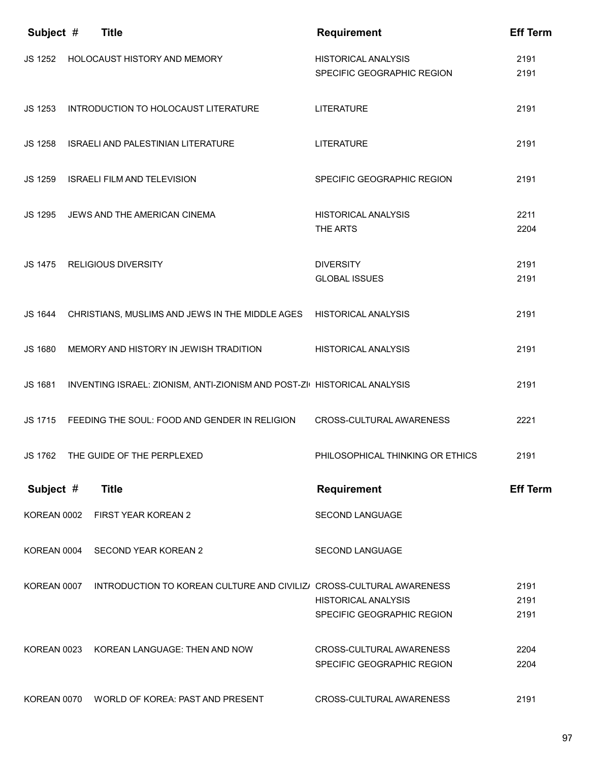| Subject #   | <b>Title</b>                                                             | <b>Requirement</b>                                       | <b>Eff Term</b>      |
|-------------|--------------------------------------------------------------------------|----------------------------------------------------------|----------------------|
| JS 1252     | <b>HOLOCAUST HISTORY AND MEMORY</b>                                      | <b>HISTORICAL ANALYSIS</b><br>SPECIFIC GEOGRAPHIC REGION | 2191<br>2191         |
| JS 1253     | INTRODUCTION TO HOLOCAUST LITERATURE                                     | <b>LITERATURE</b>                                        | 2191                 |
| JS 1258     | <b>ISRAELI AND PALESTINIAN LITERATURE</b>                                | <b>LITERATURE</b>                                        | 2191                 |
| JS 1259     | <b>ISRAELI FILM AND TELEVISION</b>                                       | SPECIFIC GEOGRAPHIC REGION                               | 2191                 |
| JS 1295     | JEWS AND THE AMERICAN CINEMA                                             | <b>HISTORICAL ANALYSIS</b><br>THE ARTS                   | 2211<br>2204         |
| JS 1475     | <b>RELIGIOUS DIVERSITY</b>                                               | <b>DIVERSITY</b><br><b>GLOBAL ISSUES</b>                 | 2191<br>2191         |
| JS 1644     | CHRISTIANS, MUSLIMS AND JEWS IN THE MIDDLE AGES HISTORICAL ANALYSIS      |                                                          | 2191                 |
| JS 1680     | MEMORY AND HISTORY IN JEWISH TRADITION                                   | <b>HISTORICAL ANALYSIS</b>                               | 2191                 |
| JS 1681     | INVENTING ISRAEL: ZIONISM, ANTI-ZIONISM AND POST-ZI( HISTORICAL ANALYSIS |                                                          | 2191                 |
| JS 1715     | FEEDING THE SOUL: FOOD AND GENDER IN RELIGION                            | CROSS-CULTURAL AWARENESS                                 | 2221                 |
| JS 1762     | THE GUIDE OF THE PERPLEXED                                               | PHILOSOPHICAL THINKING OR ETHICS                         | 2191                 |
| Subject #   | <b>Title</b>                                                             | <b>Requirement</b>                                       | <b>Eff Term</b>      |
| KOREAN 0002 | FIRST YEAR KOREAN 2                                                      | SECOND LANGUAGE                                          |                      |
| KOREAN 0004 | SECOND YEAR KOREAN 2                                                     | SECOND LANGUAGE                                          |                      |
| KOREAN 0007 | INTRODUCTION TO KOREAN CULTURE AND CIVILIZ/ CROSS-CULTURAL AWARENESS     | <b>HISTORICAL ANALYSIS</b><br>SPECIFIC GEOGRAPHIC REGION | 2191<br>2191<br>2191 |
| KOREAN 0023 | KOREAN LANGUAGE: THEN AND NOW                                            | CROSS-CULTURAL AWARENESS<br>SPECIFIC GEOGRAPHIC REGION   | 2204<br>2204         |
| KOREAN 0070 | WORLD OF KOREA: PAST AND PRESENT                                         | CROSS-CULTURAL AWARENESS                                 | 2191                 |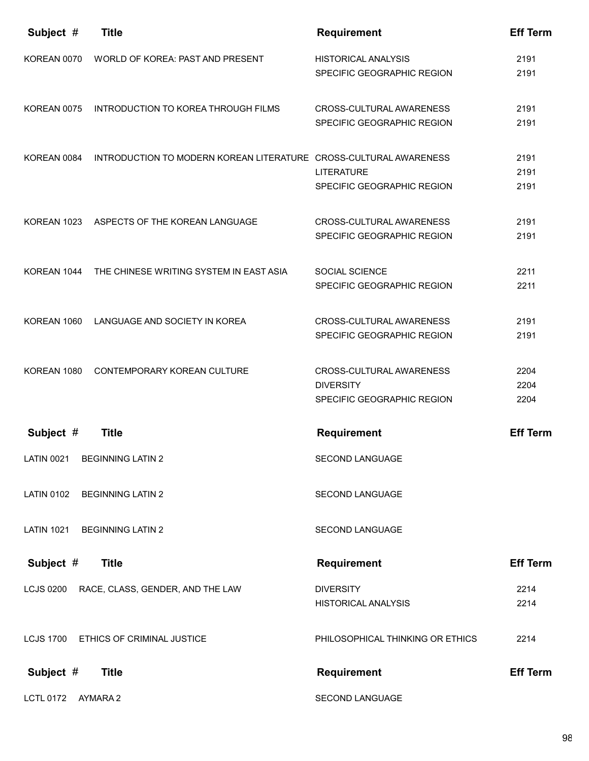| Subject #         | <b>Title</b>                                                      | <b>Requirement</b>                                                         | <b>Eff Term</b>      |
|-------------------|-------------------------------------------------------------------|----------------------------------------------------------------------------|----------------------|
| KOREAN 0070       | WORLD OF KOREA: PAST AND PRESENT                                  | <b>HISTORICAL ANALYSIS</b><br>SPECIFIC GEOGRAPHIC REGION                   | 2191<br>2191         |
| KOREAN 0075       | INTRODUCTION TO KOREA THROUGH FILMS                               | CROSS-CULTURAL AWARENESS<br>SPECIFIC GEOGRAPHIC REGION                     | 2191<br>2191         |
| KOREAN 0084       | INTRODUCTION TO MODERN KOREAN LITERATURE CROSS-CULTURAL AWARENESS | <b>LITERATURE</b><br>SPECIFIC GEOGRAPHIC REGION                            | 2191<br>2191<br>2191 |
| KOREAN 1023       | ASPECTS OF THE KOREAN LANGUAGE                                    | CROSS-CULTURAL AWARENESS<br>SPECIFIC GEOGRAPHIC REGION                     | 2191<br>2191         |
| KOREAN 1044       | THE CHINESE WRITING SYSTEM IN EAST ASIA                           | <b>SOCIAL SCIENCE</b><br>SPECIFIC GEOGRAPHIC REGION                        | 2211<br>2211         |
| KOREAN 1060       | LANGUAGE AND SOCIETY IN KOREA                                     | CROSS-CULTURAL AWARENESS<br>SPECIFIC GEOGRAPHIC REGION                     | 2191<br>2191         |
| KOREAN 1080       | CONTEMPORARY KOREAN CULTURE                                       | CROSS-CULTURAL AWARENESS<br><b>DIVERSITY</b><br>SPECIFIC GEOGRAPHIC REGION | 2204<br>2204<br>2204 |
| Subject #         | <b>Title</b>                                                      | <b>Requirement</b>                                                         | <b>Eff Term</b>      |
| <b>LATIN 0021</b> | <b>BEGINNING LATIN 2</b>                                          | SECOND LANGUAGE                                                            |                      |
| <b>LATIN 0102</b> | <b>BEGINNING LATIN 2</b>                                          | SECOND LANGUAGE                                                            |                      |
| <b>LATIN 1021</b> | <b>BEGINNING LATIN 2</b>                                          | SECOND LANGUAGE                                                            |                      |
| Subject #         | <b>Title</b>                                                      | Requirement                                                                | <b>Eff Term</b>      |
|                   | LCJS 0200 RACE, CLASS, GENDER, AND THE LAW                        | <b>DIVERSITY</b><br><b>HISTORICAL ANALYSIS</b>                             | 2214<br>2214         |
| <b>LCJS 1700</b>  | ETHICS OF CRIMINAL JUSTICE                                        | PHILOSOPHICAL THINKING OR ETHICS                                           | 2214                 |
| Subject #         | <b>Title</b>                                                      | Requirement                                                                | <b>Eff Term</b>      |
| <b>LCTL 0172</b>  | AYMARA 2                                                          | SECOND LANGUAGE                                                            |                      |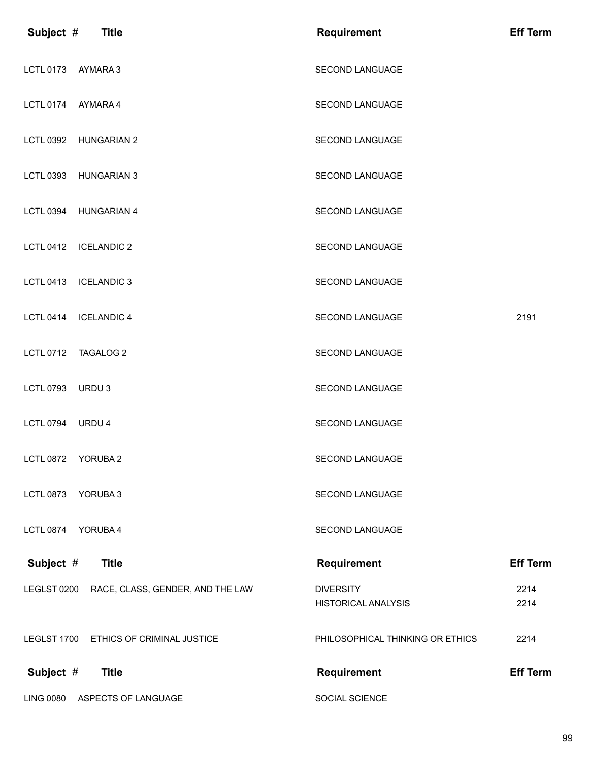| Subject #          | <b>Title</b>                           | <b>Requirement</b>                             | <b>Eff Term</b> |
|--------------------|----------------------------------------|------------------------------------------------|-----------------|
| LCTL 0173 AYMARA 3 |                                        | SECOND LANGUAGE                                |                 |
| <b>LCTL 0174</b>   | AYMARA 4                               | <b>SECOND LANGUAGE</b>                         |                 |
| <b>LCTL 0392</b>   | <b>HUNGARIAN 2</b>                     | <b>SECOND LANGUAGE</b>                         |                 |
| <b>LCTL 0393</b>   | <b>HUNGARIAN 3</b>                     | SECOND LANGUAGE                                |                 |
| <b>LCTL 0394</b>   | <b>HUNGARIAN 4</b>                     | SECOND LANGUAGE                                |                 |
| <b>LCTL 0412</b>   | <b>ICELANDIC 2</b>                     | SECOND LANGUAGE                                |                 |
| <b>LCTL 0413</b>   | <b>ICELANDIC 3</b>                     | <b>SECOND LANGUAGE</b>                         |                 |
| <b>LCTL 0414</b>   | <b>ICELANDIC 4</b>                     | SECOND LANGUAGE                                | 2191            |
| <b>LCTL 0712</b>   | <b>TAGALOG 2</b>                       | SECOND LANGUAGE                                |                 |
| <b>LCTL 0793</b>   | URDU 3                                 | SECOND LANGUAGE                                |                 |
| <b>LCTL 0794</b>   | URDU 4                                 | SECOND LANGUAGE                                |                 |
| <b>LCTL 0872</b>   | YORUBA <sub>2</sub>                    | SECOND LANGUAGE                                |                 |
| <b>LCTL 0873</b>   | YORUBA 3                               | SECOND LANGUAGE                                |                 |
| <b>LCTL 0874</b>   | YORUBA 4                               | <b>SECOND LANGUAGE</b>                         |                 |
| Subject #          | <b>Title</b>                           | <b>Requirement</b>                             | <b>Eff Term</b> |
| LEGLST 0200        | RACE, CLASS, GENDER, AND THE LAW       | <b>DIVERSITY</b><br><b>HISTORICAL ANALYSIS</b> | 2214<br>2214    |
|                    | LEGLST 1700 ETHICS OF CRIMINAL JUSTICE | PHILOSOPHICAL THINKING OR ETHICS               | 2214            |
| Subject #          | <b>Title</b>                           | <b>Requirement</b>                             | <b>Eff Term</b> |
| <b>LING 0080</b>   | ASPECTS OF LANGUAGE                    | SOCIAL SCIENCE                                 |                 |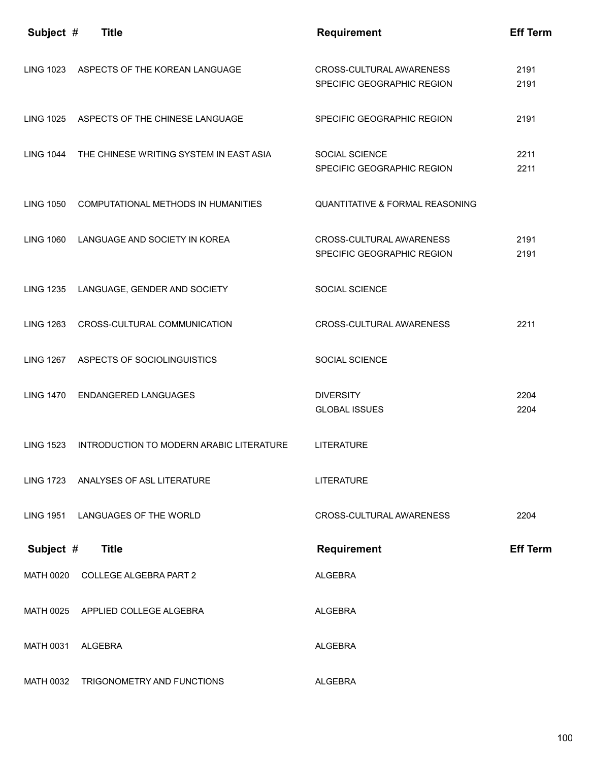| Subject #        | <b>Title</b>                                      | <b>Requirement</b>                                     | <b>Eff Term</b> |
|------------------|---------------------------------------------------|--------------------------------------------------------|-----------------|
| <b>LING 1023</b> | ASPECTS OF THE KOREAN LANGUAGE                    | CROSS-CULTURAL AWARENESS<br>SPECIFIC GEOGRAPHIC REGION | 2191<br>2191    |
|                  | LING 1025 ASPECTS OF THE CHINESE LANGUAGE         | SPECIFIC GEOGRAPHIC REGION                             | 2191            |
|                  | LING 1044 THE CHINESE WRITING SYSTEM IN EAST ASIA | SOCIAL SCIENCE<br>SPECIFIC GEOGRAPHIC REGION           | 2211<br>2211    |
| <b>LING 1050</b> | COMPUTATIONAL METHODS IN HUMANITIES               | <b>QUANTITATIVE &amp; FORMAL REASONING</b>             |                 |
| <b>LING 1060</b> | LANGUAGE AND SOCIETY IN KOREA                     | CROSS-CULTURAL AWARENESS<br>SPECIFIC GEOGRAPHIC REGION | 2191<br>2191    |
| <b>LING 1235</b> | LANGUAGE, GENDER AND SOCIETY                      | SOCIAL SCIENCE                                         |                 |
| <b>LING 1263</b> | CROSS-CULTURAL COMMUNICATION                      | CROSS-CULTURAL AWARENESS                               | 2211            |
|                  | LING 1267 ASPECTS OF SOCIOLINGUISTICS             | SOCIAL SCIENCE                                         |                 |
| <b>LING 1470</b> | <b>ENDANGERED LANGUAGES</b>                       | <b>DIVERSITY</b><br><b>GLOBAL ISSUES</b>               | 2204<br>2204    |
| <b>LING 1523</b> | INTRODUCTION TO MODERN ARABIC LITERATURE          | <b>LITERATURE</b>                                      |                 |
| <b>LING 1723</b> | ANALYSES OF ASL LITERATURE                        | <b>LITERATURE</b>                                      |                 |
|                  | LING 1951 LANGUAGES OF THE WORLD                  | <b>CROSS-CULTURAL AWARENESS</b>                        | 2204            |
| Subject #        | <b>Title</b>                                      | <b>Requirement</b>                                     | <b>Eff Term</b> |
|                  | MATH 0020 COLLEGE ALGEBRA PART 2                  | ALGEBRA                                                |                 |
|                  | MATH 0025 APPLIED COLLEGE ALGEBRA                 | ALGEBRA                                                |                 |
| <b>MATH 0031</b> | ALGEBRA                                           | ALGEBRA                                                |                 |
| <b>MATH 0032</b> | TRIGONOMETRY AND FUNCTIONS                        | <b>ALGEBRA</b>                                         |                 |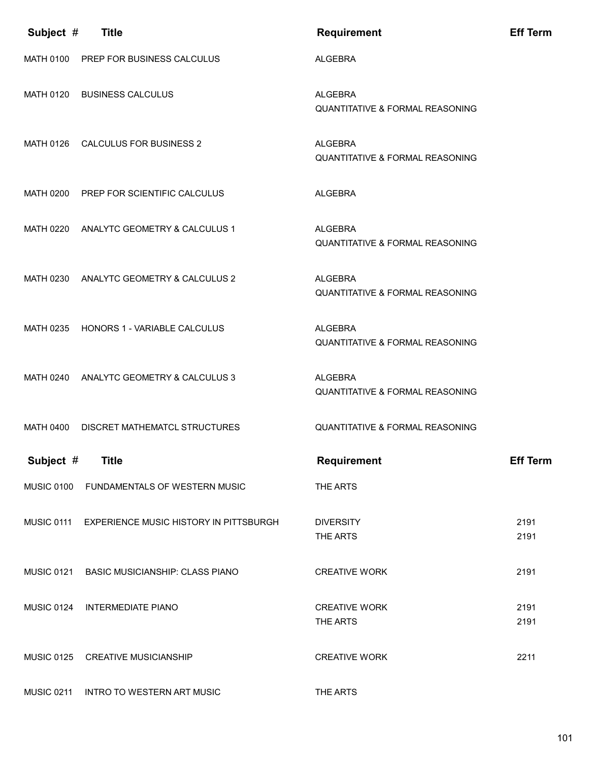| Subject #<br><b>Title</b>                                   | <b>Requirement</b>                                           | <b>Eff Term</b> |
|-------------------------------------------------------------|--------------------------------------------------------------|-----------------|
| MATH 0100 PREP FOR BUSINESS CALCULUS                        | <b>ALGEBRA</b>                                               |                 |
| MATH 0120 BUSINESS CALCULUS                                 | ALGEBRA<br><b>QUANTITATIVE &amp; FORMAL REASONING</b>        |                 |
| MATH 0126 CALCULUS FOR BUSINESS 2                           | ALGEBRA<br><b>QUANTITATIVE &amp; FORMAL REASONING</b>        |                 |
| MATH 0200 PREP FOR SCIENTIFIC CALCULUS                      | <b>ALGEBRA</b>                                               |                 |
| MATH 0220 ANALYTC GEOMETRY & CALCULUS 1                     | ALGEBRA<br><b>QUANTITATIVE &amp; FORMAL REASONING</b>        |                 |
| MATH 0230 ANALYTC GEOMETRY & CALCULUS 2                     | <b>ALGEBRA</b><br><b>QUANTITATIVE &amp; FORMAL REASONING</b> |                 |
| MATH 0235 HONORS 1 - VARIABLE CALCULUS                      | <b>ALGEBRA</b><br><b>QUANTITATIVE &amp; FORMAL REASONING</b> |                 |
| MATH 0240 ANALYTC GEOMETRY & CALCULUS 3                     | <b>ALGEBRA</b><br><b>QUANTITATIVE &amp; FORMAL REASONING</b> |                 |
| MATH 0400<br>DISCRET MATHEMATCL STRUCTURES                  | <b>QUANTITATIVE &amp; FORMAL REASONING</b>                   |                 |
| Subject #<br><b>Title</b>                                   | <b>Requirement</b>                                           | <b>Eff Term</b> |
| <b>MUSIC 0100</b><br>FUNDAMENTALS OF WESTERN MUSIC          | THE ARTS                                                     |                 |
| <b>MUSIC 0111</b><br>EXPERIENCE MUSIC HISTORY IN PITTSBURGH | <b>DIVERSITY</b><br>THE ARTS                                 | 2191<br>2191    |
| <b>MUSIC 0121</b><br><b>BASIC MUSICIANSHIP: CLASS PIANO</b> | <b>CREATIVE WORK</b>                                         | 2191            |
| <b>MUSIC 0124</b><br><b>INTERMEDIATE PIANO</b>              | <b>CREATIVE WORK</b><br>THE ARTS                             | 2191<br>2191    |
| <b>MUSIC 0125</b><br><b>CREATIVE MUSICIANSHIP</b>           | <b>CREATIVE WORK</b>                                         | 2211            |
| <b>MUSIC 0211</b><br><b>INTRO TO WESTERN ART MUSIC</b>      | THE ARTS                                                     |                 |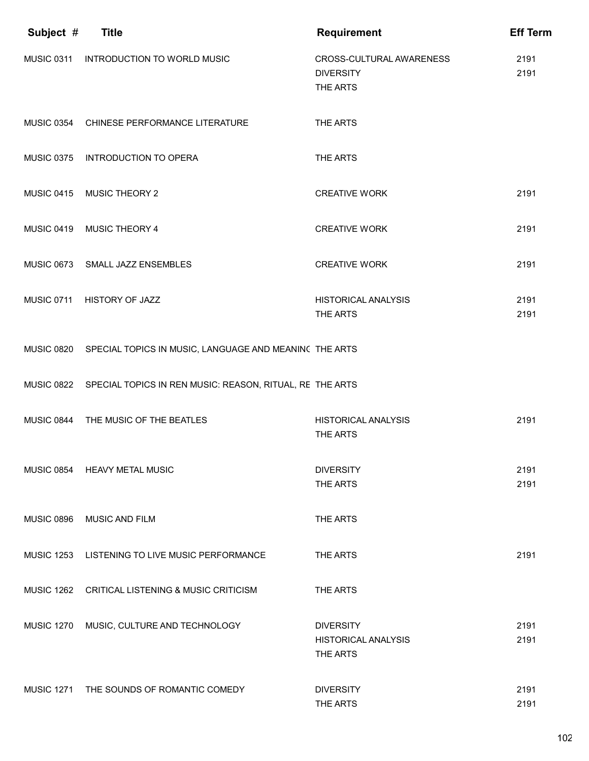| Subject #         | <b>Title</b>                                                        | <b>Requirement</b>                                         | <b>Eff Term</b> |
|-------------------|---------------------------------------------------------------------|------------------------------------------------------------|-----------------|
| <b>MUSIC 0311</b> | <b>INTRODUCTION TO WORLD MUSIC</b>                                  | CROSS-CULTURAL AWARENESS<br><b>DIVERSITY</b><br>THE ARTS   | 2191<br>2191    |
|                   | MUSIC 0354 CHINESE PERFORMANCE LITERATURE                           | THE ARTS                                                   |                 |
| <b>MUSIC 0375</b> | <b>INTRODUCTION TO OPERA</b>                                        | THE ARTS                                                   |                 |
| <b>MUSIC 0415</b> | <b>MUSIC THEORY 2</b>                                               | <b>CREATIVE WORK</b>                                       | 2191            |
| <b>MUSIC 0419</b> | <b>MUSIC THEORY 4</b>                                               | <b>CREATIVE WORK</b>                                       | 2191            |
|                   | MUSIC 0673 SMALL JAZZ ENSEMBLES                                     | <b>CREATIVE WORK</b>                                       | 2191            |
|                   | MUSIC 0711 HISTORY OF JAZZ                                          | <b>HISTORICAL ANALYSIS</b><br>THE ARTS                     | 2191<br>2191    |
|                   | MUSIC 0820 SPECIAL TOPICS IN MUSIC, LANGUAGE AND MEANINC THE ARTS   |                                                            |                 |
|                   | MUSIC 0822 SPECIAL TOPICS IN REN MUSIC: REASON, RITUAL, RE THE ARTS |                                                            |                 |
| <b>MUSIC 0844</b> | THE MUSIC OF THE BEATLES                                            | <b>HISTORICAL ANALYSIS</b><br>THE ARTS                     | 2191            |
|                   | MUSIC 0854 HEAVY METAL MUSIC                                        | <b>DIVERSITY</b><br>THE ARTS                               | 2191<br>2191    |
| <b>MUSIC 0896</b> | MUSIC AND FILM                                                      | THE ARTS                                                   |                 |
|                   | MUSIC 1253 LISTENING TO LIVE MUSIC PERFORMANCE                      | THE ARTS                                                   | 2191            |
|                   | MUSIC 1262 CRITICAL LISTENING & MUSIC CRITICISM                     | THE ARTS                                                   |                 |
| <b>MUSIC 1270</b> | MUSIC, CULTURE AND TECHNOLOGY                                       | <b>DIVERSITY</b><br><b>HISTORICAL ANALYSIS</b><br>THE ARTS | 2191<br>2191    |
|                   | MUSIC 1271 THE SOUNDS OF ROMANTIC COMEDY                            | <b>DIVERSITY</b><br>THE ARTS                               | 2191<br>2191    |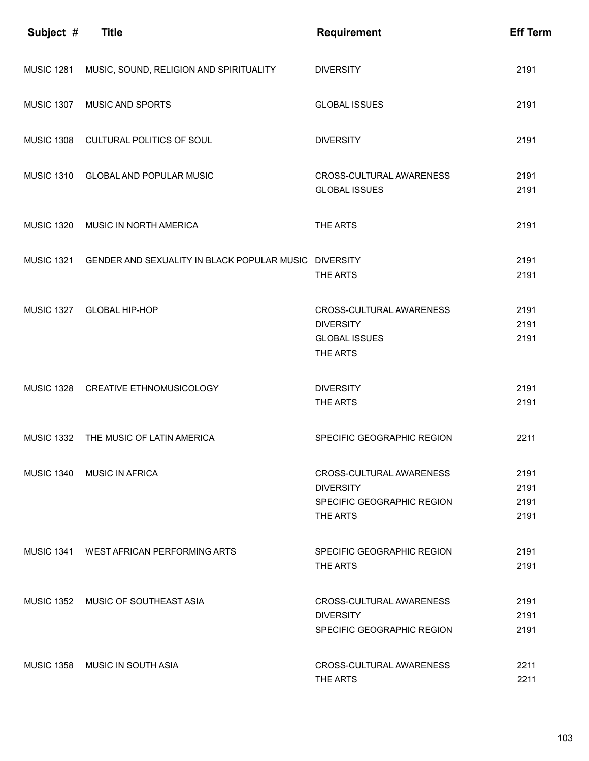| Subject #         | <b>Title</b>                                          | <b>Requirement</b>                                                                     | <b>Eff Term</b>              |
|-------------------|-------------------------------------------------------|----------------------------------------------------------------------------------------|------------------------------|
| <b>MUSIC 1281</b> | MUSIC, SOUND, RELIGION AND SPIRITUALITY               | <b>DIVERSITY</b>                                                                       | 2191                         |
| <b>MUSIC 1307</b> | MUSIC AND SPORTS                                      | <b>GLOBAL ISSUES</b>                                                                   | 2191                         |
| <b>MUSIC 1308</b> | CULTURAL POLITICS OF SOUL                             | <b>DIVERSITY</b>                                                                       | 2191                         |
|                   | MUSIC 1310 GLOBAL AND POPULAR MUSIC                   | CROSS-CULTURAL AWARENESS<br><b>GLOBAL ISSUES</b>                                       | 2191<br>2191                 |
| <b>MUSIC 1320</b> | MUSIC IN NORTH AMERICA                                | THE ARTS                                                                               | 2191                         |
| <b>MUSIC 1321</b> | GENDER AND SEXUALITY IN BLACK POPULAR MUSIC DIVERSITY | THE ARTS                                                                               | 2191<br>2191                 |
| <b>MUSIC 1327</b> | <b>GLOBAL HIP-HOP</b>                                 | CROSS-CULTURAL AWARENESS<br><b>DIVERSITY</b><br><b>GLOBAL ISSUES</b><br>THE ARTS       | 2191<br>2191<br>2191         |
|                   | MUSIC 1328 CREATIVE ETHNOMUSICOLOGY                   | <b>DIVERSITY</b><br>THE ARTS                                                           | 2191<br>2191                 |
| <b>MUSIC 1332</b> | THE MUSIC OF LATIN AMERICA                            | SPECIFIC GEOGRAPHIC REGION                                                             | 2211                         |
|                   | MUSIC 1340 MUSIC IN AFRICA                            | CROSS-CULTURAL AWARENESS<br><b>DIVERSITY</b><br>SPECIFIC GEOGRAPHIC REGION<br>THE ARTS | 2191<br>2191<br>2191<br>2191 |
|                   | MUSIC 1341 WEST AFRICAN PERFORMING ARTS               | SPECIFIC GEOGRAPHIC REGION<br>THE ARTS                                                 | 2191<br>2191                 |
|                   | MUSIC 1352 MUSIC OF SOUTHEAST ASIA                    | CROSS-CULTURAL AWARENESS<br><b>DIVERSITY</b><br>SPECIFIC GEOGRAPHIC REGION             | 2191<br>2191<br>2191         |
|                   | MUSIC 1358 MUSIC IN SOUTH ASIA                        | CROSS-CULTURAL AWARENESS<br>THE ARTS                                                   | 2211<br>2211                 |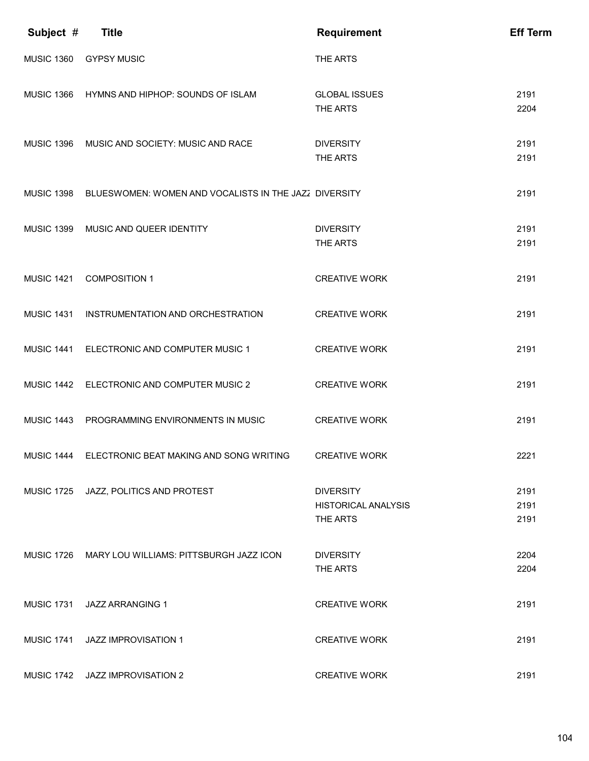| Subject #         | <b>Title</b>                                                     | <b>Requirement</b>                                         | <b>Eff Term</b>      |
|-------------------|------------------------------------------------------------------|------------------------------------------------------------|----------------------|
| <b>MUSIC 1360</b> | <b>GYPSY MUSIC</b>                                               | THE ARTS                                                   |                      |
|                   | MUSIC 1366 HYMNS AND HIPHOP: SOUNDS OF ISLAM                     | <b>GLOBAL ISSUES</b><br>THE ARTS                           | 2191<br>2204         |
|                   | MUSIC 1396 MUSIC AND SOCIETY: MUSIC AND RACE                     | <b>DIVERSITY</b><br>THE ARTS                               | 2191<br>2191         |
|                   | MUSIC 1398 BLUESWOMEN: WOMEN AND VOCALISTS IN THE JAZZ DIVERSITY |                                                            | 2191                 |
| <b>MUSIC 1399</b> | MUSIC AND QUEER IDENTITY                                         | <b>DIVERSITY</b><br>THE ARTS                               | 2191<br>2191         |
| <b>MUSIC 1421</b> | <b>COMPOSITION 1</b>                                             | <b>CREATIVE WORK</b>                                       | 2191                 |
|                   | MUSIC 1431 INSTRUMENTATION AND ORCHESTRATION                     | <b>CREATIVE WORK</b>                                       | 2191                 |
|                   | MUSIC 1441 ELECTRONIC AND COMPUTER MUSIC 1                       | <b>CREATIVE WORK</b>                                       | 2191                 |
|                   | MUSIC 1442 ELECTRONIC AND COMPUTER MUSIC 2                       | <b>CREATIVE WORK</b>                                       | 2191                 |
|                   | MUSIC 1443 PROGRAMMING ENVIRONMENTS IN MUSIC                     | <b>CREATIVE WORK</b>                                       | 2191                 |
|                   | MUSIC 1444 ELECTRONIC BEAT MAKING AND SONG WRITING               | <b>CREATIVE WORK</b>                                       | 2221                 |
| <b>MUSIC 1725</b> | JAZZ, POLITICS AND PROTEST                                       | <b>DIVERSITY</b><br><b>HISTORICAL ANALYSIS</b><br>THE ARTS | 2191<br>2191<br>2191 |
|                   | MUSIC 1726 MARY LOU WILLIAMS: PITTSBURGH JAZZ ICON               | <b>DIVERSITY</b><br>THE ARTS                               | 2204<br>2204         |
| <b>MUSIC 1731</b> | <b>JAZZ ARRANGING 1</b>                                          | <b>CREATIVE WORK</b>                                       | 2191                 |
| <b>MUSIC 1741</b> | <b>JAZZ IMPROVISATION 1</b>                                      | <b>CREATIVE WORK</b>                                       | 2191                 |
| <b>MUSIC 1742</b> | JAZZ IMPROVISATION 2                                             | <b>CREATIVE WORK</b>                                       | 2191                 |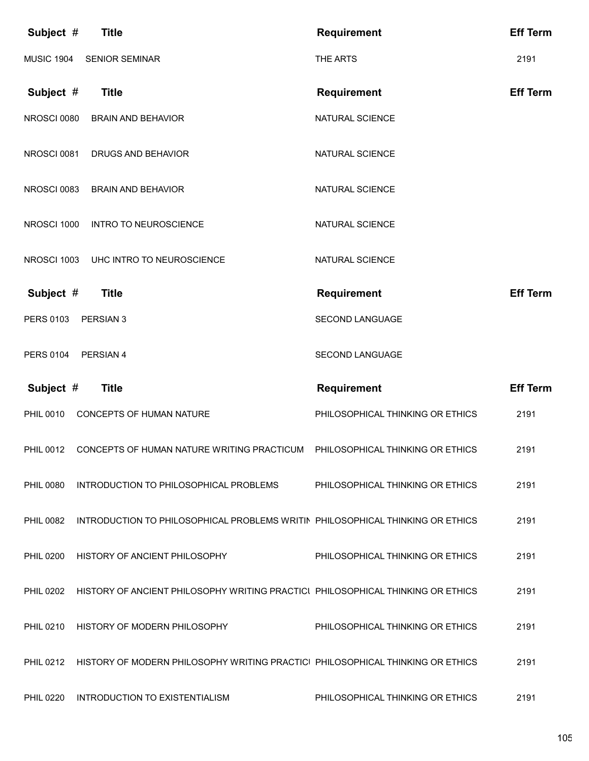| Subject #          | <b>Title</b>                                                                             | <b>Requirement</b>               | <b>Eff Term</b> |
|--------------------|------------------------------------------------------------------------------------------|----------------------------------|-----------------|
| <b>MUSIC 1904</b>  | <b>SENIOR SEMINAR</b>                                                                    | THE ARTS                         | 2191            |
| Subject #          | <b>Title</b>                                                                             | <b>Requirement</b>               | <b>Eff Term</b> |
| <b>NROSCI 0080</b> | <b>BRAIN AND BEHAVIOR</b>                                                                | NATURAL SCIENCE                  |                 |
| NROSCI 0081        | DRUGS AND BEHAVIOR                                                                       | NATURAL SCIENCE                  |                 |
| NROSCI 0083        | <b>BRAIN AND BEHAVIOR</b>                                                                | NATURAL SCIENCE                  |                 |
| NROSCI 1000        | <b>INTRO TO NEUROSCIENCE</b>                                                             | NATURAL SCIENCE                  |                 |
| NROSCI 1003        | UHC INTRO TO NEUROSCIENCE                                                                | NATURAL SCIENCE                  |                 |
| Subject #          | <b>Title</b>                                                                             | <b>Requirement</b>               | <b>Eff Term</b> |
| <b>PERS 0103</b>   | PERSIAN 3                                                                                | SECOND LANGUAGE                  |                 |
| <b>PERS 0104</b>   | PERSIAN 4                                                                                | <b>SECOND LANGUAGE</b>           |                 |
|                    |                                                                                          |                                  |                 |
| Subject #          | <b>Title</b>                                                                             | <b>Requirement</b>               | <b>Eff Term</b> |
| <b>PHIL 0010</b>   | CONCEPTS OF HUMAN NATURE                                                                 | PHILOSOPHICAL THINKING OR ETHICS | 2191            |
| <b>PHIL 0012</b>   | CONCEPTS OF HUMAN NATURE WRITING PRACTICUM                                               | PHILOSOPHICAL THINKING OR ETHICS | 2191            |
| <b>PHIL 0080</b>   | INTRODUCTION TO PHILOSOPHICAL PROBLEMS                                                   | PHILOSOPHICAL THINKING OR ETHICS | 2191            |
| <b>PHIL 0082</b>   | INTRODUCTION TO PHILOSOPHICAL PROBLEMS WRITIN PHILOSOPHICAL THINKING OR ETHICS           |                                  | 2191            |
| <b>PHIL 0200</b>   | HISTORY OF ANCIENT PHILOSOPHY                                                            | PHILOSOPHICAL THINKING OR ETHICS | 2191            |
| <b>PHIL 0202</b>   | HISTORY OF ANCIENT PHILOSOPHY WRITING PRACTICL PHILOSOPHICAL THINKING OR ETHICS          |                                  | 2191            |
|                    | PHIL 0210 HISTORY OF MODERN PHILOSOPHY                                                   | PHILOSOPHICAL THINKING OR ETHICS | 2191            |
|                    | PHIL 0212 HISTORY OF MODERN PHILOSOPHY WRITING PRACTICL PHILOSOPHICAL THINKING OR ETHICS |                                  | 2191            |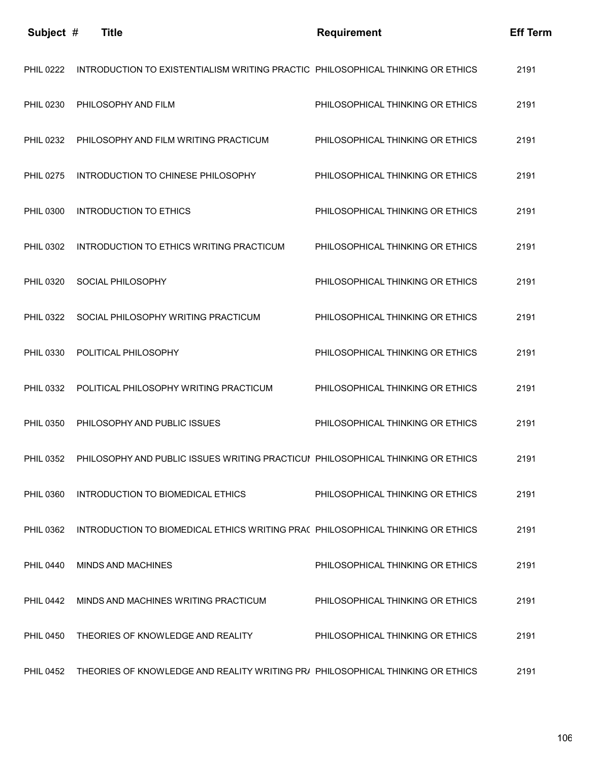| Subject #        | <b>Title</b>                                                                    | <b>Requirement</b>               | <b>Eff Term</b> |
|------------------|---------------------------------------------------------------------------------|----------------------------------|-----------------|
| <b>PHIL 0222</b> | INTRODUCTION TO EXISTENTIALISM WRITING PRACTIC PHILOSOPHICAL THINKING OR ETHICS |                                  | 2191            |
| <b>PHIL 0230</b> | PHILOSOPHY AND FILM                                                             | PHILOSOPHICAL THINKING OR ETHICS | 2191            |
| <b>PHIL 0232</b> | PHILOSOPHY AND FILM WRITING PRACTICUM                                           | PHILOSOPHICAL THINKING OR ETHICS | 2191            |
| <b>PHIL 0275</b> | INTRODUCTION TO CHINESE PHILOSOPHY                                              | PHILOSOPHICAL THINKING OR ETHICS | 2191            |
| <b>PHIL 0300</b> | <b>INTRODUCTION TO ETHICS</b>                                                   | PHILOSOPHICAL THINKING OR ETHICS | 2191            |
| <b>PHIL 0302</b> | INTRODUCTION TO ETHICS WRITING PRACTICUM                                        | PHILOSOPHICAL THINKING OR ETHICS | 2191            |
| <b>PHIL 0320</b> | SOCIAL PHILOSOPHY                                                               | PHILOSOPHICAL THINKING OR ETHICS | 2191            |
| <b>PHIL 0322</b> | SOCIAL PHILOSOPHY WRITING PRACTICUM                                             | PHILOSOPHICAL THINKING OR ETHICS | 2191            |
| <b>PHIL 0330</b> | POLITICAL PHILOSOPHY                                                            | PHILOSOPHICAL THINKING OR ETHICS | 2191            |
| <b>PHIL 0332</b> | POLITICAL PHILOSOPHY WRITING PRACTICUM                                          | PHILOSOPHICAL THINKING OR ETHICS | 2191            |
| <b>PHIL 0350</b> | PHILOSOPHY AND PUBLIC ISSUES                                                    | PHILOSOPHICAL THINKING OR ETHICS | 2191            |
| <b>PHIL 0352</b> | PHILOSOPHY AND PUBLIC ISSUES WRITING PRACTICUI PHILOSOPHICAL THINKING OR ETHICS |                                  | 2191            |
| <b>PHIL 0360</b> | INTRODUCTION TO BIOMEDICAL ETHICS                                               | PHILOSOPHICAL THINKING OR ETHICS | 2191            |
| PHIL 0362        | INTRODUCTION TO BIOMEDICAL ETHICS WRITING PRAC PHILOSOPHICAL THINKING OR ETHICS |                                  | 2191            |
| PHIL 0440        | MINDS AND MACHINES                                                              | PHILOSOPHICAL THINKING OR ETHICS | 2191            |
| PHIL 0442        | MINDS AND MACHINES WRITING PRACTICUM                                            | PHILOSOPHICAL THINKING OR ETHICS | 2191            |
| PHIL 0450        | THEORIES OF KNOWLEDGE AND REALITY                                               | PHILOSOPHICAL THINKING OR ETHICS | 2191            |
| PHIL 0452        | THEORIES OF KNOWLEDGE AND REALITY WRITING PR/ PHILOSOPHICAL THINKING OR ETHICS  |                                  | 2191            |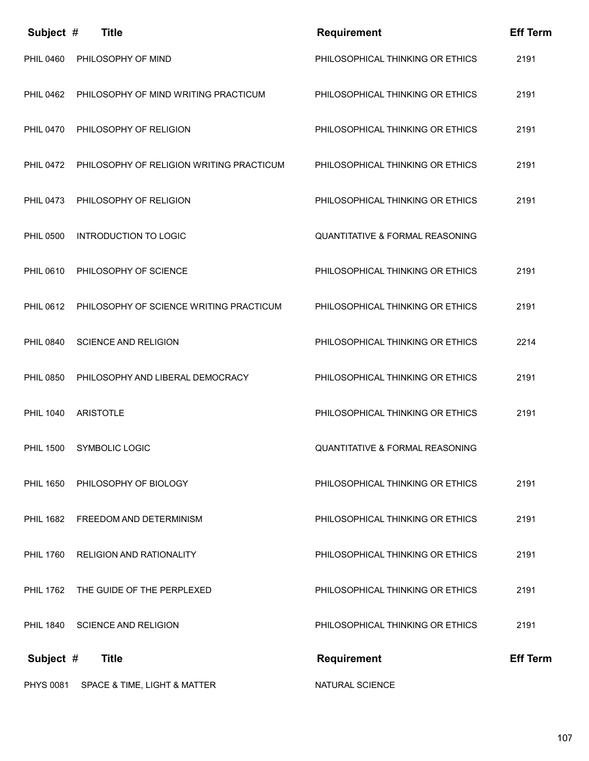| Subject #        | <b>Title</b>                             | <b>Requirement</b>                         | <b>Eff Term</b> |
|------------------|------------------------------------------|--------------------------------------------|-----------------|
| <b>PHIL 0460</b> | PHILOSOPHY OF MIND                       | PHILOSOPHICAL THINKING OR ETHICS           | 2191            |
| <b>PHIL 0462</b> | PHILOSOPHY OF MIND WRITING PRACTICUM     | PHILOSOPHICAL THINKING OR ETHICS           | 2191            |
| <b>PHIL 0470</b> | PHILOSOPHY OF RELIGION                   | PHILOSOPHICAL THINKING OR ETHICS           | 2191            |
| <b>PHIL 0472</b> | PHILOSOPHY OF RELIGION WRITING PRACTICUM | PHILOSOPHICAL THINKING OR ETHICS           | 2191            |
| <b>PHIL 0473</b> | PHILOSOPHY OF RELIGION                   | PHILOSOPHICAL THINKING OR ETHICS           | 2191            |
| <b>PHIL 0500</b> | <b>INTRODUCTION TO LOGIC</b>             | <b>QUANTITATIVE &amp; FORMAL REASONING</b> |                 |
| PHIL 0610        | PHILOSOPHY OF SCIENCE                    | PHILOSOPHICAL THINKING OR ETHICS           | 2191            |
| <b>PHIL 0612</b> | PHILOSOPHY OF SCIENCE WRITING PRACTICUM  | PHILOSOPHICAL THINKING OR ETHICS           | 2191            |
| <b>PHIL 0840</b> | <b>SCIENCE AND RELIGION</b>              | PHILOSOPHICAL THINKING OR ETHICS           | 2214            |
| <b>PHIL 0850</b> | PHILOSOPHY AND LIBERAL DEMOCRACY         | PHILOSOPHICAL THINKING OR ETHICS           | 2191            |
| <b>PHIL 1040</b> | <b>ARISTOTLE</b>                         | PHILOSOPHICAL THINKING OR ETHICS           | 2191            |
| <b>PHIL 1500</b> | <b>SYMBOLIC LOGIC</b>                    | <b>QUANTITATIVE &amp; FORMAL REASONING</b> |                 |
| <b>PHIL 1650</b> | PHILOSOPHY OF BIOLOGY                    | PHILOSOPHICAL THINKING OR ETHICS           | 2191            |
| <b>PHIL 1682</b> | FREEDOM AND DETERMINISM                  | PHILOSOPHICAL THINKING OR ETHICS           | 2191            |
| <b>PHIL 1760</b> | <b>RELIGION AND RATIONALITY</b>          | PHILOSOPHICAL THINKING OR ETHICS           | 2191            |
|                  | PHIL 1762 THE GUIDE OF THE PERPLEXED     | PHILOSOPHICAL THINKING OR ETHICS           | 2191            |
|                  | PHIL 1840 SCIENCE AND RELIGION           | PHILOSOPHICAL THINKING OR ETHICS           | 2191            |
| Subject #        | <b>Title</b>                             | <b>Requirement</b>                         | <b>Eff Term</b> |
| <b>PHYS 0081</b> | SPACE & TIME, LIGHT & MATTER             | NATURAL SCIENCE                            |                 |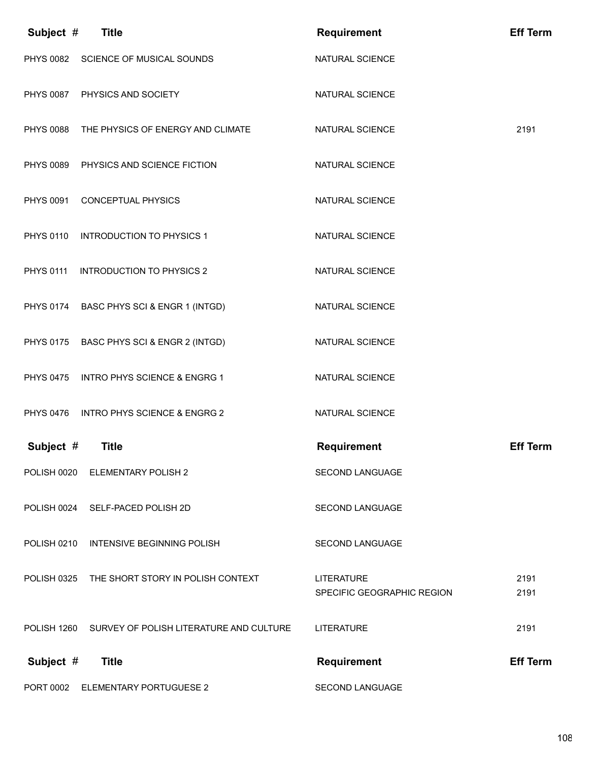| Subject #        | <b>Title</b>                                | <b>Requirement</b>                              | <b>Eff Term</b> |
|------------------|---------------------------------------------|-------------------------------------------------|-----------------|
|                  | PHYS 0082 SCIENCE OF MUSICAL SOUNDS         | NATURAL SCIENCE                                 |                 |
|                  | PHYS 0087 PHYSICS AND SOCIETY               | NATURAL SCIENCE                                 |                 |
|                  | PHYS 0088 THE PHYSICS OF ENERGY AND CLIMATE | NATURAL SCIENCE                                 | 2191            |
|                  | PHYS 0089 PHYSICS AND SCIENCE FICTION       | NATURAL SCIENCE                                 |                 |
|                  | PHYS 0091 CONCEPTUAL PHYSICS                | NATURAL SCIENCE                                 |                 |
| <b>PHYS 0110</b> | <b>INTRODUCTION TO PHYSICS 1</b>            | NATURAL SCIENCE                                 |                 |
| <b>PHYS 0111</b> | <b>INTRODUCTION TO PHYSICS 2</b>            | NATURAL SCIENCE                                 |                 |
|                  | PHYS 0174 BASC PHYS SCI & ENGR 1 (INTGD)    | NATURAL SCIENCE                                 |                 |
|                  | PHYS 0175 BASC PHYS SCI & ENGR 2 (INTGD)    | NATURAL SCIENCE                                 |                 |
|                  | PHYS 0475 INTRO PHYS SCIENCE & ENGRG 1      | NATURAL SCIENCE                                 |                 |
|                  | PHYS 0476 INTRO PHYS SCIENCE & ENGRG 2      | <b>NATURAL SCIENCE</b>                          |                 |
| Subject #        | <b>Title</b>                                | <b>Requirement</b>                              | <b>Eff Term</b> |
|                  | POLISH 0020 ELEMENTARY POLISH 2             | <b>SECOND LANGUAGE</b>                          |                 |
|                  | POLISH 0024 SELF-PACED POLISH 2D            | <b>SECOND LANGUAGE</b>                          |                 |
| POLISH 0210      | <b>INTENSIVE BEGINNING POLISH</b>           | <b>SECOND LANGUAGE</b>                          |                 |
| POLISH 0325      | THE SHORT STORY IN POLISH CONTEXT           | <b>LITERATURE</b><br>SPECIFIC GEOGRAPHIC REGION | 2191<br>2191    |
| POLISH 1260      | SURVEY OF POLISH LITERATURE AND CULTURE     | <b>LITERATURE</b>                               | 2191            |
| Subject #        | <b>Title</b>                                | <b>Requirement</b>                              | <b>Eff Term</b> |
| PORT 0002        | ELEMENTARY PORTUGUESE 2                     | <b>SECOND LANGUAGE</b>                          |                 |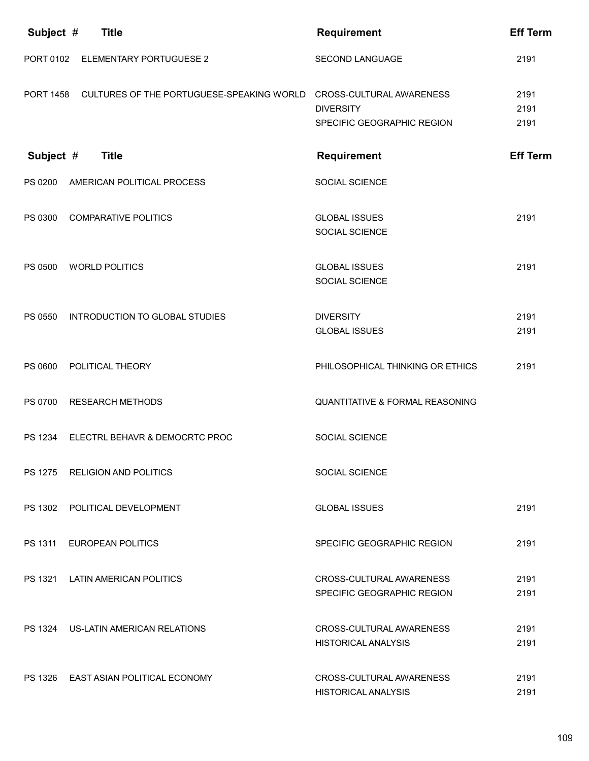| Subject #        | <b>Title</b>                                                        | <b>Requirement</b>                                     | <b>Eff Term</b>      |
|------------------|---------------------------------------------------------------------|--------------------------------------------------------|----------------------|
| PORT 0102        | <b>ELEMENTARY PORTUGUESE 2</b>                                      | <b>SECOND LANGUAGE</b>                                 | 2191                 |
| <b>PORT 1458</b> | CULTURES OF THE PORTUGUESE-SPEAKING WORLD  CROSS-CULTURAL AWARENESS | <b>DIVERSITY</b><br>SPECIFIC GEOGRAPHIC REGION         | 2191<br>2191<br>2191 |
| Subject #        | <b>Title</b>                                                        | <b>Requirement</b>                                     | <b>Eff Term</b>      |
| PS 0200          | AMERICAN POLITICAL PROCESS                                          | <b>SOCIAL SCIENCE</b>                                  |                      |
| PS 0300          | <b>COMPARATIVE POLITICS</b>                                         | <b>GLOBAL ISSUES</b><br>SOCIAL SCIENCE                 | 2191                 |
| PS 0500          | <b>WORLD POLITICS</b>                                               | <b>GLOBAL ISSUES</b><br>SOCIAL SCIENCE                 | 2191                 |
| PS 0550          | INTRODUCTION TO GLOBAL STUDIES                                      | <b>DIVERSITY</b><br><b>GLOBAL ISSUES</b>               | 2191<br>2191         |
| PS 0600          | POLITICAL THEORY                                                    | PHILOSOPHICAL THINKING OR ETHICS                       | 2191                 |
| PS 0700          | <b>RESEARCH METHODS</b>                                             | <b>QUANTITATIVE &amp; FORMAL REASONING</b>             |                      |
| PS 1234          | ELECTRL BEHAVR & DEMOCRTC PROC                                      | SOCIAL SCIENCE                                         |                      |
|                  | PS 1275 RELIGION AND POLITICS                                       | <b>SOCIAL SCIENCE</b>                                  |                      |
|                  | PS 1302 POLITICAL DEVELOPMENT                                       | <b>GLOBAL ISSUES</b>                                   | 2191                 |
|                  | PS 1311 EUROPEAN POLITICS                                           | SPECIFIC GEOGRAPHIC REGION                             | 2191                 |
|                  | PS 1321 LATIN AMERICAN POLITICS                                     | CROSS-CULTURAL AWARENESS<br>SPECIFIC GEOGRAPHIC REGION | 2191<br>2191         |
|                  | PS 1324 US-LATIN AMERICAN RELATIONS                                 | CROSS-CULTURAL AWARENESS<br><b>HISTORICAL ANALYSIS</b> | 2191<br>2191         |
|                  | PS 1326 EAST ASIAN POLITICAL ECONOMY                                | CROSS-CULTURAL AWARENESS<br><b>HISTORICAL ANALYSIS</b> | 2191<br>2191         |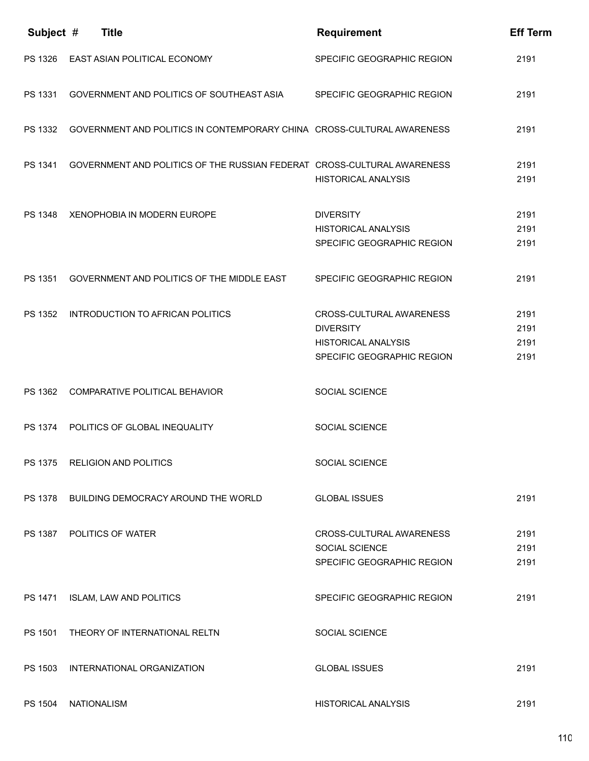| Subject #      | <b>Title</b>                                                            | <b>Requirement</b>                                                                                       | <b>Eff Term</b>              |
|----------------|-------------------------------------------------------------------------|----------------------------------------------------------------------------------------------------------|------------------------------|
| PS 1326        | EAST ASIAN POLITICAL ECONOMY                                            | SPECIFIC GEOGRAPHIC REGION                                                                               | 2191                         |
| PS 1331        | GOVERNMENT AND POLITICS OF SOUTHEAST ASIA                               | SPECIFIC GEOGRAPHIC REGION                                                                               | 2191                         |
| PS 1332        | GOVERNMENT AND POLITICS IN CONTEMPORARY CHINA CROSS-CULTURAL AWARENESS  |                                                                                                          | 2191                         |
| PS 1341        | GOVERNMENT AND POLITICS OF THE RUSSIAN FEDERAT CROSS-CULTURAL AWARENESS | <b>HISTORICAL ANALYSIS</b>                                                                               | 2191<br>2191                 |
|                | PS 1348 XENOPHOBIA IN MODERN EUROPE                                     | <b>DIVERSITY</b><br><b>HISTORICAL ANALYSIS</b><br>SPECIFIC GEOGRAPHIC REGION                             | 2191<br>2191<br>2191         |
| PS 1351        | GOVERNMENT AND POLITICS OF THE MIDDLE EAST                              | SPECIFIC GEOGRAPHIC REGION                                                                               | 2191                         |
| PS 1352        | INTRODUCTION TO AFRICAN POLITICS                                        | CROSS-CULTURAL AWARENESS<br><b>DIVERSITY</b><br><b>HISTORICAL ANALYSIS</b><br>SPECIFIC GEOGRAPHIC REGION | 2191<br>2191<br>2191<br>2191 |
| PS 1362        | COMPARATIVE POLITICAL BEHAVIOR                                          | <b>SOCIAL SCIENCE</b>                                                                                    |                              |
| PS 1374        | POLITICS OF GLOBAL INEQUALITY                                           | SOCIAL SCIENCE                                                                                           |                              |
|                | PS 1375 RELIGION AND POLITICS                                           | <b>SOCIAL SCIENCE</b>                                                                                    |                              |
| <b>PS 1378</b> | BUILDING DEMOCRACY AROUND THE WORLD                                     | <b>GLOBAL ISSUES</b>                                                                                     | 2191                         |
| PS 1387        | POLITICS OF WATER                                                       | CROSS-CULTURAL AWARENESS<br>SOCIAL SCIENCE<br>SPECIFIC GEOGRAPHIC REGION                                 | 2191<br>2191<br>2191         |
| PS 1471        | <b>ISLAM, LAW AND POLITICS</b>                                          | SPECIFIC GEOGRAPHIC REGION                                                                               | 2191                         |
| PS 1501        | THEORY OF INTERNATIONAL RELTN                                           | SOCIAL SCIENCE                                                                                           |                              |
| PS 1503        | INTERNATIONAL ORGANIZATION                                              | <b>GLOBAL ISSUES</b>                                                                                     | 2191                         |
| PS 1504        | <b>NATIONALISM</b>                                                      | <b>HISTORICAL ANALYSIS</b>                                                                               | 2191                         |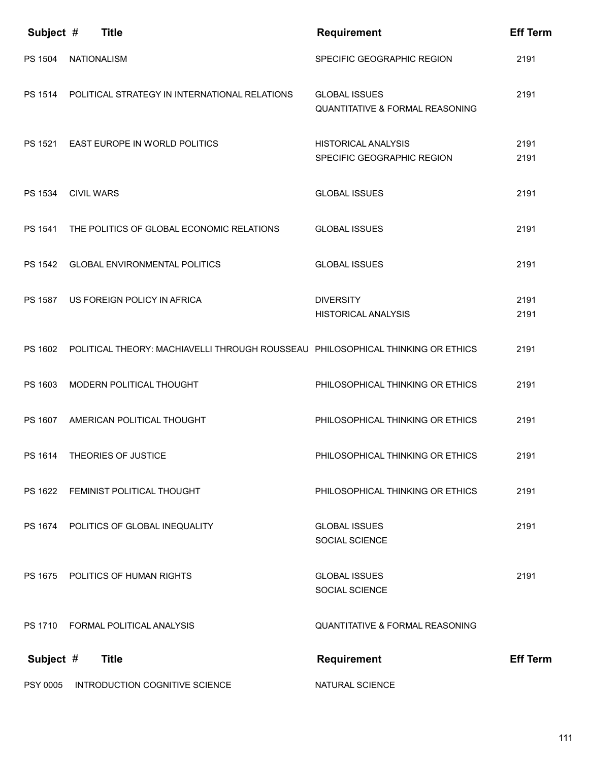| Subject $#$    | <b>Title</b>                                                                    | <b>Requirement</b>                                                 | <b>Eff Term</b> |
|----------------|---------------------------------------------------------------------------------|--------------------------------------------------------------------|-----------------|
| PS 1504        | <b>NATIONALISM</b>                                                              | SPECIFIC GEOGRAPHIC REGION                                         | 2191            |
| PS 1514        | POLITICAL STRATEGY IN INTERNATIONAL RELATIONS                                   | <b>GLOBAL ISSUES</b><br><b>QUANTITATIVE &amp; FORMAL REASONING</b> | 2191            |
|                | PS 1521 EAST EUROPE IN WORLD POLITICS                                           | <b>HISTORICAL ANALYSIS</b><br>SPECIFIC GEOGRAPHIC REGION           | 2191<br>2191    |
| PS 1534        | <b>CIVIL WARS</b>                                                               | <b>GLOBAL ISSUES</b>                                               | 2191            |
| PS 1541        | THE POLITICS OF GLOBAL ECONOMIC RELATIONS                                       | <b>GLOBAL ISSUES</b>                                               | 2191            |
| PS 1542        | <b>GLOBAL ENVIRONMENTAL POLITICS</b>                                            | <b>GLOBAL ISSUES</b>                                               | 2191            |
| <b>PS 1587</b> | US FOREIGN POLICY IN AFRICA                                                     | <b>DIVERSITY</b><br><b>HISTORICAL ANALYSIS</b>                     | 2191<br>2191    |
| PS 1602        | POLITICAL THEORY: MACHIAVELLI THROUGH ROUSSEAU PHILOSOPHICAL THINKING OR ETHICS |                                                                    | 2191            |
| PS 1603        | MODERN POLITICAL THOUGHT                                                        | PHILOSOPHICAL THINKING OR ETHICS                                   | 2191            |
|                | PS 1607 AMERICAN POLITICAL THOUGHT                                              | PHILOSOPHICAL THINKING OR ETHICS                                   | 2191            |
|                | PS 1614 THEORIES OF JUSTICE                                                     | PHILOSOPHICAL THINKING OR ETHICS                                   | 2191            |
| PS 1622        | FEMINIST POLITICAL THOUGHT                                                      | PHILOSOPHICAL THINKING OR ETHICS                                   | 2191            |
| PS 1674        | POLITICS OF GLOBAL INEQUALITY                                                   | <b>GLOBAL ISSUES</b><br>SOCIAL SCIENCE                             | 2191            |
|                | PS 1675 POLITICS OF HUMAN RIGHTS                                                | <b>GLOBAL ISSUES</b><br>SOCIAL SCIENCE                             | 2191            |
|                | PS 1710 FORMAL POLITICAL ANALYSIS                                               | <b>QUANTITATIVE &amp; FORMAL REASONING</b>                         |                 |
| Subject #      | <b>Title</b>                                                                    | <b>Requirement</b>                                                 | <b>Eff Term</b> |
| PSY 0005       | INTRODUCTION COGNITIVE SCIENCE                                                  | NATURAL SCIENCE                                                    |                 |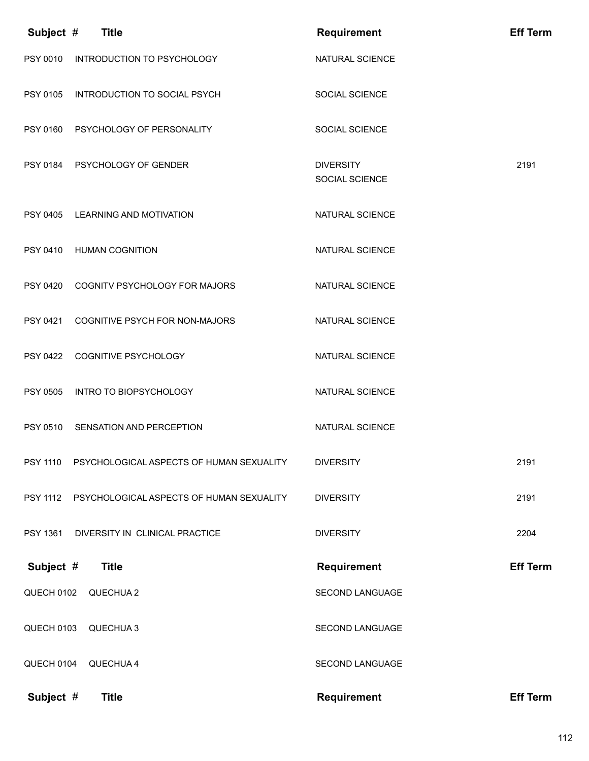| Subject #       | <b>Title</b>                             | <b>Requirement</b>                 | <b>Eff Term</b> |
|-----------------|------------------------------------------|------------------------------------|-----------------|
|                 | PSY 0010 INTRODUCTION TO PSYCHOLOGY      | NATURAL SCIENCE                    |                 |
|                 | PSY 0105 INTRODUCTION TO SOCIAL PSYCH    | SOCIAL SCIENCE                     |                 |
|                 | PSY 0160 PSYCHOLOGY OF PERSONALITY       | <b>SOCIAL SCIENCE</b>              |                 |
|                 | PSY 0184 PSYCHOLOGY OF GENDER            | <b>DIVERSITY</b><br>SOCIAL SCIENCE | 2191            |
|                 | PSY 0405 LEARNING AND MOTIVATION         | NATURAL SCIENCE                    |                 |
|                 | PSY 0410 HUMAN COGNITION                 | NATURAL SCIENCE                    |                 |
|                 | PSY 0420 COGNITV PSYCHOLOGY FOR MAJORS   | NATURAL SCIENCE                    |                 |
| PSY 0421        | COGNITIVE PSYCH FOR NON-MAJORS           | NATURAL SCIENCE                    |                 |
| PSY 0422        | COGNITIVE PSYCHOLOGY                     | NATURAL SCIENCE                    |                 |
| PSY 0505        | INTRO TO BIOPSYCHOLOGY                   | NATURAL SCIENCE                    |                 |
| PSY 0510        | SENSATION AND PERCEPTION                 | NATURAL SCIENCE                    |                 |
| <b>PSY 1110</b> | PSYCHOLOGICAL ASPECTS OF HUMAN SEXUALITY | <b>DIVERSITY</b>                   | 2191            |
| <b>PSY 1112</b> | PSYCHOLOGICAL ASPECTS OF HUMAN SEXUALITY | <b>DIVERSITY</b>                   | 2191            |
| PSY 1361        | DIVERSITY IN CLINICAL PRACTICE           | <b>DIVERSITY</b>                   | 2204            |
| Subject #       | <b>Title</b>                             | <b>Requirement</b>                 | <b>Eff Term</b> |
| QUECH 0102      | QUECHUA 2                                | SECOND LANGUAGE                    |                 |
| QUECH 0103      | QUECHUA 3                                | SECOND LANGUAGE                    |                 |
| QUECH 0104      | QUECHUA 4                                | SECOND LANGUAGE                    |                 |
| Subject #       | <b>Title</b>                             | <b>Requirement</b>                 | <b>Eff Term</b> |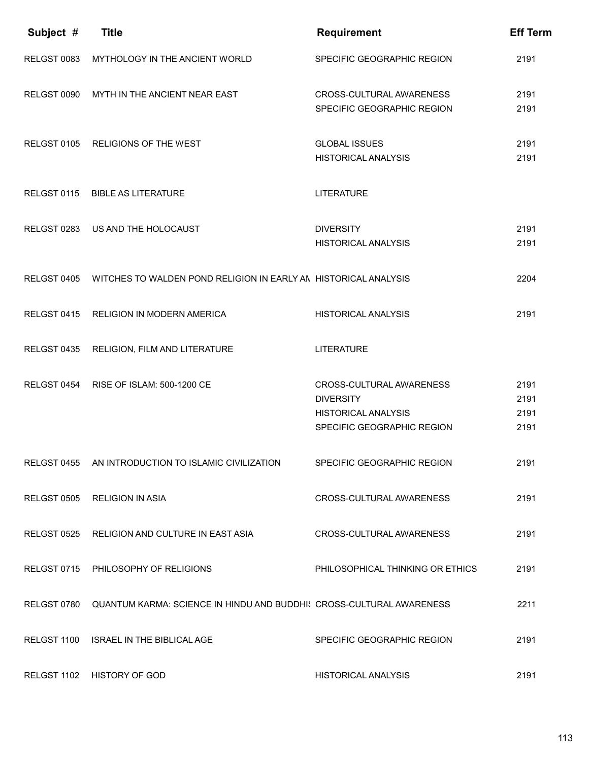| Subject #   | <b>Title</b>                                                         | <b>Requirement</b>                                                                                       | <b>Eff Term</b>              |
|-------------|----------------------------------------------------------------------|----------------------------------------------------------------------------------------------------------|------------------------------|
| RELGST 0083 | MYTHOLOGY IN THE ANCIENT WORLD                                       | SPECIFIC GEOGRAPHIC REGION                                                                               | 2191                         |
| RELGST 0090 | MYTH IN THE ANCIENT NEAR EAST                                        | CROSS-CULTURAL AWARENESS<br>SPECIFIC GEOGRAPHIC REGION                                                   | 2191<br>2191                 |
| RELGST 0105 | <b>RELIGIONS OF THE WEST</b>                                         | <b>GLOBAL ISSUES</b><br><b>HISTORICAL ANALYSIS</b>                                                       | 2191<br>2191                 |
| RELGST 0115 | <b>BIBLE AS LITERATURE</b>                                           | <b>LITERATURE</b>                                                                                        |                              |
| RELGST 0283 | US AND THE HOLOCAUST                                                 | <b>DIVERSITY</b><br><b>HISTORICAL ANALYSIS</b>                                                           | 2191<br>2191                 |
| RELGST 0405 | WITCHES TO WALDEN POND RELIGION IN EARLY AN HISTORICAL ANALYSIS      |                                                                                                          | 2204                         |
| RELGST 0415 | RELIGION IN MODERN AMERICA                                           | <b>HISTORICAL ANALYSIS</b>                                                                               | 2191                         |
| RELGST 0435 | RELIGION, FILM AND LITERATURE                                        | <b>LITERATURE</b>                                                                                        |                              |
| RELGST 0454 | RISE OF ISLAM: 500-1200 CE                                           | CROSS-CULTURAL AWARENESS<br><b>DIVERSITY</b><br><b>HISTORICAL ANALYSIS</b><br>SPECIFIC GEOGRAPHIC REGION | 2191<br>2191<br>2191<br>2191 |
|             | RELGST 0455 AN INTRODUCTION TO ISLAMIC CIVILIZATION                  | SPECIFIC GEOGRAPHIC REGION                                                                               | 2191                         |
|             | RELGST 0505 RELIGION IN ASIA                                         | CROSS-CULTURAL AWARENESS                                                                                 | 2191                         |
|             | RELGST 0525 RELIGION AND CULTURE IN EAST ASIA                        | CROSS-CULTURAL AWARENESS                                                                                 | 2191                         |
|             | RELGST 0715 PHILOSOPHY OF RELIGIONS                                  | PHILOSOPHICAL THINKING OR ETHICS                                                                         | 2191                         |
| RELGST 0780 | QUANTUM KARMA: SCIENCE IN HINDU AND BUDDHI! CROSS-CULTURAL AWARENESS |                                                                                                          | 2211                         |
| RELGST 1100 | <b>ISRAEL IN THE BIBLICAL AGE</b>                                    | SPECIFIC GEOGRAPHIC REGION                                                                               | 2191                         |
|             | RELGST 1102 HISTORY OF GOD                                           | <b>HISTORICAL ANALYSIS</b>                                                                               | 2191                         |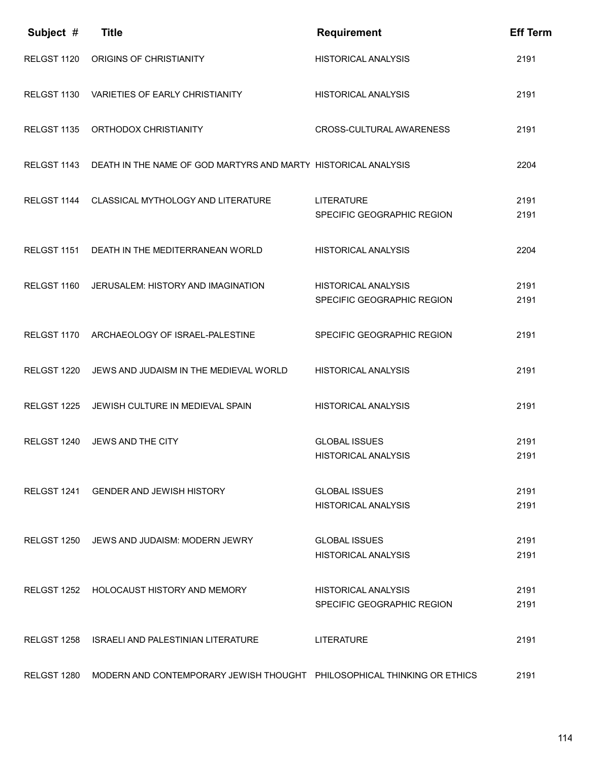| Subject #   | <b>Title</b>                                                            | <b>Requirement</b>                                       | <b>Eff Term</b> |
|-------------|-------------------------------------------------------------------------|----------------------------------------------------------|-----------------|
| RELGST 1120 | ORIGINS OF CHRISTIANITY                                                 | <b>HISTORICAL ANALYSIS</b>                               | 2191            |
| RELGST 1130 | <b>VARIETIES OF EARLY CHRISTIANITY</b>                                  | <b>HISTORICAL ANALYSIS</b>                               | 2191            |
| RELGST 1135 | ORTHODOX CHRISTIANITY                                                   | CROSS-CULTURAL AWARENESS                                 | 2191            |
| RELGST 1143 | DEATH IN THE NAME OF GOD MARTYRS AND MARTY HISTORICAL ANALYSIS          |                                                          | 2204            |
| RELGST 1144 | CLASSICAL MYTHOLOGY AND LITERATURE                                      | <b>LITERATURE</b><br>SPECIFIC GEOGRAPHIC REGION          | 2191<br>2191    |
| RELGST 1151 | DEATH IN THE MEDITERRANEAN WORLD                                        | <b>HISTORICAL ANALYSIS</b>                               | 2204            |
| RELGST 1160 | JERUSALEM: HISTORY AND IMAGINATION                                      | <b>HISTORICAL ANALYSIS</b>                               | 2191            |
|             |                                                                         | SPECIFIC GEOGRAPHIC REGION                               | 2191            |
| RELGST 1170 | ARCHAEOLOGY OF ISRAEL-PALESTINE                                         | SPECIFIC GEOGRAPHIC REGION                               | 2191            |
| RELGST 1220 | JEWS AND JUDAISM IN THE MEDIEVAL WORLD                                  | <b>HISTORICAL ANALYSIS</b>                               | 2191            |
| RELGST 1225 | JEWISH CULTURE IN MEDIEVAL SPAIN                                        | <b>HISTORICAL ANALYSIS</b>                               | 2191            |
| RELGST 1240 | JEWS AND THE CITY                                                       | <b>GLOBAL ISSUES</b>                                     | 2191            |
|             |                                                                         | HISTORICAL ANALYSIS                                      | 2191            |
| RELGST 1241 | <b>GENDER AND JEWISH HISTORY</b>                                        | <b>GLOBAL ISSUES</b>                                     | 2191            |
|             |                                                                         | <b>HISTORICAL ANALYSIS</b>                               | 2191            |
|             | RELGST 1250 JEWS AND JUDAISM: MODERN JEWRY                              | <b>GLOBAL ISSUES</b><br><b>HISTORICAL ANALYSIS</b>       | 2191<br>2191    |
|             |                                                                         |                                                          |                 |
|             | RELGST 1252 HOLOCAUST HISTORY AND MEMORY                                | <b>HISTORICAL ANALYSIS</b><br>SPECIFIC GEOGRAPHIC REGION | 2191<br>2191    |
|             |                                                                         |                                                          |                 |
| RELGST 1258 | ISRAELI AND PALESTINIAN LITERATURE                                      | <b>LITERATURE</b>                                        | 2191            |
| RELGST 1280 | MODERN AND CONTEMPORARY JEWISH THOUGHT PHILOSOPHICAL THINKING OR ETHICS |                                                          | 2191            |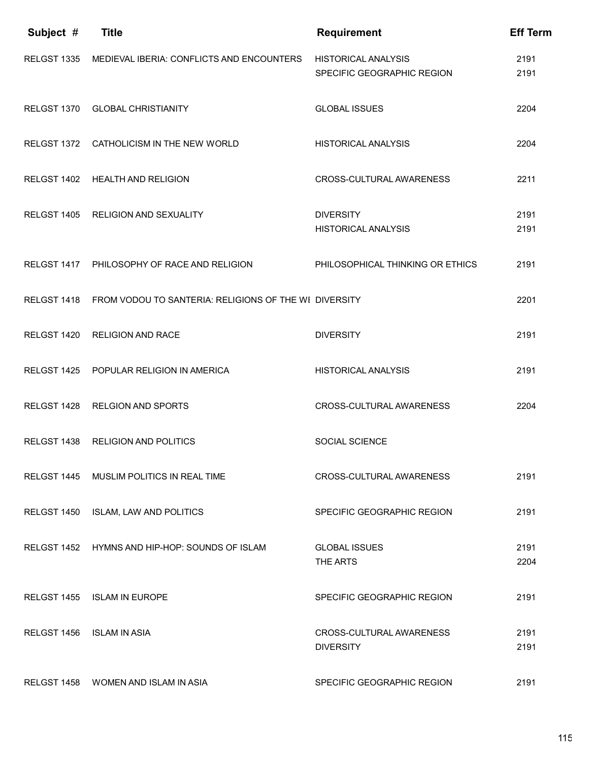| Subject $#$               | <b>Title</b>                                                      | <b>Requirement</b>                                       | <b>Eff Term</b> |
|---------------------------|-------------------------------------------------------------------|----------------------------------------------------------|-----------------|
| RELGST 1335               | MEDIEVAL IBERIA: CONFLICTS AND ENCOUNTERS                         | <b>HISTORICAL ANALYSIS</b><br>SPECIFIC GEOGRAPHIC REGION | 2191<br>2191    |
| RELGST 1370               | <b>GLOBAL CHRISTIANITY</b>                                        | <b>GLOBAL ISSUES</b>                                     | 2204            |
|                           | RELGST 1372 CATHOLICISM IN THE NEW WORLD                          | <b>HISTORICAL ANALYSIS</b>                               | 2204            |
|                           | RELGST 1402 HEALTH AND RELIGION                                   | CROSS-CULTURAL AWARENESS                                 | 2211            |
|                           | RELGST 1405 RELIGION AND SEXUALITY                                | <b>DIVERSITY</b><br><b>HISTORICAL ANALYSIS</b>           | 2191<br>2191    |
|                           | RELGST 1417 PHILOSOPHY OF RACE AND RELIGION                       | PHILOSOPHICAL THINKING OR ETHICS                         | 2191            |
|                           | RELGST 1418 FROM VODOU TO SANTERIA: RELIGIONS OF THE WI DIVERSITY |                                                          | 2201            |
| RELGST 1420               | <b>RELIGION AND RACE</b>                                          | <b>DIVERSITY</b>                                         | 2191            |
| RELGST 1425               | POPULAR RELIGION IN AMERICA                                       | <b>HISTORICAL ANALYSIS</b>                               | 2191            |
| RELGST 1428               | <b>RELGION AND SPORTS</b>                                         | CROSS-CULTURAL AWARENESS                                 | 2204            |
| RELGST 1438               | <b>RELIGION AND POLITICS</b>                                      | <b>SOCIAL SCIENCE</b>                                    |                 |
|                           | RELGST 1445 MUSLIM POLITICS IN REAL TIME                          | CROSS-CULTURAL AWARENESS                                 | 2191            |
|                           | RELGST 1450 ISLAM, LAW AND POLITICS                               | SPECIFIC GEOGRAPHIC REGION                               | 2191            |
|                           | RELGST 1452 HYMNS AND HIP-HOP: SOUNDS OF ISLAM                    | <b>GLOBAL ISSUES</b><br>THE ARTS                         | 2191<br>2204    |
|                           | RELGST 1455 ISLAM IN EUROPE                                       | SPECIFIC GEOGRAPHIC REGION                               | 2191            |
| RELGST 1456 ISLAM IN ASIA |                                                                   | CROSS-CULTURAL AWARENESS<br><b>DIVERSITY</b>             | 2191<br>2191    |
|                           | RELGST 1458 WOMEN AND ISLAM IN ASIA                               | SPECIFIC GEOGRAPHIC REGION                               | 2191            |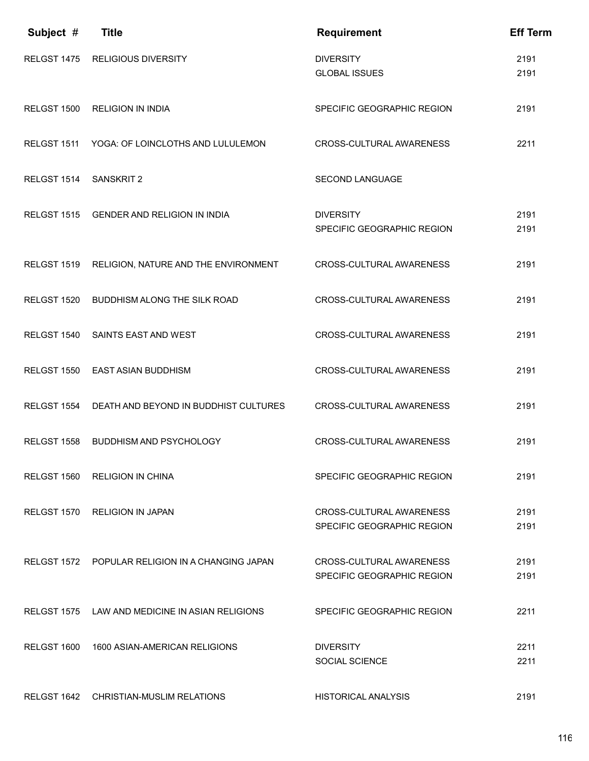| Subject #          | <b>Title</b>                                     | <b>Requirement</b>                                            | <b>Eff Term</b> |
|--------------------|--------------------------------------------------|---------------------------------------------------------------|-----------------|
| RELGST 1475        | <b>RELIGIOUS DIVERSITY</b>                       | <b>DIVERSITY</b><br><b>GLOBAL ISSUES</b>                      | 2191<br>2191    |
| RELGST 1500        | <b>RELIGION IN INDIA</b>                         | SPECIFIC GEOGRAPHIC REGION                                    | 2191            |
| RELGST 1511        | YOGA: OF LOINCLOTHS AND LULULEMON                | CROSS-CULTURAL AWARENESS                                      | 2211            |
| RELGST 1514        | <b>SANSKRIT 2</b>                                | <b>SECOND LANGUAGE</b>                                        |                 |
| RELGST 1515        | <b>GENDER AND RELIGION IN INDIA</b>              | <b>DIVERSITY</b><br>SPECIFIC GEOGRAPHIC REGION                | 2191<br>2191    |
| RELGST 1519        | RELIGION, NATURE AND THE ENVIRONMENT             | <b>CROSS-CULTURAL AWARENESS</b>                               | 2191            |
| RELGST 1520        | <b>BUDDHISM ALONG THE SILK ROAD</b>              | <b>CROSS-CULTURAL AWARENESS</b>                               | 2191            |
| RELGST 1540        | SAINTS EAST AND WEST                             | CROSS-CULTURAL AWARENESS                                      | 2191            |
| RELGST 1550        | EAST ASIAN BUDDHISM                              | CROSS-CULTURAL AWARENESS                                      | 2191            |
| RELGST 1554        | DEATH AND BEYOND IN BUDDHIST CULTURES            | CROSS-CULTURAL AWARENESS                                      | 2191            |
| RELGST 1558        | <b>BUDDHISM AND PSYCHOLOGY</b>                   | <b>CROSS-CULTURAL AWARENESS</b>                               | 2191            |
|                    | RELGST 1560 RELIGION IN CHINA                    | SPECIFIC GEOGRAPHIC REGION                                    | 2191            |
| RELGST 1570        | <b>RELIGION IN JAPAN</b>                         | CROSS-CULTURAL AWARENESS<br>SPECIFIC GEOGRAPHIC REGION        | 2191<br>2191    |
|                    | RELGST 1572 POPULAR RELIGION IN A CHANGING JAPAN | <b>CROSS-CULTURAL AWARENESS</b><br>SPECIFIC GEOGRAPHIC REGION | 2191<br>2191    |
| RELGST 1575        | LAW AND MEDICINE IN ASIAN RELIGIONS              | SPECIFIC GEOGRAPHIC REGION                                    | 2211            |
| <b>RELGST 1600</b> | 1600 ASIAN-AMERICAN RELIGIONS                    | <b>DIVERSITY</b><br><b>SOCIAL SCIENCE</b>                     | 2211<br>2211    |
|                    | RELGST 1642 CHRISTIAN-MUSLIM RELATIONS           | <b>HISTORICAL ANALYSIS</b>                                    | 2191            |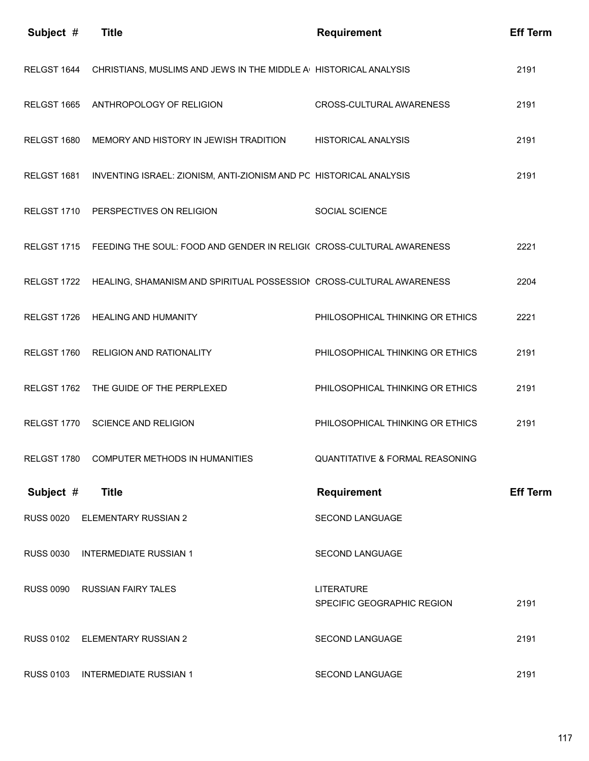| Subject #        | <b>Title</b>                                                                      | <b>Requirement</b>                              | <b>Eff Term</b> |
|------------------|-----------------------------------------------------------------------------------|-------------------------------------------------|-----------------|
| RELGST 1644      | CHRISTIANS, MUSLIMS AND JEWS IN THE MIDDLE A HISTORICAL ANALYSIS                  |                                                 | 2191            |
|                  | RELGST 1665 ANTHROPOLOGY OF RELIGION                                              | CROSS-CULTURAL AWARENESS                        | 2191            |
| RELGST 1680      | MEMORY AND HISTORY IN JEWISH TRADITION                                            | <b>HISTORICAL ANALYSIS</b>                      | 2191            |
| RELGST 1681      | INVENTING ISRAEL: ZIONISM, ANTI-ZIONISM AND PC HISTORICAL ANALYSIS                |                                                 | 2191            |
|                  | RELGST 1710 PERSPECTIVES ON RELIGION                                              | SOCIAL SCIENCE                                  |                 |
|                  | RELGST 1715 FEEDING THE SOUL: FOOD AND GENDER IN RELIGI( CROSS-CULTURAL AWARENESS |                                                 | 2221            |
|                  | RELGST 1722 HEALING, SHAMANISM AND SPIRITUAL POSSESSION CROSS-CULTURAL AWARENESS  |                                                 | 2204            |
|                  | RELGST 1726 HEALING AND HUMANITY                                                  | PHILOSOPHICAL THINKING OR ETHICS                | 2221            |
|                  | RELGST 1760 RELIGION AND RATIONALITY                                              | PHILOSOPHICAL THINKING OR ETHICS                | 2191            |
|                  | RELGST 1762 THE GUIDE OF THE PERPLEXED                                            | PHILOSOPHICAL THINKING OR ETHICS                | 2191            |
| RELGST 1770      | <b>SCIENCE AND RELIGION</b>                                                       | PHILOSOPHICAL THINKING OR ETHICS                | 2191            |
| RELGST 1780      | COMPUTER METHODS IN HUMANITIES                                                    | QUANTITATIVE & FORMAL REASONING                 |                 |
| Subject #        | <b>Title</b>                                                                      | <b>Requirement</b>                              | <b>Eff Term</b> |
| <b>RUSS 0020</b> | <b>ELEMENTARY RUSSIAN 2</b>                                                       | SECOND LANGUAGE                                 |                 |
| <b>RUSS 0030</b> | <b>INTERMEDIATE RUSSIAN 1</b>                                                     | SECOND LANGUAGE                                 |                 |
| <b>RUSS 0090</b> | <b>RUSSIAN FAIRY TALES</b>                                                        | <b>LITERATURE</b><br>SPECIFIC GEOGRAPHIC REGION | 2191            |
| <b>RUSS 0102</b> | ELEMENTARY RUSSIAN 2                                                              | SECOND LANGUAGE                                 | 2191            |
| <b>RUSS 0103</b> | <b>INTERMEDIATE RUSSIAN 1</b>                                                     | SECOND LANGUAGE                                 | 2191            |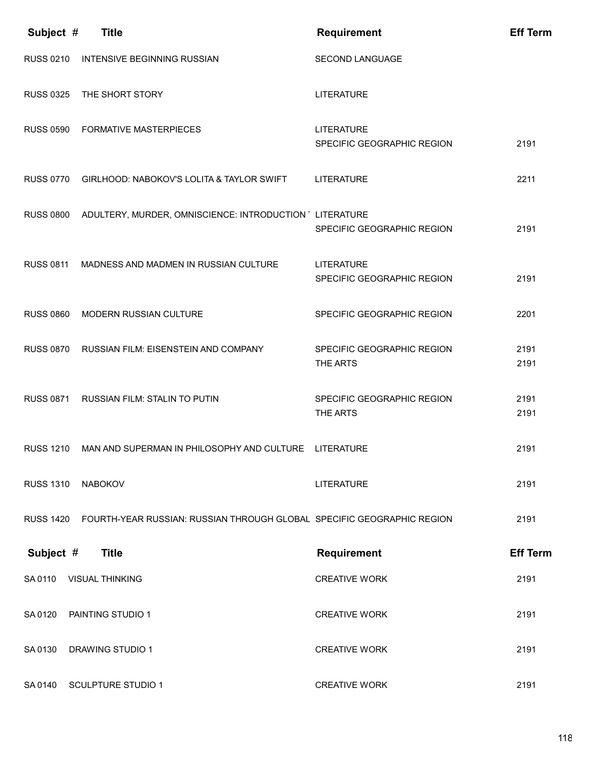| Subject #        | <b>Title</b>                                                           | <b>Requirement</b>                              | <b>Eff Term</b> |
|------------------|------------------------------------------------------------------------|-------------------------------------------------|-----------------|
| <b>RUSS 0210</b> | <b>INTENSIVE BEGINNING RUSSIAN</b>                                     | <b>SECOND LANGUAGE</b>                          |                 |
| <b>RUSS 0325</b> | THE SHORT STORY                                                        | <b>LITERATURE</b>                               |                 |
| <b>RUSS 0590</b> | <b>FORMATIVE MASTERPIECES</b>                                          | <b>LITERATURE</b><br>SPECIFIC GEOGRAPHIC REGION | 2191            |
| <b>RUSS 0770</b> | GIRLHOOD: NABOKOV'S LOLITA & TAYLOR SWIFT                              | LITERATURE                                      | 2211            |
| <b>RUSS 0800</b> | ADULTERY, MURDER, OMNISCIENCE: INTRODUCTION UITERATURE                 | SPECIFIC GEOGRAPHIC REGION                      | 2191            |
| <b>RUSS 0811</b> | MADNESS AND MADMEN IN RUSSIAN CULTURE                                  | <b>LITERATURE</b><br>SPECIFIC GEOGRAPHIC REGION | 2191            |
| <b>RUSS 0860</b> | MODERN RUSSIAN CULTURE                                                 | SPECIFIC GEOGRAPHIC REGION                      | 2201            |
| <b>RUSS 0870</b> | RUSSIAN FILM: EISENSTEIN AND COMPANY                                   | SPECIFIC GEOGRAPHIC REGION<br>THE ARTS          | 2191<br>2191    |
| <b>RUSS 0871</b> | RUSSIAN FILM: STALIN TO PUTIN                                          | SPECIFIC GEOGRAPHIC REGION<br>THE ARTS          | 2191<br>2191    |
| <b>RUSS 1210</b> | MAN AND SUPERMAN IN PHILOSOPHY AND CULTURE LITERATURE                  |                                                 | 2191            |
| <b>RUSS 1310</b> | <b>NABOKOV</b>                                                         | <b>LITERATURE</b>                               | 2191            |
| <b>RUSS 1420</b> | FOURTH-YEAR RUSSIAN: RUSSIAN THROUGH GLOBAL SPECIFIC GEOGRAPHIC REGION |                                                 | 2191            |
| Subject #        | <b>Title</b>                                                           | <b>Requirement</b>                              | <b>Eff Term</b> |
| SA 0110          | <b>VISUAL THINKING</b>                                                 | <b>CREATIVE WORK</b>                            | 2191            |
| SA 0120          | PAINTING STUDIO 1                                                      | <b>CREATIVE WORK</b>                            | 2191            |
| SA 0130          | <b>DRAWING STUDIO 1</b>                                                | <b>CREATIVE WORK</b>                            | 2191            |
| SA 0140          | <b>SCULPTURE STUDIO 1</b>                                              | <b>CREATIVE WORK</b>                            | 2191            |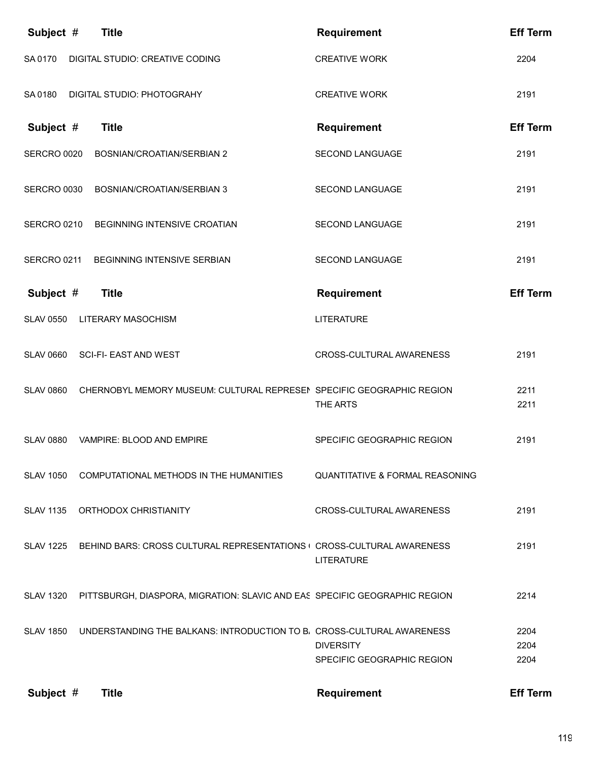| Subject #        | <b>Title</b>                                                               | <b>Requirement</b>                             | <b>Eff Term</b> |
|------------------|----------------------------------------------------------------------------|------------------------------------------------|-----------------|
| SA 0170          | DIGITAL STUDIO: CREATIVE CODING                                            | <b>CREATIVE WORK</b>                           | 2204            |
| SA 0180          | DIGITAL STUDIO: PHOTOGRAHY                                                 | <b>CREATIVE WORK</b>                           | 2191            |
| Subject #        | <b>Title</b>                                                               | <b>Requirement</b>                             | <b>Eff Term</b> |
| SERCRO 0020      | BOSNIAN/CROATIAN/SERBIAN 2                                                 | <b>SECOND LANGUAGE</b>                         | 2191            |
| SERCRO 0030      | BOSNIAN/CROATIAN/SERBIAN 3                                                 | SECOND LANGUAGE                                | 2191            |
| SERCRO 0210      | BEGINNING INTENSIVE CROATIAN                                               | <b>SECOND LANGUAGE</b>                         | 2191            |
| SERCRO 0211      | BEGINNING INTENSIVE SERBIAN                                                | <b>SECOND LANGUAGE</b>                         | 2191            |
| Subject #        | <b>Title</b>                                                               | <b>Requirement</b>                             | <b>Eff Term</b> |
| <b>SLAV 0550</b> | LITERARY MASOCHISM                                                         | <b>LITERATURE</b>                              |                 |
| <b>SLAV 0660</b> | <b>SCI-FI- EAST AND WEST</b>                                               | CROSS-CULTURAL AWARENESS                       | 2191            |
| <b>SLAV 0860</b> | CHERNOBYL MEMORY MUSEUM: CULTURAL REPRESEN SPECIFIC GEOGRAPHIC REGION      | THE ARTS                                       | 2211<br>2211    |
| <b>SLAV 0880</b> | VAMPIRE: BLOOD AND EMPIRE                                                  | SPECIFIC GEOGRAPHIC REGION                     | 2191            |
| <b>SLAV 1050</b> | COMPUTATIONAL METHODS IN THE HUMANITIES                                    | <b>QUANTITATIVE &amp; FORMAL REASONING</b>     |                 |
| <b>SLAV 1135</b> | ORTHODOX CHRISTIANITY                                                      | CROSS-CULTURAL AWARENESS                       | 2191            |
| <b>SLAV 1225</b> | BEHIND BARS: CROSS CULTURAL REPRESENTATIONS (CROSS-CULTURAL AWARENESS      | <b>LITERATURE</b>                              | 2191            |
| <b>SLAV 1320</b> | PITTSBURGH, DIASPORA, MIGRATION: SLAVIC AND EAS SPECIFIC GEOGRAPHIC REGION |                                                | 2214            |
| <b>SLAV 1850</b> | UNDERSTANDING THE BALKANS: INTRODUCTION TO B. CROSS-CULTURAL AWARENESS     |                                                | 2204            |
|                  |                                                                            | <b>DIVERSITY</b><br>SPECIFIC GEOGRAPHIC REGION | 2204<br>2204    |
| Subject #        | <b>Title</b>                                                               | <b>Requirement</b>                             | <b>Eff Term</b> |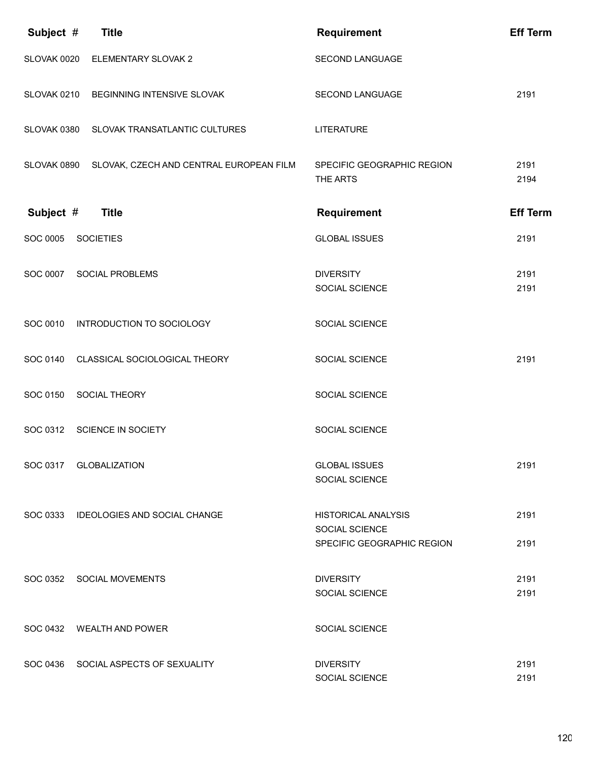| Subject #   | <b>Title</b>                                        | <b>Requirement</b>                                                                | <b>Eff Term</b> |
|-------------|-----------------------------------------------------|-----------------------------------------------------------------------------------|-----------------|
| SLOVAK 0020 | ELEMENTARY SLOVAK 2                                 | SECOND LANGUAGE                                                                   |                 |
| SLOVAK 0210 | BEGINNING INTENSIVE SLOVAK                          | <b>SECOND LANGUAGE</b>                                                            | 2191            |
| SLOVAK 0380 | SLOVAK TRANSATLANTIC CULTURES                       | <b>LITERATURE</b>                                                                 |                 |
|             | SLOVAK 0890 SLOVAK, CZECH AND CENTRAL EUROPEAN FILM | SPECIFIC GEOGRAPHIC REGION<br>THE ARTS                                            | 2191<br>2194    |
| Subject #   | <b>Title</b>                                        | <b>Requirement</b>                                                                | <b>Eff Term</b> |
| SOC 0005    | <b>SOCIETIES</b>                                    | <b>GLOBAL ISSUES</b>                                                              | 2191            |
| SOC 0007    | <b>SOCIAL PROBLEMS</b>                              | <b>DIVERSITY</b><br><b>SOCIAL SCIENCE</b>                                         | 2191<br>2191    |
| SOC 0010    | INTRODUCTION TO SOCIOLOGY                           | SOCIAL SCIENCE                                                                    |                 |
| SOC 0140    | CLASSICAL SOCIOLOGICAL THEORY                       | SOCIAL SCIENCE                                                                    | 2191            |
| SOC 0150    | SOCIAL THEORY                                       | SOCIAL SCIENCE                                                                    |                 |
| SOC 0312    | SCIENCE IN SOCIETY                                  | SOCIAL SCIENCE                                                                    |                 |
|             | SOC 0317 GLOBALIZATION                              | <b>GLOBAL ISSUES</b><br>SOCIAL SCIENCE                                            | 2191            |
|             | SOC 0333 IDEOLOGIES AND SOCIAL CHANGE               | <b>HISTORICAL ANALYSIS</b><br><b>SOCIAL SCIENCE</b><br>SPECIFIC GEOGRAPHIC REGION | 2191<br>2191    |
|             | SOC 0352 SOCIAL MOVEMENTS                           | <b>DIVERSITY</b><br><b>SOCIAL SCIENCE</b>                                         | 2191<br>2191    |
|             | SOC 0432 WEALTH AND POWER                           | SOCIAL SCIENCE                                                                    |                 |
|             | SOC 0436 SOCIAL ASPECTS OF SEXUALITY                | <b>DIVERSITY</b><br>SOCIAL SCIENCE                                                | 2191<br>2191    |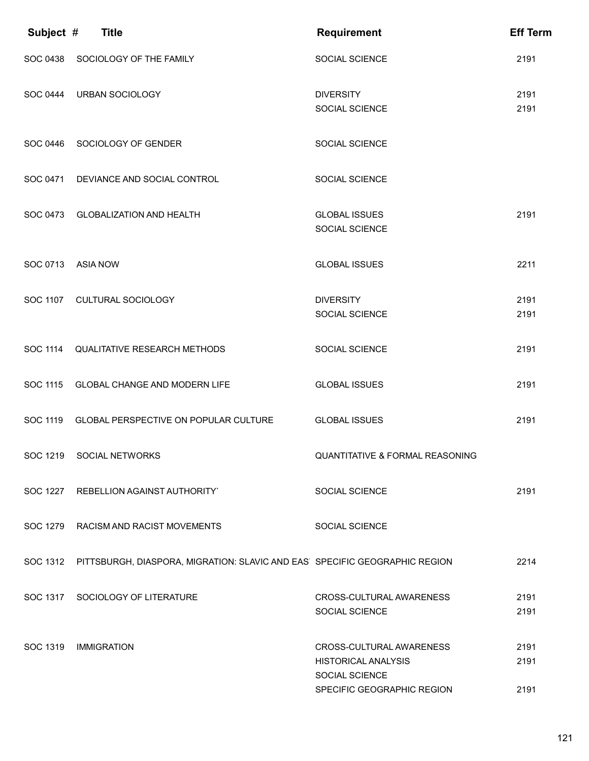| Subject # | <b>Title</b>                                                                        | <b>Requirement</b>                                                              | <b>Eff Term</b> |
|-----------|-------------------------------------------------------------------------------------|---------------------------------------------------------------------------------|-----------------|
| SOC 0438  | SOCIOLOGY OF THE FAMILY                                                             | SOCIAL SCIENCE                                                                  | 2191            |
|           | SOC 0444 URBAN SOCIOLOGY                                                            | <b>DIVERSITY</b><br><b>SOCIAL SCIENCE</b>                                       | 2191<br>2191    |
| SOC 0446  | SOCIOLOGY OF GENDER                                                                 | SOCIAL SCIENCE                                                                  |                 |
|           | SOC 0471 DEVIANCE AND SOCIAL CONTROL                                                | SOCIAL SCIENCE                                                                  |                 |
|           | SOC 0473 GLOBALIZATION AND HEALTH                                                   | <b>GLOBAL ISSUES</b><br>SOCIAL SCIENCE                                          | 2191            |
| SOC 0713  | <b>ASIA NOW</b>                                                                     | <b>GLOBAL ISSUES</b>                                                            | 2211            |
| SOC 1107  | CULTURAL SOCIOLOGY                                                                  | <b>DIVERSITY</b><br>SOCIAL SCIENCE                                              | 2191<br>2191    |
|           | SOC 1114 QUALITATIVE RESEARCH METHODS                                               | SOCIAL SCIENCE                                                                  | 2191            |
|           | SOC 1115 GLOBAL CHANGE AND MODERN LIFE                                              | <b>GLOBAL ISSUES</b>                                                            | 2191            |
|           | SOC 1119 GLOBAL PERSPECTIVE ON POPULAR CULTURE                                      | <b>GLOBAL ISSUES</b>                                                            | 2191            |
|           | SOC 1219 SOCIAL NETWORKS                                                            | QUANTITATIVE & FORMAL REASONING                                                 |                 |
|           | SOC 1227 REBELLION AGAINST AUTHORITY`                                               | SOCIAL SCIENCE                                                                  | 2191            |
|           | SOC 1279 RACISM AND RACIST MOVEMENTS                                                | SOCIAL SCIENCE                                                                  |                 |
|           | SOC 1312 PITTSBURGH, DIASPORA, MIGRATION: SLAVIC AND EAS SPECIFIC GEOGRAPHIC REGION |                                                                                 | 2214            |
|           | SOC 1317 SOCIOLOGY OF LITERATURE                                                    | CROSS-CULTURAL AWARENESS<br>SOCIAL SCIENCE                                      | 2191<br>2191    |
| SOC 1319  | <b>IMMIGRATION</b>                                                                  | CROSS-CULTURAL AWARENESS<br><b>HISTORICAL ANALYSIS</b><br><b>SOCIAL SCIENCE</b> | 2191<br>2191    |
|           |                                                                                     | SPECIFIC GEOGRAPHIC REGION                                                      | 2191            |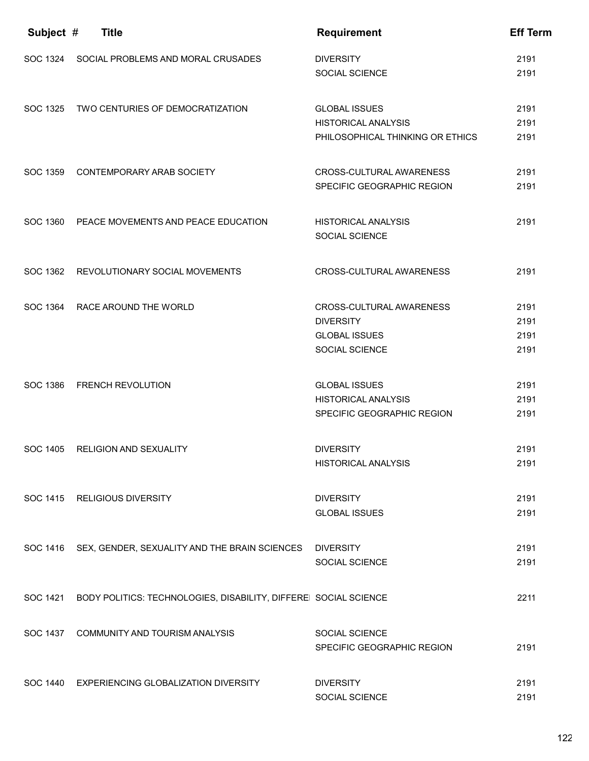| Subject # | <b>Title</b>                                                     | <b>Requirement</b>                                                                     | <b>Eff Term</b>              |
|-----------|------------------------------------------------------------------|----------------------------------------------------------------------------------------|------------------------------|
|           | SOC 1324 SOCIAL PROBLEMS AND MORAL CRUSADES                      | <b>DIVERSITY</b><br>SOCIAL SCIENCE                                                     | 2191<br>2191                 |
| SOC 1325  | TWO CENTURIES OF DEMOCRATIZATION                                 | <b>GLOBAL ISSUES</b><br><b>HISTORICAL ANALYSIS</b><br>PHILOSOPHICAL THINKING OR ETHICS | 2191<br>2191<br>2191         |
| SOC 1359  | CONTEMPORARY ARAB SOCIETY                                        | CROSS-CULTURAL AWARENESS<br>SPECIFIC GEOGRAPHIC REGION                                 | 2191<br>2191                 |
|           | SOC 1360 PEACE MOVEMENTS AND PEACE EDUCATION                     | <b>HISTORICAL ANALYSIS</b><br><b>SOCIAL SCIENCE</b>                                    | 2191                         |
| SOC 1362  | REVOLUTIONARY SOCIAL MOVEMENTS                                   | CROSS-CULTURAL AWARENESS                                                               | 2191                         |
|           | SOC 1364 RACE AROUND THE WORLD                                   | CROSS-CULTURAL AWARENESS<br><b>DIVERSITY</b><br><b>GLOBAL ISSUES</b><br>SOCIAL SCIENCE | 2191<br>2191<br>2191<br>2191 |
| SOC 1386  | <b>FRENCH REVOLUTION</b>                                         | <b>GLOBAL ISSUES</b><br><b>HISTORICAL ANALYSIS</b><br>SPECIFIC GEOGRAPHIC REGION       | 2191<br>2191<br>2191         |
| SOC 1405  | RELIGION AND SEXUALITY                                           | <b>DIVERSITY</b><br><b>HISTORICAL ANALYSIS</b>                                         | 2191<br>2191                 |
|           | SOC 1415 RELIGIOUS DIVERSITY                                     | <b>DIVERSITY</b><br><b>GLOBAL ISSUES</b>                                               | 2191<br>2191                 |
|           | SOC 1416 SEX, GENDER, SEXUALITY AND THE BRAIN SCIENCES DIVERSITY | SOCIAL SCIENCE                                                                         | 2191<br>2191                 |
| SOC 1421  | BODY POLITICS: TECHNOLOGIES, DISABILITY, DIFFEREI SOCIAL SCIENCE |                                                                                        | 2211                         |
|           | SOC 1437 COMMUNITY AND TOURISM ANALYSIS                          | SOCIAL SCIENCE<br>SPECIFIC GEOGRAPHIC REGION                                           | 2191                         |
|           | SOC 1440 EXPERIENCING GLOBALIZATION DIVERSITY                    | <b>DIVERSITY</b><br>SOCIAL SCIENCE                                                     | 2191<br>2191                 |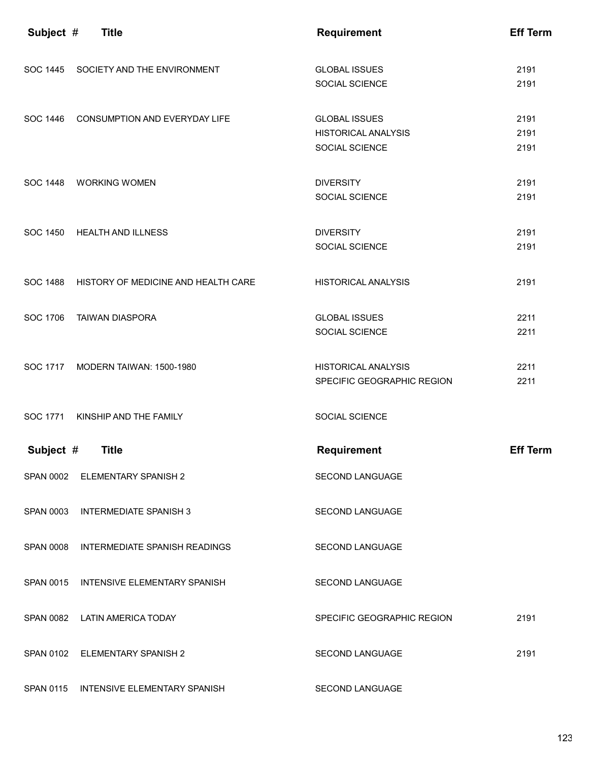| Subject # | <b>Title</b>                            | <b>Requirement</b>                                                   | <b>Eff Term</b>      |
|-----------|-----------------------------------------|----------------------------------------------------------------------|----------------------|
| SOC 1445  | SOCIETY AND THE ENVIRONMENT             | <b>GLOBAL ISSUES</b><br>SOCIAL SCIENCE                               | 2191<br>2191         |
| SOC 1446  | CONSUMPTION AND EVERYDAY LIFE           | <b>GLOBAL ISSUES</b><br><b>HISTORICAL ANALYSIS</b><br>SOCIAL SCIENCE | 2191<br>2191<br>2191 |
|           | SOC 1448 WORKING WOMEN                  | <b>DIVERSITY</b><br>SOCIAL SCIENCE                                   | 2191<br>2191         |
| SOC 1450  | <b>HEALTH AND ILLNESS</b>               | <b>DIVERSITY</b><br>SOCIAL SCIENCE                                   | 2191<br>2191         |
| SOC 1488  | HISTORY OF MEDICINE AND HEALTH CARE     | <b>HISTORICAL ANALYSIS</b>                                           | 2191                 |
| SOC 1706  | <b>TAIWAN DIASPORA</b>                  | <b>GLOBAL ISSUES</b><br>SOCIAL SCIENCE                               | 2211<br>2211         |
| SOC 1717  | MODERN TAIWAN: 1500-1980                | <b>HISTORICAL ANALYSIS</b><br>SPECIFIC GEOGRAPHIC REGION             | 2211<br>2211         |
| SOC 1771  | KINSHIP AND THE FAMILY                  | SOCIAL SCIENCE                                                       |                      |
| Subject # | <b>Title</b>                            | <b>Requirement</b>                                                   | <b>Eff Term</b>      |
|           | SPAN 0002 ELEMENTARY SPANISH 2          | <b>SECOND LANGUAGE</b>                                               |                      |
|           | SPAN 0003 INTERMEDIATE SPANISH 3        | <b>SECOND LANGUAGE</b>                                               |                      |
|           | SPAN 0008 INTERMEDIATE SPANISH READINGS | <b>SECOND LANGUAGE</b>                                               |                      |
|           | SPAN 0015 INTENSIVE ELEMENTARY SPANISH  | SECOND LANGUAGE                                                      |                      |
|           | SPAN 0082 LATIN AMERICA TODAY           | SPECIFIC GEOGRAPHIC REGION                                           | 2191                 |
|           | SPAN 0102 ELEMENTARY SPANISH 2          | <b>SECOND LANGUAGE</b>                                               | 2191                 |
|           | SPAN 0115 INTENSIVE ELEMENTARY SPANISH  | SECOND LANGUAGE                                                      |                      |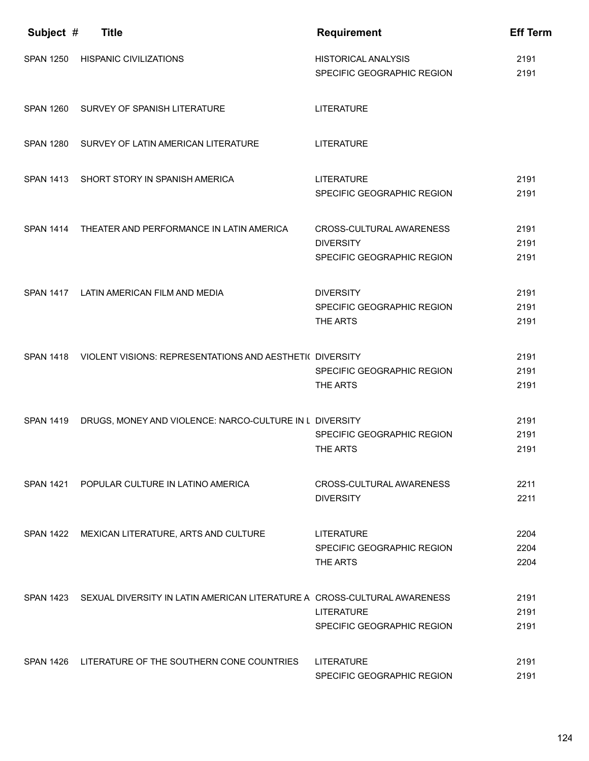| Subject #        | <b>Title</b>                                                                       | Requirement                                                                       | <b>Eff Term</b>      |
|------------------|------------------------------------------------------------------------------------|-----------------------------------------------------------------------------------|----------------------|
| <b>SPAN 1250</b> | <b>HISPANIC CIVILIZATIONS</b>                                                      | <b>HISTORICAL ANALYSIS</b><br>SPECIFIC GEOGRAPHIC REGION                          | 2191<br>2191         |
|                  | SPAN 1260 SURVEY OF SPANISH LITERATURE                                             | <b>LITERATURE</b>                                                                 |                      |
|                  | SPAN 1280 SURVEY OF LATIN AMERICAN LITERATURE                                      | LITERATURE                                                                        |                      |
|                  | SPAN 1413 SHORT STORY IN SPANISH AMERICA                                           | <b>LITERATURE</b><br>SPECIFIC GEOGRAPHIC REGION                                   | 2191<br>2191         |
|                  | SPAN 1414 THEATER AND PERFORMANCE IN LATIN AMERICA                                 | <b>CROSS-CULTURAL AWARENESS</b><br><b>DIVERSITY</b><br>SPECIFIC GEOGRAPHIC REGION | 2191<br>2191<br>2191 |
|                  | SPAN 1417 LATIN AMERICAN FILM AND MEDIA                                            | <b>DIVERSITY</b><br>SPECIFIC GEOGRAPHIC REGION<br>THE ARTS                        | 2191<br>2191<br>2191 |
|                  | SPAN 1418 VIOLENT VISIONS: REPRESENTATIONS AND AESTHETI( DIVERSITY                 | SPECIFIC GEOGRAPHIC REGION<br>THE ARTS                                            | 2191<br>2191<br>2191 |
| <b>SPAN 1419</b> | DRUGS, MONEY AND VIOLENCE: NARCO-CULTURE IN L DIVERSITY                            | SPECIFIC GEOGRAPHIC REGION<br>THE ARTS                                            | 2191<br>2191<br>2191 |
|                  | SPAN 1421 POPULAR CULTURE IN LATINO AMERICA                                        | CROSS-CULTURAL AWARENESS<br><b>DIVERSITY</b>                                      | 2211<br>2211         |
|                  | SPAN 1422 MEXICAN LITERATURE, ARTS AND CULTURE                                     | <b>LITERATURE</b><br>SPECIFIC GEOGRAPHIC REGION<br>THE ARTS                       | 2204<br>2204<br>2204 |
|                  | SPAN 1423 SEXUAL DIVERSITY IN LATIN AMERICAN LITERATURE A CROSS-CULTURAL AWARENESS | <b>LITERATURE</b><br>SPECIFIC GEOGRAPHIC REGION                                   | 2191<br>2191<br>2191 |
|                  | SPAN 1426 LITERATURE OF THE SOUTHERN CONE COUNTRIES                                | <b>LITERATURE</b><br>SPECIFIC GEOGRAPHIC REGION                                   | 2191<br>2191         |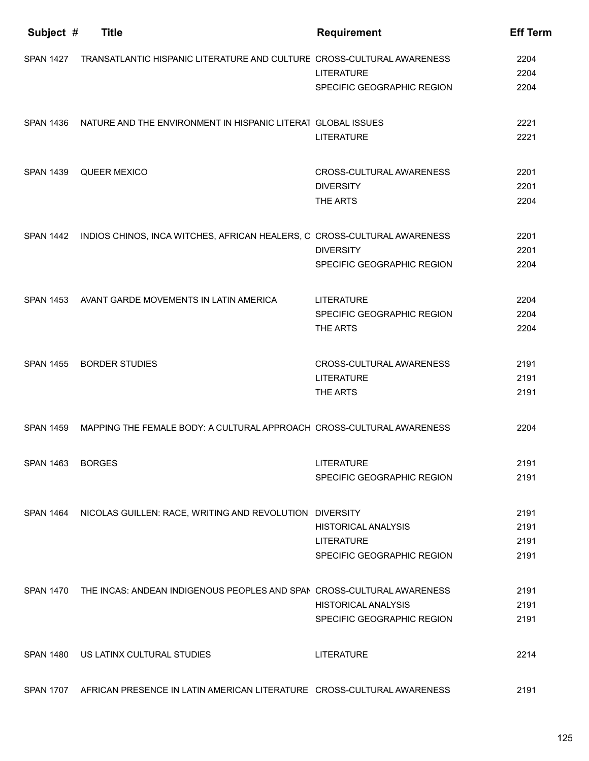| Subject #        | <b>Title</b>                                                                     | <b>Requirement</b>         | <b>Eff Term</b> |
|------------------|----------------------------------------------------------------------------------|----------------------------|-----------------|
| <b>SPAN 1427</b> | TRANSATLANTIC HISPANIC LITERATURE AND CULTURE CROSS-CULTURAL AWARENESS           |                            | 2204            |
|                  |                                                                                  | LITERATURE                 | 2204            |
|                  |                                                                                  | SPECIFIC GEOGRAPHIC REGION | 2204            |
| <b>SPAN 1436</b> | NATURE AND THE ENVIRONMENT IN HISPANIC LITERAT GLOBAL ISSUES                     |                            | 2221            |
|                  |                                                                                  | LITERATURE                 | 2221            |
| <b>SPAN 1439</b> | QUEER MEXICO                                                                     | CROSS-CULTURAL AWARENESS   | 2201            |
|                  |                                                                                  | <b>DIVERSITY</b>           | 2201            |
|                  |                                                                                  | THE ARTS                   | 2204            |
| <b>SPAN 1442</b> | INDIOS CHINOS, INCA WITCHES, AFRICAN HEALERS, C CROSS-CULTURAL AWARENESS         |                            | 2201            |
|                  |                                                                                  | <b>DIVERSITY</b>           | 2201            |
|                  |                                                                                  | SPECIFIC GEOGRAPHIC REGION | 2204            |
| <b>SPAN 1453</b> | AVANT GARDE MOVEMENTS IN LATIN AMERICA                                           | <b>LITERATURE</b>          | 2204            |
|                  |                                                                                  | SPECIFIC GEOGRAPHIC REGION | 2204            |
|                  |                                                                                  | THE ARTS                   | 2204            |
| <b>SPAN 1455</b> | <b>BORDER STUDIES</b>                                                            | CROSS-CULTURAL AWARENESS   | 2191            |
|                  |                                                                                  | LITERATURE                 | 2191            |
|                  |                                                                                  | THE ARTS                   | 2191            |
| <b>SPAN 1459</b> | MAPPING THE FEMALE BODY: A CULTURAL APPROACH CROSS-CULTURAL AWARENESS            |                            | 2204            |
| <b>SPAN 1463</b> | <b>BORGES</b>                                                                    | <b>LITERATURE</b>          | 2191            |
|                  |                                                                                  | SPECIFIC GEOGRAPHIC REGION | 2191            |
|                  | SPAN 1464 NICOLAS GUILLEN: RACE, WRITING AND REVOLUTION DIVERSITY                |                            | 2191            |
|                  |                                                                                  | <b>HISTORICAL ANALYSIS</b> | 2191            |
|                  |                                                                                  | <b>LITERATURE</b>          | 2191            |
|                  |                                                                                  | SPECIFIC GEOGRAPHIC REGION | 2191            |
|                  | SPAN 1470 THE INCAS: ANDEAN INDIGENOUS PEOPLES AND SPAN CROSS-CULTURAL AWARENESS |                            | 2191            |
|                  |                                                                                  | <b>HISTORICAL ANALYSIS</b> | 2191            |
|                  |                                                                                  | SPECIFIC GEOGRAPHIC REGION | 2191            |
| <b>SPAN 1480</b> | US LATINX CULTURAL STUDIES                                                       | <b>LITERATURE</b>          | 2214            |
|                  | SPAN 1707 AFRICAN PRESENCE IN LATIN AMERICAN LITERATURE CROSS-CULTURAL AWARENESS |                            | 2191            |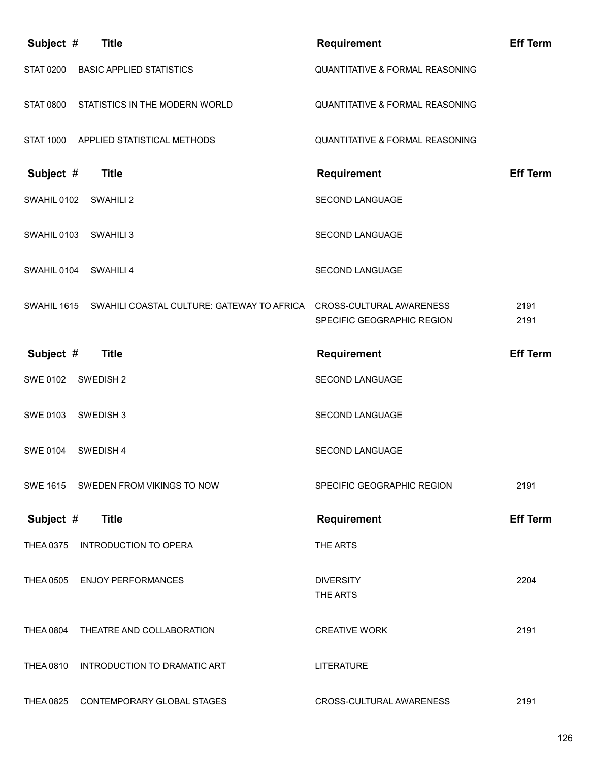| Subject #<br><b>Title</b>                                                           | <b>Requirement</b>              | <b>Eff Term</b> |
|-------------------------------------------------------------------------------------|---------------------------------|-----------------|
| <b>STAT 0200</b><br><b>BASIC APPLIED STATISTICS</b>                                 | QUANTITATIVE & FORMAL REASONING |                 |
| STATISTICS IN THE MODERN WORLD<br><b>STAT 0800</b>                                  | QUANTITATIVE & FORMAL REASONING |                 |
| <b>STAT 1000</b><br>APPLIED STATISTICAL METHODS                                     | QUANTITATIVE & FORMAL REASONING |                 |
| Subject #<br><b>Title</b>                                                           | <b>Requirement</b>              | <b>Eff Term</b> |
| SWAHIL 0102<br>SWAHILI 2                                                            | SECOND LANGUAGE                 |                 |
| SWAHIL 0103<br>SWAHILI 3                                                            | SECOND LANGUAGE                 |                 |
| SWAHIL 0104<br>SWAHILI 4                                                            | SECOND LANGUAGE                 |                 |
| SWAHIL 1615<br>SWAHILI COASTAL CULTURE: GATEWAY TO AFRICA  CROSS-CULTURAL AWARENESS | SPECIFIC GEOGRAPHIC REGION      | 2191<br>2191    |
| Subject #<br><b>Title</b>                                                           | <b>Requirement</b>              | <b>Eff Term</b> |
| <b>SWE 0102</b><br>SWEDISH 2                                                        | SECOND LANGUAGE                 |                 |
| <b>SWE 0103</b><br>SWEDISH <sub>3</sub>                                             | SECOND LANGUAGE                 |                 |
| <b>SWE 0104</b><br>SWEDISH 4                                                        | <b>SECOND LANGUAGE</b>          |                 |
| SWE 1615 SWEDEN FROM VIKINGS TO NOW                                                 | SPECIFIC GEOGRAPHIC REGION      | 2191            |
| Subject #<br><b>Title</b>                                                           | <b>Requirement</b>              | <b>Eff Term</b> |
| <b>THEA 0375</b><br><b>INTRODUCTION TO OPERA</b>                                    | THE ARTS                        |                 |
| <b>THEA 0505</b><br><b>ENJOY PERFORMANCES</b>                                       | <b>DIVERSITY</b><br>THE ARTS    | 2204            |
| <b>THEA 0804</b><br>THEATRE AND COLLABORATION                                       | <b>CREATIVE WORK</b>            | 2191            |
| <b>THEA 0810</b><br>INTRODUCTION TO DRAMATIC ART                                    | <b>LITERATURE</b>               |                 |
|                                                                                     |                                 |                 |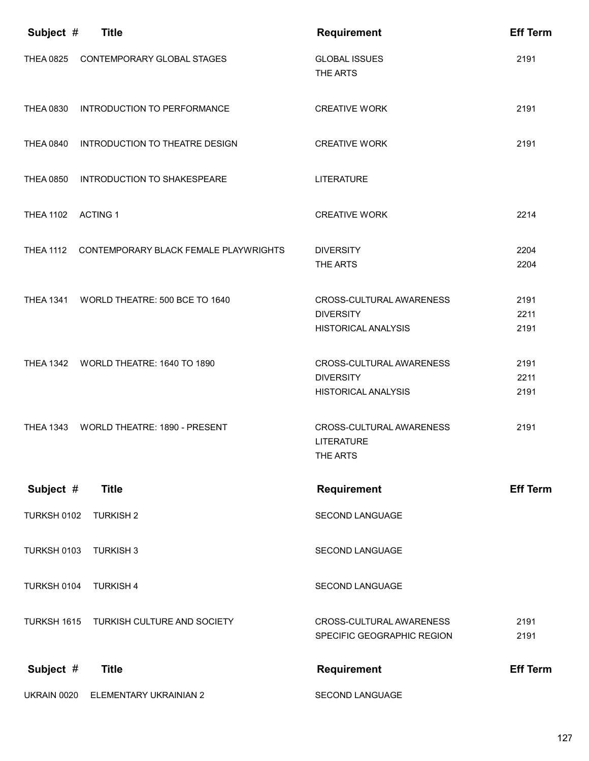| Subject #          | <b>Title</b>                                    | <b>Requirement</b>                                                         | <b>Eff Term</b>      |
|--------------------|-------------------------------------------------|----------------------------------------------------------------------------|----------------------|
| <b>THEA 0825</b>   | CONTEMPORARY GLOBAL STAGES                      | <b>GLOBAL ISSUES</b><br>THE ARTS                                           | 2191                 |
| <b>THEA 0830</b>   | INTRODUCTION TO PERFORMANCE                     | <b>CREATIVE WORK</b>                                                       | 2191                 |
| <b>THEA 0840</b>   | INTRODUCTION TO THEATRE DESIGN                  | <b>CREATIVE WORK</b>                                                       | 2191                 |
| <b>THEA 0850</b>   | INTRODUCTION TO SHAKESPEARE                     | <b>LITERATURE</b>                                                          |                      |
| THEA 1102 ACTING 1 |                                                 | <b>CREATIVE WORK</b>                                                       | 2214                 |
|                    | THEA 1112 CONTEMPORARY BLACK FEMALE PLAYWRIGHTS | <b>DIVERSITY</b><br>THE ARTS                                               | 2204<br>2204         |
| <b>THEA 1341</b>   | WORLD THEATRE: 500 BCE TO 1640                  | CROSS-CULTURAL AWARENESS<br><b>DIVERSITY</b><br><b>HISTORICAL ANALYSIS</b> | 2191<br>2211<br>2191 |
|                    | THEA 1342 WORLD THEATRE: 1640 TO 1890           | CROSS-CULTURAL AWARENESS<br><b>DIVERSITY</b><br><b>HISTORICAL ANALYSIS</b> | 2191<br>2211<br>2191 |
| <b>THEA 1343</b>   | WORLD THEATRE: 1890 - PRESENT                   | CROSS-CULTURAL AWARENESS<br><b>LITERATURE</b><br>THE ARTS                  | 2191                 |
| Subject #          | <b>Title</b>                                    | <b>Requirement</b>                                                         | <b>Eff Term</b>      |
| TURKSH 0102        | <b>TURKISH 2</b>                                | SECOND LANGUAGE                                                            |                      |
| TURKSH 0103        | <b>TURKISH 3</b>                                | SECOND LANGUAGE                                                            |                      |
| TURKSH 0104        | <b>TURKISH 4</b>                                | SECOND LANGUAGE                                                            |                      |
| TURKSH 1615        | TURKISH CULTURE AND SOCIETY                     | CROSS-CULTURAL AWARENESS<br>SPECIFIC GEOGRAPHIC REGION                     | 2191<br>2191         |
| Subject #          | <b>Title</b>                                    | <b>Requirement</b>                                                         | <b>Eff Term</b>      |
| UKRAIN 0020        | ELEMENTARY UKRAINIAN 2                          | SECOND LANGUAGE                                                            |                      |